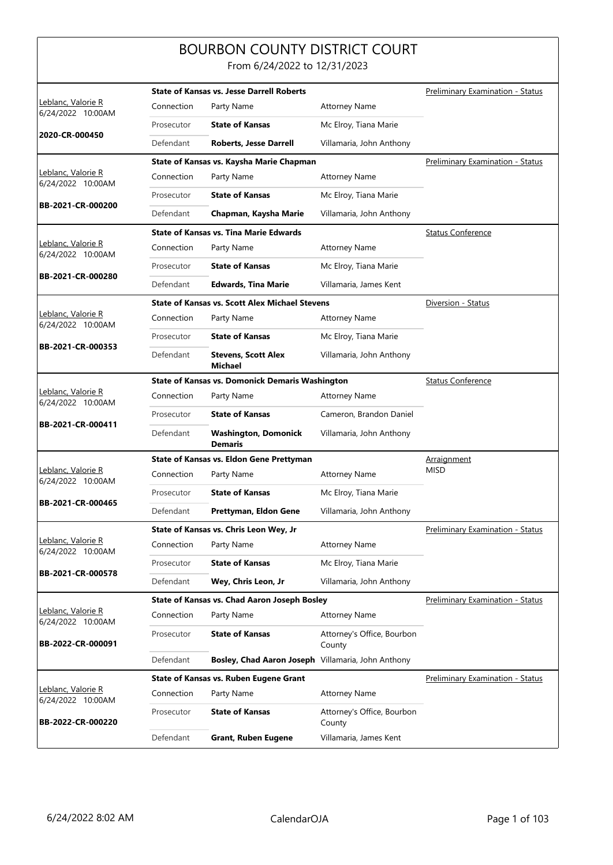## BOURBON COUNTY DISTRICT COURT From 6/24/2022 to 12/31/2023

|                                                 |            | <b>State of Kansas vs. Jesse Darrell Roberts</b>       |                                         | <b>Preliminary Examination - Status</b> |
|-------------------------------------------------|------------|--------------------------------------------------------|-----------------------------------------|-----------------------------------------|
| Leblanc, Valorie R<br>6/24/2022 10:00AM         | Connection | Party Name                                             | <b>Attorney Name</b>                    |                                         |
| 2020-CR-000450                                  | Prosecutor | <b>State of Kansas</b>                                 | Mc Elroy, Tiana Marie                   |                                         |
|                                                 | Defendant  | <b>Roberts, Jesse Darrell</b>                          | Villamaria, John Anthony                |                                         |
|                                                 |            | State of Kansas vs. Kaysha Marie Chapman               |                                         | <b>Preliminary Examination - Status</b> |
| <u> Leblanc, Valorie R</u><br>6/24/2022 10:00AM | Connection | Party Name                                             | <b>Attorney Name</b>                    |                                         |
|                                                 | Prosecutor | <b>State of Kansas</b>                                 | Mc Elroy, Tiana Marie                   |                                         |
| BB-2021-CR-000200                               | Defendant  | Chapman, Kaysha Marie                                  | Villamaria, John Anthony                |                                         |
|                                                 |            | <b>State of Kansas vs. Tina Marie Edwards</b>          |                                         | <b>Status Conference</b>                |
| Leblanc, Valorie R<br>6/24/2022 10:00AM         | Connection | Party Name                                             | <b>Attorney Name</b>                    |                                         |
|                                                 | Prosecutor | <b>State of Kansas</b>                                 | Mc Elroy, Tiana Marie                   |                                         |
| BB-2021-CR-000280                               | Defendant  | <b>Edwards, Tina Marie</b>                             | Villamaria, James Kent                  |                                         |
|                                                 |            | <b>State of Kansas vs. Scott Alex Michael Stevens</b>  |                                         | Diversion - Status                      |
| Leblanc, Valorie R<br>6/24/2022 10:00AM         | Connection | Party Name                                             | <b>Attorney Name</b>                    |                                         |
| BB-2021-CR-000353                               | Prosecutor | <b>State of Kansas</b>                                 | Mc Elroy, Tiana Marie                   |                                         |
|                                                 | Defendant  | <b>Stevens, Scott Alex</b><br><b>Michael</b>           | Villamaria, John Anthony                |                                         |
|                                                 |            | <b>State of Kansas vs. Domonick Demaris Washington</b> |                                         | <b>Status Conference</b>                |
| Leblanc, Valorie R<br>6/24/2022 10:00AM         | Connection | Party Name                                             | <b>Attorney Name</b>                    |                                         |
| BB-2021-CR-000411                               | Prosecutor | <b>State of Kansas</b>                                 | Cameron, Brandon Daniel                 |                                         |
|                                                 | Defendant  | <b>Washington, Domonick</b><br><b>Demaris</b>          | Villamaria, John Anthony                |                                         |
|                                                 |            | State of Kansas vs. Eldon Gene Prettyman               |                                         | Arraignment                             |
| Leblanc, Valorie R<br>6/24/2022 10:00AM         | Connection | Party Name                                             | <b>Attorney Name</b>                    | <b>MISD</b>                             |
|                                                 | Prosecutor | <b>State of Kansas</b>                                 | Mc Elroy, Tiana Marie                   |                                         |
| BB-2021-CR-000465                               | Defendant  | Prettyman, Eldon Gene                                  | Villamaria, John Anthony                |                                         |
|                                                 |            | State of Kansas vs. Chris Leon Wey, Jr                 | <b>Preliminary Examination - Status</b> |                                         |
| Leblanc, Valorie R<br>6/24/2022 10:00AM         | Connection | Party Name                                             | <b>Attorney Name</b>                    |                                         |
|                                                 | Prosecutor | <b>State of Kansas</b>                                 | Mc Elroy, Tiana Marie                   |                                         |
| BB-2021-CR-000578                               | Defendant  | Wey, Chris Leon, Jr                                    | Villamaria, John Anthony                |                                         |
|                                                 |            | State of Kansas vs. Chad Aaron Joseph Bosley           | <b>Preliminary Examination - Status</b> |                                         |
| Leblanc, Valorie R<br>6/24/2022 10:00AM         | Connection | Party Name                                             | <b>Attorney Name</b>                    |                                         |
| BB-2022-CR-000091                               | Prosecutor | <b>State of Kansas</b>                                 | Attorney's Office, Bourbon<br>County    |                                         |
|                                                 | Defendant  | Bosley, Chad Aaron Joseph Villamaria, John Anthony     |                                         |                                         |
|                                                 |            | State of Kansas vs. Ruben Eugene Grant                 |                                         | <b>Preliminary Examination - Status</b> |
| Leblanc, Valorie R<br>6/24/2022 10:00AM         | Connection | Party Name                                             | <b>Attorney Name</b>                    |                                         |
| BB-2022-CR-000220                               | Prosecutor | <b>State of Kansas</b>                                 | Attorney's Office, Bourbon<br>County    |                                         |
|                                                 | Defendant  | <b>Grant, Ruben Eugene</b>                             | Villamaria, James Kent                  |                                         |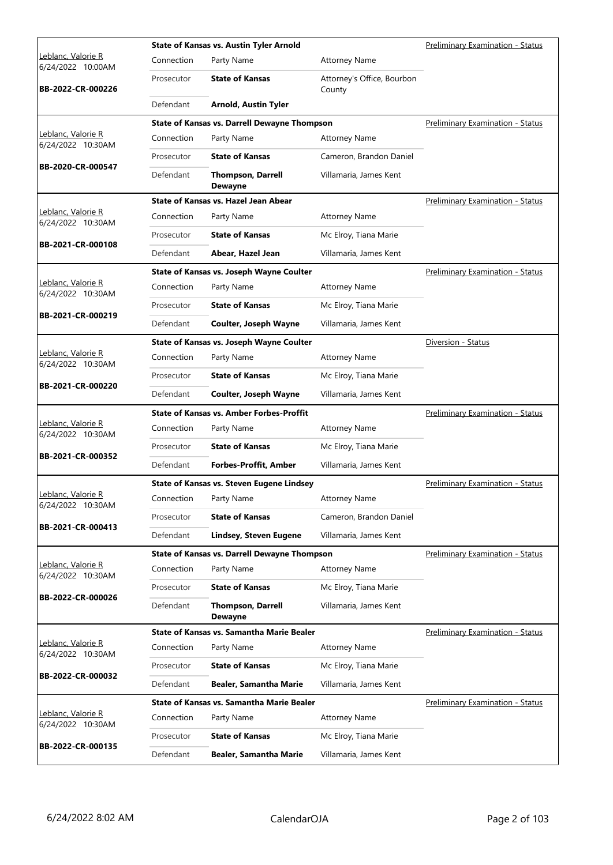|                                         |            | <b>State of Kansas vs. Austin Tyler Arnold</b>      | Preliminary Examination - Status        |                                         |
|-----------------------------------------|------------|-----------------------------------------------------|-----------------------------------------|-----------------------------------------|
| Leblanc, Valorie R<br>6/24/2022 10:00AM | Connection | Party Name                                          | <b>Attorney Name</b>                    |                                         |
| BB-2022-CR-000226                       | Prosecutor | <b>State of Kansas</b>                              | Attorney's Office, Bourbon<br>County    |                                         |
|                                         | Defendant  | <b>Arnold, Austin Tyler</b>                         |                                         |                                         |
|                                         |            | <b>State of Kansas vs. Darrell Dewayne Thompson</b> |                                         | <b>Preliminary Examination - Status</b> |
| Leblanc, Valorie R<br>6/24/2022 10:30AM | Connection | Party Name                                          | <b>Attorney Name</b>                    |                                         |
| BB-2020-CR-000547                       | Prosecutor | <b>State of Kansas</b>                              | Cameron, Brandon Daniel                 |                                         |
|                                         | Defendant  | <b>Thompson, Darrell</b><br><b>Dewayne</b>          | Villamaria, James Kent                  |                                         |
|                                         |            | State of Kansas vs. Hazel Jean Abear                |                                         | <b>Preliminary Examination - Status</b> |
| Leblanc, Valorie R<br>6/24/2022 10:30AM | Connection | Party Name                                          | <b>Attorney Name</b>                    |                                         |
|                                         | Prosecutor | <b>State of Kansas</b>                              | Mc Elroy, Tiana Marie                   |                                         |
| BB-2021-CR-000108                       | Defendant  | Abear, Hazel Jean                                   | Villamaria, James Kent                  |                                         |
|                                         |            | State of Kansas vs. Joseph Wayne Coulter            |                                         | Preliminary Examination - Status        |
| Leblanc, Valorie R<br>6/24/2022 10:30AM | Connection | Party Name                                          | <b>Attorney Name</b>                    |                                         |
|                                         | Prosecutor | <b>State of Kansas</b>                              | Mc Elroy, Tiana Marie                   |                                         |
| BB-2021-CR-000219                       | Defendant  | Coulter, Joseph Wayne                               | Villamaria, James Kent                  |                                         |
|                                         |            | State of Kansas vs. Joseph Wayne Coulter            |                                         | Diversion - Status                      |
| Leblanc, Valorie R<br>6/24/2022 10:30AM | Connection | Party Name                                          | <b>Attorney Name</b>                    |                                         |
|                                         | Prosecutor | <b>State of Kansas</b>                              | Mc Elroy, Tiana Marie                   |                                         |
| BB-2021-CR-000220                       | Defendant  | Coulter, Joseph Wayne                               | Villamaria, James Kent                  |                                         |
|                                         |            | <b>State of Kansas vs. Amber Forbes-Proffit</b>     |                                         | <b>Preliminary Examination - Status</b> |
| Leblanc, Valorie R<br>6/24/2022 10:30AM | Connection | Party Name                                          | <b>Attorney Name</b>                    |                                         |
|                                         | Prosecutor | <b>State of Kansas</b>                              | Mc Elroy, Tiana Marie                   |                                         |
| BB-2021-CR-000352                       | Defendant  | <b>Forbes-Proffit, Amber</b>                        | Villamaria, James Kent                  |                                         |
|                                         |            | <b>State of Kansas vs. Steven Eugene Lindsey</b>    |                                         | Preliminary Examination - Status        |
| Leblanc, Valorie R<br>6/24/2022 10:30AM |            | Connection Party Name                               | <b>Attorney Name</b>                    |                                         |
|                                         | Prosecutor | <b>State of Kansas</b>                              | Cameron, Brandon Daniel                 |                                         |
| BB-2021-CR-000413                       | Defendant  | <b>Lindsey, Steven Eugene</b>                       | Villamaria, James Kent                  |                                         |
|                                         |            | <b>State of Kansas vs. Darrell Dewayne Thompson</b> |                                         | <b>Preliminary Examination - Status</b> |
| Leblanc, Valorie R<br>6/24/2022 10:30AM | Connection | Party Name                                          | <b>Attorney Name</b>                    |                                         |
| BB-2022-CR-000026                       | Prosecutor | <b>State of Kansas</b>                              | Mc Elroy, Tiana Marie                   |                                         |
|                                         | Defendant  | Thompson, Darrell<br><b>Dewayne</b>                 | Villamaria, James Kent                  |                                         |
|                                         |            | State of Kansas vs. Samantha Marie Bealer           | <b>Preliminary Examination - Status</b> |                                         |
| Leblanc, Valorie R<br>6/24/2022 10:30AM | Connection | Party Name                                          | <b>Attorney Name</b>                    |                                         |
|                                         | Prosecutor | <b>State of Kansas</b>                              | Mc Elroy, Tiana Marie                   |                                         |
| BB-2022-CR-000032                       | Defendant  | <b>Bealer, Samantha Marie</b>                       | Villamaria, James Kent                  |                                         |
|                                         |            | State of Kansas vs. Samantha Marie Bealer           |                                         | <b>Preliminary Examination - Status</b> |
| Leblanc, Valorie R<br>6/24/2022 10:30AM | Connection | Party Name                                          | <b>Attorney Name</b>                    |                                         |
|                                         |            |                                                     |                                         |                                         |
| BB-2022-CR-000135                       | Prosecutor | <b>State of Kansas</b>                              | Mc Elroy, Tiana Marie                   |                                         |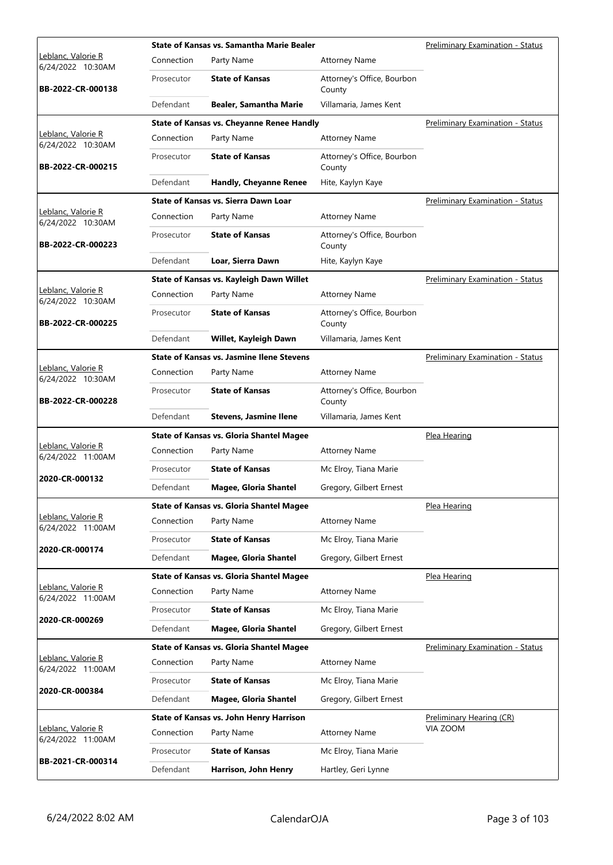|                                         |            | State of Kansas vs. Samantha Marie Bealer        | <b>Preliminary Examination - Status</b> |                                         |
|-----------------------------------------|------------|--------------------------------------------------|-----------------------------------------|-----------------------------------------|
| Leblanc, Valorie R<br>6/24/2022 10:30AM | Connection | Party Name                                       | <b>Attorney Name</b>                    |                                         |
| BB-2022-CR-000138                       | Prosecutor | <b>State of Kansas</b>                           | Attorney's Office, Bourbon<br>County    |                                         |
|                                         | Defendant  | <b>Bealer, Samantha Marie</b>                    | Villamaria, James Kent                  |                                         |
|                                         |            | <b>State of Kansas vs. Cheyanne Renee Handly</b> |                                         | <b>Preliminary Examination - Status</b> |
| Leblanc, Valorie R<br>6/24/2022 10:30AM | Connection | Party Name                                       | <b>Attorney Name</b>                    |                                         |
| BB-2022-CR-000215                       | Prosecutor | <b>State of Kansas</b>                           | Attorney's Office, Bourbon<br>County    |                                         |
|                                         | Defendant  | <b>Handly, Cheyanne Renee</b>                    | Hite, Kaylyn Kaye                       |                                         |
|                                         |            | State of Kansas vs. Sierra Dawn Loar             |                                         | <b>Preliminary Examination - Status</b> |
| Leblanc, Valorie R<br>6/24/2022 10:30AM | Connection | Party Name                                       | <b>Attorney Name</b>                    |                                         |
| BB-2022-CR-000223                       | Prosecutor | <b>State of Kansas</b>                           | Attorney's Office, Bourbon<br>County    |                                         |
|                                         | Defendant  | Loar, Sierra Dawn                                | Hite, Kaylyn Kaye                       |                                         |
|                                         |            | State of Kansas vs. Kayleigh Dawn Willet         |                                         | <b>Preliminary Examination - Status</b> |
| Leblanc, Valorie R<br>6/24/2022 10:30AM | Connection | Party Name                                       | <b>Attorney Name</b>                    |                                         |
| BB-2022-CR-000225                       | Prosecutor | <b>State of Kansas</b>                           | Attorney's Office, Bourbon<br>County    |                                         |
|                                         | Defendant  | Willet, Kayleigh Dawn                            | Villamaria, James Kent                  |                                         |
|                                         |            | <b>State of Kansas vs. Jasmine Ilene Stevens</b> |                                         | <b>Preliminary Examination - Status</b> |
| Leblanc, Valorie R<br>6/24/2022 10:30AM | Connection | Party Name                                       | <b>Attorney Name</b>                    |                                         |
| BB-2022-CR-000228                       | Prosecutor | <b>State of Kansas</b>                           | Attorney's Office, Bourbon<br>County    |                                         |
|                                         | Defendant  | <b>Stevens, Jasmine Ilene</b>                    | Villamaria, James Kent                  |                                         |
|                                         |            | <b>State of Kansas vs. Gloria Shantel Magee</b>  |                                         | Plea Hearing                            |
| Leblanc, Valorie R<br>6/24/2022 11:00AM | Connection | Party Name                                       | <b>Attorney Name</b>                    |                                         |
|                                         | Prosecutor | <b>State of Kansas</b>                           | Mc Elroy, Tiana Marie                   |                                         |
| 2020-CR-000132                          | Defendant  | <b>Magee, Gloria Shantel</b>                     | Gregory, Gilbert Ernest                 |                                         |
|                                         |            | <b>State of Kansas vs. Gloria Shantel Magee</b>  |                                         | Plea Hearing                            |
| Leblanc, Valorie R<br>6/24/2022 11:00AM | Connection | Party Name                                       | <b>Attorney Name</b>                    |                                         |
|                                         | Prosecutor | <b>State of Kansas</b>                           | Mc Elroy, Tiana Marie                   |                                         |
| 2020-CR-000174                          | Defendant  | Magee, Gloria Shantel                            | Gregory, Gilbert Ernest                 |                                         |
|                                         |            | <b>State of Kansas vs. Gloria Shantel Magee</b>  |                                         | Plea Hearing                            |
| Leblanc, Valorie R<br>6/24/2022 11:00AM | Connection | Party Name                                       | Attorney Name                           |                                         |
|                                         | Prosecutor | <b>State of Kansas</b>                           | Mc Elroy, Tiana Marie                   |                                         |
| 2020-CR-000269                          | Defendant  | <b>Magee, Gloria Shantel</b>                     | Gregory, Gilbert Ernest                 |                                         |
|                                         |            | <b>State of Kansas vs. Gloria Shantel Magee</b>  |                                         | Preliminary Examination - Status        |
| Leblanc, Valorie R<br>6/24/2022 11:00AM | Connection | Party Name                                       | <b>Attorney Name</b>                    |                                         |
|                                         | Prosecutor | <b>State of Kansas</b>                           | Mc Elroy, Tiana Marie                   |                                         |
| 2020-CR-000384                          | Defendant  | <b>Magee, Gloria Shantel</b>                     | Gregory, Gilbert Ernest                 |                                         |
|                                         |            | State of Kansas vs. John Henry Harrison          |                                         | <b>Preliminary Hearing (CR)</b>         |
| Leblanc, Valorie R<br>6/24/2022 11:00AM | Connection | Party Name                                       | <b>Attorney Name</b>                    | VIA ZOOM                                |
|                                         | Prosecutor | <b>State of Kansas</b>                           | Mc Elroy, Tiana Marie                   |                                         |
| BB-2021-CR-000314                       | Defendant  | Harrison, John Henry                             | Hartley, Geri Lynne                     |                                         |
|                                         |            |                                                  |                                         |                                         |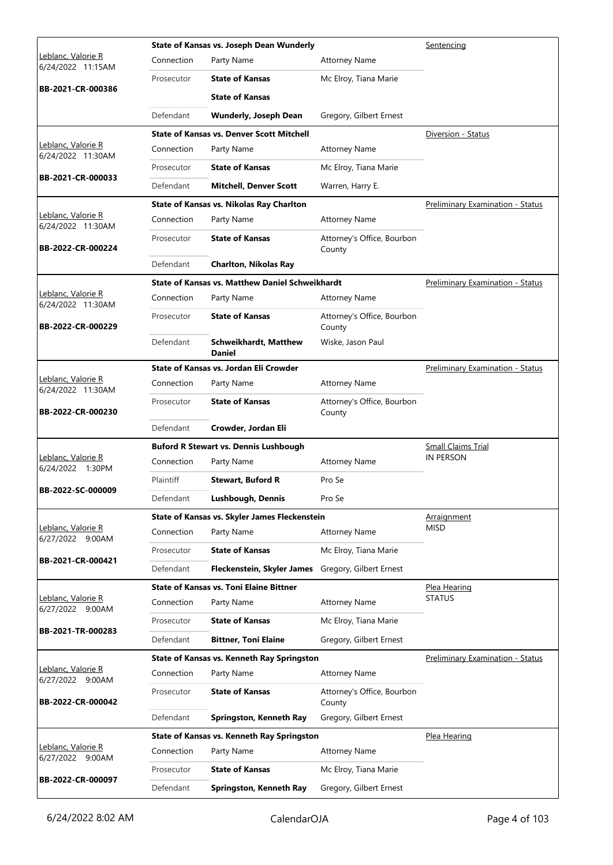|                                                 | State of Kansas vs. Joseph Dean Wunderly |                                                  |                                      | Sentencing                              |
|-------------------------------------------------|------------------------------------------|--------------------------------------------------|--------------------------------------|-----------------------------------------|
| <u> Leblanc, Valorie R</u><br>6/24/2022 11:15AM | Connection                               | Party Name                                       | <b>Attorney Name</b>                 |                                         |
|                                                 | Prosecutor                               | <b>State of Kansas</b>                           | Mc Elroy, Tiana Marie                |                                         |
| BB-2021-CR-000386                               |                                          | <b>State of Kansas</b>                           |                                      |                                         |
|                                                 | Defendant                                | <b>Wunderly, Joseph Dean</b>                     | Gregory, Gilbert Ernest              |                                         |
|                                                 |                                          | <b>State of Kansas vs. Denver Scott Mitchell</b> |                                      | Diversion - Status                      |
| Leblanc, Valorie R<br>6/24/2022 11:30AM         | Connection                               | Party Name                                       | <b>Attorney Name</b>                 |                                         |
|                                                 | Prosecutor                               | <b>State of Kansas</b>                           | Mc Elroy, Tiana Marie                |                                         |
| BB-2021-CR-000033                               | Defendant                                | <b>Mitchell, Denver Scott</b>                    | Warren, Harry E.                     |                                         |
|                                                 |                                          | <b>State of Kansas vs. Nikolas Ray Charlton</b>  |                                      | <b>Preliminary Examination - Status</b> |
| Leblanc, Valorie R<br>6/24/2022 11:30AM         | Connection                               | Party Name                                       | <b>Attorney Name</b>                 |                                         |
| BB-2022-CR-000224                               | Prosecutor                               | <b>State of Kansas</b>                           | Attorney's Office, Bourbon<br>County |                                         |
|                                                 | Defendant                                | <b>Charlton, Nikolas Ray</b>                     |                                      |                                         |
|                                                 |                                          | State of Kansas vs. Matthew Daniel Schweikhardt  |                                      | <b>Preliminary Examination - Status</b> |
| Leblanc, Valorie R<br>6/24/2022 11:30AM         | Connection                               | Party Name                                       | <b>Attorney Name</b>                 |                                         |
| BB-2022-CR-000229                               | Prosecutor                               | <b>State of Kansas</b>                           | Attorney's Office, Bourbon<br>County |                                         |
|                                                 | Defendant                                | <b>Schweikhardt, Matthew</b><br><b>Daniel</b>    | Wiske, Jason Paul                    |                                         |
|                                                 |                                          | State of Kansas vs. Jordan Eli Crowder           |                                      | <b>Preliminary Examination - Status</b> |
| Leblanc, Valorie R<br>6/24/2022 11:30AM         | Connection                               | Party Name                                       | <b>Attorney Name</b>                 |                                         |
| BB-2022-CR-000230                               | Prosecutor                               | <b>State of Kansas</b>                           | Attorney's Office, Bourbon<br>County |                                         |
|                                                 | Defendant                                | Crowder, Jordan Eli                              |                                      |                                         |
|                                                 |                                          | <b>Buford R Stewart vs. Dennis Lushbough</b>     |                                      | <b>Small Claims Trial</b>               |
| Leblanc, Valorie R<br>6/24/2022 1:30PM          | Connection                               | Party Name                                       | <b>Attorney Name</b>                 | <b>IN PERSON</b>                        |
| BB-2022-SC-000009                               | Plaintiff                                | <b>Stewart, Buford R</b>                         | Pro Se                               |                                         |
|                                                 | Defendant                                | Lushbough, Dennis                                | Pro Se                               |                                         |
|                                                 |                                          | State of Kansas vs. Skyler James Fleckenstein    |                                      | Arraignment                             |
| Leblanc, Valorie R<br>6/27/2022 9:00AM          | Connection                               | Party Name                                       | <b>Attorney Name</b>                 | <b>MISD</b>                             |
|                                                 | Prosecutor                               | <b>State of Kansas</b>                           | Mc Elroy, Tiana Marie                |                                         |
| BB-2021-CR-000421                               | Defendant                                | Fleckenstein, Skyler James                       | Gregory, Gilbert Ernest              |                                         |
|                                                 |                                          | <b>State of Kansas vs. Toni Elaine Bittner</b>   |                                      | Plea Hearing                            |
| Leblanc, Valorie R<br>6/27/2022 9:00AM          | Connection                               | Party Name                                       | <b>Attorney Name</b>                 | STATUS                                  |
| BB-2021-TR-000283                               | Prosecutor                               | <b>State of Kansas</b>                           | Mc Elroy, Tiana Marie                |                                         |
|                                                 | Defendant                                | <b>Bittner, Toni Elaine</b>                      | Gregory, Gilbert Ernest              |                                         |
|                                                 |                                          | State of Kansas vs. Kenneth Ray Springston       |                                      | <b>Preliminary Examination - Status</b> |
| Leblanc, Valorie R<br>6/27/2022 9:00AM          | Connection                               | Party Name                                       | <b>Attorney Name</b>                 |                                         |
| BB-2022-CR-000042                               | Prosecutor                               | <b>State of Kansas</b>                           | Attorney's Office, Bourbon<br>County |                                         |
|                                                 | Defendant                                | Springston, Kenneth Ray                          | Gregory, Gilbert Ernest              |                                         |
|                                                 |                                          | State of Kansas vs. Kenneth Ray Springston       |                                      | Plea Hearing                            |
| Leblanc, Valorie R<br>6/27/2022 9:00AM          |                                          |                                                  | <b>Attorney Name</b>                 |                                         |
|                                                 | Connection                               | Party Name                                       |                                      |                                         |
| BB-2022-CR-000097                               | Prosecutor                               | <b>State of Kansas</b>                           | Mc Elroy, Tiana Marie                |                                         |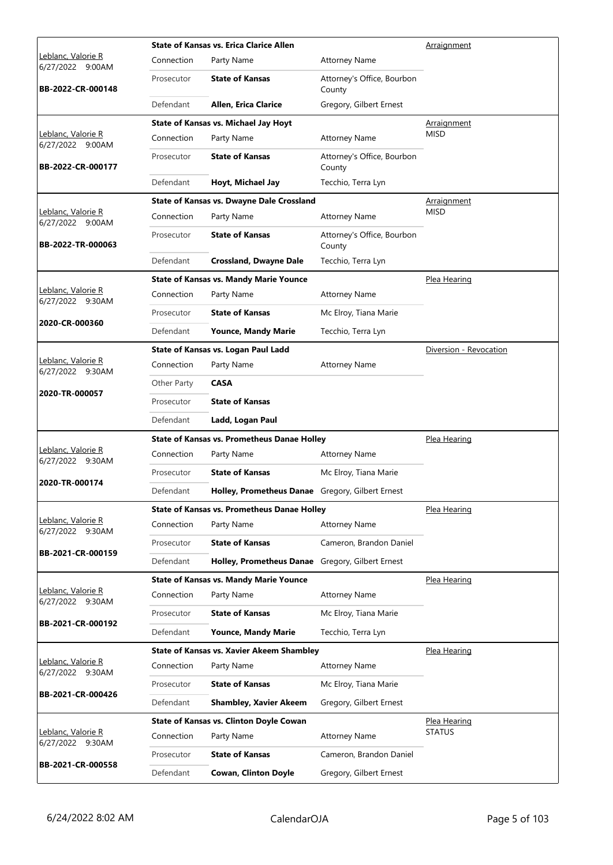| Connection<br>Party Name<br><b>Attorney Name</b><br>6/27/2022 9:00AM<br><b>State of Kansas</b><br>Attorney's Office, Bourbon<br>Prosecutor<br>BB-2022-CR-000148<br>County<br>Defendant<br>Allen, Erica Clarice<br>Gregory, Gilbert Ernest<br><b>State of Kansas vs. Michael Jay Hoyt</b><br>Arraignment<br><b>MISD</b><br>Leblanc, Valorie R<br>Party Name<br>Connection<br><b>Attorney Name</b><br>6/27/2022 9:00AM<br><b>State of Kansas</b><br>Attorney's Office, Bourbon<br>Prosecutor<br>BB-2022-CR-000177<br>County<br>Defendant<br>Hoyt, Michael Jay<br>Tecchio, Terra Lyn<br><b>State of Kansas vs. Dwayne Dale Crossland</b><br><u>Arraignment</u><br>Leblanc, Valorie R<br><b>MISD</b><br>Connection<br>Party Name<br><b>Attorney Name</b><br>6/27/2022 9:00AM<br><b>State of Kansas</b><br>Attorney's Office, Bourbon<br>Prosecutor<br>BB-2022-TR-000063<br>County<br>Defendant<br><b>Crossland, Dwayne Dale</b><br>Tecchio, Terra Lyn<br><b>State of Kansas vs. Mandy Marie Younce</b><br>Plea Hearing<br>Leblanc, Valorie R<br>Connection<br>Party Name<br><b>Attorney Name</b><br>6/27/2022 9:30AM<br><b>State of Kansas</b><br>Prosecutor<br>Mc Elroy, Tiana Marie<br>2020-CR-000360<br>Defendant<br><b>Younce, Mandy Marie</b><br>Tecchio, Terra Lyn<br>State of Kansas vs. Logan Paul Ladd<br>Diversion - Revocation<br>Leblanc, Valorie R<br>Connection<br>Party Name<br><b>Attorney Name</b><br>6/27/2022 9:30AM<br><b>CASA</b><br>Other Party<br>2020-TR-000057<br><b>State of Kansas</b><br>Prosecutor<br>Defendant<br>Ladd, Logan Paul<br><b>State of Kansas vs. Prometheus Danae Holley</b><br>Plea Hearing<br>Leblanc, Valorie R<br>Connection<br>Party Name<br><b>Attorney Name</b><br>6/27/2022 9:30AM<br><b>State of Kansas</b><br>Mc Elroy, Tiana Marie<br>Prosecutor<br>2020-TR-000174<br>Defendant<br>Holley, Prometheus Danae Gregory, Gilbert Ernest<br><b>State of Kansas vs. Prometheus Danae Holley</b><br>Plea Hearing<br>Leblanc, Valorie R<br>Connection<br>Party Name<br><b>Attorney Name</b><br>6/27/2022 9:30AM<br><b>State of Kansas</b><br>Cameron, Brandon Daniel<br>Prosecutor<br>BB-2021-CR-000159<br>Defendant<br>Holley, Prometheus Danae Gregory, Gilbert Ernest<br><b>State of Kansas vs. Mandy Marie Younce</b><br>Plea Hearing<br>Leblanc, Valorie R<br>Connection<br>Party Name<br><b>Attorney Name</b><br>6/27/2022 9:30AM<br><b>State of Kansas</b><br>Prosecutor<br>Mc Elroy, Tiana Marie<br>BB-2021-CR-000192<br>Defendant<br>Tecchio, Terra Lyn<br><b>Younce, Mandy Marie</b><br><b>State of Kansas vs. Xavier Akeem Shambley</b><br>Plea Hearing<br>Leblanc, Valorie R<br>Connection<br>Party Name<br><b>Attorney Name</b><br>6/27/2022 9:30AM<br><b>State of Kansas</b><br>Mc Elroy, Tiana Marie<br>Prosecutor<br>BB-2021-CR-000426 |                                                                                          |                    | <b>State of Kansas vs. Erica Clarice Allen</b> | Arraignment |  |
|-------------------------------------------------------------------------------------------------------------------------------------------------------------------------------------------------------------------------------------------------------------------------------------------------------------------------------------------------------------------------------------------------------------------------------------------------------------------------------------------------------------------------------------------------------------------------------------------------------------------------------------------------------------------------------------------------------------------------------------------------------------------------------------------------------------------------------------------------------------------------------------------------------------------------------------------------------------------------------------------------------------------------------------------------------------------------------------------------------------------------------------------------------------------------------------------------------------------------------------------------------------------------------------------------------------------------------------------------------------------------------------------------------------------------------------------------------------------------------------------------------------------------------------------------------------------------------------------------------------------------------------------------------------------------------------------------------------------------------------------------------------------------------------------------------------------------------------------------------------------------------------------------------------------------------------------------------------------------------------------------------------------------------------------------------------------------------------------------------------------------------------------------------------------------------------------------------------------------------------------------------------------------------------------------------------------------------------------------------------------------------------------------------------------------------------------------------------------------------------------------------------------------------------------------------------------------------------------------------------------------------------------------------------------------------------------------------------------------------------------------------------------------------------------------|------------------------------------------------------------------------------------------|--------------------|------------------------------------------------|-------------|--|
|                                                                                                                                                                                                                                                                                                                                                                                                                                                                                                                                                                                                                                                                                                                                                                                                                                                                                                                                                                                                                                                                                                                                                                                                                                                                                                                                                                                                                                                                                                                                                                                                                                                                                                                                                                                                                                                                                                                                                                                                                                                                                                                                                                                                                                                                                                                                                                                                                                                                                                                                                                                                                                                                                                                                                                                                 |                                                                                          | Leblanc, Valorie R |                                                |             |  |
|                                                                                                                                                                                                                                                                                                                                                                                                                                                                                                                                                                                                                                                                                                                                                                                                                                                                                                                                                                                                                                                                                                                                                                                                                                                                                                                                                                                                                                                                                                                                                                                                                                                                                                                                                                                                                                                                                                                                                                                                                                                                                                                                                                                                                                                                                                                                                                                                                                                                                                                                                                                                                                                                                                                                                                                                 |                                                                                          |                    |                                                |             |  |
|                                                                                                                                                                                                                                                                                                                                                                                                                                                                                                                                                                                                                                                                                                                                                                                                                                                                                                                                                                                                                                                                                                                                                                                                                                                                                                                                                                                                                                                                                                                                                                                                                                                                                                                                                                                                                                                                                                                                                                                                                                                                                                                                                                                                                                                                                                                                                                                                                                                                                                                                                                                                                                                                                                                                                                                                 |                                                                                          |                    |                                                |             |  |
|                                                                                                                                                                                                                                                                                                                                                                                                                                                                                                                                                                                                                                                                                                                                                                                                                                                                                                                                                                                                                                                                                                                                                                                                                                                                                                                                                                                                                                                                                                                                                                                                                                                                                                                                                                                                                                                                                                                                                                                                                                                                                                                                                                                                                                                                                                                                                                                                                                                                                                                                                                                                                                                                                                                                                                                                 |                                                                                          |                    |                                                |             |  |
|                                                                                                                                                                                                                                                                                                                                                                                                                                                                                                                                                                                                                                                                                                                                                                                                                                                                                                                                                                                                                                                                                                                                                                                                                                                                                                                                                                                                                                                                                                                                                                                                                                                                                                                                                                                                                                                                                                                                                                                                                                                                                                                                                                                                                                                                                                                                                                                                                                                                                                                                                                                                                                                                                                                                                                                                 |                                                                                          |                    |                                                |             |  |
|                                                                                                                                                                                                                                                                                                                                                                                                                                                                                                                                                                                                                                                                                                                                                                                                                                                                                                                                                                                                                                                                                                                                                                                                                                                                                                                                                                                                                                                                                                                                                                                                                                                                                                                                                                                                                                                                                                                                                                                                                                                                                                                                                                                                                                                                                                                                                                                                                                                                                                                                                                                                                                                                                                                                                                                                 |                                                                                          |                    |                                                |             |  |
|                                                                                                                                                                                                                                                                                                                                                                                                                                                                                                                                                                                                                                                                                                                                                                                                                                                                                                                                                                                                                                                                                                                                                                                                                                                                                                                                                                                                                                                                                                                                                                                                                                                                                                                                                                                                                                                                                                                                                                                                                                                                                                                                                                                                                                                                                                                                                                                                                                                                                                                                                                                                                                                                                                                                                                                                 |                                                                                          |                    |                                                |             |  |
|                                                                                                                                                                                                                                                                                                                                                                                                                                                                                                                                                                                                                                                                                                                                                                                                                                                                                                                                                                                                                                                                                                                                                                                                                                                                                                                                                                                                                                                                                                                                                                                                                                                                                                                                                                                                                                                                                                                                                                                                                                                                                                                                                                                                                                                                                                                                                                                                                                                                                                                                                                                                                                                                                                                                                                                                 |                                                                                          |                    |                                                |             |  |
|                                                                                                                                                                                                                                                                                                                                                                                                                                                                                                                                                                                                                                                                                                                                                                                                                                                                                                                                                                                                                                                                                                                                                                                                                                                                                                                                                                                                                                                                                                                                                                                                                                                                                                                                                                                                                                                                                                                                                                                                                                                                                                                                                                                                                                                                                                                                                                                                                                                                                                                                                                                                                                                                                                                                                                                                 |                                                                                          |                    |                                                |             |  |
|                                                                                                                                                                                                                                                                                                                                                                                                                                                                                                                                                                                                                                                                                                                                                                                                                                                                                                                                                                                                                                                                                                                                                                                                                                                                                                                                                                                                                                                                                                                                                                                                                                                                                                                                                                                                                                                                                                                                                                                                                                                                                                                                                                                                                                                                                                                                                                                                                                                                                                                                                                                                                                                                                                                                                                                                 |                                                                                          |                    |                                                |             |  |
|                                                                                                                                                                                                                                                                                                                                                                                                                                                                                                                                                                                                                                                                                                                                                                                                                                                                                                                                                                                                                                                                                                                                                                                                                                                                                                                                                                                                                                                                                                                                                                                                                                                                                                                                                                                                                                                                                                                                                                                                                                                                                                                                                                                                                                                                                                                                                                                                                                                                                                                                                                                                                                                                                                                                                                                                 |                                                                                          |                    |                                                |             |  |
|                                                                                                                                                                                                                                                                                                                                                                                                                                                                                                                                                                                                                                                                                                                                                                                                                                                                                                                                                                                                                                                                                                                                                                                                                                                                                                                                                                                                                                                                                                                                                                                                                                                                                                                                                                                                                                                                                                                                                                                                                                                                                                                                                                                                                                                                                                                                                                                                                                                                                                                                                                                                                                                                                                                                                                                                 |                                                                                          |                    |                                                |             |  |
|                                                                                                                                                                                                                                                                                                                                                                                                                                                                                                                                                                                                                                                                                                                                                                                                                                                                                                                                                                                                                                                                                                                                                                                                                                                                                                                                                                                                                                                                                                                                                                                                                                                                                                                                                                                                                                                                                                                                                                                                                                                                                                                                                                                                                                                                                                                                                                                                                                                                                                                                                                                                                                                                                                                                                                                                 |                                                                                          |                    |                                                |             |  |
|                                                                                                                                                                                                                                                                                                                                                                                                                                                                                                                                                                                                                                                                                                                                                                                                                                                                                                                                                                                                                                                                                                                                                                                                                                                                                                                                                                                                                                                                                                                                                                                                                                                                                                                                                                                                                                                                                                                                                                                                                                                                                                                                                                                                                                                                                                                                                                                                                                                                                                                                                                                                                                                                                                                                                                                                 |                                                                                          |                    |                                                |             |  |
|                                                                                                                                                                                                                                                                                                                                                                                                                                                                                                                                                                                                                                                                                                                                                                                                                                                                                                                                                                                                                                                                                                                                                                                                                                                                                                                                                                                                                                                                                                                                                                                                                                                                                                                                                                                                                                                                                                                                                                                                                                                                                                                                                                                                                                                                                                                                                                                                                                                                                                                                                                                                                                                                                                                                                                                                 |                                                                                          |                    |                                                |             |  |
|                                                                                                                                                                                                                                                                                                                                                                                                                                                                                                                                                                                                                                                                                                                                                                                                                                                                                                                                                                                                                                                                                                                                                                                                                                                                                                                                                                                                                                                                                                                                                                                                                                                                                                                                                                                                                                                                                                                                                                                                                                                                                                                                                                                                                                                                                                                                                                                                                                                                                                                                                                                                                                                                                                                                                                                                 |                                                                                          |                    |                                                |             |  |
|                                                                                                                                                                                                                                                                                                                                                                                                                                                                                                                                                                                                                                                                                                                                                                                                                                                                                                                                                                                                                                                                                                                                                                                                                                                                                                                                                                                                                                                                                                                                                                                                                                                                                                                                                                                                                                                                                                                                                                                                                                                                                                                                                                                                                                                                                                                                                                                                                                                                                                                                                                                                                                                                                                                                                                                                 |                                                                                          |                    |                                                |             |  |
|                                                                                                                                                                                                                                                                                                                                                                                                                                                                                                                                                                                                                                                                                                                                                                                                                                                                                                                                                                                                                                                                                                                                                                                                                                                                                                                                                                                                                                                                                                                                                                                                                                                                                                                                                                                                                                                                                                                                                                                                                                                                                                                                                                                                                                                                                                                                                                                                                                                                                                                                                                                                                                                                                                                                                                                                 |                                                                                          |                    |                                                |             |  |
|                                                                                                                                                                                                                                                                                                                                                                                                                                                                                                                                                                                                                                                                                                                                                                                                                                                                                                                                                                                                                                                                                                                                                                                                                                                                                                                                                                                                                                                                                                                                                                                                                                                                                                                                                                                                                                                                                                                                                                                                                                                                                                                                                                                                                                                                                                                                                                                                                                                                                                                                                                                                                                                                                                                                                                                                 |                                                                                          |                    |                                                |             |  |
|                                                                                                                                                                                                                                                                                                                                                                                                                                                                                                                                                                                                                                                                                                                                                                                                                                                                                                                                                                                                                                                                                                                                                                                                                                                                                                                                                                                                                                                                                                                                                                                                                                                                                                                                                                                                                                                                                                                                                                                                                                                                                                                                                                                                                                                                                                                                                                                                                                                                                                                                                                                                                                                                                                                                                                                                 |                                                                                          |                    |                                                |             |  |
|                                                                                                                                                                                                                                                                                                                                                                                                                                                                                                                                                                                                                                                                                                                                                                                                                                                                                                                                                                                                                                                                                                                                                                                                                                                                                                                                                                                                                                                                                                                                                                                                                                                                                                                                                                                                                                                                                                                                                                                                                                                                                                                                                                                                                                                                                                                                                                                                                                                                                                                                                                                                                                                                                                                                                                                                 |                                                                                          |                    |                                                |             |  |
|                                                                                                                                                                                                                                                                                                                                                                                                                                                                                                                                                                                                                                                                                                                                                                                                                                                                                                                                                                                                                                                                                                                                                                                                                                                                                                                                                                                                                                                                                                                                                                                                                                                                                                                                                                                                                                                                                                                                                                                                                                                                                                                                                                                                                                                                                                                                                                                                                                                                                                                                                                                                                                                                                                                                                                                                 |                                                                                          |                    |                                                |             |  |
|                                                                                                                                                                                                                                                                                                                                                                                                                                                                                                                                                                                                                                                                                                                                                                                                                                                                                                                                                                                                                                                                                                                                                                                                                                                                                                                                                                                                                                                                                                                                                                                                                                                                                                                                                                                                                                                                                                                                                                                                                                                                                                                                                                                                                                                                                                                                                                                                                                                                                                                                                                                                                                                                                                                                                                                                 |                                                                                          |                    |                                                |             |  |
|                                                                                                                                                                                                                                                                                                                                                                                                                                                                                                                                                                                                                                                                                                                                                                                                                                                                                                                                                                                                                                                                                                                                                                                                                                                                                                                                                                                                                                                                                                                                                                                                                                                                                                                                                                                                                                                                                                                                                                                                                                                                                                                                                                                                                                                                                                                                                                                                                                                                                                                                                                                                                                                                                                                                                                                                 |                                                                                          |                    |                                                |             |  |
|                                                                                                                                                                                                                                                                                                                                                                                                                                                                                                                                                                                                                                                                                                                                                                                                                                                                                                                                                                                                                                                                                                                                                                                                                                                                                                                                                                                                                                                                                                                                                                                                                                                                                                                                                                                                                                                                                                                                                                                                                                                                                                                                                                                                                                                                                                                                                                                                                                                                                                                                                                                                                                                                                                                                                                                                 |                                                                                          |                    |                                                |             |  |
|                                                                                                                                                                                                                                                                                                                                                                                                                                                                                                                                                                                                                                                                                                                                                                                                                                                                                                                                                                                                                                                                                                                                                                                                                                                                                                                                                                                                                                                                                                                                                                                                                                                                                                                                                                                                                                                                                                                                                                                                                                                                                                                                                                                                                                                                                                                                                                                                                                                                                                                                                                                                                                                                                                                                                                                                 |                                                                                          |                    |                                                |             |  |
|                                                                                                                                                                                                                                                                                                                                                                                                                                                                                                                                                                                                                                                                                                                                                                                                                                                                                                                                                                                                                                                                                                                                                                                                                                                                                                                                                                                                                                                                                                                                                                                                                                                                                                                                                                                                                                                                                                                                                                                                                                                                                                                                                                                                                                                                                                                                                                                                                                                                                                                                                                                                                                                                                                                                                                                                 |                                                                                          |                    |                                                |             |  |
|                                                                                                                                                                                                                                                                                                                                                                                                                                                                                                                                                                                                                                                                                                                                                                                                                                                                                                                                                                                                                                                                                                                                                                                                                                                                                                                                                                                                                                                                                                                                                                                                                                                                                                                                                                                                                                                                                                                                                                                                                                                                                                                                                                                                                                                                                                                                                                                                                                                                                                                                                                                                                                                                                                                                                                                                 |                                                                                          |                    |                                                |             |  |
|                                                                                                                                                                                                                                                                                                                                                                                                                                                                                                                                                                                                                                                                                                                                                                                                                                                                                                                                                                                                                                                                                                                                                                                                                                                                                                                                                                                                                                                                                                                                                                                                                                                                                                                                                                                                                                                                                                                                                                                                                                                                                                                                                                                                                                                                                                                                                                                                                                                                                                                                                                                                                                                                                                                                                                                                 |                                                                                          |                    |                                                |             |  |
|                                                                                                                                                                                                                                                                                                                                                                                                                                                                                                                                                                                                                                                                                                                                                                                                                                                                                                                                                                                                                                                                                                                                                                                                                                                                                                                                                                                                                                                                                                                                                                                                                                                                                                                                                                                                                                                                                                                                                                                                                                                                                                                                                                                                                                                                                                                                                                                                                                                                                                                                                                                                                                                                                                                                                                                                 |                                                                                          |                    |                                                |             |  |
|                                                                                                                                                                                                                                                                                                                                                                                                                                                                                                                                                                                                                                                                                                                                                                                                                                                                                                                                                                                                                                                                                                                                                                                                                                                                                                                                                                                                                                                                                                                                                                                                                                                                                                                                                                                                                                                                                                                                                                                                                                                                                                                                                                                                                                                                                                                                                                                                                                                                                                                                                                                                                                                                                                                                                                                                 |                                                                                          |                    |                                                |             |  |
|                                                                                                                                                                                                                                                                                                                                                                                                                                                                                                                                                                                                                                                                                                                                                                                                                                                                                                                                                                                                                                                                                                                                                                                                                                                                                                                                                                                                                                                                                                                                                                                                                                                                                                                                                                                                                                                                                                                                                                                                                                                                                                                                                                                                                                                                                                                                                                                                                                                                                                                                                                                                                                                                                                                                                                                                 |                                                                                          |                    |                                                |             |  |
|                                                                                                                                                                                                                                                                                                                                                                                                                                                                                                                                                                                                                                                                                                                                                                                                                                                                                                                                                                                                                                                                                                                                                                                                                                                                                                                                                                                                                                                                                                                                                                                                                                                                                                                                                                                                                                                                                                                                                                                                                                                                                                                                                                                                                                                                                                                                                                                                                                                                                                                                                                                                                                                                                                                                                                                                 |                                                                                          |                    |                                                |             |  |
|                                                                                                                                                                                                                                                                                                                                                                                                                                                                                                                                                                                                                                                                                                                                                                                                                                                                                                                                                                                                                                                                                                                                                                                                                                                                                                                                                                                                                                                                                                                                                                                                                                                                                                                                                                                                                                                                                                                                                                                                                                                                                                                                                                                                                                                                                                                                                                                                                                                                                                                                                                                                                                                                                                                                                                                                 |                                                                                          |                    |                                                |             |  |
|                                                                                                                                                                                                                                                                                                                                                                                                                                                                                                                                                                                                                                                                                                                                                                                                                                                                                                                                                                                                                                                                                                                                                                                                                                                                                                                                                                                                                                                                                                                                                                                                                                                                                                                                                                                                                                                                                                                                                                                                                                                                                                                                                                                                                                                                                                                                                                                                                                                                                                                                                                                                                                                                                                                                                                                                 |                                                                                          |                    |                                                |             |  |
|                                                                                                                                                                                                                                                                                                                                                                                                                                                                                                                                                                                                                                                                                                                                                                                                                                                                                                                                                                                                                                                                                                                                                                                                                                                                                                                                                                                                                                                                                                                                                                                                                                                                                                                                                                                                                                                                                                                                                                                                                                                                                                                                                                                                                                                                                                                                                                                                                                                                                                                                                                                                                                                                                                                                                                                                 | Defendant<br>Gregory, Gilbert Ernest<br><b>Shambley, Xavier Akeem</b>                    |                    |                                                |             |  |
| <b>State of Kansas vs. Clinton Doyle Cowan</b><br>Plea Hearing                                                                                                                                                                                                                                                                                                                                                                                                                                                                                                                                                                                                                                                                                                                                                                                                                                                                                                                                                                                                                                                                                                                                                                                                                                                                                                                                                                                                                                                                                                                                                                                                                                                                                                                                                                                                                                                                                                                                                                                                                                                                                                                                                                                                                                                                                                                                                                                                                                                                                                                                                                                                                                                                                                                                  |                                                                                          |                    |                                                |             |  |
| Leblanc, Valorie R<br><b>STATUS</b><br>Connection<br>Party Name<br><b>Attorney Name</b>                                                                                                                                                                                                                                                                                                                                                                                                                                                                                                                                                                                                                                                                                                                                                                                                                                                                                                                                                                                                                                                                                                                                                                                                                                                                                                                                                                                                                                                                                                                                                                                                                                                                                                                                                                                                                                                                                                                                                                                                                                                                                                                                                                                                                                                                                                                                                                                                                                                                                                                                                                                                                                                                                                         |                                                                                          |                    |                                                |             |  |
|                                                                                                                                                                                                                                                                                                                                                                                                                                                                                                                                                                                                                                                                                                                                                                                                                                                                                                                                                                                                                                                                                                                                                                                                                                                                                                                                                                                                                                                                                                                                                                                                                                                                                                                                                                                                                                                                                                                                                                                                                                                                                                                                                                                                                                                                                                                                                                                                                                                                                                                                                                                                                                                                                                                                                                                                 | <b>State of Kansas</b><br>Cameron, Brandon Daniel<br>Prosecutor                          |                    |                                                |             |  |
|                                                                                                                                                                                                                                                                                                                                                                                                                                                                                                                                                                                                                                                                                                                                                                                                                                                                                                                                                                                                                                                                                                                                                                                                                                                                                                                                                                                                                                                                                                                                                                                                                                                                                                                                                                                                                                                                                                                                                                                                                                                                                                                                                                                                                                                                                                                                                                                                                                                                                                                                                                                                                                                                                                                                                                                                 | BB-2021-CR-000558<br>Gregory, Gilbert Ernest<br>Defendant<br><b>Cowan, Clinton Doyle</b> | 6/27/2022 9:30AM   |                                                |             |  |
|                                                                                                                                                                                                                                                                                                                                                                                                                                                                                                                                                                                                                                                                                                                                                                                                                                                                                                                                                                                                                                                                                                                                                                                                                                                                                                                                                                                                                                                                                                                                                                                                                                                                                                                                                                                                                                                                                                                                                                                                                                                                                                                                                                                                                                                                                                                                                                                                                                                                                                                                                                                                                                                                                                                                                                                                 |                                                                                          |                    |                                                |             |  |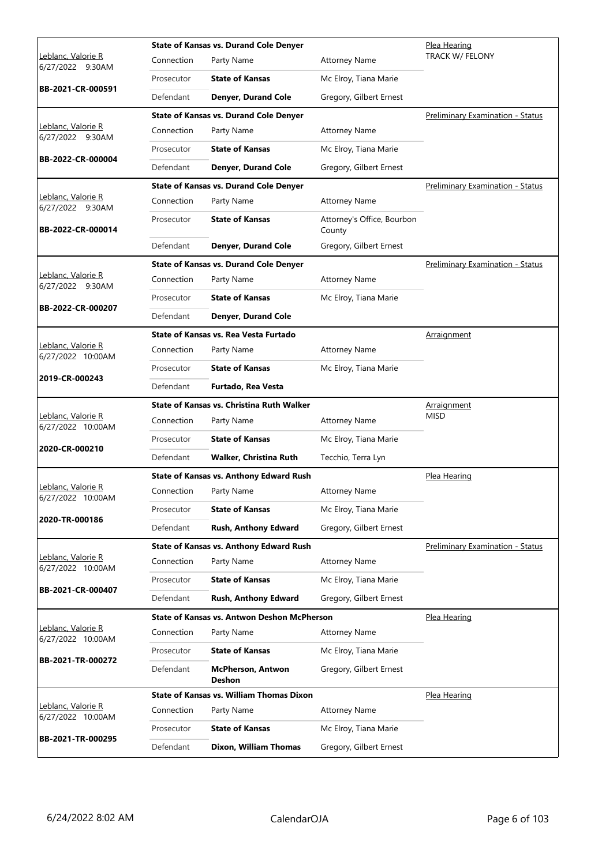|                                         | <b>State of Kansas vs. Durand Cole Denver</b> |                                                  |                                      | Plea Hearing                            |
|-----------------------------------------|-----------------------------------------------|--------------------------------------------------|--------------------------------------|-----------------------------------------|
| Leblanc, Valorie R<br>6/27/2022 9:30AM  | Connection                                    | Party Name                                       | <b>Attorney Name</b>                 | <b>TRACK W/ FELONY</b>                  |
|                                         | Prosecutor                                    | <b>State of Kansas</b>                           | Mc Elroy, Tiana Marie                |                                         |
| BB-2021-CR-000591                       | Defendant                                     | <b>Denyer, Durand Cole</b>                       | Gregory, Gilbert Ernest              |                                         |
|                                         |                                               | <b>State of Kansas vs. Durand Cole Denyer</b>    |                                      | Preliminary Examination - Status        |
| Leblanc, Valorie R<br>6/27/2022 9:30AM  | Connection                                    | Party Name                                       | <b>Attorney Name</b>                 |                                         |
| BB-2022-CR-000004                       | Prosecutor                                    | <b>State of Kansas</b>                           | Mc Elroy, Tiana Marie                |                                         |
|                                         | Defendant                                     | Denyer, Durand Cole                              | Gregory, Gilbert Ernest              |                                         |
|                                         |                                               | <b>State of Kansas vs. Durand Cole Denyer</b>    |                                      | Preliminary Examination - Status        |
| Leblanc, Valorie R<br>6/27/2022 9:30AM  | Connection                                    | Party Name                                       | <b>Attorney Name</b>                 |                                         |
| BB-2022-CR-000014                       | Prosecutor                                    | <b>State of Kansas</b>                           | Attorney's Office, Bourbon<br>County |                                         |
|                                         | Defendant                                     | <b>Denyer, Durand Cole</b>                       | Gregory, Gilbert Ernest              |                                         |
|                                         |                                               | <b>State of Kansas vs. Durand Cole Denyer</b>    |                                      | Preliminary Examination - Status        |
| Leblanc, Valorie R<br>6/27/2022 9:30AM  | Connection                                    | Party Name                                       | <b>Attorney Name</b>                 |                                         |
| Prosecutor                              |                                               | <b>State of Kansas</b>                           | Mc Elroy, Tiana Marie                |                                         |
| BB-2022-CR-000207                       | Defendant                                     | <b>Denyer, Durand Cole</b>                       |                                      |                                         |
|                                         |                                               | State of Kansas vs. Rea Vesta Furtado            |                                      | Arraignment                             |
| Leblanc, Valorie R<br>6/27/2022 10:00AM | Connection                                    | Party Name                                       | <b>Attorney Name</b>                 |                                         |
| 2019-CR-000243                          | Prosecutor                                    | <b>State of Kansas</b>                           | Mc Elroy, Tiana Marie                |                                         |
|                                         | Defendant                                     | Furtado, Rea Vesta                               |                                      |                                         |
|                                         |                                               |                                                  |                                      |                                         |
|                                         |                                               | <b>State of Kansas vs. Christina Ruth Walker</b> |                                      | Arraignment                             |
| Leblanc, Valorie R<br>6/27/2022 10:00AM | Connection                                    | Party Name                                       | <b>Attorney Name</b>                 | <b>MISD</b>                             |
|                                         | Prosecutor                                    | <b>State of Kansas</b>                           | Mc Elroy, Tiana Marie                |                                         |
| 2020-CR-000210                          | Defendant                                     | <b>Walker, Christina Ruth</b>                    | Tecchio, Terra Lyn                   |                                         |
|                                         |                                               | <b>State of Kansas vs. Anthony Edward Rush</b>   |                                      | Plea Hearing                            |
| Leblanc, Valorie R                      | Connection                                    | Party Name                                       | <b>Attorney Name</b>                 |                                         |
| 6/27/2022 10:00AM                       | Prosecutor                                    | <b>State of Kansas</b>                           | Mc Elroy, Tiana Marie                |                                         |
| 2020-TR-000186                          | Defendant                                     | Rush, Anthony Edward                             | Gregory, Gilbert Ernest              |                                         |
|                                         |                                               | <b>State of Kansas vs. Anthony Edward Rush</b>   |                                      | <b>Preliminary Examination - Status</b> |
| Leblanc, Valorie R                      | Connection                                    | Party Name                                       | <b>Attorney Name</b>                 |                                         |
| 6/27/2022 10:00AM                       | Prosecutor                                    | <b>State of Kansas</b>                           | Mc Elroy, Tiana Marie                |                                         |
| BB-2021-CR-000407                       | Defendant                                     | Rush, Anthony Edward                             | Gregory, Gilbert Ernest              |                                         |
|                                         |                                               | State of Kansas vs. Antwon Deshon McPherson      |                                      | Plea Hearing                            |
| Leblanc, Valorie R<br>6/27/2022 10:00AM | Connection                                    | Party Name                                       | <b>Attorney Name</b>                 |                                         |
|                                         | Prosecutor                                    | <b>State of Kansas</b>                           | Mc Elroy, Tiana Marie                |                                         |
| BB-2021-TR-000272                       | Defendant                                     | <b>McPherson, Antwon</b><br><b>Deshon</b>        | Gregory, Gilbert Ernest              |                                         |
|                                         |                                               | <b>State of Kansas vs. William Thomas Dixon</b>  |                                      | Plea Hearing                            |
| Leblanc, Valorie R<br>6/27/2022 10:00AM | Connection                                    | Party Name                                       | <b>Attorney Name</b>                 |                                         |
| BB-2021-TR-000295                       | Prosecutor                                    | <b>State of Kansas</b>                           | Mc Elroy, Tiana Marie                |                                         |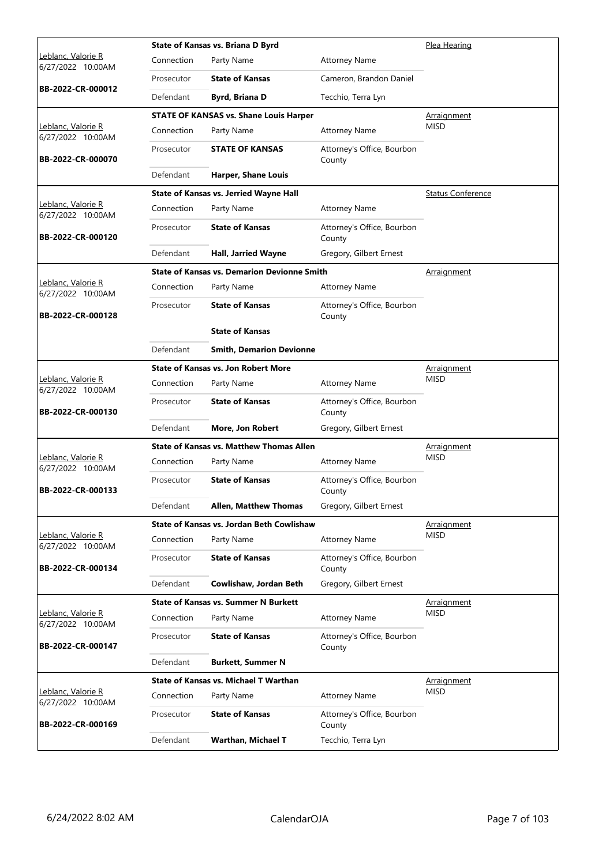|                                                 |            | State of Kansas vs. Briana D Byrd                  |                                      | Plea Hearing             |
|-------------------------------------------------|------------|----------------------------------------------------|--------------------------------------|--------------------------|
| Leblanc, Valorie R<br>6/27/2022 10:00AM         | Connection | Party Name                                         | <b>Attorney Name</b>                 |                          |
|                                                 | Prosecutor | <b>State of Kansas</b>                             | Cameron, Brandon Daniel              |                          |
| BB-2022-CR-000012                               | Defendant  | <b>Byrd, Briana D</b>                              | Tecchio, Terra Lyn                   |                          |
|                                                 |            | <b>STATE OF KANSAS vs. Shane Louis Harper</b>      |                                      | <u>Arraignment</u>       |
| Leblanc, Valorie R<br>6/27/2022 10:00AM         | Connection | Party Name                                         | <b>Attorney Name</b>                 | <b>MISD</b>              |
| BB-2022-CR-000070                               | Prosecutor | <b>STATE OF KANSAS</b>                             | Attorney's Office, Bourbon<br>County |                          |
|                                                 | Defendant  | <b>Harper, Shane Louis</b>                         |                                      |                          |
|                                                 |            | State of Kansas vs. Jerried Wayne Hall             |                                      | <b>Status Conference</b> |
| Leblanc, Valorie R<br>6/27/2022 10:00AM         | Connection | Party Name                                         | <b>Attorney Name</b>                 |                          |
| BB-2022-CR-000120                               | Prosecutor | <b>State of Kansas</b>                             | Attorney's Office, Bourbon<br>County |                          |
|                                                 | Defendant  | Hall, Jarried Wayne                                | Gregory, Gilbert Ernest              |                          |
|                                                 |            | <b>State of Kansas vs. Demarion Devionne Smith</b> |                                      | <b>Arraignment</b>       |
| Leblanc, Valorie R<br>6/27/2022 10:00AM         | Connection | Party Name                                         | <b>Attorney Name</b>                 |                          |
| BB-2022-CR-000128                               | Prosecutor | <b>State of Kansas</b>                             | Attorney's Office, Bourbon<br>County |                          |
|                                                 |            | <b>State of Kansas</b>                             |                                      |                          |
|                                                 | Defendant  | <b>Smith, Demarion Devionne</b>                    |                                      |                          |
|                                                 |            | <b>State of Kansas vs. Jon Robert More</b>         |                                      | <b>Arraignment</b>       |
| Leblanc, Valorie R<br>6/27/2022 10:00AM         | Connection | Party Name                                         | <b>Attorney Name</b>                 | <b>MISD</b>              |
| BB-2022-CR-000130                               | Prosecutor | <b>State of Kansas</b>                             | Attorney's Office, Bourbon<br>County |                          |
|                                                 | Defendant  | More, Jon Robert                                   | Gregory, Gilbert Ernest              |                          |
|                                                 |            | <b>State of Kansas vs. Matthew Thomas Allen</b>    |                                      | Arraignment              |
| Leblanc, Valorie R<br>6/27/2022 10:00AM         | Connection | Party Name                                         | <b>Attorney Name</b>                 | <b>MISD</b>              |
| BB-2022-CR-000133                               | Prosecutor | <b>State of Kansas</b>                             | Attorney's Office, Bourbon<br>County |                          |
|                                                 | Defendant  | <b>Allen, Matthew Thomas</b>                       | Gregory, Gilbert Ernest              |                          |
|                                                 |            | <b>State of Kansas vs. Jordan Beth Cowlishaw</b>   |                                      | Arraignment              |
| Leblanc, Valorie R<br>6/27/2022 10:00AM         | Connection | Party Name                                         | <b>Attorney Name</b>                 | <b>MISD</b>              |
| BB-2022-CR-000134                               | Prosecutor | <b>State of Kansas</b>                             | Attorney's Office, Bourbon<br>County |                          |
|                                                 | Defendant  | Cowlishaw, Jordan Beth                             | Gregory, Gilbert Ernest              |                          |
|                                                 |            | <b>State of Kansas vs. Summer N Burkett</b>        |                                      | Arraignment              |
| <u> Leblanc, Valorie R</u><br>6/27/2022 10:00AM | Connection | Party Name                                         | <b>Attorney Name</b>                 | <b>MISD</b>              |
| BB-2022-CR-000147                               | Prosecutor | <b>State of Kansas</b>                             | Attorney's Office, Bourbon<br>County |                          |
|                                                 | Defendant  | <b>Burkett, Summer N</b>                           |                                      |                          |
|                                                 |            | <b>State of Kansas vs. Michael T Warthan</b>       |                                      | Arraignment              |
| Leblanc, Valorie R<br>6/27/2022 10:00AM         | Connection | Party Name                                         | <b>Attorney Name</b>                 | <b>MISD</b>              |
| BB-2022-CR-000169                               | Prosecutor | <b>State of Kansas</b>                             | Attorney's Office, Bourbon<br>County |                          |
|                                                 | Defendant  | Warthan, Michael T                                 | Tecchio, Terra Lyn                   |                          |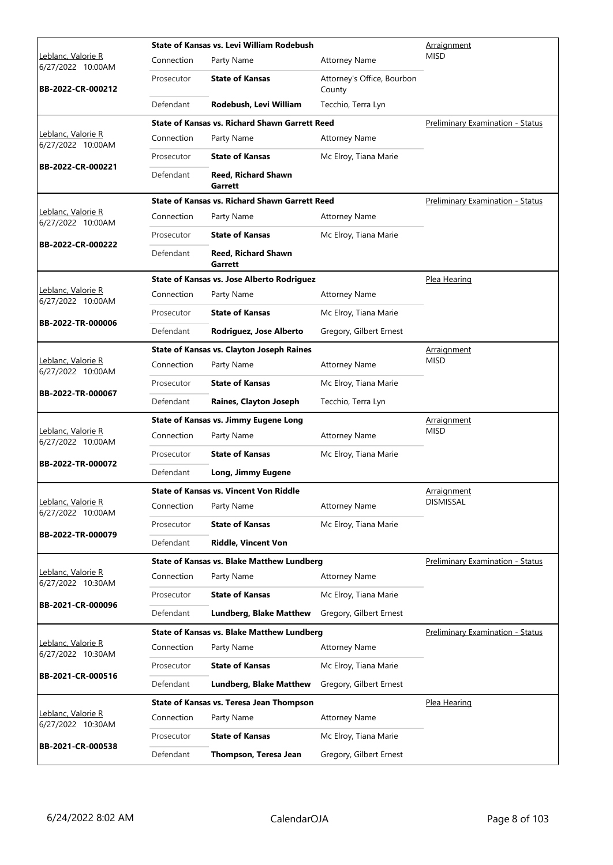|                                                 | State of Kansas vs. Levi William Rodebush |                                                       |                                      | Arraignment                             |
|-------------------------------------------------|-------------------------------------------|-------------------------------------------------------|--------------------------------------|-----------------------------------------|
| <u> Leblanc, Valorie R</u><br>6/27/2022 10:00AM | Connection                                | Party Name                                            | <b>Attorney Name</b>                 | <b>MISD</b>                             |
| BB-2022-CR-000212                               | Prosecutor                                | <b>State of Kansas</b>                                | Attorney's Office, Bourbon<br>County |                                         |
|                                                 | Defendant                                 | Rodebush, Levi William                                | Tecchio, Terra Lyn                   |                                         |
|                                                 |                                           | <b>State of Kansas vs. Richard Shawn Garrett Reed</b> |                                      | <b>Preliminary Examination - Status</b> |
| Leblanc, Valorie R<br>6/27/2022 10:00AM         | Connection                                | Party Name                                            | <b>Attorney Name</b>                 |                                         |
|                                                 | Prosecutor                                | <b>State of Kansas</b>                                | Mc Elroy, Tiana Marie                |                                         |
| BB-2022-CR-000221                               | Defendant                                 | <b>Reed. Richard Shawn</b><br>Garrett                 |                                      |                                         |
|                                                 |                                           | <b>State of Kansas vs. Richard Shawn Garrett Reed</b> |                                      | Preliminary Examination - Status        |
| Leblanc, Valorie R<br>6/27/2022 10:00AM         | Connection                                | Party Name                                            | <b>Attorney Name</b>                 |                                         |
|                                                 | Prosecutor                                | <b>State of Kansas</b>                                | Mc Elroy, Tiana Marie                |                                         |
| BB-2022-CR-000222                               | Defendant                                 | <b>Reed, Richard Shawn</b><br>Garrett                 |                                      |                                         |
|                                                 |                                           | <b>State of Kansas vs. Jose Alberto Rodriguez</b>     |                                      | Plea Hearing                            |
| <u> Leblanc, Valorie R</u><br>6/27/2022 10:00AM | Connection                                | Party Name                                            | <b>Attorney Name</b>                 |                                         |
|                                                 | Prosecutor                                | <b>State of Kansas</b>                                | Mc Elroy, Tiana Marie                |                                         |
| BB-2022-TR-000006                               | Defendant                                 | Rodriguez, Jose Alberto                               | Gregory, Gilbert Ernest              |                                         |
|                                                 |                                           | <b>State of Kansas vs. Clayton Joseph Raines</b>      |                                      | Arraignment                             |
| Leblanc, Valorie R<br>6/27/2022 10:00AM         | Connection                                | Party Name                                            | <b>Attorney Name</b>                 | <b>MISD</b>                             |
|                                                 | Prosecutor                                | <b>State of Kansas</b>                                | Mc Elroy, Tiana Marie                |                                         |
| BB-2022-TR-000067                               | Defendant                                 | Raines, Clayton Joseph                                | Tecchio, Terra Lyn                   |                                         |
|                                                 |                                           | <b>State of Kansas vs. Jimmy Eugene Long</b>          | Arraignment                          |                                         |
| Leblanc, Valorie R<br>6/27/2022 10:00AM         | Connection                                | Party Name                                            | <b>Attorney Name</b>                 | <b>MISD</b>                             |
|                                                 | Prosecutor                                | <b>State of Kansas</b>                                | Mc Elroy, Tiana Marie                |                                         |
| BB-2022-TR-000072                               | Defendant                                 | Long, Jimmy Eugene                                    |                                      |                                         |
|                                                 |                                           | State of Kansas vs. Vincent Von Riddle                |                                      | <u>Arraignment</u>                      |
| Leblanc, Valorie R<br>6/27/2022 10:00AM         | Connection                                | Party Name                                            | <b>Attorney Name</b>                 | <b>DISMISSAL</b>                        |
|                                                 | Prosecutor                                | <b>State of Kansas</b>                                | Mc Elroy, Tiana Marie                |                                         |
| BB-2022-TR-000079                               | Defendant                                 | <b>Riddle, Vincent Von</b>                            |                                      |                                         |
|                                                 |                                           | <b>State of Kansas vs. Blake Matthew Lundberg</b>     |                                      | <b>Preliminary Examination - Status</b> |
| Leblanc, Valorie R<br>6/27/2022 10:30AM         | Connection                                | Party Name                                            | <b>Attorney Name</b>                 |                                         |
|                                                 | Prosecutor                                | <b>State of Kansas</b>                                | Mc Elroy, Tiana Marie                |                                         |
| BB-2021-CR-000096                               | Defendant                                 | <b>Lundberg, Blake Matthew</b>                        | Gregory, Gilbert Ernest              |                                         |
|                                                 |                                           | <b>State of Kansas vs. Blake Matthew Lundberg</b>     | Preliminary Examination - Status     |                                         |
| Leblanc, Valorie R<br>6/27/2022 10:30AM         | Connection                                | Party Name                                            | <b>Attorney Name</b>                 |                                         |
|                                                 | Prosecutor                                | <b>State of Kansas</b>                                | Mc Elroy, Tiana Marie                |                                         |
| BB-2021-CR-000516                               | Defendant                                 | <b>Lundberg, Blake Matthew</b>                        | Gregory, Gilbert Ernest              |                                         |
|                                                 |                                           | State of Kansas vs. Teresa Jean Thompson              |                                      | Plea Hearing                            |
| Leblanc, Valorie R<br>6/27/2022 10:30AM         | Connection                                | Party Name                                            | <b>Attorney Name</b>                 |                                         |
|                                                 | Prosecutor                                | <b>State of Kansas</b>                                | Mc Elroy, Tiana Marie                |                                         |
| BB-2021-CR-000538                               | Defendant                                 | Thompson, Teresa Jean                                 | Gregory, Gilbert Ernest              |                                         |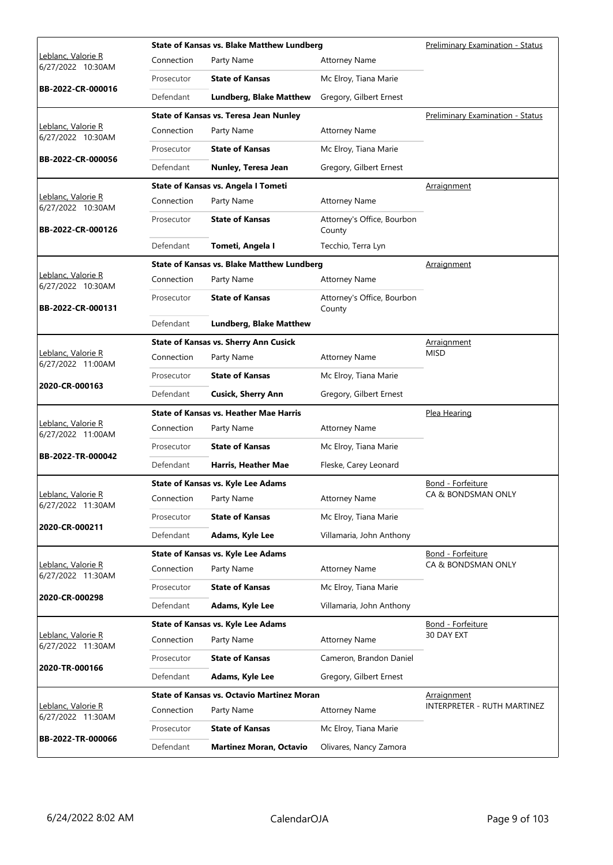|                                         |            | <b>State of Kansas vs. Blake Matthew Lundberg</b> | Preliminary Examination - Status     |                                         |
|-----------------------------------------|------------|---------------------------------------------------|--------------------------------------|-----------------------------------------|
| Leblanc, Valorie R<br>6/27/2022 10:30AM | Connection | Party Name                                        | <b>Attorney Name</b>                 |                                         |
|                                         | Prosecutor | <b>State of Kansas</b>                            | Mc Elroy, Tiana Marie                |                                         |
| BB-2022-CR-000016                       | Defendant  | <b>Lundberg, Blake Matthew</b>                    | Gregory, Gilbert Ernest              |                                         |
|                                         |            | <b>State of Kansas vs. Teresa Jean Nunley</b>     |                                      | <b>Preliminary Examination - Status</b> |
| Leblanc, Valorie R<br>6/27/2022 10:30AM | Connection | Party Name                                        | <b>Attorney Name</b>                 |                                         |
|                                         | Prosecutor | <b>State of Kansas</b>                            | Mc Elroy, Tiana Marie                |                                         |
| BB-2022-CR-000056                       | Defendant  | Nunley, Teresa Jean                               | Gregory, Gilbert Ernest              |                                         |
|                                         |            | State of Kansas vs. Angela I Tometi               |                                      | Arraignment                             |
| Leblanc, Valorie R<br>6/27/2022 10:30AM | Connection | Party Name                                        | <b>Attorney Name</b>                 |                                         |
| BB-2022-CR-000126                       | Prosecutor | <b>State of Kansas</b>                            | Attorney's Office, Bourbon<br>County |                                         |
|                                         | Defendant  | Tometi, Angela I                                  | Tecchio, Terra Lyn                   |                                         |
|                                         |            | <b>State of Kansas vs. Blake Matthew Lundberg</b> |                                      | Arraignment                             |
| Leblanc, Valorie R<br>6/27/2022 10:30AM | Connection | Party Name                                        | <b>Attorney Name</b>                 |                                         |
| BB-2022-CR-000131                       | Prosecutor | <b>State of Kansas</b>                            | Attorney's Office, Bourbon<br>County |                                         |
|                                         | Defendant  | <b>Lundberg, Blake Matthew</b>                    |                                      |                                         |
|                                         |            | <b>State of Kansas vs. Sherry Ann Cusick</b>      |                                      | <b>Arraignment</b>                      |
| Leblanc, Valorie R<br>6/27/2022 11:00AM | Connection | Party Name                                        | <b>Attorney Name</b>                 | <b>MISD</b>                             |
| 2020-CR-000163                          | Prosecutor | <b>State of Kansas</b>                            | Mc Elroy, Tiana Marie                |                                         |
|                                         | Defendant  | <b>Cusick, Sherry Ann</b>                         | Gregory, Gilbert Ernest              |                                         |
|                                         |            | <b>State of Kansas vs. Heather Mae Harris</b>     |                                      | Plea Hearing                            |
| Leblanc, Valorie R<br>6/27/2022 11:00AM | Connection | Party Name                                        | <b>Attorney Name</b>                 |                                         |
| BB-2022-TR-000042                       | Prosecutor | <b>State of Kansas</b>                            | Mc Elroy, Tiana Marie                |                                         |
|                                         | Defendant  | Harris, Heather Mae                               | Fleske, Carey Leonard                |                                         |
|                                         |            | <b>State of Kansas vs. Kyle Lee Adams</b>         |                                      | Bond - Forfeiture                       |
| Leblanc, Valorie R<br>6/27/2022 11:30AM |            | Connection Party Name                             | <b>Attorney Name</b>                 | CA & BONDSMAN ONLY                      |
| 2020-CR-000211                          | Prosecutor | <b>State of Kansas</b>                            | Mc Elroy, Tiana Marie                |                                         |
|                                         | Defendant  | Adams, Kyle Lee                                   | Villamaria, John Anthony             |                                         |
|                                         |            | <b>State of Kansas vs. Kyle Lee Adams</b>         |                                      | Bond - Forfeiture                       |
| Leblanc, Valorie R<br>6/27/2022 11:30AM | Connection | Party Name                                        | <b>Attorney Name</b>                 | CA & BONDSMAN ONLY                      |
| 2020-CR-000298                          | Prosecutor | <b>State of Kansas</b>                            | Mc Elroy, Tiana Marie                |                                         |
|                                         | Defendant  | Adams, Kyle Lee                                   | Villamaria, John Anthony             |                                         |
|                                         |            | <b>State of Kansas vs. Kyle Lee Adams</b>         | Bond - Forfeiture                    |                                         |
| Leblanc, Valorie R<br>6/27/2022 11:30AM | Connection | Party Name                                        | <b>Attorney Name</b>                 | 30 DAY EXT                              |
| 2020-TR-000166                          | Prosecutor | <b>State of Kansas</b>                            | Cameron, Brandon Daniel              |                                         |
|                                         | Defendant  | Adams, Kyle Lee                                   | Gregory, Gilbert Ernest              |                                         |
|                                         |            | <b>State of Kansas vs. Octavio Martinez Moran</b> |                                      | Arraignment                             |
| Leblanc, Valorie R<br>6/27/2022 11:30AM | Connection | Party Name                                        | <b>Attorney Name</b>                 | INTERPRETER - RUTH MARTINEZ             |
| BB-2022-TR-000066                       | Prosecutor | <b>State of Kansas</b>                            | Mc Elroy, Tiana Marie                |                                         |
|                                         | Defendant  | <b>Martinez Moran, Octavio</b>                    | Olivares, Nancy Zamora               |                                         |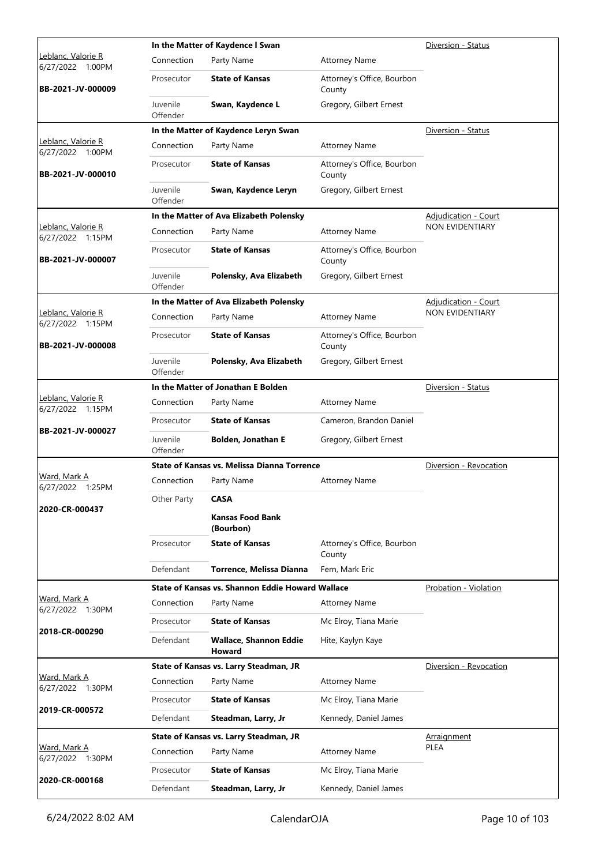| Connection<br>Party Name<br><b>Attorney Name</b><br>6/27/2022 1:00PM<br><b>State of Kansas</b><br>Attorney's Office, Bourbon<br>Prosecutor<br>BB-2021-JV-000009<br>County<br>Juvenile<br>Gregory, Gilbert Ernest<br>Swan, Kaydence L<br>Offender<br>In the Matter of Kaydence Leryn Swan<br>Diversion - Status<br>Leblanc, Valorie R<br>Connection<br>Party Name<br><b>Attorney Name</b><br>6/27/2022 1:00PM<br><b>State of Kansas</b><br>Attorney's Office, Bourbon<br>Prosecutor<br>BB-2021-JV-000010<br>County<br>Juvenile<br>Gregory, Gilbert Ernest<br>Swan, Kaydence Leryn<br>Offender<br>In the Matter of Ava Elizabeth Polensky<br><b>Adjudication - Court</b><br><b>NON EVIDENTIARY</b><br>Leblanc, Valorie R<br>Connection<br><b>Attorney Name</b><br>Party Name<br>6/27/2022 1:15PM<br><b>State of Kansas</b><br>Attorney's Office, Bourbon<br>Prosecutor<br>BB-2021-JV-000007<br>County<br>Juvenile<br>Polensky, Ava Elizabeth<br>Gregory, Gilbert Ernest<br>Offender<br>In the Matter of Ava Elizabeth Polensky<br><b>Adjudication - Court</b><br><b>NON EVIDENTIARY</b><br>Leblanc, Valorie R<br>Connection<br><b>Attorney Name</b><br>Party Name<br>6/27/2022 1:15PM<br><b>State of Kansas</b><br>Attorney's Office, Bourbon<br>Prosecutor<br>BB-2021-JV-000008<br>County<br>Juvenile<br>Polensky, Ava Elizabeth<br>Gregory, Gilbert Ernest<br>Offender<br>In the Matter of Jonathan E Bolden<br>Diversion - Status<br>Leblanc, Valorie R<br>Connection<br>Party Name<br><b>Attorney Name</b><br>6/27/2022 1:15PM<br><b>State of Kansas</b><br>Cameron, Brandon Daniel<br>Prosecutor<br>BB-2021-JV-000027<br>Juvenile<br><b>Bolden, Jonathan E</b><br>Gregory, Gilbert Ernest<br>Offender<br>State of Kansas vs. Melissa Dianna Torrence<br>Diversion - Revocation<br>Ward, Mark A<br>Connection<br>Party Name<br><b>Attorney Name</b><br>6/27/2022 1:25PM<br><b>CASA</b><br>Other Party<br>2020-CR-000437<br><b>Kansas Food Bank</b><br>(Bourbon)<br>Prosecutor<br><b>State of Kansas</b><br>Attorney's Office, Bourbon<br>County<br>Defendant<br>Torrence, Melissa Dianna<br>Fern, Mark Eric<br>State of Kansas vs. Shannon Eddie Howard Wallace<br>Probation - Violation<br>Ward, Mark A<br>Connection<br>Party Name<br><b>Attorney Name</b><br>6/27/2022 1:30PM<br><b>State of Kansas</b><br>Prosecutor<br>Mc Elroy, Tiana Marie<br>2018-CR-000290<br>Defendant<br><b>Wallace, Shannon Eddie</b><br>Hite, Kaylyn Kaye<br><b>Howard</b><br>State of Kansas vs. Larry Steadman, JR<br>Diversion - Revocation<br>Ward, Mark A<br>Connection<br>Party Name<br><b>Attorney Name</b><br>6/27/2022 1:30PM<br><b>State of Kansas</b><br>Mc Elroy, Tiana Marie<br>Prosecutor<br>2019-CR-000572<br>Defendant<br>Kennedy, Daniel James<br>Steadman, Larry, Jr<br>State of Kansas vs. Larry Steadman, JR<br>Arraignment<br>Ward, Mark A<br><b>PLEA</b><br>Connection<br><b>Attorney Name</b><br>Party Name<br>6/27/2022 1:30PM<br><b>State of Kansas</b><br>Mc Elroy, Tiana Marie<br>Prosecutor<br>2020-CR-000168<br>Defendant<br>Steadman, Larry, Jr |                    | In the Matter of Kaydence I Swan |                       | Diversion - Status |
|--------------------------------------------------------------------------------------------------------------------------------------------------------------------------------------------------------------------------------------------------------------------------------------------------------------------------------------------------------------------------------------------------------------------------------------------------------------------------------------------------------------------------------------------------------------------------------------------------------------------------------------------------------------------------------------------------------------------------------------------------------------------------------------------------------------------------------------------------------------------------------------------------------------------------------------------------------------------------------------------------------------------------------------------------------------------------------------------------------------------------------------------------------------------------------------------------------------------------------------------------------------------------------------------------------------------------------------------------------------------------------------------------------------------------------------------------------------------------------------------------------------------------------------------------------------------------------------------------------------------------------------------------------------------------------------------------------------------------------------------------------------------------------------------------------------------------------------------------------------------------------------------------------------------------------------------------------------------------------------------------------------------------------------------------------------------------------------------------------------------------------------------------------------------------------------------------------------------------------------------------------------------------------------------------------------------------------------------------------------------------------------------------------------------------------------------------------------------------------------------------------------------------------------------------------------------------------------------------------------------------------------------------------------------------------------------------------------------------------------------------------------------------------------------------------------------------------------------------------------------------------------------------------------------------------------------------------------------------------------------------------------------------------------------------------------|--------------------|----------------------------------|-----------------------|--------------------|
|                                                                                                                                                                                                                                                                                                                                                                                                                                                                                                                                                                                                                                                                                                                                                                                                                                                                                                                                                                                                                                                                                                                                                                                                                                                                                                                                                                                                                                                                                                                                                                                                                                                                                                                                                                                                                                                                                                                                                                                                                                                                                                                                                                                                                                                                                                                                                                                                                                                                                                                                                                                                                                                                                                                                                                                                                                                                                                                                                                                                                                                              | Leblanc, Valorie R |                                  |                       |                    |
|                                                                                                                                                                                                                                                                                                                                                                                                                                                                                                                                                                                                                                                                                                                                                                                                                                                                                                                                                                                                                                                                                                                                                                                                                                                                                                                                                                                                                                                                                                                                                                                                                                                                                                                                                                                                                                                                                                                                                                                                                                                                                                                                                                                                                                                                                                                                                                                                                                                                                                                                                                                                                                                                                                                                                                                                                                                                                                                                                                                                                                                              |                    |                                  |                       |                    |
|                                                                                                                                                                                                                                                                                                                                                                                                                                                                                                                                                                                                                                                                                                                                                                                                                                                                                                                                                                                                                                                                                                                                                                                                                                                                                                                                                                                                                                                                                                                                                                                                                                                                                                                                                                                                                                                                                                                                                                                                                                                                                                                                                                                                                                                                                                                                                                                                                                                                                                                                                                                                                                                                                                                                                                                                                                                                                                                                                                                                                                                              |                    |                                  |                       |                    |
|                                                                                                                                                                                                                                                                                                                                                                                                                                                                                                                                                                                                                                                                                                                                                                                                                                                                                                                                                                                                                                                                                                                                                                                                                                                                                                                                                                                                                                                                                                                                                                                                                                                                                                                                                                                                                                                                                                                                                                                                                                                                                                                                                                                                                                                                                                                                                                                                                                                                                                                                                                                                                                                                                                                                                                                                                                                                                                                                                                                                                                                              |                    |                                  |                       |                    |
|                                                                                                                                                                                                                                                                                                                                                                                                                                                                                                                                                                                                                                                                                                                                                                                                                                                                                                                                                                                                                                                                                                                                                                                                                                                                                                                                                                                                                                                                                                                                                                                                                                                                                                                                                                                                                                                                                                                                                                                                                                                                                                                                                                                                                                                                                                                                                                                                                                                                                                                                                                                                                                                                                                                                                                                                                                                                                                                                                                                                                                                              |                    |                                  |                       |                    |
|                                                                                                                                                                                                                                                                                                                                                                                                                                                                                                                                                                                                                                                                                                                                                                                                                                                                                                                                                                                                                                                                                                                                                                                                                                                                                                                                                                                                                                                                                                                                                                                                                                                                                                                                                                                                                                                                                                                                                                                                                                                                                                                                                                                                                                                                                                                                                                                                                                                                                                                                                                                                                                                                                                                                                                                                                                                                                                                                                                                                                                                              |                    |                                  |                       |                    |
|                                                                                                                                                                                                                                                                                                                                                                                                                                                                                                                                                                                                                                                                                                                                                                                                                                                                                                                                                                                                                                                                                                                                                                                                                                                                                                                                                                                                                                                                                                                                                                                                                                                                                                                                                                                                                                                                                                                                                                                                                                                                                                                                                                                                                                                                                                                                                                                                                                                                                                                                                                                                                                                                                                                                                                                                                                                                                                                                                                                                                                                              |                    |                                  |                       |                    |
|                                                                                                                                                                                                                                                                                                                                                                                                                                                                                                                                                                                                                                                                                                                                                                                                                                                                                                                                                                                                                                                                                                                                                                                                                                                                                                                                                                                                                                                                                                                                                                                                                                                                                                                                                                                                                                                                                                                                                                                                                                                                                                                                                                                                                                                                                                                                                                                                                                                                                                                                                                                                                                                                                                                                                                                                                                                                                                                                                                                                                                                              |                    |                                  |                       |                    |
|                                                                                                                                                                                                                                                                                                                                                                                                                                                                                                                                                                                                                                                                                                                                                                                                                                                                                                                                                                                                                                                                                                                                                                                                                                                                                                                                                                                                                                                                                                                                                                                                                                                                                                                                                                                                                                                                                                                                                                                                                                                                                                                                                                                                                                                                                                                                                                                                                                                                                                                                                                                                                                                                                                                                                                                                                                                                                                                                                                                                                                                              |                    |                                  |                       |                    |
|                                                                                                                                                                                                                                                                                                                                                                                                                                                                                                                                                                                                                                                                                                                                                                                                                                                                                                                                                                                                                                                                                                                                                                                                                                                                                                                                                                                                                                                                                                                                                                                                                                                                                                                                                                                                                                                                                                                                                                                                                                                                                                                                                                                                                                                                                                                                                                                                                                                                                                                                                                                                                                                                                                                                                                                                                                                                                                                                                                                                                                                              |                    |                                  |                       |                    |
|                                                                                                                                                                                                                                                                                                                                                                                                                                                                                                                                                                                                                                                                                                                                                                                                                                                                                                                                                                                                                                                                                                                                                                                                                                                                                                                                                                                                                                                                                                                                                                                                                                                                                                                                                                                                                                                                                                                                                                                                                                                                                                                                                                                                                                                                                                                                                                                                                                                                                                                                                                                                                                                                                                                                                                                                                                                                                                                                                                                                                                                              |                    |                                  |                       |                    |
|                                                                                                                                                                                                                                                                                                                                                                                                                                                                                                                                                                                                                                                                                                                                                                                                                                                                                                                                                                                                                                                                                                                                                                                                                                                                                                                                                                                                                                                                                                                                                                                                                                                                                                                                                                                                                                                                                                                                                                                                                                                                                                                                                                                                                                                                                                                                                                                                                                                                                                                                                                                                                                                                                                                                                                                                                                                                                                                                                                                                                                                              |                    |                                  |                       |                    |
|                                                                                                                                                                                                                                                                                                                                                                                                                                                                                                                                                                                                                                                                                                                                                                                                                                                                                                                                                                                                                                                                                                                                                                                                                                                                                                                                                                                                                                                                                                                                                                                                                                                                                                                                                                                                                                                                                                                                                                                                                                                                                                                                                                                                                                                                                                                                                                                                                                                                                                                                                                                                                                                                                                                                                                                                                                                                                                                                                                                                                                                              |                    |                                  |                       |                    |
|                                                                                                                                                                                                                                                                                                                                                                                                                                                                                                                                                                                                                                                                                                                                                                                                                                                                                                                                                                                                                                                                                                                                                                                                                                                                                                                                                                                                                                                                                                                                                                                                                                                                                                                                                                                                                                                                                                                                                                                                                                                                                                                                                                                                                                                                                                                                                                                                                                                                                                                                                                                                                                                                                                                                                                                                                                                                                                                                                                                                                                                              |                    |                                  |                       |                    |
|                                                                                                                                                                                                                                                                                                                                                                                                                                                                                                                                                                                                                                                                                                                                                                                                                                                                                                                                                                                                                                                                                                                                                                                                                                                                                                                                                                                                                                                                                                                                                                                                                                                                                                                                                                                                                                                                                                                                                                                                                                                                                                                                                                                                                                                                                                                                                                                                                                                                                                                                                                                                                                                                                                                                                                                                                                                                                                                                                                                                                                                              |                    |                                  |                       |                    |
|                                                                                                                                                                                                                                                                                                                                                                                                                                                                                                                                                                                                                                                                                                                                                                                                                                                                                                                                                                                                                                                                                                                                                                                                                                                                                                                                                                                                                                                                                                                                                                                                                                                                                                                                                                                                                                                                                                                                                                                                                                                                                                                                                                                                                                                                                                                                                                                                                                                                                                                                                                                                                                                                                                                                                                                                                                                                                                                                                                                                                                                              |                    |                                  |                       |                    |
|                                                                                                                                                                                                                                                                                                                                                                                                                                                                                                                                                                                                                                                                                                                                                                                                                                                                                                                                                                                                                                                                                                                                                                                                                                                                                                                                                                                                                                                                                                                                                                                                                                                                                                                                                                                                                                                                                                                                                                                                                                                                                                                                                                                                                                                                                                                                                                                                                                                                                                                                                                                                                                                                                                                                                                                                                                                                                                                                                                                                                                                              |                    |                                  |                       |                    |
|                                                                                                                                                                                                                                                                                                                                                                                                                                                                                                                                                                                                                                                                                                                                                                                                                                                                                                                                                                                                                                                                                                                                                                                                                                                                                                                                                                                                                                                                                                                                                                                                                                                                                                                                                                                                                                                                                                                                                                                                                                                                                                                                                                                                                                                                                                                                                                                                                                                                                                                                                                                                                                                                                                                                                                                                                                                                                                                                                                                                                                                              |                    |                                  |                       |                    |
|                                                                                                                                                                                                                                                                                                                                                                                                                                                                                                                                                                                                                                                                                                                                                                                                                                                                                                                                                                                                                                                                                                                                                                                                                                                                                                                                                                                                                                                                                                                                                                                                                                                                                                                                                                                                                                                                                                                                                                                                                                                                                                                                                                                                                                                                                                                                                                                                                                                                                                                                                                                                                                                                                                                                                                                                                                                                                                                                                                                                                                                              |                    |                                  |                       |                    |
|                                                                                                                                                                                                                                                                                                                                                                                                                                                                                                                                                                                                                                                                                                                                                                                                                                                                                                                                                                                                                                                                                                                                                                                                                                                                                                                                                                                                                                                                                                                                                                                                                                                                                                                                                                                                                                                                                                                                                                                                                                                                                                                                                                                                                                                                                                                                                                                                                                                                                                                                                                                                                                                                                                                                                                                                                                                                                                                                                                                                                                                              |                    |                                  |                       |                    |
|                                                                                                                                                                                                                                                                                                                                                                                                                                                                                                                                                                                                                                                                                                                                                                                                                                                                                                                                                                                                                                                                                                                                                                                                                                                                                                                                                                                                                                                                                                                                                                                                                                                                                                                                                                                                                                                                                                                                                                                                                                                                                                                                                                                                                                                                                                                                                                                                                                                                                                                                                                                                                                                                                                                                                                                                                                                                                                                                                                                                                                                              |                    |                                  |                       |                    |
|                                                                                                                                                                                                                                                                                                                                                                                                                                                                                                                                                                                                                                                                                                                                                                                                                                                                                                                                                                                                                                                                                                                                                                                                                                                                                                                                                                                                                                                                                                                                                                                                                                                                                                                                                                                                                                                                                                                                                                                                                                                                                                                                                                                                                                                                                                                                                                                                                                                                                                                                                                                                                                                                                                                                                                                                                                                                                                                                                                                                                                                              |                    |                                  |                       |                    |
|                                                                                                                                                                                                                                                                                                                                                                                                                                                                                                                                                                                                                                                                                                                                                                                                                                                                                                                                                                                                                                                                                                                                                                                                                                                                                                                                                                                                                                                                                                                                                                                                                                                                                                                                                                                                                                                                                                                                                                                                                                                                                                                                                                                                                                                                                                                                                                                                                                                                                                                                                                                                                                                                                                                                                                                                                                                                                                                                                                                                                                                              |                    |                                  |                       |                    |
|                                                                                                                                                                                                                                                                                                                                                                                                                                                                                                                                                                                                                                                                                                                                                                                                                                                                                                                                                                                                                                                                                                                                                                                                                                                                                                                                                                                                                                                                                                                                                                                                                                                                                                                                                                                                                                                                                                                                                                                                                                                                                                                                                                                                                                                                                                                                                                                                                                                                                                                                                                                                                                                                                                                                                                                                                                                                                                                                                                                                                                                              |                    |                                  |                       |                    |
|                                                                                                                                                                                                                                                                                                                                                                                                                                                                                                                                                                                                                                                                                                                                                                                                                                                                                                                                                                                                                                                                                                                                                                                                                                                                                                                                                                                                                                                                                                                                                                                                                                                                                                                                                                                                                                                                                                                                                                                                                                                                                                                                                                                                                                                                                                                                                                                                                                                                                                                                                                                                                                                                                                                                                                                                                                                                                                                                                                                                                                                              |                    |                                  |                       |                    |
|                                                                                                                                                                                                                                                                                                                                                                                                                                                                                                                                                                                                                                                                                                                                                                                                                                                                                                                                                                                                                                                                                                                                                                                                                                                                                                                                                                                                                                                                                                                                                                                                                                                                                                                                                                                                                                                                                                                                                                                                                                                                                                                                                                                                                                                                                                                                                                                                                                                                                                                                                                                                                                                                                                                                                                                                                                                                                                                                                                                                                                                              |                    |                                  |                       |                    |
|                                                                                                                                                                                                                                                                                                                                                                                                                                                                                                                                                                                                                                                                                                                                                                                                                                                                                                                                                                                                                                                                                                                                                                                                                                                                                                                                                                                                                                                                                                                                                                                                                                                                                                                                                                                                                                                                                                                                                                                                                                                                                                                                                                                                                                                                                                                                                                                                                                                                                                                                                                                                                                                                                                                                                                                                                                                                                                                                                                                                                                                              |                    |                                  |                       |                    |
|                                                                                                                                                                                                                                                                                                                                                                                                                                                                                                                                                                                                                                                                                                                                                                                                                                                                                                                                                                                                                                                                                                                                                                                                                                                                                                                                                                                                                                                                                                                                                                                                                                                                                                                                                                                                                                                                                                                                                                                                                                                                                                                                                                                                                                                                                                                                                                                                                                                                                                                                                                                                                                                                                                                                                                                                                                                                                                                                                                                                                                                              |                    |                                  |                       |                    |
|                                                                                                                                                                                                                                                                                                                                                                                                                                                                                                                                                                                                                                                                                                                                                                                                                                                                                                                                                                                                                                                                                                                                                                                                                                                                                                                                                                                                                                                                                                                                                                                                                                                                                                                                                                                                                                                                                                                                                                                                                                                                                                                                                                                                                                                                                                                                                                                                                                                                                                                                                                                                                                                                                                                                                                                                                                                                                                                                                                                                                                                              |                    |                                  |                       |                    |
|                                                                                                                                                                                                                                                                                                                                                                                                                                                                                                                                                                                                                                                                                                                                                                                                                                                                                                                                                                                                                                                                                                                                                                                                                                                                                                                                                                                                                                                                                                                                                                                                                                                                                                                                                                                                                                                                                                                                                                                                                                                                                                                                                                                                                                                                                                                                                                                                                                                                                                                                                                                                                                                                                                                                                                                                                                                                                                                                                                                                                                                              |                    |                                  |                       |                    |
|                                                                                                                                                                                                                                                                                                                                                                                                                                                                                                                                                                                                                                                                                                                                                                                                                                                                                                                                                                                                                                                                                                                                                                                                                                                                                                                                                                                                                                                                                                                                                                                                                                                                                                                                                                                                                                                                                                                                                                                                                                                                                                                                                                                                                                                                                                                                                                                                                                                                                                                                                                                                                                                                                                                                                                                                                                                                                                                                                                                                                                                              |                    |                                  |                       |                    |
|                                                                                                                                                                                                                                                                                                                                                                                                                                                                                                                                                                                                                                                                                                                                                                                                                                                                                                                                                                                                                                                                                                                                                                                                                                                                                                                                                                                                                                                                                                                                                                                                                                                                                                                                                                                                                                                                                                                                                                                                                                                                                                                                                                                                                                                                                                                                                                                                                                                                                                                                                                                                                                                                                                                                                                                                                                                                                                                                                                                                                                                              |                    |                                  |                       |                    |
|                                                                                                                                                                                                                                                                                                                                                                                                                                                                                                                                                                                                                                                                                                                                                                                                                                                                                                                                                                                                                                                                                                                                                                                                                                                                                                                                                                                                                                                                                                                                                                                                                                                                                                                                                                                                                                                                                                                                                                                                                                                                                                                                                                                                                                                                                                                                                                                                                                                                                                                                                                                                                                                                                                                                                                                                                                                                                                                                                                                                                                                              |                    |                                  |                       |                    |
|                                                                                                                                                                                                                                                                                                                                                                                                                                                                                                                                                                                                                                                                                                                                                                                                                                                                                                                                                                                                                                                                                                                                                                                                                                                                                                                                                                                                                                                                                                                                                                                                                                                                                                                                                                                                                                                                                                                                                                                                                                                                                                                                                                                                                                                                                                                                                                                                                                                                                                                                                                                                                                                                                                                                                                                                                                                                                                                                                                                                                                                              |                    |                                  |                       |                    |
|                                                                                                                                                                                                                                                                                                                                                                                                                                                                                                                                                                                                                                                                                                                                                                                                                                                                                                                                                                                                                                                                                                                                                                                                                                                                                                                                                                                                                                                                                                                                                                                                                                                                                                                                                                                                                                                                                                                                                                                                                                                                                                                                                                                                                                                                                                                                                                                                                                                                                                                                                                                                                                                                                                                                                                                                                                                                                                                                                                                                                                                              |                    |                                  |                       |                    |
|                                                                                                                                                                                                                                                                                                                                                                                                                                                                                                                                                                                                                                                                                                                                                                                                                                                                                                                                                                                                                                                                                                                                                                                                                                                                                                                                                                                                                                                                                                                                                                                                                                                                                                                                                                                                                                                                                                                                                                                                                                                                                                                                                                                                                                                                                                                                                                                                                                                                                                                                                                                                                                                                                                                                                                                                                                                                                                                                                                                                                                                              |                    |                                  |                       |                    |
|                                                                                                                                                                                                                                                                                                                                                                                                                                                                                                                                                                                                                                                                                                                                                                                                                                                                                                                                                                                                                                                                                                                                                                                                                                                                                                                                                                                                                                                                                                                                                                                                                                                                                                                                                                                                                                                                                                                                                                                                                                                                                                                                                                                                                                                                                                                                                                                                                                                                                                                                                                                                                                                                                                                                                                                                                                                                                                                                                                                                                                                              |                    |                                  | Kennedy, Daniel James |                    |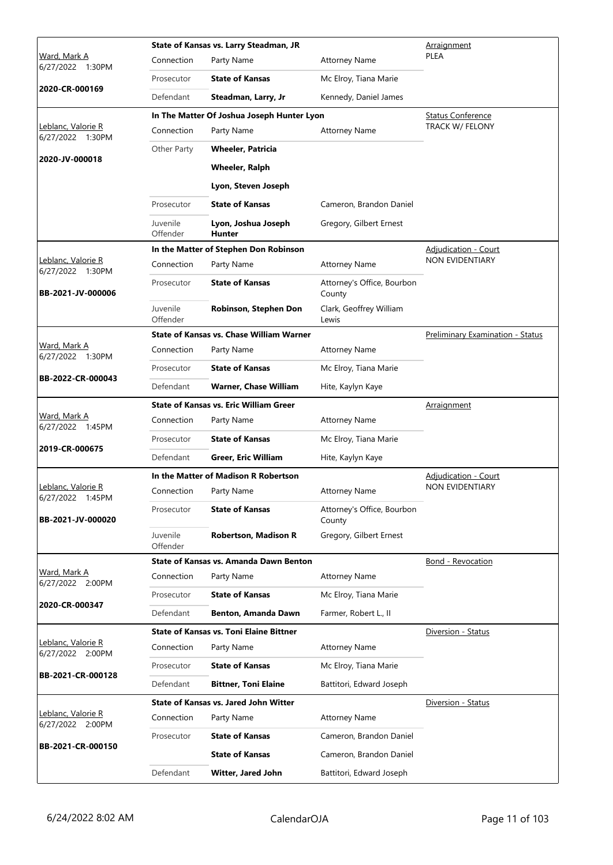|                                                       |                      | State of Kansas vs. Larry Steadman, JR          | Arraignment                          |                                  |
|-------------------------------------------------------|----------------------|-------------------------------------------------|--------------------------------------|----------------------------------|
| <u>Ward, Mark A</u><br>6/27/2022 1:30PM               | Connection           | Party Name                                      | <b>Attorney Name</b>                 | PLEA                             |
|                                                       | Prosecutor           | <b>State of Kansas</b>                          | Mc Elroy, Tiana Marie                |                                  |
| 2020-CR-000169                                        | Defendant            | Steadman, Larry, Jr                             | Kennedy, Daniel James                |                                  |
|                                                       |                      | In The Matter Of Joshua Joseph Hunter Lyon      |                                      | <b>Status Conference</b>         |
| Leblanc, Valorie R<br>6/27/2022 1:30PM                | Connection           | Party Name                                      | <b>Attorney Name</b>                 | TRACK W/ FELONY                  |
| 2020-JV-000018                                        | Other Party          | <b>Wheeler, Patricia</b>                        |                                      |                                  |
|                                                       |                      | <b>Wheeler, Ralph</b>                           |                                      |                                  |
|                                                       |                      | Lyon, Steven Joseph                             |                                      |                                  |
|                                                       | Prosecutor           | <b>State of Kansas</b>                          | Cameron, Brandon Daniel              |                                  |
|                                                       | Juvenile<br>Offender | Lyon, Joshua Joseph<br><b>Hunter</b>            | Gregory, Gilbert Ernest              |                                  |
|                                                       |                      | In the Matter of Stephen Don Robinson           |                                      | Adjudication - Court             |
| Leblanc, Valorie R<br>6/27/2022 1:30PM                | Connection           | Party Name                                      | <b>Attorney Name</b>                 | NON EVIDENTIARY                  |
| BB-2021-JV-000006                                     | Prosecutor           | <b>State of Kansas</b>                          | Attorney's Office, Bourbon<br>County |                                  |
|                                                       | Juvenile<br>Offender | Robinson, Stephen Don                           | Clark, Geoffrey William<br>Lewis     |                                  |
|                                                       |                      | <b>State of Kansas vs. Chase William Warner</b> |                                      | Preliminary Examination - Status |
| Ward, Mark A<br>6/27/2022 1:30PM<br>BB-2022-CR-000043 | Connection           | Party Name                                      | <b>Attorney Name</b>                 |                                  |
|                                                       | Prosecutor           | <b>State of Kansas</b>                          | Mc Elroy, Tiana Marie                |                                  |
|                                                       | Defendant            | <b>Warner, Chase William</b>                    | Hite, Kaylyn Kaye                    |                                  |
|                                                       |                      | <b>State of Kansas vs. Eric William Greer</b>   |                                      | Arraignment                      |
| Ward, Mark A<br>6/27/2022 1:45PM                      | Connection           | Party Name                                      | <b>Attorney Name</b>                 |                                  |
| 2019-CR-000675                                        | Prosecutor           | <b>State of Kansas</b>                          | Mc Elroy, Tiana Marie                |                                  |
|                                                       | Defendant            | <b>Greer, Eric William</b>                      | Hite, Kaylyn Kaye                    |                                  |
|                                                       |                      | In the Matter of Madison R Robertson            |                                      | <b>Adjudication - Court</b>      |
| Leblanc, Valorie R<br>6/27/2022 1:45PM                | Connection           | Party Name                                      | <b>Attorney Name</b>                 | <b>NON EVIDENTIARY</b>           |
| BB-2021-JV-000020                                     | Prosecutor           | <b>State of Kansas</b>                          | Attorney's Office, Bourbon<br>County |                                  |
|                                                       | Juvenile<br>Offender | <b>Robertson, Madison R</b>                     | Gregory, Gilbert Ernest              |                                  |
| Ward, Mark A                                          |                      | State of Kansas vs. Amanda Dawn Benton          |                                      | <b>Bond - Revocation</b>         |
| 6/27/2022 2:00PM                                      | Connection           | Party Name                                      | <b>Attorney Name</b>                 |                                  |
| 2020-CR-000347                                        | Prosecutor           | <b>State of Kansas</b>                          | Mc Elroy, Tiana Marie                |                                  |
|                                                       | Defendant            | Benton, Amanda Dawn                             | Farmer, Robert L., II                |                                  |
| Leblanc, Valorie R                                    |                      | <b>State of Kansas vs. Toni Elaine Bittner</b>  |                                      | Diversion - Status               |
| 6/27/2022 2:00PM                                      | Connection           | Party Name                                      | <b>Attorney Name</b>                 |                                  |
| BB-2021-CR-000128                                     | Prosecutor           | <b>State of Kansas</b>                          | Mc Elroy, Tiana Marie                |                                  |
|                                                       | Defendant            | <b>Bittner, Toni Elaine</b>                     | Battitori, Edward Joseph             |                                  |
|                                                       |                      | <b>State of Kansas vs. Jared John Witter</b>    |                                      | Diversion - Status               |
| Leblanc, Valorie R<br>6/27/2022 2:00PM                | Connection           | Party Name                                      | <b>Attorney Name</b>                 |                                  |
| BB-2021-CR-000150                                     | Prosecutor           | <b>State of Kansas</b>                          | Cameron, Brandon Daniel              |                                  |
|                                                       |                      | <b>State of Kansas</b>                          | Cameron, Brandon Daniel              |                                  |
|                                                       | Defendant            | Witter, Jared John                              | Battitori, Edward Joseph             |                                  |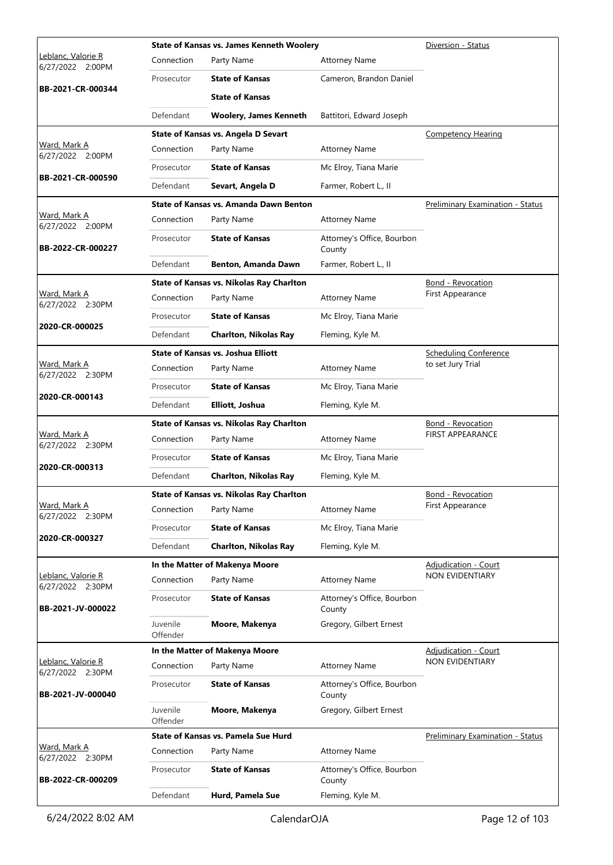|                                        |                      | <b>State of Kansas vs. James Kenneth Woolery</b> | Diversion - Status                   |                                         |
|----------------------------------------|----------------------|--------------------------------------------------|--------------------------------------|-----------------------------------------|
| Leblanc, Valorie R<br>6/27/2022 2:00PM | Connection           | Party Name                                       | <b>Attorney Name</b>                 |                                         |
|                                        | Prosecutor           | <b>State of Kansas</b>                           | Cameron, Brandon Daniel              |                                         |
| BB-2021-CR-000344                      |                      | <b>State of Kansas</b>                           |                                      |                                         |
|                                        | Defendant            | <b>Woolery, James Kenneth</b>                    | Battitori, Edward Joseph             |                                         |
|                                        |                      | State of Kansas vs. Angela D Sevart              |                                      | <b>Competency Hearing</b>               |
| Ward, Mark A<br>6/27/2022 2:00PM       | Connection           | Party Name                                       | <b>Attorney Name</b>                 |                                         |
|                                        | Prosecutor           | <b>State of Kansas</b>                           | Mc Elroy, Tiana Marie                |                                         |
| BB-2021-CR-000590                      | Defendant            | Sevart, Angela D                                 | Farmer, Robert L., II                |                                         |
|                                        |                      | <b>State of Kansas vs. Amanda Dawn Benton</b>    |                                      | Preliminary Examination - Status        |
| Ward, Mark A<br>6/27/2022 2:00PM       | Connection           | Party Name                                       | <b>Attorney Name</b>                 |                                         |
| BB-2022-CR-000227                      | Prosecutor           | <b>State of Kansas</b>                           | Attorney's Office, Bourbon<br>County |                                         |
|                                        | Defendant            | Benton, Amanda Dawn                              | Farmer, Robert L., II                |                                         |
|                                        |                      | State of Kansas vs. Nikolas Ray Charlton         |                                      | <b>Bond - Revocation</b>                |
| Ward, Mark A<br>6/27/2022 2:30PM       | Connection           | Party Name                                       | <b>Attorney Name</b>                 | First Appearance                        |
| 2020-CR-000025                         | Prosecutor           | <b>State of Kansas</b>                           | Mc Elroy, Tiana Marie                |                                         |
|                                        | Defendant            | <b>Charlton, Nikolas Ray</b>                     | Fleming, Kyle M.                     |                                         |
|                                        |                      | <b>State of Kansas vs. Joshua Elliott</b>        |                                      | <b>Scheduling Conference</b>            |
| Ward, Mark A<br>6/27/2022 2:30PM       | Connection           | Party Name                                       | <b>Attorney Name</b>                 | to set Jury Trial                       |
|                                        | Prosecutor           | <b>State of Kansas</b>                           | Mc Elroy, Tiana Marie                |                                         |
| 2020-CR-000143                         | Defendant            | Elliott, Joshua                                  | Fleming, Kyle M.                     |                                         |
|                                        |                      | <b>State of Kansas vs. Nikolas Ray Charlton</b>  |                                      | <b>Bond - Revocation</b>                |
| Ward, Mark A<br>6/27/2022 2:30PM       | Connection           | Party Name                                       | <b>Attorney Name</b>                 | <b>FIRST APPEARANCE</b>                 |
|                                        | Prosecutor           | <b>State of Kansas</b>                           | Mc Elroy, Tiana Marie                |                                         |
| 2020-CR-000313                         | Defendant            | <b>Charlton, Nikolas Ray</b>                     | Fleming, Kyle M.                     |                                         |
|                                        |                      | State of Kansas vs. Nikolas Ray Charlton         |                                      | <b>Bond - Revocation</b>                |
| Ward, Mark A<br>6/27/2022 2:30PM       | Connection           | Party Name                                       | <b>Attorney Name</b>                 | First Appearance                        |
|                                        | Prosecutor           | <b>State of Kansas</b>                           | Mc Elroy, Tiana Marie                |                                         |
| 2020-CR-000327                         | Defendant            | <b>Charlton, Nikolas Ray</b>                     | Fleming, Kyle M.                     |                                         |
|                                        |                      | In the Matter of Makenya Moore                   |                                      | <b>Adjudication - Court</b>             |
| Leblanc, Valorie R<br>6/27/2022 2:30PM | Connection           | Party Name                                       | <b>Attorney Name</b>                 | NON EVIDENTIARY                         |
| BB-2021-JV-000022                      | Prosecutor           | <b>State of Kansas</b>                           | Attorney's Office, Bourbon<br>County |                                         |
|                                        | Juvenile<br>Offender | Moore, Makenya                                   | Gregory, Gilbert Ernest              |                                         |
|                                        |                      | In the Matter of Makenya Moore                   | <b>Adjudication - Court</b>          |                                         |
| Leblanc, Valorie R<br>6/27/2022 2:30PM | Connection           | Party Name                                       | <b>Attorney Name</b>                 | NON EVIDENTIARY                         |
| BB-2021-JV-000040                      | Prosecutor           | <b>State of Kansas</b>                           | Attorney's Office, Bourbon<br>County |                                         |
|                                        | Juvenile<br>Offender | Moore, Makenya                                   | Gregory, Gilbert Ernest              |                                         |
|                                        |                      | State of Kansas vs. Pamela Sue Hurd              |                                      | <b>Preliminary Examination - Status</b> |
| Ward, Mark A<br>6/27/2022 2:30PM       | Connection           | Party Name                                       | <b>Attorney Name</b>                 |                                         |
| BB-2022-CR-000209                      | Prosecutor           | <b>State of Kansas</b>                           | Attorney's Office, Bourbon<br>County |                                         |
|                                        | Defendant            | Hurd, Pamela Sue                                 | Fleming, Kyle M.                     |                                         |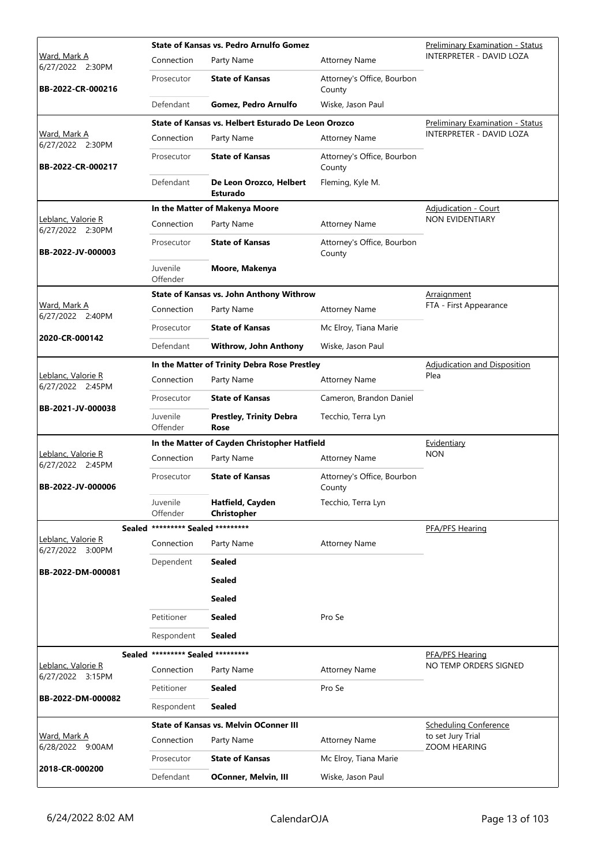|                                         |                                   | <b>State of Kansas vs. Pedro Arnulfo Gomez</b>      |                                      | <b>Preliminary Examination - Status</b> |
|-----------------------------------------|-----------------------------------|-----------------------------------------------------|--------------------------------------|-----------------------------------------|
| Ward, Mark A<br>6/27/2022 2:30PM        | Connection                        | Party Name                                          | <b>Attorney Name</b>                 | <b>INTERPRETER - DAVID LOZA</b>         |
| BB-2022-CR-000216                       | Prosecutor                        | <b>State of Kansas</b>                              | Attorney's Office, Bourbon<br>County |                                         |
|                                         | Defendant                         | <b>Gomez, Pedro Arnulfo</b>                         | Wiske, Jason Paul                    |                                         |
|                                         |                                   | State of Kansas vs. Helbert Esturado De Leon Orozco |                                      | <b>Preliminary Examination - Status</b> |
| Ward, Mark A<br>6/27/2022 2:30PM        | Connection                        | Party Name                                          | <b>Attorney Name</b>                 | INTERPRETER - DAVID LOZA                |
| BB-2022-CR-000217                       | Prosecutor                        | <b>State of Kansas</b>                              | Attorney's Office, Bourbon<br>County |                                         |
|                                         | Defendant                         | De Leon Orozco, Helbert<br><b>Esturado</b>          | Fleming, Kyle M.                     |                                         |
|                                         |                                   | In the Matter of Makenya Moore                      |                                      | <b>Adjudication - Court</b>             |
| Leblanc, Valorie R<br>6/27/2022 2:30PM  | Connection                        | Party Name                                          | <b>Attorney Name</b>                 | NON EVIDENTIARY                         |
| BB-2022-JV-000003                       | Prosecutor                        | <b>State of Kansas</b>                              | Attorney's Office, Bourbon<br>County |                                         |
|                                         | Juvenile<br>Offender              | Moore, Makenya                                      |                                      |                                         |
|                                         |                                   | State of Kansas vs. John Anthony Withrow            |                                      | <u>Arraignment</u>                      |
| <u>Ward, Mark A</u><br>6/27/2022 2:40PM | Connection                        | Party Name                                          | <b>Attorney Name</b>                 | FTA - First Appearance                  |
|                                         | Prosecutor                        | <b>State of Kansas</b>                              | Mc Elroy, Tiana Marie                |                                         |
| 2020-CR-000142                          | Defendant                         | Withrow, John Anthony                               | Wiske, Jason Paul                    |                                         |
|                                         |                                   | In the Matter of Trinity Debra Rose Prestley        |                                      | <b>Adjudication and Disposition</b>     |
| Leblanc, Valorie R<br>6/27/2022 2:45PM  | Connection                        | Party Name                                          | <b>Attorney Name</b>                 | Plea                                    |
| BB-2021-JV-000038                       | Prosecutor                        | <b>State of Kansas</b>                              | Cameron, Brandon Daniel              |                                         |
|                                         | Juvenile<br>Offender              | <b>Prestley, Trinity Debra</b><br>Rose              | Tecchio, Terra Lyn                   |                                         |
|                                         |                                   | In the Matter of Cayden Christopher Hatfield        |                                      | Evidentiary                             |
| Leblanc, Valorie R<br>6/27/2022 2:45PM  | Connection                        | Party Name                                          | <b>Attorney Name</b>                 | <b>NON</b>                              |
| BB-2022-JV-000006                       | Prosecutor                        | <b>State of Kansas</b>                              | Attorney's Office, Bourbon<br>County |                                         |
|                                         | Juvenile<br>Offender              | Hatfield, Cayden<br>Christopher                     | Tecchio, Terra Lyn                   |                                         |
| Sealed                                  | ********* Sealed *********        |                                                     |                                      | PFA/PFS Hearing                         |
| Leblanc, Valorie R<br>6/27/2022 3:00PM  | Connection                        | Party Name                                          | <b>Attorney Name</b>                 |                                         |
|                                         | Dependent                         | <b>Sealed</b>                                       |                                      |                                         |
| BB-2022-DM-000081                       |                                   | <b>Sealed</b>                                       |                                      |                                         |
|                                         |                                   | <b>Sealed</b>                                       |                                      |                                         |
|                                         | Petitioner                        | <b>Sealed</b>                                       | Pro Se                               |                                         |
|                                         | Respondent                        | <b>Sealed</b>                                       |                                      |                                         |
|                                         | Sealed ********* Sealed ********* |                                                     |                                      | PFA/PFS Hearing                         |
| Leblanc, Valorie R<br>6/27/2022 3:15PM  | Connection                        | Party Name                                          | <b>Attorney Name</b>                 | NO TEMP ORDERS SIGNED                   |
| BB-2022-DM-000082                       | Petitioner                        | <b>Sealed</b>                                       | Pro Se                               |                                         |
|                                         | Respondent                        | <b>Sealed</b>                                       |                                      |                                         |
|                                         |                                   | <b>State of Kansas vs. Melvin OConner III</b>       |                                      | <b>Scheduling Conference</b>            |
| Ward, Mark A<br>6/28/2022 9:00AM        | Connection                        | Party Name                                          | <b>Attorney Name</b>                 | to set Jury Trial<br>ZOOM HEARING       |
|                                         | Prosecutor                        | <b>State of Kansas</b>                              | Mc Elroy, Tiana Marie                |                                         |
| 2018-CR-000200                          | Defendant                         | <b>OConner, Melvin, III</b>                         | Wiske, Jason Paul                    |                                         |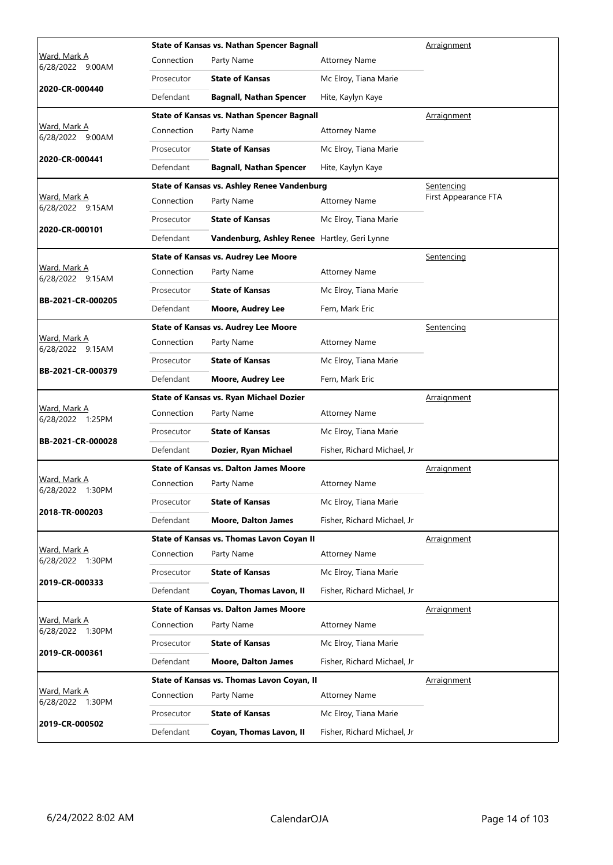| Ward, Mark A                               |            | <b>State of Kansas vs. Nathan Spencer Bagnall</b> |                             | Arraignment          |
|--------------------------------------------|------------|---------------------------------------------------|-----------------------------|----------------------|
| 6/28/2022<br>9:00AM                        | Connection | Party Name                                        | <b>Attorney Name</b>        |                      |
| 2020-CR-000440                             | Prosecutor | <b>State of Kansas</b>                            | Mc Elroy, Tiana Marie       |                      |
|                                            | Defendant  | <b>Bagnall, Nathan Spencer</b>                    | Hite, Kaylyn Kaye           |                      |
|                                            |            | State of Kansas vs. Nathan Spencer Bagnall        | Arraignment                 |                      |
| Ward, Mark A<br>6/28/2022 9:00AM           | Connection | Party Name                                        | <b>Attorney Name</b>        |                      |
| 2020-CR-000441                             | Prosecutor | <b>State of Kansas</b>                            | Mc Elroy, Tiana Marie       |                      |
|                                            | Defendant  | <b>Bagnall, Nathan Spencer</b>                    | Hite, Kaylyn Kaye           |                      |
|                                            |            | State of Kansas vs. Ashley Renee Vandenburg       |                             | Sentencing           |
| Ward, Mark A<br>6/28/2022 9:15AM           | Connection | Party Name                                        | <b>Attorney Name</b>        | First Appearance FTA |
|                                            | Prosecutor | <b>State of Kansas</b>                            | Mc Elroy, Tiana Marie       |                      |
| 2020-CR-000101                             | Defendant  | Vandenburg, Ashley Renee Hartley, Geri Lynne      |                             |                      |
|                                            |            | <b>State of Kansas vs. Audrey Lee Moore</b>       |                             | <b>Sentencing</b>    |
| Ward, Mark A<br>6/28/2022 9:15AM           | Connection | Party Name                                        | <b>Attorney Name</b>        |                      |
|                                            | Prosecutor | <b>State of Kansas</b>                            | Mc Elroy, Tiana Marie       |                      |
| BB-2021-CR-000205                          | Defendant  | <b>Moore, Audrey Lee</b>                          | Fern, Mark Eric             |                      |
|                                            |            | <b>State of Kansas vs. Audrey Lee Moore</b>       |                             | Sentencing           |
| Ward, Mark A<br>6/28/2022 9:15AM           | Connection | Party Name                                        | <b>Attorney Name</b>        |                      |
| BB-2021-CR-000379                          | Prosecutor | <b>State of Kansas</b>                            | Mc Elroy, Tiana Marie       |                      |
|                                            | Defendant  | <b>Moore, Audrey Lee</b>                          | Fern, Mark Eric             |                      |
|                                            |            | <b>State of Kansas vs. Ryan Michael Dozier</b>    |                             | Arraignment          |
| Ward, Mark A<br>6/28/2022 1:25PM           | Connection | Party Name                                        | <b>Attorney Name</b>        |                      |
|                                            | Prosecutor | <b>State of Kansas</b>                            | Mc Elroy, Tiana Marie       |                      |
| BB-2021-CR-000028                          | Defendant  | Dozier, Ryan Michael                              | Fisher, Richard Michael, Jr |                      |
|                                            |            | <b>State of Kansas vs. Dalton James Moore</b>     |                             | Arraignment          |
| Ward, Mark A<br>6/28/2022 1:30PM           | Connection | Party Name                                        | <b>Attorney Name</b>        |                      |
|                                            | Prosecutor | <b>State of Kansas</b>                            | Mc Elroy, Tiana Marie       |                      |
| 2018-TR-000203                             | Defendant  | <b>Moore, Dalton James</b>                        | Fisher, Richard Michael, Jr |                      |
|                                            |            | State of Kansas vs. Thomas Lavon Coyan II         |                             | Arraignment          |
| <u>Ward, Mark A</u><br>6/28/2022<br>1:30PM | Connection | Party Name                                        | <b>Attorney Name</b>        |                      |
|                                            | Prosecutor | <b>State of Kansas</b>                            | Mc Elroy, Tiana Marie       |                      |
| 2019-CR-000333                             | Defendant  | Coyan, Thomas Lavon, II                           | Fisher, Richard Michael, Jr |                      |
|                                            |            | <b>State of Kansas vs. Dalton James Moore</b>     |                             | Arraignment          |
| Ward, Mark A<br>6/28/2022 1:30PM           | Connection | Party Name                                        | <b>Attorney Name</b>        |                      |
|                                            | Prosecutor | <b>State of Kansas</b>                            | Mc Elroy, Tiana Marie       |                      |
| 2019-CR-000361                             | Defendant  | <b>Moore, Dalton James</b>                        | Fisher, Richard Michael, Jr |                      |
|                                            |            | State of Kansas vs. Thomas Lavon Coyan, II        |                             | <u>Arraignment</u>   |
| Ward, Mark A<br>6/28/2022 1:30PM           | Connection | Party Name                                        | <b>Attorney Name</b>        |                      |
|                                            | Prosecutor | <b>State of Kansas</b>                            | Mc Elroy, Tiana Marie       |                      |
| 2019-CR-000502                             | Defendant  | Coyan, Thomas Lavon, II                           | Fisher, Richard Michael, Jr |                      |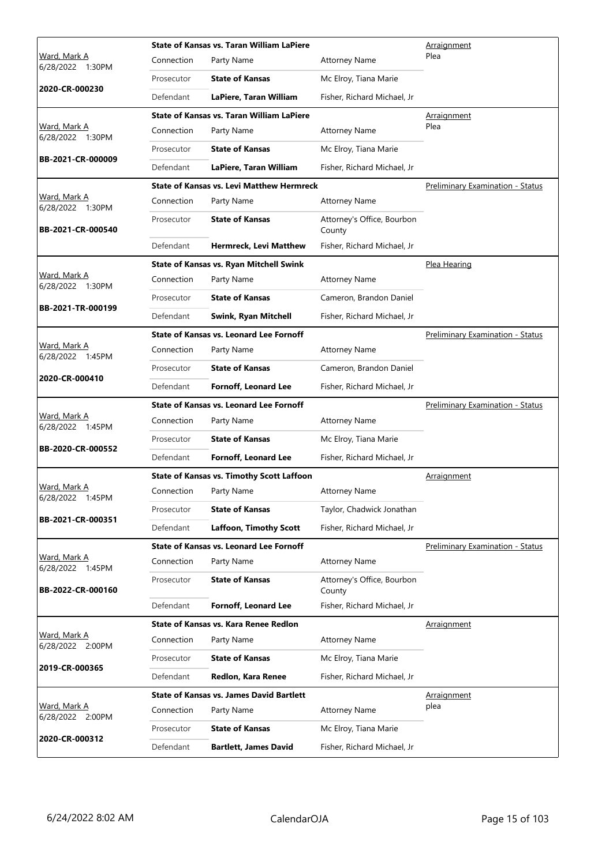|                                         | <b>State of Kansas vs. Taran William LaPiere</b> |                                                  |                                      | Arraignment                             |
|-----------------------------------------|--------------------------------------------------|--------------------------------------------------|--------------------------------------|-----------------------------------------|
| Ward, Mark A<br>6/28/2022 1:30PM        | Connection                                       | Party Name                                       | <b>Attorney Name</b>                 | Plea                                    |
|                                         | Prosecutor                                       | <b>State of Kansas</b>                           | Mc Elroy, Tiana Marie                |                                         |
| 2020-CR-000230                          | Defendant                                        | LaPiere, Taran William                           | Fisher, Richard Michael, Jr          |                                         |
|                                         |                                                  | <b>State of Kansas vs. Taran William LaPiere</b> |                                      | Arraignment                             |
| <u>Ward, Mark A</u><br>6/28/2022 1:30PM | Connection                                       | Party Name                                       | <b>Attorney Name</b>                 | Plea                                    |
|                                         | Prosecutor                                       | <b>State of Kansas</b>                           | Mc Elroy, Tiana Marie                |                                         |
| BB-2021-CR-000009                       | Defendant                                        | LaPiere, Taran William                           | Fisher, Richard Michael, Jr          |                                         |
|                                         |                                                  | <b>State of Kansas vs. Levi Matthew Hermreck</b> |                                      | <b>Preliminary Examination - Status</b> |
| Ward, Mark A<br>6/28/2022 1:30PM        | Connection                                       | Party Name                                       | <b>Attorney Name</b>                 |                                         |
| BB-2021-CR-000540                       | Prosecutor                                       | <b>State of Kansas</b>                           | Attorney's Office, Bourbon<br>County |                                         |
|                                         | Defendant                                        | <b>Hermreck, Levi Matthew</b>                    | Fisher, Richard Michael, Jr          |                                         |
|                                         |                                                  | <b>State of Kansas vs. Ryan Mitchell Swink</b>   |                                      | Plea Hearing                            |
| <u>Ward, Mark A</u><br>6/28/2022 1:30PM | Connection                                       | Party Name                                       | <b>Attorney Name</b>                 |                                         |
|                                         | Prosecutor                                       | <b>State of Kansas</b>                           | Cameron, Brandon Daniel              |                                         |
| BB-2021-TR-000199                       | Defendant                                        | Swink, Ryan Mitchell                             | Fisher, Richard Michael, Jr          |                                         |
|                                         |                                                  | <b>State of Kansas vs. Leonard Lee Fornoff</b>   |                                      | <b>Preliminary Examination - Status</b> |
| Ward, Mark A<br>6/28/2022 1:45PM        | Connection                                       | Party Name                                       | <b>Attorney Name</b>                 |                                         |
|                                         | Prosecutor                                       | <b>State of Kansas</b>                           | Cameron, Brandon Daniel              |                                         |
| 2020-CR-000410                          | Defendant                                        | <b>Fornoff, Leonard Lee</b>                      | Fisher, Richard Michael, Jr          |                                         |
|                                         |                                                  | <b>State of Kansas vs. Leonard Lee Fornoff</b>   |                                      | Preliminary Examination - Status        |
| Ward, Mark A<br>6/28/2022 1:45PM        | Connection                                       | Party Name                                       | <b>Attorney Name</b>                 |                                         |
|                                         | Prosecutor                                       | <b>State of Kansas</b>                           | Mc Elroy, Tiana Marie                |                                         |
| BB-2020-CR-000552                       | Defendant                                        | <b>Fornoff, Leonard Lee</b>                      | Fisher, Richard Michael, Jr          |                                         |
|                                         |                                                  | <b>State of Kansas vs. Timothy Scott Laffoon</b> |                                      | Arraignment                             |
| Ward, Mark A<br>6/28/2022 1:45PM        | Connection                                       |                                                  |                                      |                                         |
|                                         |                                                  | Party Name                                       | <b>Attorney Name</b>                 |                                         |
|                                         | Prosecutor                                       | <b>State of Kansas</b>                           | Taylor, Chadwick Jonathan            |                                         |
| BB-2021-CR-000351                       | Defendant                                        | <b>Laffoon, Timothy Scott</b>                    | Fisher, Richard Michael, Jr          |                                         |
|                                         |                                                  | State of Kansas vs. Leonard Lee Fornoff          |                                      | Preliminary Examination - Status        |
| <u>Ward, Mark A</u>                     | Connection                                       | Party Name                                       | <b>Attorney Name</b>                 |                                         |
| 6/28/2022 1:45PM<br>BB-2022-CR-000160   | Prosecutor                                       | <b>State of Kansas</b>                           | Attorney's Office, Bourbon<br>County |                                         |
|                                         | Defendant                                        | <b>Fornoff, Leonard Lee</b>                      | Fisher, Richard Michael, Jr          |                                         |
|                                         |                                                  | State of Kansas vs. Kara Renee Redlon            |                                      | Arraignment                             |
| Ward, Mark A<br>6/28/2022 2:00PM        | Connection                                       | Party Name                                       | <b>Attorney Name</b>                 |                                         |
|                                         | Prosecutor                                       | <b>State of Kansas</b>                           | Mc Elroy, Tiana Marie                |                                         |
| 2019-CR-000365                          | Defendant                                        | Redlon, Kara Renee                               | Fisher, Richard Michael, Jr          |                                         |
|                                         |                                                  | <b>State of Kansas vs. James David Bartlett</b>  |                                      | Arraignment                             |
| <u>Ward, Mark A</u><br>6/28/2022 2:00PM | Connection                                       | Party Name                                       | <b>Attorney Name</b>                 | plea                                    |
| 2020-CR-000312                          | Prosecutor                                       | <b>State of Kansas</b>                           | Mc Elroy, Tiana Marie                |                                         |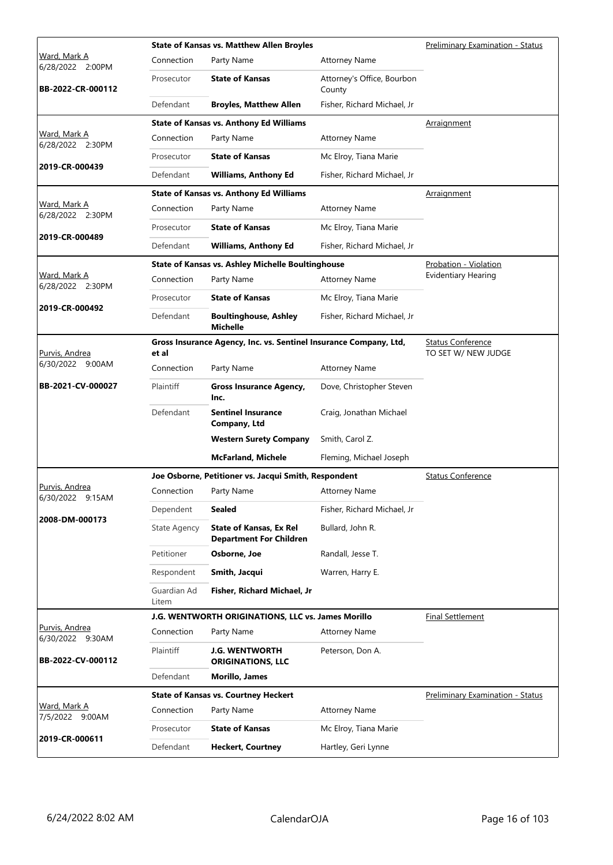|                                              |                      | <b>State of Kansas vs. Matthew Allen Broyles</b>                  |                                      | <b>Preliminary Examination - Status</b>         |
|----------------------------------------------|----------------------|-------------------------------------------------------------------|--------------------------------------|-------------------------------------------------|
| Ward, Mark A<br>6/28/2022 2:00PM             | Connection           | Party Name                                                        | <b>Attorney Name</b>                 |                                                 |
| BB-2022-CR-000112                            | Prosecutor           | <b>State of Kansas</b>                                            | Attorney's Office, Bourbon<br>County |                                                 |
|                                              | Defendant            | <b>Broyles, Matthew Allen</b>                                     | Fisher, Richard Michael, Jr          |                                                 |
|                                              |                      | <b>State of Kansas vs. Anthony Ed Williams</b>                    |                                      | Arraignment                                     |
| Ward, Mark A<br>6/28/2022 2:30PM             | Connection           | Party Name                                                        | <b>Attorney Name</b>                 |                                                 |
|                                              | Prosecutor           | <b>State of Kansas</b>                                            | Mc Elroy, Tiana Marie                |                                                 |
| 2019-CR-000439                               | Defendant            | <b>Williams, Anthony Ed</b>                                       | Fisher, Richard Michael, Jr          |                                                 |
|                                              |                      | <b>State of Kansas vs. Anthony Ed Williams</b>                    |                                      | <u>Arraignment</u>                              |
| Ward, Mark A<br>6/28/2022 2:30PM             | Connection           | Party Name                                                        | <b>Attorney Name</b>                 |                                                 |
|                                              | Prosecutor           | <b>State of Kansas</b>                                            | Mc Elroy, Tiana Marie                |                                                 |
| 2019-CR-000489                               | Defendant            | <b>Williams, Anthony Ed</b>                                       | Fisher, Richard Michael, Jr          |                                                 |
|                                              |                      | <b>State of Kansas vs. Ashley Michelle Boultinghouse</b>          |                                      | Probation - Violation                           |
| <u>Ward, Mark A</u><br>6/28/2022 2:30PM      | Connection           | Party Name                                                        | <b>Attorney Name</b>                 | <b>Evidentiary Hearing</b>                      |
|                                              | Prosecutor           | <b>State of Kansas</b>                                            | Mc Elroy, Tiana Marie                |                                                 |
| 2019-CR-000492                               | Defendant            | <b>Boultinghouse, Ashley</b><br><b>Michelle</b>                   | Fisher, Richard Michael, Jr          |                                                 |
| <u>Purvis, Andrea</u>                        | et al                | Gross Insurance Agency, Inc. vs. Sentinel Insurance Company, Ltd, |                                      | <b>Status Conference</b><br>TO SET W/ NEW JUDGE |
| 6/30/2022 9:00AM                             | Connection           | Party Name                                                        | <b>Attorney Name</b>                 |                                                 |
| BB-2021-CV-000027                            | Plaintiff            | <b>Gross Insurance Agency,</b><br>Inc.                            | Dove, Christopher Steven             |                                                 |
|                                              | Defendant            | <b>Sentinel Insurance</b><br>Company, Ltd                         | Craig, Jonathan Michael              |                                                 |
|                                              |                      | <b>Western Surety Company</b>                                     | Smith, Carol Z.                      |                                                 |
|                                              |                      | <b>McFarland, Michele</b>                                         | Fleming, Michael Joseph              |                                                 |
|                                              |                      | Joe Osborne, Petitioner vs. Jacqui Smith, Respondent              |                                      | <b>Status Conference</b>                        |
| <u>Purvis, Andrea</u><br>6/30/2022<br>9:15AM | Connection           | Party Name                                                        | <b>Attorney Name</b>                 |                                                 |
|                                              | Dependent            | <b>Sealed</b>                                                     | Fisher, Richard Michael, Jr          |                                                 |
| 2008-DM-000173                               | <b>State Agency</b>  | <b>State of Kansas, Ex Rel</b><br><b>Department For Children</b>  | Bullard, John R.                     |                                                 |
|                                              | Petitioner           | Osborne, Joe                                                      | Randall, Jesse T.                    |                                                 |
|                                              | Respondent           | Smith, Jacqui                                                     | Warren, Harry E.                     |                                                 |
|                                              | Guardian Ad<br>Litem | Fisher, Richard Michael, Jr                                       |                                      |                                                 |
|                                              |                      | J.G. WENTWORTH ORIGINATIONS, LLC vs. James Morillo                |                                      | <b>Final Settlement</b>                         |
| Purvis, Andrea<br>6/30/2022 9:30AM           | Connection           | Party Name                                                        | <b>Attorney Name</b>                 |                                                 |
| BB-2022-CV-000112                            | Plaintiff            | J.G. WENTWORTH<br><b>ORIGINATIONS, LLC</b>                        | Peterson, Don A.                     |                                                 |
|                                              | Defendant            | <b>Morillo, James</b>                                             |                                      |                                                 |
|                                              |                      | <b>State of Kansas vs. Courtney Heckert</b>                       |                                      | <b>Preliminary Examination - Status</b>         |
| Ward, Mark A<br>7/5/2022 9:00AM              | Connection           | Party Name                                                        | <b>Attorney Name</b>                 |                                                 |
|                                              | Prosecutor           | <b>State of Kansas</b>                                            | Mc Elroy, Tiana Marie                |                                                 |
| 2019-CR-000611                               | Defendant            | <b>Heckert, Courtney</b>                                          | Hartley, Geri Lynne                  |                                                 |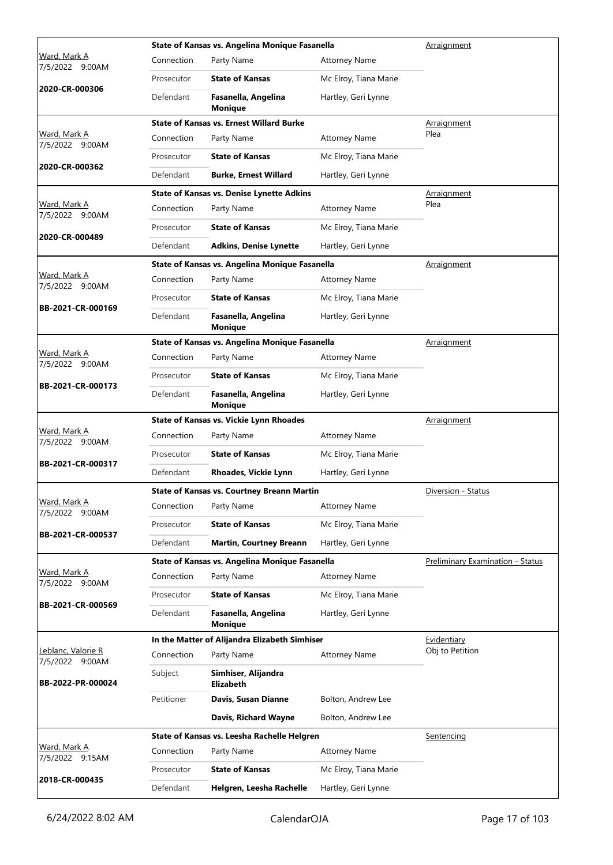|                                        |            | State of Kansas vs. Angelina Monique Fasanella    |                       | Arraignment                      |  |  |
|----------------------------------------|------------|---------------------------------------------------|-----------------------|----------------------------------|--|--|
| Ward, Mark A<br>7/5/2022 9:00AM        | Connection | Party Name                                        | <b>Attorney Name</b>  |                                  |  |  |
|                                        | Prosecutor | <b>State of Kansas</b>                            | Mc Elroy, Tiana Marie |                                  |  |  |
| 2020-CR-000306                         | Defendant  | Fasanella, Angelina<br><b>Monique</b>             | Hartley, Geri Lynne   |                                  |  |  |
|                                        |            | <b>State of Kansas vs. Ernest Willard Burke</b>   |                       | Arraignment                      |  |  |
| Ward, Mark A<br>7/5/2022 9:00AM        | Connection | Party Name                                        | <b>Attorney Name</b>  | Plea                             |  |  |
|                                        | Prosecutor | <b>State of Kansas</b>                            | Mc Elroy, Tiana Marie |                                  |  |  |
| 2020-CR-000362                         | Defendant  | <b>Burke, Ernest Willard</b>                      | Hartley, Geri Lynne   |                                  |  |  |
|                                        |            | <b>State of Kansas vs. Denise Lynette Adkins</b>  |                       | Arraignment                      |  |  |
| Ward, Mark A<br>7/5/2022 9:00AM        | Connection | Party Name                                        | <b>Attorney Name</b>  | Plea                             |  |  |
|                                        | Prosecutor | <b>State of Kansas</b>                            | Mc Elroy, Tiana Marie |                                  |  |  |
| 2020-CR-000489                         | Defendant  | <b>Adkins, Denise Lynette</b>                     | Hartley, Geri Lynne   |                                  |  |  |
|                                        |            | State of Kansas vs. Angelina Monique Fasanella    |                       | Arraignment                      |  |  |
| <u>Ward, Mark A</u><br>7/5/2022 9:00AM | Connection | Party Name                                        | <b>Attorney Name</b>  |                                  |  |  |
|                                        | Prosecutor | <b>State of Kansas</b>                            | Mc Elroy, Tiana Marie |                                  |  |  |
| BB-2021-CR-000169                      | Defendant  | Fasanella, Angelina<br><b>Monique</b>             | Hartley, Geri Lynne   |                                  |  |  |
|                                        |            | State of Kansas vs. Angelina Monique Fasanella    |                       | Arraignment                      |  |  |
| Ward, Mark A<br>7/5/2022 9:00AM        | Connection | Party Name                                        | <b>Attorney Name</b>  |                                  |  |  |
|                                        | Prosecutor | <b>State of Kansas</b>                            | Mc Elroy, Tiana Marie |                                  |  |  |
| BB-2021-CR-000173                      | Defendant  | Fasanella, Angelina<br><b>Monique</b>             | Hartley, Geri Lynne   |                                  |  |  |
|                                        |            | State of Kansas vs. Vickie Lynn Rhoades           |                       | Arraignment                      |  |  |
| Ward, Mark A<br>7/5/2022 9:00AM        | Connection | Party Name                                        | <b>Attorney Name</b>  |                                  |  |  |
|                                        | Prosecutor | <b>State of Kansas</b>                            | Mc Elroy, Tiana Marie |                                  |  |  |
| BB-2021-CR-000317                      | Defendant  | <b>Rhoades, Vickie Lynn</b>                       | Hartley, Geri Lynne   |                                  |  |  |
|                                        |            | <b>State of Kansas vs. Courtney Breann Martin</b> |                       | Diversion - Status               |  |  |
| Ward, Mark A<br>7/5/2022 9:00AM        | Connection | Party Name                                        | <b>Attorney Name</b>  |                                  |  |  |
|                                        | Prosecutor |                                                   |                       |                                  |  |  |
| BB-2021-CR-000537                      |            | <b>State of Kansas</b>                            | Mc Elroy, Tiana Marie |                                  |  |  |
|                                        | Defendant  | <b>Martin, Courtney Breann</b>                    | Hartley, Geri Lynne   |                                  |  |  |
|                                        |            | State of Kansas vs. Angelina Monique Fasanella    |                       | Preliminary Examination - Status |  |  |
| Ward, Mark A                           | Connection | Party Name                                        | <b>Attorney Name</b>  |                                  |  |  |
| 7/5/2022 9:00AM                        | Prosecutor | <b>State of Kansas</b>                            | Mc Elroy, Tiana Marie |                                  |  |  |
| BB-2021-CR-000569                      | Defendant  | Fasanella, Angelina<br><b>Monique</b>             | Hartley, Geri Lynne   |                                  |  |  |
|                                        |            | In the Matter of Alijandra Elizabeth Simhiser     |                       | Evidentiary                      |  |  |
| Leblanc, Valorie R                     | Connection | Party Name                                        | <b>Attorney Name</b>  | Obj to Petition                  |  |  |
| 7/5/2022 9:00AM<br>BB-2022-PR-000024   | Subject    | Simhiser, Alijandra<br>Elizabeth                  |                       |                                  |  |  |
|                                        | Petitioner | Davis, Susan Dianne                               | Bolton, Andrew Lee    |                                  |  |  |
|                                        |            | Davis, Richard Wayne                              | Bolton, Andrew Lee    |                                  |  |  |
|                                        |            | State of Kansas vs. Leesha Rachelle Helgren       |                       | Sentencing                       |  |  |
| Ward, Mark A                           | Connection | Party Name                                        | <b>Attorney Name</b>  |                                  |  |  |
| 7/5/2022 9:15AM<br>2018-CR-000435      | Prosecutor | <b>State of Kansas</b>                            | Mc Elroy, Tiana Marie |                                  |  |  |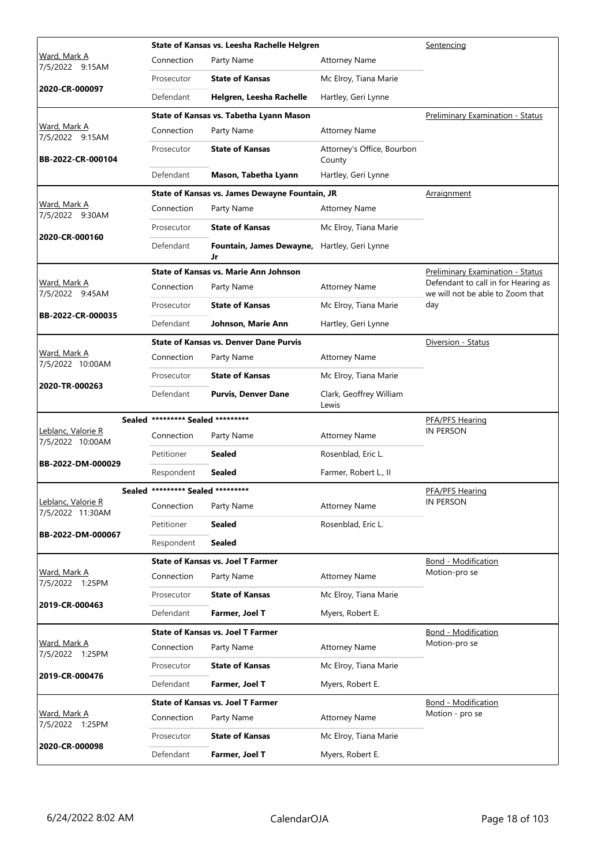|                                        |                                   | State of Kansas vs. Leesha Rachelle Helgren        |                                      | Sentencing                                                              |
|----------------------------------------|-----------------------------------|----------------------------------------------------|--------------------------------------|-------------------------------------------------------------------------|
| <u>Ward, Mark A</u><br>7/5/2022 9:15AM | Connection                        | Party Name                                         | <b>Attorney Name</b>                 |                                                                         |
|                                        | Prosecutor                        | <b>State of Kansas</b>                             | Mc Elroy, Tiana Marie                |                                                                         |
| 2020-CR-000097                         | Defendant                         | Helgren, Leesha Rachelle                           | Hartley, Geri Lynne                  |                                                                         |
|                                        |                                   | State of Kansas vs. Tabetha Lyann Mason            |                                      | Preliminary Examination - Status                                        |
| Ward, Mark A<br>7/5/2022 9:15AM        | Connection                        | Party Name                                         | <b>Attorney Name</b>                 |                                                                         |
| BB-2022-CR-000104                      | Prosecutor                        | <b>State of Kansas</b>                             | Attorney's Office, Bourbon<br>County |                                                                         |
|                                        | Defendant                         | Mason, Tabetha Lyann                               | Hartley, Geri Lynne                  |                                                                         |
|                                        |                                   | State of Kansas vs. James Dewayne Fountain, JR     |                                      | Arraignment                                                             |
| Ward, Mark A<br>7/5/2022 9:30AM        | Connection                        | Party Name                                         | <b>Attorney Name</b>                 |                                                                         |
|                                        | Prosecutor                        | <b>State of Kansas</b>                             | Mc Elroy, Tiana Marie                |                                                                         |
| 2020-CR-000160                         | Defendant                         | Fountain, James Dewayne, Hartley, Geri Lynne<br>Jr |                                      |                                                                         |
|                                        |                                   | State of Kansas vs. Marie Ann Johnson              |                                      | Preliminary Examination - Status                                        |
| Ward, Mark A<br>7/5/2022 9:45AM        | Connection                        | Party Name                                         | <b>Attorney Name</b>                 | Defendant to call in for Hearing as<br>we will not be able to Zoom that |
|                                        | Prosecutor                        | <b>State of Kansas</b>                             | Mc Elroy, Tiana Marie                | day                                                                     |
| BB-2022-CR-000035                      | Defendant                         | Johnson, Marie Ann                                 | Hartley, Geri Lynne                  |                                                                         |
|                                        |                                   | <b>State of Kansas vs. Denver Dane Purvis</b>      |                                      | Diversion - Status                                                      |
| Ward, Mark A<br>7/5/2022 10:00AM       | Connection                        | Party Name                                         | <b>Attorney Name</b>                 |                                                                         |
|                                        | Prosecutor                        | <b>State of Kansas</b>                             | Mc Elroy, Tiana Marie                |                                                                         |
| 2020-TR-000263                         | Defendant                         | <b>Purvis, Denver Dane</b>                         | Clark, Geoffrey William<br>Lewis     |                                                                         |
|                                        | Sealed ********* Sealed ********* |                                                    |                                      | PFA/PFS Hearing                                                         |
| Leblanc, Valorie R<br>7/5/2022 10:00AM | Connection                        | Party Name                                         | <b>Attorney Name</b>                 | IN PERSON                                                               |
| BB-2022-DM-000029                      | Petitioner                        | <b>Sealed</b>                                      | Rosenblad, Eric L.                   |                                                                         |
|                                        | Respondent                        | <b>Sealed</b>                                      | Farmer, Robert L., II                |                                                                         |
|                                        | Sealed ********* Sealed ********* |                                                    |                                      | PFA/PFS Hearing                                                         |
| Leblanc, Valorie R<br>7/5/2022 11:30AM | Connection                        | Party Name                                         | <b>Attorney Name</b>                 | <b>IN PERSON</b>                                                        |
| BB-2022-DM-000067                      | Petitioner                        | <b>Sealed</b>                                      | Rosenblad, Eric L.                   |                                                                         |
|                                        | Respondent                        | <b>Sealed</b>                                      |                                      |                                                                         |
|                                        |                                   | <b>State of Kansas vs. Joel T Farmer</b>           |                                      | Bond - Modification                                                     |
| Ward, Mark A<br>7/5/2022 1:25PM        | Connection                        | Party Name                                         | <b>Attorney Name</b>                 | Motion-pro se                                                           |
| 2019-CR-000463                         | Prosecutor                        | <b>State of Kansas</b>                             | Mc Elroy, Tiana Marie                |                                                                         |
|                                        | Defendant                         | Farmer, Joel T                                     | Myers, Robert E.                     |                                                                         |
|                                        |                                   | <b>State of Kansas vs. Joel T Farmer</b>           |                                      | <b>Bond - Modification</b>                                              |
| Ward, Mark A<br>7/5/2022 1:25PM        | Connection                        | Party Name                                         | <b>Attorney Name</b>                 | Motion-pro se                                                           |
| 2019-CR-000476                         | Prosecutor                        | <b>State of Kansas</b>                             | Mc Elroy, Tiana Marie                |                                                                         |
|                                        | Defendant                         | Farmer, Joel T                                     | Myers, Robert E.                     |                                                                         |
|                                        |                                   | <b>State of Kansas vs. Joel T Farmer</b>           |                                      | <b>Bond - Modification</b>                                              |
| Ward, Mark A<br>7/5/2022 1:25PM        | Connection                        | Party Name                                         | <b>Attorney Name</b>                 | Motion - pro se                                                         |
| 2020-CR-000098                         | Prosecutor                        | <b>State of Kansas</b>                             | Mc Elroy, Tiana Marie                |                                                                         |
|                                        | Defendant                         | Farmer, Joel T                                     | Myers, Robert E.                     |                                                                         |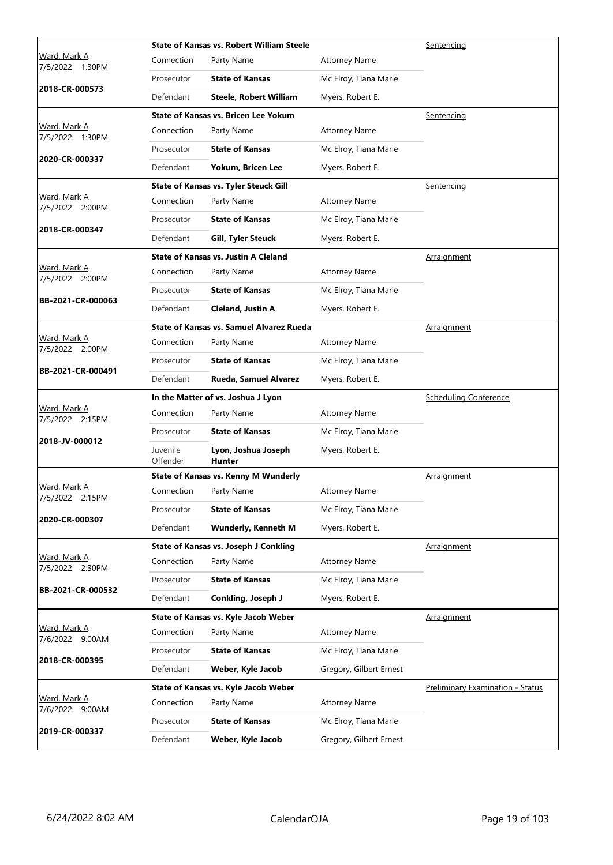|                                           |                      | <b>State of Kansas vs. Robert William Steele</b> | Sentencing              |                                         |  |
|-------------------------------------------|----------------------|--------------------------------------------------|-------------------------|-----------------------------------------|--|
| <u>Ward, Mark A</u><br>1:30PM<br>7/5/2022 | Connection           | Party Name                                       | <b>Attorney Name</b>    |                                         |  |
|                                           | Prosecutor           | <b>State of Kansas</b>                           | Mc Elroy, Tiana Marie   |                                         |  |
| 2018-CR-000573                            | Defendant            | <b>Steele, Robert William</b>                    | Myers, Robert E.        |                                         |  |
|                                           |                      | <b>State of Kansas vs. Bricen Lee Yokum</b>      |                         | Sentencing                              |  |
| <u>Ward, Mark A</u><br>7/5/2022 1:30PM    | Connection           | Party Name                                       | <b>Attorney Name</b>    |                                         |  |
|                                           | Prosecutor           | <b>State of Kansas</b>                           | Mc Elroy, Tiana Marie   |                                         |  |
| 2020-CR-000337                            | Defendant            | Yokum, Bricen Lee                                | Myers, Robert E.        |                                         |  |
|                                           |                      | <b>State of Kansas vs. Tyler Steuck Gill</b>     |                         | Sentencing                              |  |
| Ward, Mark A<br>7/5/2022 2:00PM           | Connection           | Party Name                                       | <b>Attorney Name</b>    |                                         |  |
|                                           | Prosecutor           | <b>State of Kansas</b>                           | Mc Elroy, Tiana Marie   |                                         |  |
| 2018-CR-000347                            | Defendant            | <b>Gill, Tyler Steuck</b>                        | Myers, Robert E.        |                                         |  |
|                                           |                      | <b>State of Kansas vs. Justin A Cleland</b>      |                         | <b>Arraignment</b>                      |  |
| Ward, Mark A<br>7/5/2022 2:00PM           | Connection           | Party Name                                       | <b>Attorney Name</b>    |                                         |  |
|                                           | Prosecutor           | <b>State of Kansas</b>                           | Mc Elroy, Tiana Marie   |                                         |  |
| BB-2021-CR-000063                         | Defendant            | <b>Cleland, Justin A</b>                         | Myers, Robert E.        |                                         |  |
|                                           |                      | <b>State of Kansas vs. Samuel Alvarez Rueda</b>  |                         | Arraignment                             |  |
| Ward, Mark A<br>7/5/2022 2:00PM           | Connection           | Party Name                                       | <b>Attorney Name</b>    |                                         |  |
| BB-2021-CR-000491                         | Prosecutor           | <b>State of Kansas</b>                           | Mc Elroy, Tiana Marie   |                                         |  |
|                                           | Defendant            | Rueda, Samuel Alvarez                            | Myers, Robert E.        |                                         |  |
|                                           |                      | In the Matter of vs. Joshua J Lyon               |                         | <b>Scheduling Conference</b>            |  |
| Ward, Mark A                              | Connection           | Party Name                                       | <b>Attorney Name</b>    |                                         |  |
| 7/5/2022 2:15PM                           |                      |                                                  |                         |                                         |  |
|                                           | Prosecutor           | <b>State of Kansas</b>                           | Mc Elroy, Tiana Marie   |                                         |  |
| 2018-JV-000012                            | Juvenile<br>Offender | Lyon, Joshua Joseph<br><b>Hunter</b>             | Myers, Robert E.        |                                         |  |
|                                           |                      | <b>State of Kansas vs. Kenny M Wunderly</b>      |                         | <b>Arraignment</b>                      |  |
| Ward, Mark A<br>7/5/2022 2:15PM           | Connection           | Party Name                                       | <b>Attorney Name</b>    |                                         |  |
|                                           | Prosecutor           | <b>State of Kansas</b>                           | Mc Elroy, Tiana Marie   |                                         |  |
| 2020-CR-000307                            | Defendant            | <b>Wunderly, Kenneth M</b>                       | Myers, Robert E.        |                                         |  |
|                                           |                      | State of Kansas vs. Joseph J Conkling            |                         | Arraignment                             |  |
| Ward, Mark A<br>7/5/2022 2:30PM           | Connection           | Party Name                                       | <b>Attorney Name</b>    |                                         |  |
|                                           | Prosecutor           | <b>State of Kansas</b>                           | Mc Elroy, Tiana Marie   |                                         |  |
| BB-2021-CR-000532                         | Defendant            | Conkling, Joseph J                               | Myers, Robert E.        |                                         |  |
|                                           |                      | State of Kansas vs. Kyle Jacob Weber             |                         | Arraignment                             |  |
| Ward, Mark A<br>7/6/2022 9:00AM           | Connection           | Party Name                                       | <b>Attorney Name</b>    |                                         |  |
|                                           | Prosecutor           | <b>State of Kansas</b>                           | Mc Elroy, Tiana Marie   |                                         |  |
| 2018-CR-000395                            | Defendant            | Weber, Kyle Jacob                                | Gregory, Gilbert Ernest |                                         |  |
|                                           |                      | State of Kansas vs. Kyle Jacob Weber             |                         | <b>Preliminary Examination - Status</b> |  |
| Ward, Mark A<br>7/6/2022 9:00AM           | Connection           | Party Name                                       | <b>Attorney Name</b>    |                                         |  |
| 2019-CR-000337                            | Prosecutor           | <b>State of Kansas</b>                           | Mc Elroy, Tiana Marie   |                                         |  |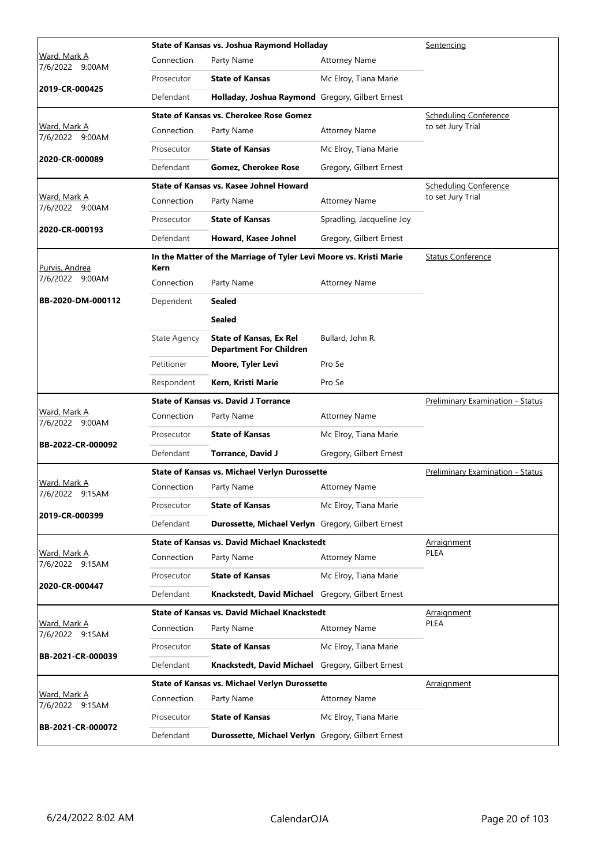|                                        |                     | State of Kansas vs. Joshua Raymond Holladay                        |                                  | Sentencing                       |
|----------------------------------------|---------------------|--------------------------------------------------------------------|----------------------------------|----------------------------------|
| Ward, Mark A<br>7/6/2022 9:00AM        | Connection          | Party Name                                                         | <b>Attorney Name</b>             |                                  |
|                                        | Prosecutor          | <b>State of Kansas</b>                                             | Mc Elroy, Tiana Marie            |                                  |
| 2019-CR-000425                         | Defendant           | Holladay, Joshua Raymond Gregory, Gilbert Ernest                   |                                  |                                  |
|                                        |                     | <b>State of Kansas vs. Cherokee Rose Gomez</b>                     |                                  | <b>Scheduling Conference</b>     |
| <u>Ward, Mark A</u><br>7/6/2022 9:00AM | Connection          | Party Name                                                         | <b>Attorney Name</b>             | to set Jury Trial                |
|                                        | Prosecutor          | <b>State of Kansas</b>                                             | Mc Elroy, Tiana Marie            |                                  |
| 2020-CR-000089                         | Defendant           | <b>Gomez, Cherokee Rose</b>                                        | Gregory, Gilbert Ernest          |                                  |
|                                        |                     | State of Kansas vs. Kasee Johnel Howard                            |                                  | <b>Scheduling Conference</b>     |
| Ward, Mark A<br>7/6/2022 9:00AM        | Connection          | Party Name                                                         | <b>Attorney Name</b>             | to set Jury Trial                |
|                                        | Prosecutor          | <b>State of Kansas</b>                                             | Spradling, Jacqueline Joy        |                                  |
| 2020-CR-000193                         | Defendant           | Howard, Kasee Johnel                                               | Gregory, Gilbert Ernest          |                                  |
| Purvis, Andrea                         | Kern                | In the Matter of the Marriage of Tyler Levi Moore vs. Kristi Marie |                                  | <b>Status Conference</b>         |
| 7/6/2022 9:00AM                        | Connection          | Party Name                                                         | <b>Attorney Name</b>             |                                  |
| BB-2020-DM-000112                      | Dependent           | <b>Sealed</b>                                                      |                                  |                                  |
|                                        |                     | <b>Sealed</b>                                                      |                                  |                                  |
|                                        | <b>State Agency</b> | <b>State of Kansas, Ex Rel</b><br><b>Department For Children</b>   | Bullard, John R.                 |                                  |
|                                        | Petitioner          | Moore, Tyler Levi                                                  | Pro Se                           |                                  |
|                                        | Respondent          | Kern, Kristi Marie                                                 | Pro Se                           |                                  |
|                                        |                     | <b>State of Kansas vs. David J Torrance</b>                        |                                  | Preliminary Examination - Status |
| Ward, Mark A<br>7/6/2022 9:00AM        | Connection          | Party Name                                                         | <b>Attorney Name</b>             |                                  |
|                                        | Prosecutor          | <b>State of Kansas</b>                                             | Mc Elroy, Tiana Marie            |                                  |
| BB-2022-CR-000092                      | Defendant           | <b>Torrance, David J</b>                                           | Gregory, Gilbert Ernest          |                                  |
|                                        |                     | <b>State of Kansas vs. Michael Verlyn Durossette</b>               | Preliminary Examination - Status |                                  |
| Ward, Mark A<br>7/6/2022 9:15AM        | Connection          | Party Name                                                         | <b>Attorney Name</b>             |                                  |
|                                        | Prosecutor          | <b>State of Kansas</b>                                             | Mc Elroy, Tiana Marie            |                                  |
| 2019-CR-000399                         | Defendant           | Durossette, Michael Verlyn Gregory, Gilbert Ernest                 |                                  |                                  |
|                                        |                     | <b>State of Kansas vs. David Michael Knackstedt</b>                |                                  | <b>Arraignment</b>               |
| Ward, Mark A<br>7/6/2022 9:15AM        | Connection          | Party Name                                                         | <b>Attorney Name</b>             | PLEA                             |
| 2020-CR-000447                         | Prosecutor          | <b>State of Kansas</b>                                             | Mc Elroy, Tiana Marie            |                                  |
|                                        | Defendant           | Knackstedt, David Michael                                          | Gregory, Gilbert Ernest          |                                  |
|                                        |                     | <b>State of Kansas vs. David Michael Knackstedt</b>                |                                  | Arraignment                      |
| <u>Ward, Mark A</u><br>7/6/2022 9:15AM | Connection          | Party Name                                                         | <b>Attorney Name</b>             | PLEA                             |
| BB-2021-CR-000039                      | Prosecutor          | <b>State of Kansas</b>                                             | Mc Elroy, Tiana Marie            |                                  |
|                                        | Defendant           | Knackstedt, David Michael Gregory, Gilbert Ernest                  |                                  |                                  |
|                                        |                     | State of Kansas vs. Michael Verlyn Durossette                      |                                  | Arraignment                      |
| Ward, Mark A<br>7/6/2022 9:15AM        | Connection          | Party Name                                                         | <b>Attorney Name</b>             |                                  |
|                                        |                     |                                                                    |                                  |                                  |
| BB-2021-CR-000072                      | Prosecutor          | <b>State of Kansas</b>                                             | Mc Elroy, Tiana Marie            |                                  |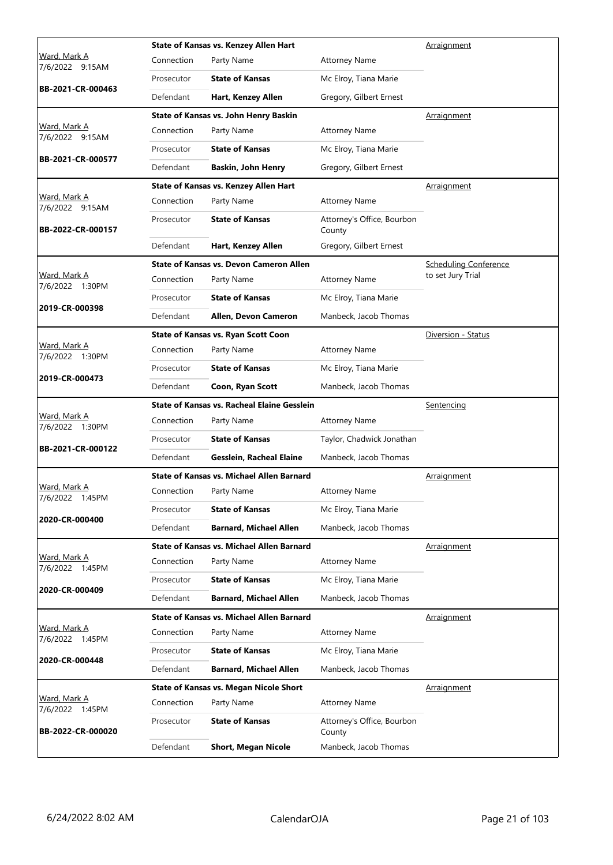|                                        |            | State of Kansas vs. Kenzey Allen Hart              |                                      | Arraignment                  |  |  |
|----------------------------------------|------------|----------------------------------------------------|--------------------------------------|------------------------------|--|--|
| <u>Ward, Mark A</u><br>7/6/2022 9:15AM | Connection | Party Name                                         | <b>Attorney Name</b>                 |                              |  |  |
|                                        | Prosecutor | <b>State of Kansas</b>                             | Mc Elroy, Tiana Marie                |                              |  |  |
| BB-2021-CR-000463                      | Defendant  | Hart, Kenzey Allen                                 | Gregory, Gilbert Ernest              |                              |  |  |
|                                        |            | <b>State of Kansas vs. John Henry Baskin</b>       |                                      | Arraignment                  |  |  |
| <u>Ward, Mark A</u><br>7/6/2022 9:15AM | Connection | Party Name                                         | <b>Attorney Name</b>                 |                              |  |  |
|                                        | Prosecutor | <b>State of Kansas</b>                             | Mc Elroy, Tiana Marie                |                              |  |  |
| BB-2021-CR-000577                      | Defendant  | Baskin, John Henry                                 | Gregory, Gilbert Ernest              |                              |  |  |
|                                        |            | <b>State of Kansas vs. Kenzey Allen Hart</b>       |                                      | <u>Arraignment</u>           |  |  |
| Ward, Mark A<br>7/6/2022 9:15AM        | Connection | Party Name                                         | <b>Attorney Name</b>                 |                              |  |  |
| BB-2022-CR-000157                      | Prosecutor | <b>State of Kansas</b>                             | Attorney's Office, Bourbon<br>County |                              |  |  |
|                                        | Defendant  | Hart, Kenzey Allen                                 | Gregory, Gilbert Ernest              |                              |  |  |
|                                        |            | <b>State of Kansas vs. Devon Cameron Allen</b>     |                                      | <b>Scheduling Conference</b> |  |  |
| Ward, Mark A<br>7/6/2022 1:30PM        | Connection | Party Name                                         | <b>Attorney Name</b>                 | to set Jury Trial            |  |  |
|                                        | Prosecutor | <b>State of Kansas</b>                             | Mc Elroy, Tiana Marie                |                              |  |  |
| 2019-CR-000398                         | Defendant  | Allen, Devon Cameron                               | Manbeck, Jacob Thomas                |                              |  |  |
|                                        |            | <b>State of Kansas vs. Ryan Scott Coon</b>         |                                      | Diversion - Status           |  |  |
| Ward, Mark A<br>7/6/2022 1:30PM        | Connection | Party Name                                         | <b>Attorney Name</b>                 |                              |  |  |
|                                        | Prosecutor | <b>State of Kansas</b>                             | Mc Elroy, Tiana Marie                |                              |  |  |
| 2019-CR-000473                         | Defendant  | Coon, Ryan Scott                                   | Manbeck, Jacob Thomas                |                              |  |  |
|                                        |            |                                                    |                                      |                              |  |  |
|                                        |            | <b>State of Kansas vs. Racheal Elaine Gesslein</b> |                                      | <b>Sentencing</b>            |  |  |
| Ward, Mark A                           | Connection | Party Name                                         | <b>Attorney Name</b>                 |                              |  |  |
| 7/6/2022 1:30PM                        | Prosecutor | <b>State of Kansas</b>                             | Taylor, Chadwick Jonathan            |                              |  |  |
| BB-2021-CR-000122                      | Defendant  | Gesslein, Racheal Elaine                           | Manbeck, Jacob Thomas                |                              |  |  |
|                                        |            | State of Kansas vs. Michael Allen Barnard          |                                      | <u>Arraignment</u>           |  |  |
| Wa <u>rd, Mark A</u>                   | Connection | Party Name                                         | <b>Attorney Name</b>                 |                              |  |  |
| 7/6/2022 1:45PM                        | Prosecutor | <b>State of Kansas</b>                             | Mc Elroy, Tiana Marie                |                              |  |  |
| 2020-CR-000400                         | Defendant  | <b>Barnard, Michael Allen</b>                      | Manbeck, Jacob Thomas                |                              |  |  |
|                                        |            | State of Kansas vs. Michael Allen Barnard          |                                      | <b>Arraignment</b>           |  |  |
| Ward, Mark A                           | Connection | Party Name                                         | <b>Attorney Name</b>                 |                              |  |  |
| 7/6/2022 1:45PM                        | Prosecutor | <b>State of Kansas</b>                             | Mc Elroy, Tiana Marie                |                              |  |  |
| 2020-CR-000409                         | Defendant  | <b>Barnard, Michael Allen</b>                      | Manbeck, Jacob Thomas                |                              |  |  |
|                                        |            | <b>State of Kansas vs. Michael Allen Barnard</b>   |                                      | Arraignment                  |  |  |
| Ward, Mark A                           | Connection | Party Name                                         | <b>Attorney Name</b>                 |                              |  |  |
| 7/6/2022 1:45PM                        | Prosecutor | <b>State of Kansas</b>                             | Mc Elroy, Tiana Marie                |                              |  |  |
| 2020-CR-000448                         | Defendant  | <b>Barnard, Michael Allen</b>                      | Manbeck, Jacob Thomas                |                              |  |  |
|                                        |            | <b>State of Kansas vs. Megan Nicole Short</b>      |                                      | Arraignment                  |  |  |
| <u>Ward, Mark A</u>                    | Connection | Party Name                                         | <b>Attorney Name</b>                 |                              |  |  |
| 7/6/2022 1:45PM<br>BB-2022-CR-000020   | Prosecutor | <b>State of Kansas</b>                             | Attorney's Office, Bourbon<br>County |                              |  |  |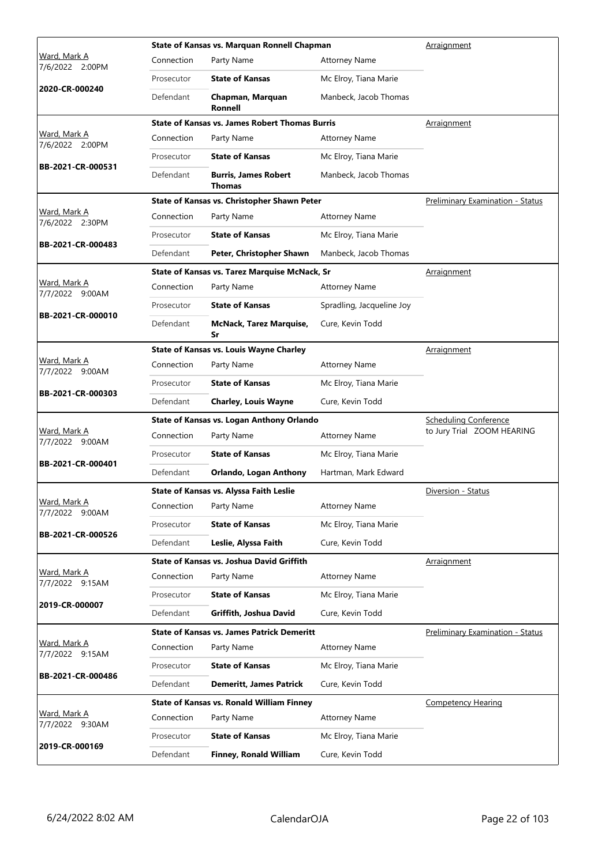|                                        | <b>State of Kansas vs. Marquan Ronnell Chapman</b> | Arraignment                                           |                           |                                  |
|----------------------------------------|----------------------------------------------------|-------------------------------------------------------|---------------------------|----------------------------------|
| Ward, Mark A<br>7/6/2022 2:00PM        | Connection                                         | Party Name                                            | <b>Attorney Name</b>      |                                  |
|                                        | Prosecutor                                         | <b>State of Kansas</b>                                | Mc Elroy, Tiana Marie     |                                  |
| 2020-CR-000240                         | Defendant                                          | Chapman, Marquan<br>Ronnell                           | Manbeck, Jacob Thomas     |                                  |
|                                        |                                                    | <b>State of Kansas vs. James Robert Thomas Burris</b> |                           | Arraignment                      |
| Ward, Mark A<br>7/6/2022 2:00PM        | Connection                                         | Party Name                                            | <b>Attorney Name</b>      |                                  |
| BB-2021-CR-000531                      | Prosecutor                                         | <b>State of Kansas</b>                                | Mc Elroy, Tiana Marie     |                                  |
|                                        | Defendant                                          | <b>Burris, James Robert</b><br><b>Thomas</b>          | Manbeck, Jacob Thomas     |                                  |
|                                        |                                                    | State of Kansas vs. Christopher Shawn Peter           |                           | Preliminary Examination - Status |
| Ward, Mark A<br>7/6/2022 2:30PM        | Connection                                         | Party Name                                            | <b>Attorney Name</b>      |                                  |
|                                        | Prosecutor                                         | <b>State of Kansas</b>                                | Mc Elroy, Tiana Marie     |                                  |
| BB-2021-CR-000483                      | Defendant                                          | Peter, Christopher Shawn                              | Manbeck, Jacob Thomas     |                                  |
|                                        |                                                    | <b>State of Kansas vs. Tarez Marquise McNack, Sr</b>  |                           | Arraignment                      |
| Ward, Mark A<br>7/7/2022 9:00AM        | Connection                                         | Party Name                                            | <b>Attorney Name</b>      |                                  |
|                                        | Prosecutor                                         | <b>State of Kansas</b>                                | Spradling, Jacqueline Joy |                                  |
| BB-2021-CR-000010                      | Defendant                                          | <b>McNack, Tarez Marquise,</b><br>Sr                  | Cure, Kevin Todd          |                                  |
|                                        |                                                    | <b>State of Kansas vs. Louis Wayne Charley</b>        |                           | Arraignment                      |
| Ward, Mark A<br>7/7/2022 9:00AM        | Connection                                         | Party Name                                            | <b>Attorney Name</b>      |                                  |
|                                        | Prosecutor                                         | <b>State of Kansas</b>                                | Mc Elroy, Tiana Marie     |                                  |
| BB-2021-CR-000303                      | Defendant                                          | <b>Charley, Louis Wayne</b>                           | Cure, Kevin Todd          |                                  |
|                                        |                                                    | State of Kansas vs. Logan Anthony Orlando             |                           | <b>Scheduling Conference</b>     |
| <u>Ward, Mark A</u><br>7/7/2022 9:00AM | Connection                                         | Party Name                                            | <b>Attorney Name</b>      | to Jury Trial ZOOM HEARING       |
| BB-2021-CR-000401                      | Prosecutor                                         | <b>State of Kansas</b>                                | Mc Elroy, Tiana Marie     |                                  |
|                                        | Defendant                                          | Orlando, Logan Anthony                                | Hartman, Mark Edward      |                                  |
|                                        |                                                    | <b>State of Kansas vs. Alyssa Faith Leslie</b>        |                           | Diversion - Status               |
| Ward, Mark A<br>7/7/2022 9:00AM        | Connection                                         | Party Name                                            | <b>Attorney Name</b>      |                                  |
|                                        | Prosecutor                                         | <b>State of Kansas</b>                                | Mc Elroy, Tiana Marie     |                                  |
| BB-2021-CR-000526                      | Defendant                                          | Leslie, Alyssa Faith                                  | Cure, Kevin Todd          |                                  |
|                                        |                                                    | <b>State of Kansas vs. Joshua David Griffith</b>      |                           | Arraignment                      |
| Ward, Mark A<br>7/7/2022 9:15AM        | Connection                                         | Party Name                                            | <b>Attorney Name</b>      |                                  |
|                                        | Prosecutor                                         | <b>State of Kansas</b>                                | Mc Elroy, Tiana Marie     |                                  |
| 2019-CR-000007                         | Defendant                                          | Griffith, Joshua David                                | Cure, Kevin Todd          |                                  |
|                                        |                                                    | <b>State of Kansas vs. James Patrick Demeritt</b>     |                           | Preliminary Examination - Status |
| <u>Ward, Mark A</u><br>7/7/2022 9:15AM | Connection                                         | Party Name                                            | <b>Attorney Name</b>      |                                  |
| BB-2021-CR-000486                      | Prosecutor                                         | <b>State of Kansas</b>                                | Mc Elroy, Tiana Marie     |                                  |
|                                        | Defendant                                          | <b>Demeritt, James Patrick</b>                        | Cure, Kevin Todd          |                                  |
|                                        |                                                    | <b>State of Kansas vs. Ronald William Finney</b>      |                           | <b>Competency Hearing</b>        |
| Ward, Mark A<br>7/7/2022 9:30AM        | Connection                                         | Party Name                                            | <b>Attorney Name</b>      |                                  |
| 2019-CR-000169                         | Prosecutor                                         | <b>State of Kansas</b>                                | Mc Elroy, Tiana Marie     |                                  |
|                                        | Defendant                                          | Finney, Ronald William                                | Cure, Kevin Todd          |                                  |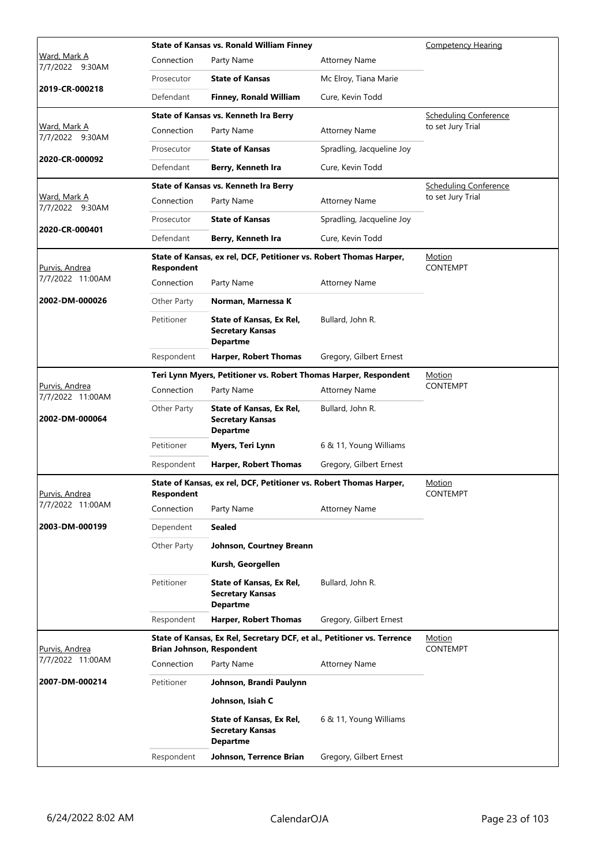|                                        |                   | <b>State of Kansas vs. Ronald William Finney</b>                                                            |                           | <b>Competency Hearing</b>        |
|----------------------------------------|-------------------|-------------------------------------------------------------------------------------------------------------|---------------------------|----------------------------------|
| <u>Ward, Mark A</u><br>7/7/2022 9:30AM | Connection        | Party Name                                                                                                  | <b>Attorney Name</b>      |                                  |
|                                        | Prosecutor        | <b>State of Kansas</b>                                                                                      | Mc Elroy, Tiana Marie     |                                  |
| 2019-CR-000218                         | Defendant         | <b>Finney, Ronald William</b>                                                                               | Cure, Kevin Todd          |                                  |
|                                        |                   | State of Kansas vs. Kenneth Ira Berry                                                                       |                           | <b>Scheduling Conference</b>     |
| Ward, Mark A<br>7/7/2022 9:30AM        | Connection        | Party Name                                                                                                  | <b>Attorney Name</b>      | to set Jury Trial                |
|                                        | Prosecutor        | <b>State of Kansas</b>                                                                                      | Spradling, Jacqueline Joy |                                  |
| 2020-CR-000092                         | Defendant         | Berry, Kenneth Ira                                                                                          | Cure, Kevin Todd          |                                  |
|                                        |                   | State of Kansas vs. Kenneth Ira Berry                                                                       |                           | <b>Scheduling Conference</b>     |
| Ward, Mark A<br>7/7/2022 9:30AM        | Connection        | Party Name                                                                                                  | <b>Attorney Name</b>      | to set Jury Trial                |
|                                        | Prosecutor        | <b>State of Kansas</b>                                                                                      | Spradling, Jacqueline Joy |                                  |
| 2020-CR-000401                         | Defendant         | Berry, Kenneth Ira                                                                                          | Cure, Kevin Todd          |                                  |
| Purvis, Andrea                         | <b>Respondent</b> | State of Kansas, ex rel, DCF, Petitioner vs. Robert Thomas Harper,                                          |                           | <b>Motion</b><br><b>CONTEMPT</b> |
| 7/7/2022 11:00AM                       | Connection        | Party Name                                                                                                  | <b>Attorney Name</b>      |                                  |
| 2002-DM-000026                         | Other Party       | Norman, Marnessa K                                                                                          |                           |                                  |
|                                        | Petitioner        | State of Kansas, Ex Rel,<br><b>Secretary Kansas</b><br><b>Departme</b>                                      | Bullard, John R.          |                                  |
|                                        | Respondent        | <b>Harper, Robert Thomas</b>                                                                                | Gregory, Gilbert Ernest   |                                  |
|                                        |                   | Teri Lynn Myers, Petitioner vs. Robert Thomas Harper, Respondent                                            |                           | Motion                           |
| Purvis, Andrea<br>7/7/2022 11:00AM     | Connection        | Party Name                                                                                                  | <b>Attorney Name</b>      | <b>CONTEMPT</b>                  |
| 2002-DM-000064                         | Other Party       | State of Kansas, Ex Rel,<br><b>Secretary Kansas</b><br><b>Departme</b>                                      | Bullard, John R.          |                                  |
|                                        | Petitioner        | Myers, Teri Lynn                                                                                            | 6 & 11, Young Williams    |                                  |
|                                        | Respondent        | <b>Harper, Robert Thomas</b>                                                                                | Gregory, Gilbert Ernest   |                                  |
| <u>Purvis, Andrea</u>                  | Respondent        | State of Kansas, ex rel, DCF, Petitioner vs. Robert Thomas Harper,                                          |                           | Motion<br><b>CONTEMPT</b>        |
| 7/7/2022 11:00AM                       | Connection        | Party Name                                                                                                  | <b>Attorney Name</b>      |                                  |
| 2003-DM-000199                         | Dependent         | <b>Sealed</b>                                                                                               |                           |                                  |
|                                        | Other Party       | Johnson, Courtney Breann                                                                                    |                           |                                  |
|                                        |                   | Kursh, Georgellen                                                                                           |                           |                                  |
|                                        | Petitioner        | State of Kansas, Ex Rel,<br><b>Secretary Kansas</b><br><b>Departme</b>                                      | Bullard, John R.          |                                  |
|                                        | Respondent        | <b>Harper, Robert Thomas</b>                                                                                | Gregory, Gilbert Ernest   |                                  |
| Purvis, Andrea                         |                   | State of Kansas, Ex Rel, Secretary DCF, et al., Petitioner vs. Terrence<br><b>Brian Johnson, Respondent</b> |                           | <u>Motion</u><br><b>CONTEMPT</b> |
| 7/7/2022 11:00AM                       | Connection        | Party Name                                                                                                  | <b>Attorney Name</b>      |                                  |
| 2007-DM-000214                         | Petitioner        | Johnson, Brandi Paulynn                                                                                     |                           |                                  |
|                                        |                   | Johnson, Isiah C                                                                                            |                           |                                  |
|                                        |                   | State of Kansas, Ex Rel,<br><b>Secretary Kansas</b><br><b>Departme</b>                                      | 6 & 11, Young Williams    |                                  |
|                                        | Respondent        | Johnson, Terrence Brian                                                                                     | Gregory, Gilbert Ernest   |                                  |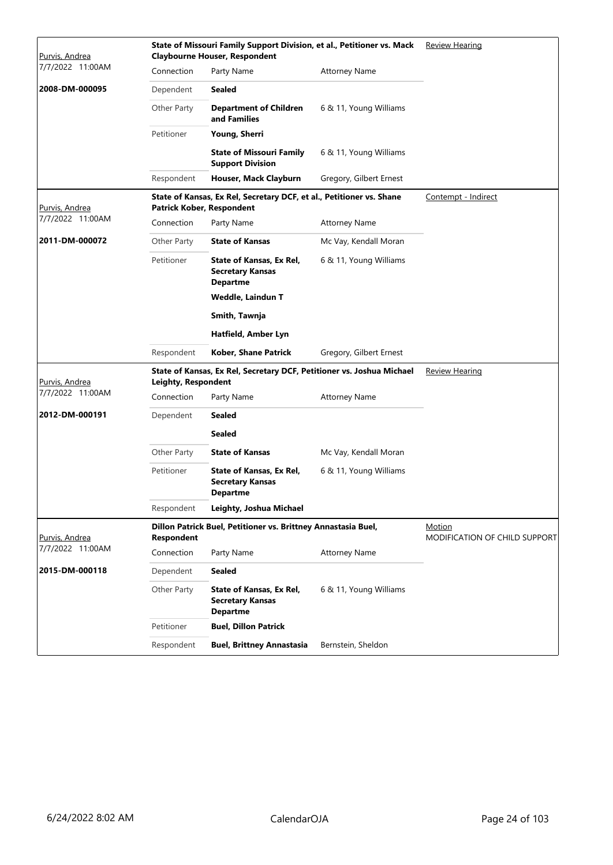| Purvis, Andrea   |                     | State of Missouri Family Support Division, et al., Petitioner vs. Mack<br><b>Claybourne Houser, Respondent</b> | <b>Review Hearing</b>   |                                                |  |
|------------------|---------------------|----------------------------------------------------------------------------------------------------------------|-------------------------|------------------------------------------------|--|
| 7/7/2022 11:00AM | Connection          | Party Name                                                                                                     | <b>Attorney Name</b>    |                                                |  |
| 2008-DM-000095   | Dependent           | <b>Sealed</b>                                                                                                  |                         |                                                |  |
|                  | Other Party         | <b>Department of Children</b><br>and Families                                                                  | 6 & 11, Young Williams  |                                                |  |
|                  | Petitioner          | Young, Sherri                                                                                                  |                         |                                                |  |
|                  |                     | <b>State of Missouri Family</b><br><b>Support Division</b>                                                     | 6 & 11, Young Williams  |                                                |  |
|                  | Respondent          | Houser, Mack Clayburn                                                                                          | Gregory, Gilbert Ernest |                                                |  |
| Purvis, Andrea   |                     | State of Kansas, Ex Rel, Secretary DCF, et al., Petitioner vs. Shane<br>Patrick Kober, Respondent              |                         | Contempt - Indirect                            |  |
| 7/7/2022 11:00AM | Connection          | Party Name                                                                                                     | Attorney Name           |                                                |  |
| 2011-DM-000072   | Other Party         | <b>State of Kansas</b>                                                                                         | Mc Vay, Kendall Moran   |                                                |  |
|                  | Petitioner          | State of Kansas, Ex Rel,<br><b>Secretary Kansas</b><br><b>Departme</b>                                         | 6 & 11, Young Williams  |                                                |  |
|                  |                     | Weddle, Laindun T                                                                                              |                         |                                                |  |
|                  |                     | Smith, Tawnja                                                                                                  |                         |                                                |  |
|                  |                     | Hatfield, Amber Lyn                                                                                            |                         |                                                |  |
|                  | Respondent          | Kober, Shane Patrick                                                                                           | Gregory, Gilbert Ernest |                                                |  |
| Purvis, Andrea   | Leighty, Respondent | State of Kansas, Ex Rel, Secretary DCF, Petitioner vs. Joshua Michael                                          | <b>Review Hearing</b>   |                                                |  |
| 7/7/2022 11:00AM | Connection          | Party Name                                                                                                     | <b>Attorney Name</b>    |                                                |  |
| 2012-DM-000191   | Dependent           | <b>Sealed</b>                                                                                                  |                         |                                                |  |
|                  |                     | <b>Sealed</b>                                                                                                  |                         |                                                |  |
|                  | Other Party         | <b>State of Kansas</b>                                                                                         | Mc Vay, Kendall Moran   |                                                |  |
|                  | Petitioner          | <b>State of Kansas, Ex Rel,</b><br><b>Secretary Kansas</b><br><b>Departme</b>                                  | 6 & 11, Young Williams  |                                                |  |
|                  | Respondent          | Leighty, Joshua Michael                                                                                        |                         |                                                |  |
| Purvis, Andrea   | Respondent          | Dillon Patrick Buel, Petitioner vs. Brittney Annastasia Buel,                                                  |                         | Motion<br><b>MODIFICATION OF CHILD SUPPORT</b> |  |
| 7/7/2022 11:00AM | Connection          | Party Name                                                                                                     | <b>Attorney Name</b>    |                                                |  |
| 2015-DM-000118   | Dependent           | <b>Sealed</b>                                                                                                  |                         |                                                |  |
|                  | Other Party         | State of Kansas, Ex Rel,<br><b>Secretary Kansas</b><br><b>Departme</b>                                         | 6 & 11, Young Williams  |                                                |  |
|                  | Petitioner          | <b>Buel, Dillon Patrick</b>                                                                                    |                         |                                                |  |
|                  | Respondent          | <b>Buel, Brittney Annastasia</b>                                                                               | Bernstein, Sheldon      |                                                |  |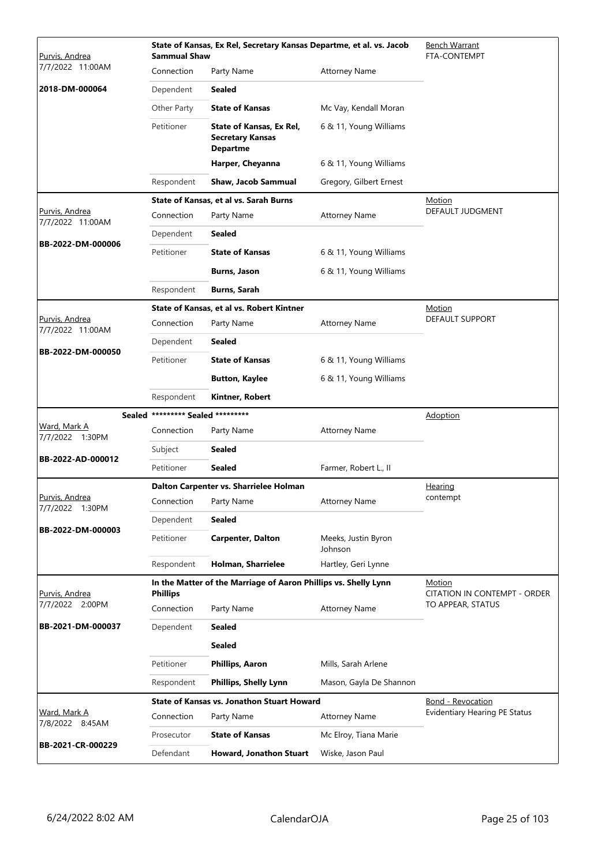| Purvis, Andrea                         | <b>Sammual Shaw</b>        | State of Kansas, Ex Rel, Secretary Kansas Departme, et al. vs. Jacob   |                                | <b>Bench Warrant</b><br>FTA-CONTEMPT   |
|----------------------------------------|----------------------------|------------------------------------------------------------------------|--------------------------------|----------------------------------------|
| 7/7/2022 11:00AM                       | Connection                 | Party Name                                                             | <b>Attorney Name</b>           |                                        |
| 2018-DM-000064                         | Dependent                  | <b>Sealed</b>                                                          |                                |                                        |
|                                        | Other Party                | <b>State of Kansas</b>                                                 | Mc Vay, Kendall Moran          |                                        |
|                                        | Petitioner                 | State of Kansas, Ex Rel,<br><b>Secretary Kansas</b><br><b>Departme</b> | 6 & 11, Young Williams         |                                        |
|                                        |                            | Harper, Cheyanna                                                       | 6 & 11, Young Williams         |                                        |
|                                        | Respondent                 | <b>Shaw, Jacob Sammual</b>                                             | Gregory, Gilbert Ernest        |                                        |
|                                        |                            | State of Kansas, et al vs. Sarah Burns                                 |                                | Motion                                 |
| Purvis, Andrea<br>7/7/2022 11:00AM     | Connection                 | Party Name                                                             | <b>Attorney Name</b>           | DEFAULT JUDGMENT                       |
|                                        | Dependent                  | Sealed                                                                 |                                |                                        |
| BB-2022-DM-000006                      | Petitioner                 | <b>State of Kansas</b>                                                 | 6 & 11, Young Williams         |                                        |
|                                        |                            | <b>Burns, Jason</b>                                                    | 6 & 11, Young Williams         |                                        |
|                                        | Respondent                 | <b>Burns, Sarah</b>                                                    |                                |                                        |
|                                        |                            | State of Kansas, et al vs. Robert Kintner                              |                                | Motion                                 |
| Purvis, Andrea<br>7/7/2022 11:00AM     | Connection                 | Party Name                                                             | <b>Attorney Name</b>           | DEFAULT SUPPORT                        |
|                                        | Dependent                  | <b>Sealed</b>                                                          |                                |                                        |
| BB-2022-DM-000050                      | Petitioner                 | <b>State of Kansas</b>                                                 | 6 & 11, Young Williams         |                                        |
|                                        |                            | <b>Button, Kaylee</b>                                                  | 6 & 11, Young Williams         |                                        |
|                                        | Respondent                 | Kintner, Robert                                                        |                                |                                        |
| <b>Sealed</b>                          | ********* Sealed ********* |                                                                        |                                | <b>Adoption</b>                        |
| <u>Ward, Mark A</u><br>7/7/2022 1:30PM | Connection                 | Party Name                                                             | <b>Attorney Name</b>           |                                        |
|                                        | Subject                    | <b>Sealed</b>                                                          |                                |                                        |
| BB-2022-AD-000012                      | Petitioner                 | <b>Sealed</b>                                                          | Farmer, Robert L., II          |                                        |
|                                        |                            | Dalton Carpenter vs. Sharrielee Holman                                 |                                | Hearing                                |
| Purvis, Andrea<br>7/7/2022 1:30PM      | Connection                 | Party Name                                                             | <b>Attorney Name</b>           | contempt                               |
| BB-2022-DM-000003                      | Dependent                  | <b>Sealed</b>                                                          |                                |                                        |
|                                        | Petitioner                 | <b>Carpenter, Dalton</b>                                               | Meeks, Justin Byron<br>Johnson |                                        |
|                                        | Respondent                 | Holman, Sharrielee                                                     | Hartley, Geri Lynne            |                                        |
| Purvis, Andrea                         | <b>Phillips</b>            | In the Matter of the Marriage of Aaron Phillips vs. Shelly Lynn        |                                | Motion<br>CITATION IN CONTEMPT - ORDER |
| 7/7/2022 2:00PM                        | Connection                 | Party Name                                                             | <b>Attorney Name</b>           | TO APPEAR, STATUS                      |
| BB-2021-DM-000037                      | Dependent                  | Sealed                                                                 |                                |                                        |
|                                        |                            | <b>Sealed</b>                                                          |                                |                                        |
|                                        | Petitioner                 | <b>Phillips, Aaron</b>                                                 | Mills, Sarah Arlene            |                                        |
|                                        | Respondent                 | <b>Phillips, Shelly Lynn</b>                                           | Mason, Gayla De Shannon        |                                        |
|                                        |                            | <b>State of Kansas vs. Jonathon Stuart Howard</b>                      |                                | <b>Bond - Revocation</b>               |
| Ward, Mark A<br>7/8/2022 8:45AM        | Connection                 | Party Name                                                             | <b>Attorney Name</b>           | <b>Evidentiary Hearing PE Status</b>   |
| BB-2021-CR-000229                      | Prosecutor                 | <b>State of Kansas</b>                                                 | Mc Elroy, Tiana Marie          |                                        |
|                                        | Defendant                  | Howard, Jonathon Stuart                                                | Wiske, Jason Paul              |                                        |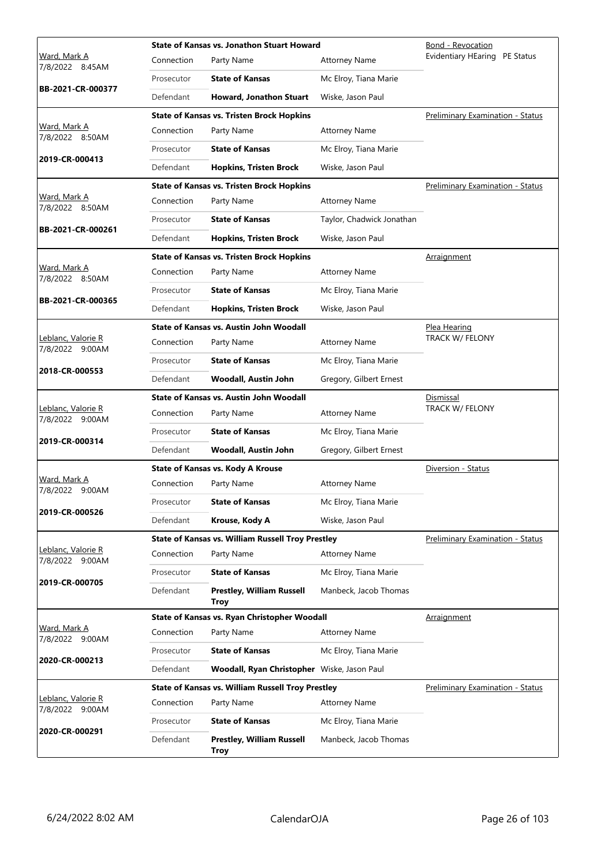|                                 |            | <b>State of Kansas vs. Jonathon Stuart Howard</b>                      |                           | Bond - Revocation                       |
|---------------------------------|------------|------------------------------------------------------------------------|---------------------------|-----------------------------------------|
| Ward, Mark A<br>7/8/2022 8:45AM | Connection | Party Name                                                             | <b>Attorney Name</b>      | Evidentiary HEaring PE Status           |
|                                 | Prosecutor | <b>State of Kansas</b>                                                 | Mc Elroy, Tiana Marie     |                                         |
| BB-2021-CR-000377               | Defendant  | <b>Howard, Jonathon Stuart</b>                                         | Wiske, Jason Paul         |                                         |
|                                 |            | <b>State of Kansas vs. Tristen Brock Hopkins</b>                       |                           | Preliminary Examination - Status        |
| Ward, Mark A<br>7/8/2022 8:50AM | Connection | Party Name                                                             | <b>Attorney Name</b>      |                                         |
|                                 | Prosecutor | <b>State of Kansas</b>                                                 | Mc Elroy, Tiana Marie     |                                         |
| 2019-CR-000413                  | Defendant  | <b>Hopkins, Tristen Brock</b>                                          | Wiske, Jason Paul         |                                         |
|                                 |            | <b>State of Kansas vs. Tristen Brock Hopkins</b>                       |                           | Preliminary Examination - Status        |
| Ward, Mark A<br>7/8/2022 8:50AM | Connection | Party Name                                                             | <b>Attorney Name</b>      |                                         |
|                                 | Prosecutor | <b>State of Kansas</b>                                                 | Taylor, Chadwick Jonathan |                                         |
| BB-2021-CR-000261               | Defendant  | <b>Hopkins, Tristen Brock</b>                                          | Wiske, Jason Paul         |                                         |
|                                 |            | <b>State of Kansas vs. Tristen Brock Hopkins</b>                       |                           | Arraignment                             |
| Ward, Mark A<br>7/8/2022 8:50AM | Connection | Party Name                                                             | <b>Attorney Name</b>      |                                         |
|                                 | Prosecutor | <b>State of Kansas</b>                                                 | Mc Elroy, Tiana Marie     |                                         |
| BB-2021-CR-000365               | Defendant  | <b>Hopkins, Tristen Brock</b>                                          | Wiske, Jason Paul         |                                         |
|                                 |            | <b>State of Kansas vs. Austin John Woodall</b>                         |                           | Plea Hearing                            |
| Leblanc, Valorie R              | Connection | Party Name                                                             | <b>Attorney Name</b>      | TRACK W/ FELONY                         |
| 7/8/2022 9:00AM                 | Prosecutor | <b>State of Kansas</b>                                                 | Mc Elroy, Tiana Marie     |                                         |
| 2018-CR-000553                  | Defendant  | Woodall, Austin John                                                   | Gregory, Gilbert Ernest   |                                         |
|                                 |            | <b>State of Kansas vs. Austin John Woodall</b>                         |                           | Dismissal                               |
| Leblanc, Valorie R              | Connection | Party Name                                                             | <b>Attorney Name</b>      | TRACK W/ FELONY                         |
| 7/8/2022 9:00AM                 | Prosecutor | <b>State of Kansas</b>                                                 | Mc Elroy, Tiana Marie     |                                         |
| 2019-CR-000314                  | Defendant  | Woodall, Austin John                                                   | Gregory, Gilbert Ernest   |                                         |
|                                 |            | <b>State of Kansas vs. Kody A Krouse</b>                               |                           | Diversion - Status                      |
| Ward, Mark A                    | Connection | Party Name                                                             | <b>Attorney Name</b>      |                                         |
| 7/8/2022 9:00AM                 | Prosecutor | <b>State of Kansas</b>                                                 | Mc Elroy, Tiana Marie     |                                         |
| 2019-CR-000526                  | Defendant  | Krouse, Kody A                                                         | Wiske, Jason Paul         |                                         |
|                                 |            | <b>State of Kansas vs. William Russell Troy Prestley</b>               |                           | <b>Preliminary Examination - Status</b> |
| Leblanc, Valorie R              | Connection | Party Name                                                             | <b>Attorney Name</b>      |                                         |
| 7/8/2022 9:00AM                 | Prosecutor | <b>State of Kansas</b>                                                 | Mc Elroy, Tiana Marie     |                                         |
| 2019-CR-000705                  | Defendant  | <b>Prestley, William Russell</b>                                       | Manbeck, Jacob Thomas     |                                         |
|                                 |            | Troy<br>State of Kansas vs. Ryan Christopher Woodall                   |                           | Arraignment                             |
| Ward, Mark A                    | Connection | Party Name                                                             | <b>Attorney Name</b>      |                                         |
| 7/8/2022 9:00AM                 | Prosecutor | <b>State of Kansas</b>                                                 | Mc Elroy, Tiana Marie     |                                         |
| 2020-CR-000213                  | Defendant  | Woodall, Ryan Christopher Wiske, Jason Paul                            |                           |                                         |
|                                 |            |                                                                        |                           | Preliminary Examination - Status        |
| Leblanc, Valorie R              | Connection | <b>State of Kansas vs. William Russell Troy Prestley</b><br>Party Name | <b>Attorney Name</b>      |                                         |
| 7/8/2022 9:00AM                 | Prosecutor | <b>State of Kansas</b>                                                 | Mc Elroy, Tiana Marie     |                                         |
| 2020-CR-000291                  | Defendant  | <b>Prestley, William Russell</b>                                       | Manbeck, Jacob Thomas     |                                         |
|                                 |            | Troy                                                                   |                           |                                         |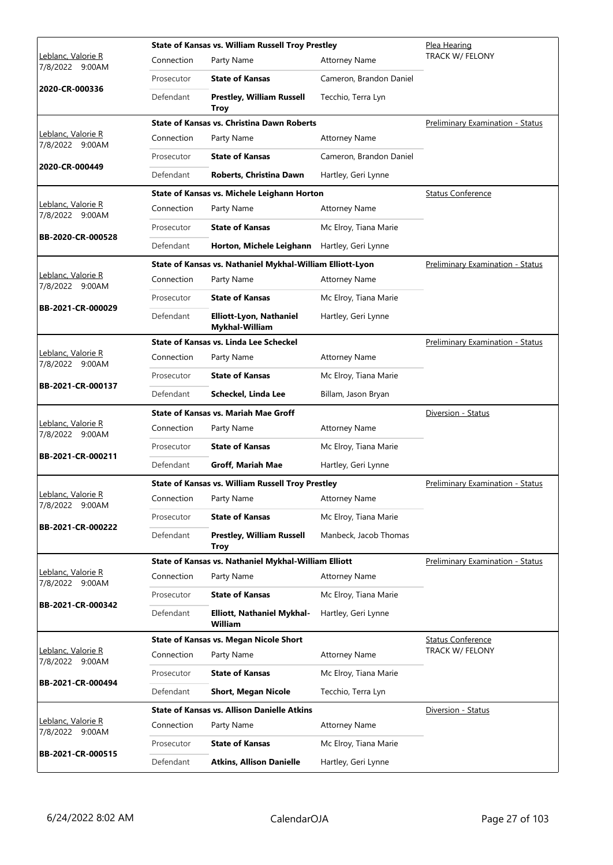|                                       |            | <b>State of Kansas vs. William Russell Troy Prestley</b>  |                         | Plea Hearing                            |
|---------------------------------------|------------|-----------------------------------------------------------|-------------------------|-----------------------------------------|
| Leblanc, Valorie R<br>7/8/2022 9:00AM | Connection | Party Name                                                | <b>Attorney Name</b>    | TRACK W/ FELONY                         |
| 2020-CR-000336                        | Prosecutor | <b>State of Kansas</b>                                    | Cameron, Brandon Daniel |                                         |
|                                       | Defendant  | <b>Prestley, William Russell</b><br><b>Troy</b>           | Tecchio, Terra Lyn      |                                         |
|                                       |            | <b>State of Kansas vs. Christina Dawn Roberts</b>         |                         | <b>Preliminary Examination - Status</b> |
| Leblanc, Valorie R<br>7/8/2022 9:00AM | Connection | Party Name                                                | <b>Attorney Name</b>    |                                         |
| 2020-CR-000449                        | Prosecutor | <b>State of Kansas</b>                                    | Cameron, Brandon Daniel |                                         |
|                                       | Defendant  | Roberts, Christina Dawn                                   | Hartley, Geri Lynne     |                                         |
|                                       |            | State of Kansas vs. Michele Leighann Horton               |                         | <b>Status Conference</b>                |
| Leblanc, Valorie R<br>7/8/2022 9:00AM | Connection | Party Name                                                | <b>Attorney Name</b>    |                                         |
|                                       | Prosecutor | <b>State of Kansas</b>                                    | Mc Elroy, Tiana Marie   |                                         |
| BB-2020-CR-000528                     | Defendant  | Horton, Michele Leighann                                  | Hartley, Geri Lynne     |                                         |
|                                       |            | State of Kansas vs. Nathaniel Mykhal-William Elliott-Lyon |                         | Preliminary Examination - Status        |
| Leblanc, Valorie R<br>7/8/2022 9:00AM | Connection | Party Name                                                | <b>Attorney Name</b>    |                                         |
| BB-2021-CR-000029                     | Prosecutor | <b>State of Kansas</b>                                    | Mc Elroy, Tiana Marie   |                                         |
|                                       | Defendant  | Elliott-Lyon, Nathaniel<br>Mykhal-William                 | Hartley, Geri Lynne     |                                         |
|                                       |            | State of Kansas vs. Linda Lee Scheckel                    |                         | <b>Preliminary Examination - Status</b> |
| Leblanc, Valorie R<br>7/8/2022 9:00AM | Connection | Party Name                                                | <b>Attorney Name</b>    |                                         |
|                                       | Prosecutor | <b>State of Kansas</b>                                    | Mc Elroy, Tiana Marie   |                                         |
| BB-2021-CR-000137                     | Defendant  | Scheckel, Linda Lee                                       | Billam, Jason Bryan     |                                         |
|                                       |            |                                                           |                         |                                         |
|                                       |            | <b>State of Kansas vs. Mariah Mae Groff</b>               |                         | Diversion - Status                      |
| Leblanc, Valorie R                    | Connection | Party Name                                                | <b>Attorney Name</b>    |                                         |
| 7/8/2022 9:00AM                       | Prosecutor | <b>State of Kansas</b>                                    | Mc Elroy, Tiana Marie   |                                         |
| BB-2021-CR-000211                     | Defendant  | <b>Groff, Mariah Mae</b>                                  | Hartley, Geri Lynne     |                                         |
|                                       |            | <b>State of Kansas vs. William Russell Troy Prestley</b>  |                         | Preliminary Examination - Status        |
| Leblanc, Valorie R<br>7/8/2022 9:00AM |            | Connection Party Name                                     | <b>Attorney Name</b>    |                                         |
|                                       | Prosecutor | <b>State of Kansas</b>                                    | Mc Elroy, Tiana Marie   |                                         |
| BB-2021-CR-000222                     | Defendant  | <b>Prestley, William Russell</b><br><b>Troy</b>           | Manbeck, Jacob Thomas   |                                         |
|                                       |            | State of Kansas vs. Nathaniel Mykhal-William Elliott      |                         | Preliminary Examination - Status        |
| Leblanc, Valorie R<br>7/8/2022 9:00AM | Connection | Party Name                                                | <b>Attorney Name</b>    |                                         |
|                                       | Prosecutor | <b>State of Kansas</b>                                    | Mc Elroy, Tiana Marie   |                                         |
| BB-2021-CR-000342                     | Defendant  | <b>Elliott, Nathaniel Mykhal-</b><br>William              | Hartley, Geri Lynne     |                                         |
|                                       |            | <b>State of Kansas vs. Megan Nicole Short</b>             |                         | <b>Status Conference</b>                |
| Leblanc, Valorie R<br>7/8/2022 9:00AM | Connection | Party Name                                                | <b>Attorney Name</b>    | TRACK W/ FELONY                         |
|                                       | Prosecutor | <b>State of Kansas</b>                                    | Mc Elroy, Tiana Marie   |                                         |
| BB-2021-CR-000494                     | Defendant  | <b>Short, Megan Nicole</b>                                | Tecchio, Terra Lyn      |                                         |
|                                       |            | <b>State of Kansas vs. Allison Danielle Atkins</b>        |                         | Diversion - Status                      |
| Leblanc, Valorie R                    | Connection | Party Name                                                | <b>Attorney Name</b>    |                                         |
| 7/8/2022 9:00AM<br>BB-2021-CR-000515  | Prosecutor | <b>State of Kansas</b>                                    | Mc Elroy, Tiana Marie   |                                         |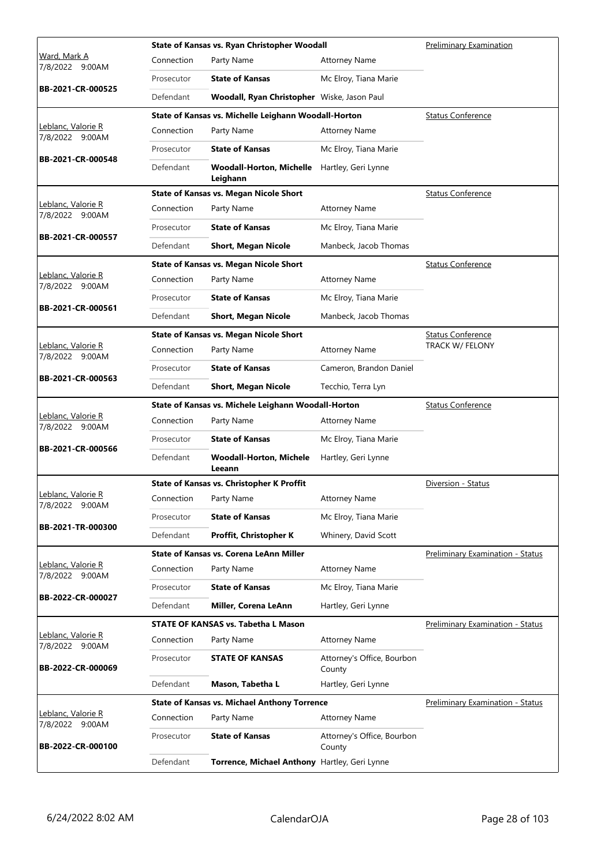|                                       |            | State of Kansas vs. Ryan Christopher Woodall         |                                      | Preliminary Examination                 |
|---------------------------------------|------------|------------------------------------------------------|--------------------------------------|-----------------------------------------|
| Ward, Mark A<br>7/8/2022 9:00AM       | Connection | Party Name                                           | <b>Attorney Name</b>                 |                                         |
|                                       | Prosecutor | <b>State of Kansas</b>                               | Mc Elroy, Tiana Marie                |                                         |
| BB-2021-CR-000525                     | Defendant  | Woodall, Ryan Christopher Wiske, Jason Paul          |                                      |                                         |
|                                       |            | State of Kansas vs. Michelle Leighann Woodall-Horton |                                      | <b>Status Conference</b>                |
| Leblanc, Valorie R<br>7/8/2022 9:00AM | Connection | Party Name                                           | <b>Attorney Name</b>                 |                                         |
| BB-2021-CR-000548                     | Prosecutor | <b>State of Kansas</b>                               | Mc Elroy, Tiana Marie                |                                         |
|                                       | Defendant  | <b>Woodall-Horton, Michelle</b><br>Leighann          | Hartley, Geri Lynne                  |                                         |
|                                       |            | <b>State of Kansas vs. Megan Nicole Short</b>        |                                      | <b>Status Conference</b>                |
| Leblanc, Valorie R<br>7/8/2022 9:00AM | Connection | Party Name                                           | <b>Attorney Name</b>                 |                                         |
|                                       | Prosecutor | <b>State of Kansas</b>                               | Mc Elroy, Tiana Marie                |                                         |
| BB-2021-CR-000557                     | Defendant  | <b>Short, Megan Nicole</b>                           | Manbeck, Jacob Thomas                |                                         |
|                                       |            | <b>State of Kansas vs. Megan Nicole Short</b>        |                                      | <b>Status Conference</b>                |
| Leblanc, Valorie R<br>7/8/2022 9:00AM | Connection | Party Name                                           | <b>Attorney Name</b>                 |                                         |
|                                       | Prosecutor | <b>State of Kansas</b>                               | Mc Elroy, Tiana Marie                |                                         |
| BB-2021-CR-000561                     | Defendant  | <b>Short, Megan Nicole</b>                           | Manbeck, Jacob Thomas                |                                         |
|                                       |            | <b>State of Kansas vs. Megan Nicole Short</b>        |                                      | <b>Status Conference</b>                |
| Leblanc, Valorie R<br>7/8/2022 9:00AM | Connection | Party Name                                           | <b>Attorney Name</b>                 | TRACK W/ FELONY                         |
|                                       | Prosecutor | <b>State of Kansas</b>                               | Cameron, Brandon Daniel              |                                         |
| BB-2021-CR-000563                     | Defendant  | <b>Short, Megan Nicole</b>                           | Tecchio, Terra Lyn                   |                                         |
|                                       |            | State of Kansas vs. Michele Leighann Woodall-Horton  |                                      | <b>Status Conference</b>                |
| Leblanc, Valorie R<br>7/8/2022 9:00AM | Connection | Party Name                                           | <b>Attorney Name</b>                 |                                         |
| BB-2021-CR-000566                     | Prosecutor | <b>State of Kansas</b>                               | Mc Elroy, Tiana Marie                |                                         |
|                                       | Defendant  | <b>Woodall-Horton, Michele</b><br>Leeann             | Hartley, Geri Lynne                  |                                         |
|                                       |            | <b>State of Kansas vs. Christopher K Proffit</b>     |                                      | Diversion - Status                      |
| Leblanc, Valorie R<br>7/8/2022 9:00AM |            | Connection Party Name                                | <b>Attorney Name</b>                 |                                         |
|                                       | Prosecutor | <b>State of Kansas</b>                               | Mc Elroy, Tiana Marie                |                                         |
| BB-2021-TR-000300                     | Defendant  | Proffit, Christopher K                               | Whinery, David Scott                 |                                         |
|                                       |            | State of Kansas vs. Corena LeAnn Miller              |                                      | <b>Preliminary Examination - Status</b> |
| Leblanc, Valorie R<br>7/8/2022 9:00AM | Connection | Party Name                                           | <b>Attorney Name</b>                 |                                         |
|                                       | Prosecutor | <b>State of Kansas</b>                               | Mc Elroy, Tiana Marie                |                                         |
| BB-2022-CR-000027                     | Defendant  | Miller, Corena LeAnn                                 | Hartley, Geri Lynne                  |                                         |
|                                       |            | <b>STATE OF KANSAS vs. Tabetha L Mason</b>           |                                      | Preliminary Examination - Status        |
| Leblanc, Valorie R<br>7/8/2022 9:00AM | Connection | Party Name                                           | <b>Attorney Name</b>                 |                                         |
| BB-2022-CR-000069                     | Prosecutor | <b>STATE OF KANSAS</b>                               | Attorney's Office, Bourbon<br>County |                                         |
|                                       | Defendant  | Mason, Tabetha L                                     | Hartley, Geri Lynne                  |                                         |
|                                       |            | <b>State of Kansas vs. Michael Anthony Torrence</b>  |                                      | <b>Preliminary Examination - Status</b> |
| Leblanc, Valorie R<br>7/8/2022 9:00AM | Connection | Party Name                                           | <b>Attorney Name</b>                 |                                         |
| BB-2022-CR-000100                     | Prosecutor | <b>State of Kansas</b>                               | Attorney's Office, Bourbon<br>County |                                         |
|                                       | Defendant  | Torrence, Michael Anthony Hartley, Geri Lynne        |                                      |                                         |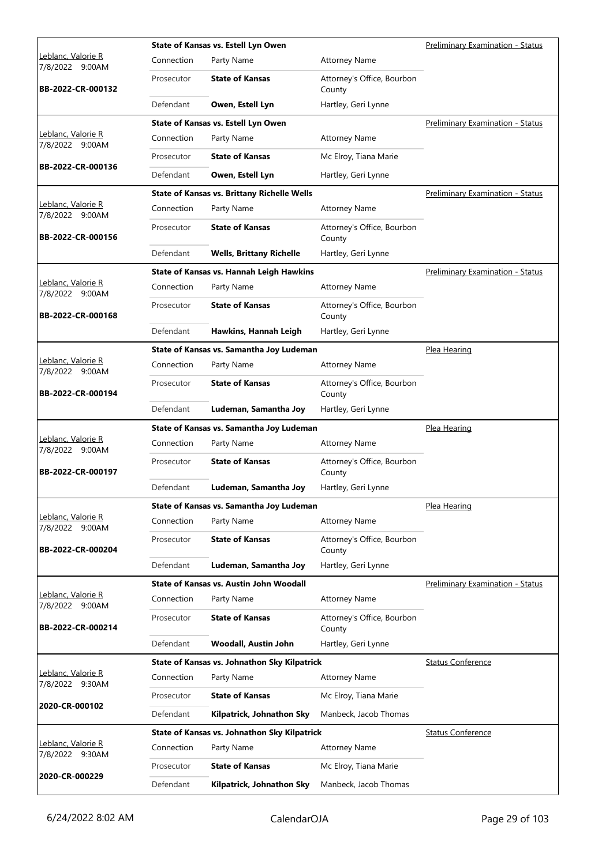|                                       |            | State of Kansas vs. Estell Lyn Owen                |                                      | Preliminary Examination - Status        |
|---------------------------------------|------------|----------------------------------------------------|--------------------------------------|-----------------------------------------|
| Leblanc, Valorie R<br>7/8/2022 9:00AM | Connection | Party Name                                         | <b>Attorney Name</b>                 |                                         |
| BB-2022-CR-000132                     | Prosecutor | <b>State of Kansas</b>                             | Attorney's Office, Bourbon<br>County |                                         |
|                                       | Defendant  | Owen, Estell Lyn                                   | Hartley, Geri Lynne                  |                                         |
|                                       |            | State of Kansas vs. Estell Lyn Owen                |                                      | <b>Preliminary Examination - Status</b> |
| Leblanc, Valorie R<br>7/8/2022 9:00AM | Connection | Party Name                                         | <b>Attorney Name</b>                 |                                         |
|                                       | Prosecutor | <b>State of Kansas</b>                             | Mc Elroy, Tiana Marie                |                                         |
| BB-2022-CR-000136                     | Defendant  | Owen, Estell Lyn                                   | Hartley, Geri Lynne                  |                                         |
|                                       |            | <b>State of Kansas vs. Brittany Richelle Wells</b> |                                      | Preliminary Examination - Status        |
| Leblanc, Valorie R<br>7/8/2022 9:00AM | Connection | Party Name                                         | <b>Attorney Name</b>                 |                                         |
| BB-2022-CR-000156                     | Prosecutor | <b>State of Kansas</b>                             | Attorney's Office, Bourbon<br>County |                                         |
|                                       | Defendant  | <b>Wells, Brittany Richelle</b>                    | Hartley, Geri Lynne                  |                                         |
|                                       |            | <b>State of Kansas vs. Hannah Leigh Hawkins</b>    |                                      | Preliminary Examination - Status        |
| Leblanc, Valorie R<br>7/8/2022 9:00AM | Connection | Party Name                                         | <b>Attorney Name</b>                 |                                         |
| BB-2022-CR-000168                     | Prosecutor | <b>State of Kansas</b>                             | Attorney's Office, Bourbon<br>County |                                         |
|                                       | Defendant  | Hawkins, Hannah Leigh                              | Hartley, Geri Lynne                  |                                         |
|                                       |            | State of Kansas vs. Samantha Joy Ludeman           |                                      | Plea Hearing                            |
| Leblanc, Valorie R<br>7/8/2022 9:00AM | Connection | Party Name                                         | <b>Attorney Name</b>                 |                                         |
| BB-2022-CR-000194                     | Prosecutor | <b>State of Kansas</b>                             | Attorney's Office, Bourbon<br>County |                                         |
|                                       | Defendant  | Ludeman, Samantha Joy                              | Hartley, Geri Lynne                  |                                         |
|                                       |            |                                                    |                                      |                                         |
|                                       |            | State of Kansas vs. Samantha Joy Ludeman           |                                      | Plea Hearing                            |
| Leblanc, Valorie R<br>7/8/2022 9:00AM | Connection | Party Name                                         | <b>Attorney Name</b>                 |                                         |
| BB-2022-CR-000197                     | Prosecutor | <b>State of Kansas</b>                             | Attorney's Office, Bourbon<br>County |                                         |
|                                       | Defendant  | Ludeman, Samantha Joy                              | Hartley, Geri Lynne                  |                                         |
|                                       |            | State of Kansas vs. Samantha Joy Ludeman           |                                      | Plea Hearing                            |
| Leblanc, Valorie R<br>7/8/2022 9:00AM | Connection | Party Name                                         | <b>Attorney Name</b>                 |                                         |
| BB-2022-CR-000204                     | Prosecutor | <b>State of Kansas</b>                             | Attorney's Office, Bourbon<br>County |                                         |
|                                       | Defendant  | Ludeman, Samantha Joy                              | Hartley, Geri Lynne                  |                                         |
|                                       |            | State of Kansas vs. Austin John Woodall            |                                      | <b>Preliminary Examination - Status</b> |
| Leblanc, Valorie R<br>7/8/2022 9:00AM | Connection | Party Name                                         | <b>Attorney Name</b>                 |                                         |
| BB-2022-CR-000214                     | Prosecutor | <b>State of Kansas</b>                             | Attorney's Office, Bourbon<br>County |                                         |
|                                       | Defendant  | Woodall, Austin John                               | Hartley, Geri Lynne                  |                                         |
|                                       |            | State of Kansas vs. Johnathon Sky Kilpatrick       |                                      | <b>Status Conference</b>                |
| Leblanc, Valorie R<br>7/8/2022 9:30AM | Connection | Party Name                                         | <b>Attorney Name</b>                 |                                         |
|                                       | Prosecutor | <b>State of Kansas</b>                             | Mc Elroy, Tiana Marie                |                                         |
| 2020-CR-000102                        | Defendant  | Kilpatrick, Johnathon Sky                          | Manbeck, Jacob Thomas                |                                         |
|                                       |            | State of Kansas vs. Johnathon Sky Kilpatrick       |                                      | <b>Status Conference</b>                |
| Leblanc, Valorie R<br>7/8/2022 9:30AM | Connection | Party Name                                         | <b>Attorney Name</b>                 |                                         |
| 2020-CR-000229                        | Prosecutor | <b>State of Kansas</b>                             | Mc Elroy, Tiana Marie                |                                         |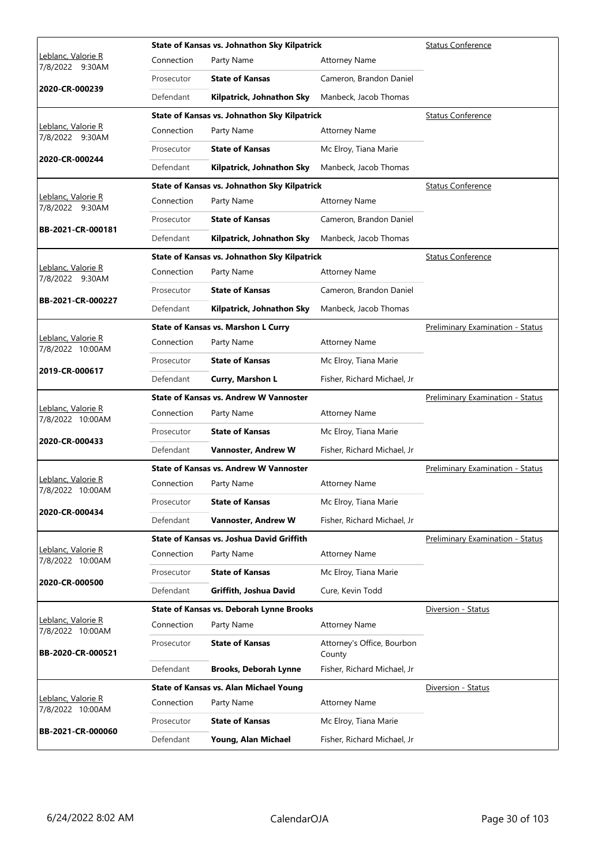|                                        |            | State of Kansas vs. Johnathon Sky Kilpatrick  |                                      | <b>Status Conference</b>                |
|----------------------------------------|------------|-----------------------------------------------|--------------------------------------|-----------------------------------------|
| Leblanc, Valorie R<br>7/8/2022 9:30AM  | Connection | Party Name                                    | <b>Attorney Name</b>                 |                                         |
|                                        | Prosecutor | <b>State of Kansas</b>                        | Cameron, Brandon Daniel              |                                         |
| 2020-CR-000239                         | Defendant  | Kilpatrick, Johnathon Sky                     | Manbeck, Jacob Thomas                |                                         |
|                                        |            | State of Kansas vs. Johnathon Sky Kilpatrick  |                                      | <b>Status Conference</b>                |
| Leblanc, Valorie R<br>7/8/2022 9:30AM  | Connection | Party Name                                    | <b>Attorney Name</b>                 |                                         |
|                                        | Prosecutor | <b>State of Kansas</b>                        | Mc Elroy, Tiana Marie                |                                         |
| 2020-CR-000244                         | Defendant  | Kilpatrick, Johnathon Sky                     | Manbeck, Jacob Thomas                |                                         |
|                                        |            | State of Kansas vs. Johnathon Sky Kilpatrick  |                                      | <b>Status Conference</b>                |
| Leblanc, Valorie R<br>7/8/2022 9:30AM  | Connection | Party Name                                    | <b>Attorney Name</b>                 |                                         |
|                                        | Prosecutor | <b>State of Kansas</b>                        | Cameron, Brandon Daniel              |                                         |
| BB-2021-CR-000181                      | Defendant  | Kilpatrick, Johnathon Sky                     | Manbeck, Jacob Thomas                |                                         |
|                                        |            | State of Kansas vs. Johnathon Sky Kilpatrick  |                                      | <b>Status Conference</b>                |
| Leblanc, Valorie R<br>7/8/2022 9:30AM  | Connection | Party Name                                    | <b>Attorney Name</b>                 |                                         |
|                                        | Prosecutor | <b>State of Kansas</b>                        | Cameron, Brandon Daniel              |                                         |
| BB-2021-CR-000227                      | Defendant  | Kilpatrick, Johnathon Sky                     | Manbeck, Jacob Thomas                |                                         |
|                                        |            | State of Kansas vs. Marshon L Curry           |                                      | Preliminary Examination - Status        |
| Leblanc, Valorie R<br>7/8/2022 10:00AM | Connection | Party Name                                    | <b>Attorney Name</b>                 |                                         |
|                                        | Prosecutor | <b>State of Kansas</b>                        | Mc Elroy, Tiana Marie                |                                         |
| 2019-CR-000617                         | Defendant  | Curry, Marshon L                              | Fisher, Richard Michael, Jr          |                                         |
|                                        |            |                                               |                                      | <b>Preliminary Examination - Status</b> |
|                                        |            | <b>State of Kansas vs. Andrew W Vannoster</b> |                                      |                                         |
| Leblanc, Valorie R<br>7/8/2022 10:00AM | Connection | Party Name                                    | <b>Attorney Name</b>                 |                                         |
|                                        | Prosecutor | <b>State of Kansas</b>                        | Mc Elroy, Tiana Marie                |                                         |
| 2020-CR-000433                         | Defendant  | Vannoster, Andrew W                           | Fisher, Richard Michael, Jr          |                                         |
|                                        |            | State of Kansas vs. Andrew W Vannoster        |                                      | <b>Preliminary Examination - Status</b> |
| Leblanc, Valorie R<br>7/8/2022 10:00AM | Connection | Party Name                                    | <b>Attorney Name</b>                 |                                         |
|                                        | Prosecutor | <b>State of Kansas</b>                        | Mc Elroy, Tiana Marie                |                                         |
| 2020-CR-000434                         | Defendant  | Vannoster, Andrew W                           | Fisher, Richard Michael, Jr          |                                         |
|                                        |            | State of Kansas vs. Joshua David Griffith     |                                      | <b>Preliminary Examination - Status</b> |
| Leblanc, Valorie R<br>7/8/2022 10:00AM | Connection | Party Name                                    | <b>Attorney Name</b>                 |                                         |
|                                        | Prosecutor | <b>State of Kansas</b>                        | Mc Elroy, Tiana Marie                |                                         |
| 2020-CR-000500                         | Defendant  | Griffith, Joshua David                        | Cure, Kevin Todd                     |                                         |
|                                        |            | State of Kansas vs. Deborah Lynne Brooks      |                                      | Diversion - Status                      |
| Leblanc, Valorie R<br>7/8/2022 10:00AM | Connection | Party Name                                    | <b>Attorney Name</b>                 |                                         |
| BB-2020-CR-000521                      | Prosecutor | <b>State of Kansas</b>                        | Attorney's Office, Bourbon<br>County |                                         |
|                                        | Defendant  | <b>Brooks, Deborah Lynne</b>                  | Fisher, Richard Michael, Jr          |                                         |
|                                        |            | <b>State of Kansas vs. Alan Michael Young</b> |                                      | Diversion - Status                      |
| Leblanc, Valorie R<br>7/8/2022 10:00AM | Connection | Party Name                                    | <b>Attorney Name</b>                 |                                         |
| BB-2021-CR-000060                      | Prosecutor | <b>State of Kansas</b>                        | Mc Elroy, Tiana Marie                |                                         |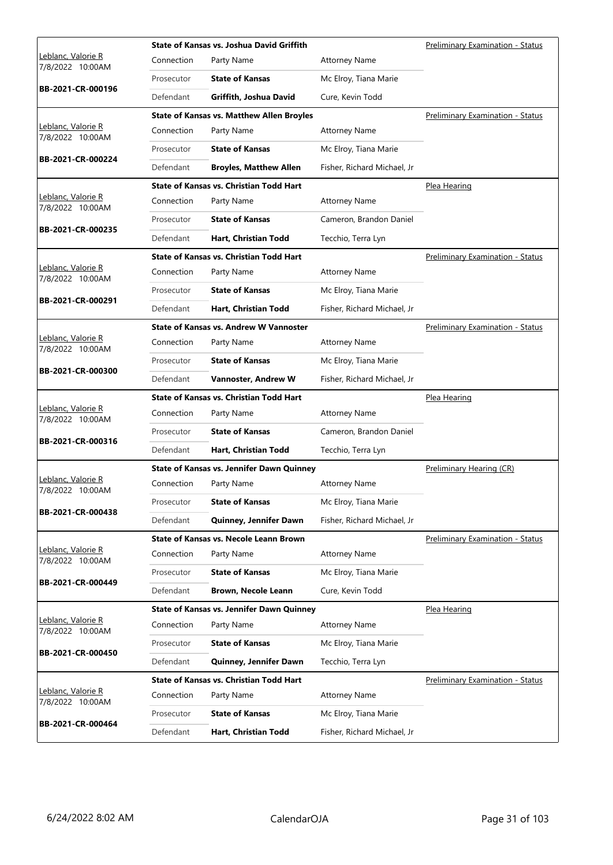|                                        |            | <b>State of Kansas vs. Joshua David Griffith</b> |                             | Preliminary Examination - Status        |
|----------------------------------------|------------|--------------------------------------------------|-----------------------------|-----------------------------------------|
| Leblanc, Valorie R<br>7/8/2022 10:00AM | Connection | Party Name                                       | <b>Attorney Name</b>        |                                         |
|                                        | Prosecutor | <b>State of Kansas</b>                           | Mc Elroy, Tiana Marie       |                                         |
| BB-2021-CR-000196                      | Defendant  | Griffith, Joshua David                           | Cure, Kevin Todd            |                                         |
|                                        |            | <b>State of Kansas vs. Matthew Allen Broyles</b> |                             | <b>Preliminary Examination - Status</b> |
| Leblanc, Valorie R<br>7/8/2022 10:00AM | Connection | Party Name                                       | <b>Attorney Name</b>        |                                         |
|                                        | Prosecutor | <b>State of Kansas</b>                           | Mc Elroy, Tiana Marie       |                                         |
| BB-2021-CR-000224                      | Defendant  | <b>Broyles, Matthew Allen</b>                    | Fisher, Richard Michael, Jr |                                         |
|                                        |            | <b>State of Kansas vs. Christian Todd Hart</b>   |                             | Plea Hearing                            |
| Leblanc, Valorie R<br>7/8/2022 10:00AM | Connection | Party Name                                       | <b>Attorney Name</b>        |                                         |
|                                        | Prosecutor | <b>State of Kansas</b>                           | Cameron, Brandon Daniel     |                                         |
| BB-2021-CR-000235                      | Defendant  | Hart, Christian Todd                             | Tecchio, Terra Lyn          |                                         |
|                                        |            | <b>State of Kansas vs. Christian Todd Hart</b>   |                             | Preliminary Examination - Status        |
| Leblanc, Valorie R<br>7/8/2022 10:00AM | Connection | Party Name                                       | <b>Attorney Name</b>        |                                         |
| BB-2021-CR-000291                      | Prosecutor | <b>State of Kansas</b>                           | Mc Elroy, Tiana Marie       |                                         |
|                                        | Defendant  | Hart, Christian Todd                             | Fisher, Richard Michael, Jr |                                         |
|                                        |            | <b>State of Kansas vs. Andrew W Vannoster</b>    |                             | <b>Preliminary Examination - Status</b> |
| Leblanc, Valorie R<br>7/8/2022 10:00AM | Connection | Party Name                                       | <b>Attorney Name</b>        |                                         |
| BB-2021-CR-000300                      | Prosecutor | <b>State of Kansas</b>                           | Mc Elroy, Tiana Marie       |                                         |
|                                        | Defendant  | Vannoster, Andrew W                              | Fisher, Richard Michael, Jr |                                         |
|                                        |            |                                                  |                             |                                         |
|                                        |            | <b>State of Kansas vs. Christian Todd Hart</b>   |                             | Plea Hearing                            |
| Leblanc, Valorie R<br>7/8/2022 10:00AM | Connection | Party Name                                       | <b>Attorney Name</b>        |                                         |
|                                        | Prosecutor | <b>State of Kansas</b>                           | Cameron, Brandon Daniel     |                                         |
| BB-2021-CR-000316                      | Defendant  | Hart, Christian Todd                             | Tecchio, Terra Lyn          |                                         |
|                                        |            | <b>State of Kansas vs. Jennifer Dawn Quinney</b> |                             | Preliminary Hearing (CR)                |
| Leblanc, Valorie R<br>7/8/2022 10:00AM | Connection | Party Name                                       | <b>Attorney Name</b>        |                                         |
|                                        | Prosecutor | <b>State of Kansas</b>                           | Mc Elroy, Tiana Marie       |                                         |
| BB-2021-CR-000438                      | Defendant  | Quinney, Jennifer Dawn                           | Fisher, Richard Michael, Jr |                                         |
|                                        |            | State of Kansas vs. Necole Leann Brown           |                             | <b>Preliminary Examination - Status</b> |
| Leblanc, Valorie R<br>7/8/2022 10:00AM | Connection | Party Name                                       | <b>Attorney Name</b>        |                                         |
|                                        | Prosecutor | <b>State of Kansas</b>                           | Mc Elroy, Tiana Marie       |                                         |
| BB-2021-CR-000449                      | Defendant  | <b>Brown, Necole Leann</b>                       | Cure, Kevin Todd            |                                         |
|                                        |            | <b>State of Kansas vs. Jennifer Dawn Quinney</b> |                             | Plea Hearing                            |
| Leblanc, Valorie R<br>7/8/2022 10:00AM | Connection | Party Name                                       | <b>Attorney Name</b>        |                                         |
|                                        | Prosecutor | <b>State of Kansas</b>                           | Mc Elroy, Tiana Marie       |                                         |
| BB-2021-CR-000450                      | Defendant  | Quinney, Jennifer Dawn                           | Tecchio, Terra Lyn          |                                         |
|                                        |            | <b>State of Kansas vs. Christian Todd Hart</b>   |                             | <b>Preliminary Examination - Status</b> |
| Leblanc, Valorie R<br>7/8/2022 10:00AM | Connection | Party Name                                       | <b>Attorney Name</b>        |                                         |
| BB-2021-CR-000464                      | Prosecutor | <b>State of Kansas</b>                           | Mc Elroy, Tiana Marie       |                                         |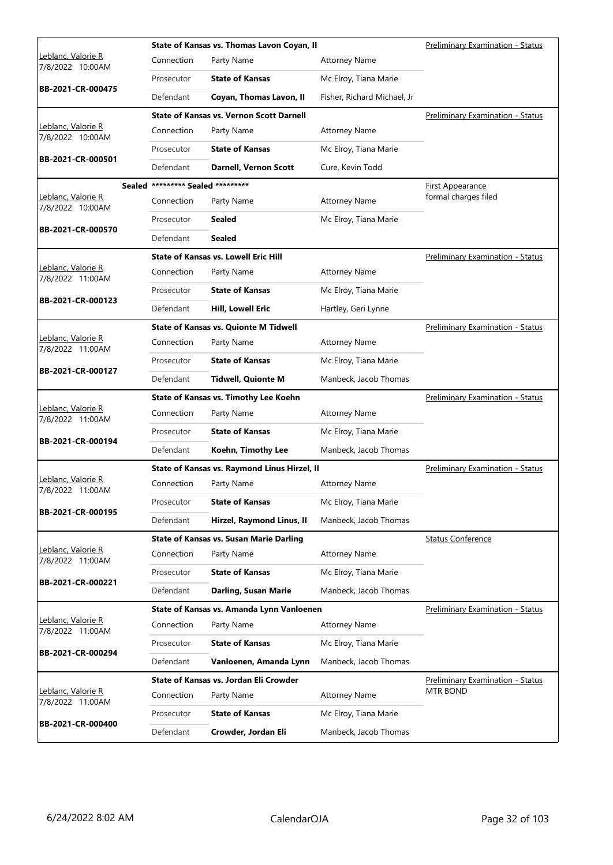|                                        |                                   | State of Kansas vs. Thomas Lavon Coyan, II      |                             | Preliminary Examination - Status        |
|----------------------------------------|-----------------------------------|-------------------------------------------------|-----------------------------|-----------------------------------------|
| Leblanc, Valorie R<br>7/8/2022 10:00AM | Connection                        | Party Name                                      | <b>Attorney Name</b>        |                                         |
|                                        | Prosecutor                        | <b>State of Kansas</b>                          | Mc Elroy, Tiana Marie       |                                         |
| BB-2021-CR-000475                      | Defendant                         | Coyan, Thomas Lavon, II                         | Fisher, Richard Michael, Jr |                                         |
|                                        |                                   | <b>State of Kansas vs. Vernon Scott Darnell</b> |                             | <b>Preliminary Examination - Status</b> |
| Leblanc, Valorie R<br>7/8/2022 10:00AM | Connection                        | Party Name                                      | <b>Attorney Name</b>        |                                         |
|                                        | Prosecutor                        | <b>State of Kansas</b>                          | Mc Elroy, Tiana Marie       |                                         |
| BB-2021-CR-000501                      | Defendant                         | <b>Darnell, Vernon Scott</b>                    | Cure, Kevin Todd            |                                         |
|                                        | Sealed ********* Sealed ********* |                                                 |                             | <b>First Appearance</b>                 |
| Leblanc, Valorie R<br>7/8/2022 10:00AM | Connection                        | Party Name                                      | <b>Attorney Name</b>        | formal charges filed                    |
| BB-2021-CR-000570                      | Prosecutor                        | <b>Sealed</b>                                   | Mc Elroy, Tiana Marie       |                                         |
|                                        | Defendant                         | <b>Sealed</b>                                   |                             |                                         |
|                                        |                                   | <b>State of Kansas vs. Lowell Eric Hill</b>     |                             | <b>Preliminary Examination - Status</b> |
| Leblanc, Valorie R<br>7/8/2022 11:00AM | Connection                        | Party Name                                      | <b>Attorney Name</b>        |                                         |
| BB-2021-CR-000123                      | Prosecutor                        | <b>State of Kansas</b>                          | Mc Elroy, Tiana Marie       |                                         |
|                                        | Defendant                         | <b>Hill, Lowell Eric</b>                        | Hartley, Geri Lynne         |                                         |
|                                        |                                   | <b>State of Kansas vs. Quionte M Tidwell</b>    |                             | Preliminary Examination - Status        |
| Leblanc, Valorie R<br>7/8/2022 11:00AM | Connection                        | Party Name                                      | <b>Attorney Name</b>        |                                         |
| BB-2021-CR-000127                      | Prosecutor                        | <b>State of Kansas</b>                          | Mc Elroy, Tiana Marie       |                                         |
|                                        | Defendant                         | <b>Tidwell, Quionte M</b>                       | Manbeck, Jacob Thomas       |                                         |
|                                        |                                   |                                                 |                             |                                         |
|                                        |                                   | State of Kansas vs. Timothy Lee Koehn           |                             | <b>Preliminary Examination - Status</b> |
| Leblanc, Valorie R<br>7/8/2022 11:00AM | Connection                        | Party Name                                      | <b>Attorney Name</b>        |                                         |
|                                        | Prosecutor                        | <b>State of Kansas</b>                          | Mc Elroy, Tiana Marie       |                                         |
| BB-2021-CR-000194                      | Defendant                         | Koehn, Timothy Lee                              | Manbeck, Jacob Thomas       |                                         |
|                                        |                                   | State of Kansas vs. Raymond Linus Hirzel, II    |                             | Preliminary Examination - Status        |
| Leblanc, Valorie R<br>7/8/2022 11:00AM | Connection                        | Party Name                                      | <b>Attorney Name</b>        |                                         |
|                                        | Prosecutor                        | <b>State of Kansas</b>                          | Mc Elroy, Tiana Marie       |                                         |
| BB-2021-CR-000195                      | Defendant                         | Hirzel, Raymond Linus, II                       | Manbeck, Jacob Thomas       |                                         |
|                                        |                                   | State of Kansas vs. Susan Marie Darling         |                             | <b>Status Conference</b>                |
| Leblanc, Valorie R<br>7/8/2022 11:00AM | Connection                        | Party Name                                      | <b>Attorney Name</b>        |                                         |
|                                        | Prosecutor                        | <b>State of Kansas</b>                          | Mc Elroy, Tiana Marie       |                                         |
| BB-2021-CR-000221                      | Defendant                         | Darling, Susan Marie                            | Manbeck, Jacob Thomas       |                                         |
|                                        |                                   | State of Kansas vs. Amanda Lynn Vanloenen       |                             | <b>Preliminary Examination - Status</b> |
| Leblanc, Valorie R<br>7/8/2022 11:00AM | Connection                        | Party Name                                      | <b>Attorney Name</b>        |                                         |
|                                        | Prosecutor                        | <b>State of Kansas</b>                          | Mc Elroy, Tiana Marie       |                                         |
| BB-2021-CR-000294                      | Defendant                         | Vanloenen, Amanda Lynn                          | Manbeck, Jacob Thomas       |                                         |
|                                        |                                   | State of Kansas vs. Jordan Eli Crowder          |                             | <b>Preliminary Examination - Status</b> |
| Leblanc, Valorie R<br>7/8/2022 11:00AM | Connection                        | Party Name                                      | <b>Attorney Name</b>        | <b>MTR BOND</b>                         |
| BB-2021-CR-000400                      | Prosecutor                        | <b>State of Kansas</b>                          | Mc Elroy, Tiana Marie       |                                         |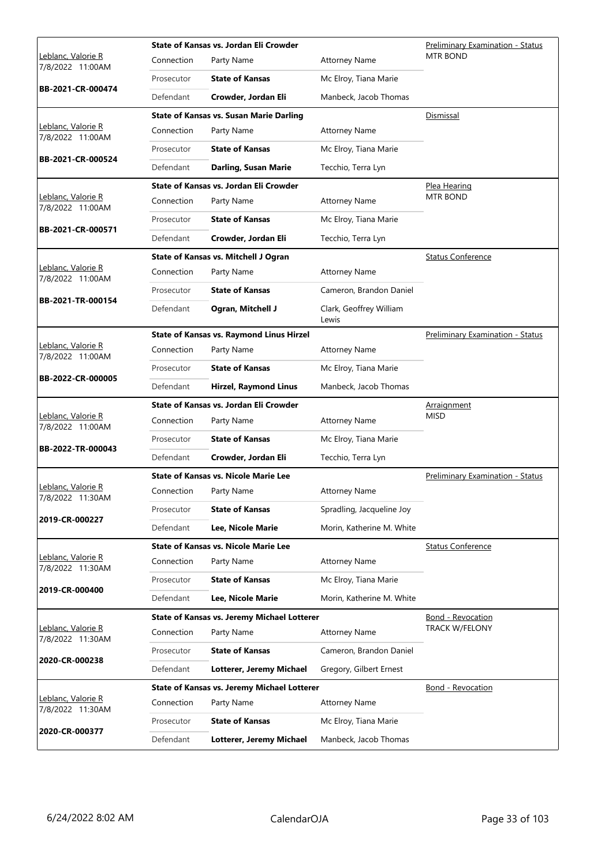|                                                |            | State of Kansas vs. Jordan Eli Crowder             |                                  | <b>Preliminary Examination - Status</b> |
|------------------------------------------------|------------|----------------------------------------------------|----------------------------------|-----------------------------------------|
| Leblanc, Valorie R<br>7/8/2022 11:00AM         | Connection | Party Name                                         | <b>Attorney Name</b>             | <b>MTR BOND</b>                         |
| BB-2021-CR-000474                              | Prosecutor | <b>State of Kansas</b>                             | Mc Elroy, Tiana Marie            |                                         |
|                                                | Defendant  | Crowder, Jordan Eli                                | Manbeck, Jacob Thomas            |                                         |
|                                                |            | <b>State of Kansas vs. Susan Marie Darling</b>     |                                  | Dismissal                               |
| Leblanc, Valorie R<br>7/8/2022 11:00AM         | Connection | Party Name                                         | <b>Attorney Name</b>             |                                         |
| BB-2021-CR-000524                              | Prosecutor | <b>State of Kansas</b>                             | Mc Elroy, Tiana Marie            |                                         |
|                                                | Defendant  | <b>Darling, Susan Marie</b>                        | Tecchio, Terra Lyn               |                                         |
|                                                |            | State of Kansas vs. Jordan Eli Crowder             |                                  | Plea Hearing                            |
| Leblanc, Valorie R<br>7/8/2022 11:00AM         | Connection | Party Name                                         | <b>Attorney Name</b>             | <b>MTR BOND</b>                         |
| BB-2021-CR-000571                              | Prosecutor | <b>State of Kansas</b>                             | Mc Elroy, Tiana Marie            |                                         |
|                                                | Defendant  | Crowder, Jordan Eli                                | Tecchio, Terra Lyn               |                                         |
|                                                |            | State of Kansas vs. Mitchell J Ogran               |                                  | <b>Status Conference</b>                |
| Leblanc, Valorie R<br>7/8/2022 11:00AM         | Connection | Party Name                                         | <b>Attorney Name</b>             |                                         |
| BB-2021-TR-000154                              | Prosecutor | <b>State of Kansas</b>                             | Cameron, Brandon Daniel          |                                         |
|                                                | Defendant  | Ogran, Mitchell J                                  | Clark, Geoffrey William<br>Lewis |                                         |
|                                                |            | <b>State of Kansas vs. Raymond Linus Hirzel</b>    |                                  | Preliminary Examination - Status        |
| Leblanc, Valorie R<br>7/8/2022 11:00AM         | Connection | Party Name                                         | <b>Attorney Name</b>             |                                         |
|                                                | Prosecutor | <b>State of Kansas</b>                             | Mc Elroy, Tiana Marie            |                                         |
| BB-2022-CR-000005                              | Defendant  | <b>Hirzel, Raymond Linus</b>                       | Manbeck, Jacob Thomas            |                                         |
|                                                |            | State of Kansas vs. Jordan Eli Crowder             |                                  | Arraignment                             |
| Leblanc, Valorie R<br>7/8/2022 11:00AM         | Connection | Party Name                                         | <b>Attorney Name</b>             | <b>MISD</b>                             |
| BB-2022-TR-000043                              | Prosecutor | <b>State of Kansas</b>                             | Mc Elroy, Tiana Marie            |                                         |
|                                                | Defendant  | Crowder, Jordan Eli                                | Tecchio, Terra Lyn               |                                         |
|                                                |            | <b>State of Kansas vs. Nicole Marie Lee</b>        |                                  | <b>Preliminary Examination - Status</b> |
| <u> Leblanc, Valorie R</u><br>7/8/2022 11:30AM | Connection | Party Name                                         | <b>Attorney Name</b>             |                                         |
| 2019-CR-000227                                 | Prosecutor | <b>State of Kansas</b>                             | Spradling, Jacqueline Joy        |                                         |
|                                                | Defendant  | Lee, Nicole Marie                                  | Morin, Katherine M. White        |                                         |
|                                                |            | <b>State of Kansas vs. Nicole Marie Lee</b>        |                                  | <b>Status Conference</b>                |
| Leblanc, Valorie R<br>7/8/2022 11:30AM         | Connection | Party Name                                         | <b>Attorney Name</b>             |                                         |
| 2019-CR-000400                                 | Prosecutor | <b>State of Kansas</b>                             | Mc Elroy, Tiana Marie            |                                         |
|                                                | Defendant  | Lee, Nicole Marie                                  | Morin, Katherine M. White        |                                         |
|                                                |            | <b>State of Kansas vs. Jeremy Michael Lotterer</b> |                                  | <b>Bond - Revocation</b>                |
| Leblanc, Valorie R<br>7/8/2022 11:30AM         | Connection | Party Name                                         | <b>Attorney Name</b>             | <b>TRACK W/FELONY</b>                   |
| 2020-CR-000238                                 | Prosecutor | <b>State of Kansas</b>                             | Cameron, Brandon Daniel          |                                         |
|                                                | Defendant  | Lotterer, Jeremy Michael                           | Gregory, Gilbert Ernest          |                                         |
|                                                |            | <b>State of Kansas vs. Jeremy Michael Lotterer</b> |                                  | <b>Bond - Revocation</b>                |
| Leblanc, Valorie R<br>7/8/2022 11:30AM         | Connection | Party Name                                         | <b>Attorney Name</b>             |                                         |
| 2020-CR-000377                                 | Prosecutor | <b>State of Kansas</b>                             | Mc Elroy, Tiana Marie            |                                         |
|                                                | Defendant  | Lotterer, Jeremy Michael                           | Manbeck, Jacob Thomas            |                                         |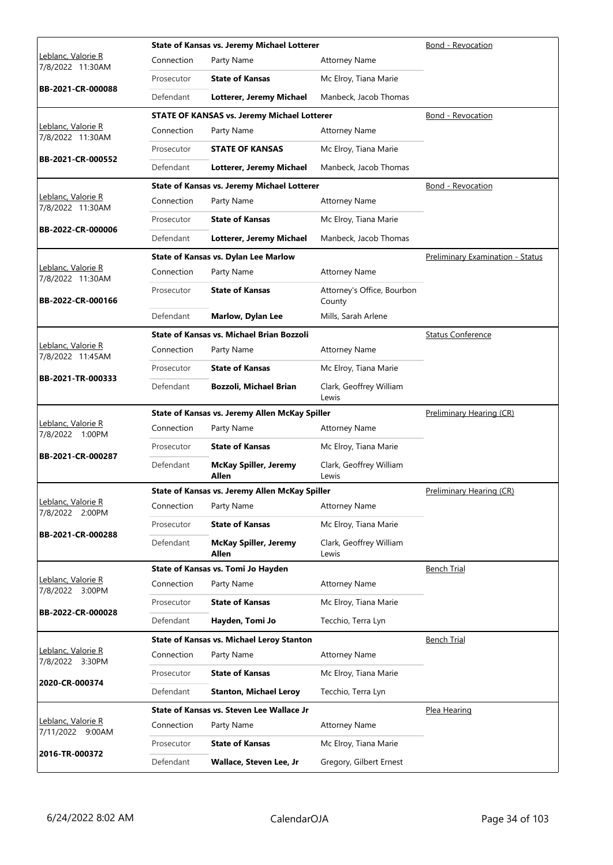|                                                |            | State of Kansas vs. Jeremy Michael Lotterer        |                                      | Bond - Revocation                       |
|------------------------------------------------|------------|----------------------------------------------------|--------------------------------------|-----------------------------------------|
| <u> Leblanc, Valorie R</u><br>7/8/2022 11:30AM | Connection | Party Name                                         | <b>Attorney Name</b>                 |                                         |
|                                                | Prosecutor | <b>State of Kansas</b>                             | Mc Elroy, Tiana Marie                |                                         |
| BB-2021-CR-000088                              | Defendant  | Lotterer, Jeremy Michael                           | Manbeck, Jacob Thomas                |                                         |
|                                                |            | <b>STATE OF KANSAS vs. Jeremy Michael Lotterer</b> |                                      | Bond - Revocation                       |
| Leblanc, Valorie R<br>7/8/2022 11:30AM         | Connection | Party Name                                         | <b>Attorney Name</b>                 |                                         |
|                                                | Prosecutor | <b>STATE OF KANSAS</b>                             | Mc Elroy, Tiana Marie                |                                         |
| BB-2021-CR-000552                              | Defendant  | Lotterer, Jeremy Michael                           | Manbeck, Jacob Thomas                |                                         |
|                                                |            | State of Kansas vs. Jeremy Michael Lotterer        |                                      | Bond - Revocation                       |
| Leblanc, Valorie R<br>7/8/2022 11:30AM         | Connection | Party Name                                         | <b>Attorney Name</b>                 |                                         |
|                                                | Prosecutor | <b>State of Kansas</b>                             | Mc Elroy, Tiana Marie                |                                         |
| BB-2022-CR-000006                              | Defendant  | Lotterer, Jeremy Michael                           | Manbeck, Jacob Thomas                |                                         |
|                                                |            | State of Kansas vs. Dylan Lee Marlow               |                                      | <b>Preliminary Examination - Status</b> |
| Leblanc, Valorie R<br>7/8/2022 11:30AM         | Connection | Party Name                                         | <b>Attorney Name</b>                 |                                         |
| BB-2022-CR-000166                              | Prosecutor | <b>State of Kansas</b>                             | Attorney's Office, Bourbon<br>County |                                         |
|                                                | Defendant  | Marlow, Dylan Lee                                  | Mills, Sarah Arlene                  |                                         |
|                                                |            | <b>State of Kansas vs. Michael Brian Bozzoli</b>   |                                      | <b>Status Conference</b>                |
| Leblanc, Valorie R<br>7/8/2022 11:45AM         | Connection | Party Name                                         | <b>Attorney Name</b>                 |                                         |
|                                                | Prosecutor | <b>State of Kansas</b>                             | Mc Elroy, Tiana Marie                |                                         |
| BB-2021-TR-000333                              | Defendant  | Bozzoli, Michael Brian                             | Clark, Geoffrey William<br>Lewis     |                                         |
|                                                |            | State of Kansas vs. Jeremy Allen McKay Spiller     |                                      | Preliminary Hearing (CR)                |
| Leblanc, Valorie R                             | Connection | Party Name                                         | <b>Attorney Name</b>                 |                                         |
| 7/8/2022 1:00PM                                |            |                                                    |                                      |                                         |
|                                                | Prosecutor | <b>State of Kansas</b>                             | Mc Elroy, Tiana Marie                |                                         |
| BB-2021-CR-000287                              | Defendant  | <b>McKay Spiller, Jeremy</b><br>Allen              | Clark, Geoffrey William<br>Lewis     |                                         |
|                                                |            | State of Kansas vs. Jeremy Allen McKay Spiller     |                                      | Preliminary Hearing (CR)                |
| Leblanc, Valorie R<br>7/8/2022 2:00PM          | Connection | Party Name                                         | <b>Attorney Name</b>                 |                                         |
|                                                | Prosecutor | <b>State of Kansas</b>                             | Mc Elroy, Tiana Marie                |                                         |
| BB-2021-CR-000288                              | Defendant  | <b>McKay Spiller, Jeremy</b><br>Allen              | Clark, Geoffrey William<br>Lewis     |                                         |
|                                                |            | State of Kansas vs. Tomi Jo Hayden                 |                                      | <b>Bench Trial</b>                      |
| Leblanc, Valorie R<br>7/8/2022 3:00PM          | Connection | Party Name                                         | <b>Attorney Name</b>                 |                                         |
|                                                | Prosecutor | <b>State of Kansas</b>                             | Mc Elroy, Tiana Marie                |                                         |
| BB-2022-CR-000028                              | Defendant  | Hayden, Tomi Jo                                    | Tecchio, Terra Lyn                   |                                         |
|                                                |            | <b>State of Kansas vs. Michael Leroy Stanton</b>   |                                      | <b>Bench Trial</b>                      |
| Leblanc, Valorie R<br>7/8/2022 3:30PM          | Connection | Party Name                                         | <b>Attorney Name</b>                 |                                         |
|                                                | Prosecutor | <b>State of Kansas</b>                             | Mc Elroy, Tiana Marie                |                                         |
| 2020-CR-000374                                 | Defendant  | <b>Stanton, Michael Leroy</b>                      | Tecchio, Terra Lyn                   |                                         |
|                                                |            | State of Kansas vs. Steven Lee Wallace Jr          |                                      | Plea Hearing                            |
| Leblanc, Valorie R<br>7/11/2022 9:00AM         | Connection | Party Name                                         | <b>Attorney Name</b>                 |                                         |
| 2016-TR-000372                                 | Prosecutor | <b>State of Kansas</b>                             | Mc Elroy, Tiana Marie                |                                         |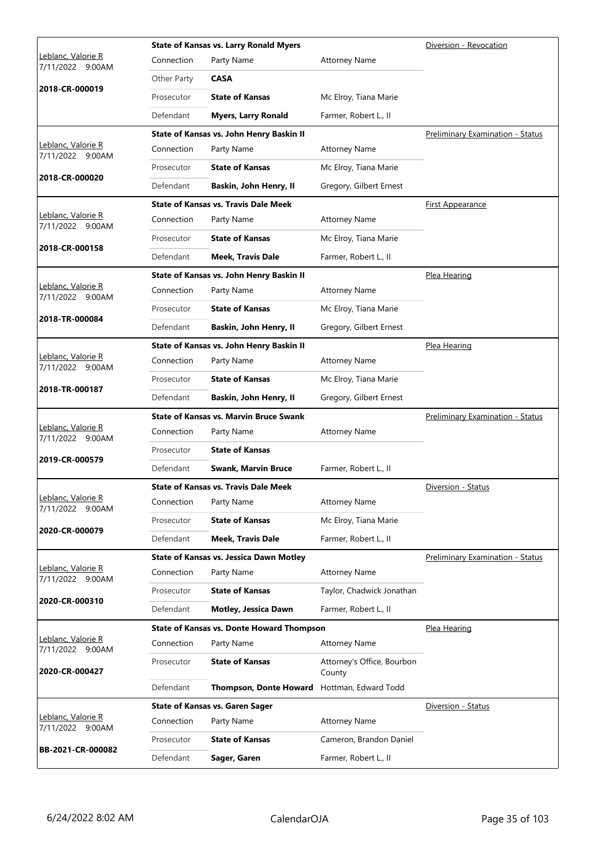|                                                |             | <b>State of Kansas vs. Larry Ronald Myers</b>    |                                      | Diversion - Revocation                  |
|------------------------------------------------|-------------|--------------------------------------------------|--------------------------------------|-----------------------------------------|
| <u> Leblanc, Valorie R</u><br>7/11/2022 9:00AM | Connection  | Party Name                                       | <b>Attorney Name</b>                 |                                         |
|                                                | Other Party | <b>CASA</b>                                      |                                      |                                         |
| 2018-CR-000019                                 | Prosecutor  | <b>State of Kansas</b>                           | Mc Elroy, Tiana Marie                |                                         |
|                                                | Defendant   | <b>Myers, Larry Ronald</b>                       | Farmer, Robert L., II                |                                         |
|                                                |             | State of Kansas vs. John Henry Baskin II         |                                      | <b>Preliminary Examination - Status</b> |
| Leblanc, Valorie R<br>7/11/2022 9:00AM         | Connection  | Party Name                                       | <b>Attorney Name</b>                 |                                         |
| 2018-CR-000020                                 | Prosecutor  | <b>State of Kansas</b>                           | Mc Elroy, Tiana Marie                |                                         |
|                                                | Defendant   | Baskin, John Henry, II                           | Gregory, Gilbert Ernest              |                                         |
|                                                |             | <b>State of Kansas vs. Travis Dale Meek</b>      |                                      | <u>First Appearance</u>                 |
| Leblanc, Valorie R<br>7/11/2022 9:00AM         | Connection  | Party Name                                       | <b>Attorney Name</b>                 |                                         |
| 2018-CR-000158                                 | Prosecutor  | <b>State of Kansas</b>                           | Mc Elroy, Tiana Marie                |                                         |
|                                                | Defendant   | <b>Meek, Travis Dale</b>                         | Farmer, Robert L., II                |                                         |
|                                                |             | State of Kansas vs. John Henry Baskin II         |                                      | Plea Hearing                            |
| Leblanc, Valorie R<br>7/11/2022 9:00AM         | Connection  | Party Name                                       | <b>Attorney Name</b>                 |                                         |
| 2018-TR-000084                                 | Prosecutor  | <b>State of Kansas</b>                           | Mc Elroy, Tiana Marie                |                                         |
|                                                | Defendant   | Baskin, John Henry, II                           | Gregory, Gilbert Ernest              |                                         |
|                                                |             | State of Kansas vs. John Henry Baskin II         |                                      | Plea Hearing                            |
| Leblanc, Valorie R<br>7/11/2022 9:00AM         | Connection  | Party Name                                       | <b>Attorney Name</b>                 |                                         |
| 2018-TR-000187                                 | Prosecutor  | <b>State of Kansas</b>                           | Mc Elroy, Tiana Marie                |                                         |
|                                                | Defendant   | Baskin, John Henry, II                           | Gregory, Gilbert Ernest              |                                         |
|                                                |             | <b>State of Kansas vs. Marvin Bruce Swank</b>    |                                      | <b>Preliminary Examination - Status</b> |
| Leblanc, Valorie R<br>7/11/2022 9:00AM         | Connection  | Party Name                                       | <b>Attorney Name</b>                 |                                         |
| 2019-CR-000579                                 | Prosecutor  | <b>State of Kansas</b>                           |                                      |                                         |
|                                                | Defendant   | <b>Swank, Marvin Bruce</b>                       | Farmer, Robert L., II                |                                         |
|                                                |             | <b>State of Kansas vs. Travis Dale Meek</b>      |                                      | Diversion - Status                      |
| Leblanc, Valorie R<br>7/11/2022 9:00AM         | Connection  | Party Name                                       | <b>Attorney Name</b>                 |                                         |
| 2020-CR-000079                                 | Prosecutor  | <b>State of Kansas</b>                           | Mc Elroy, Tiana Marie                |                                         |
|                                                | Defendant   | <b>Meek, Travis Dale</b>                         | Farmer, Robert L., II                |                                         |
|                                                |             | <b>State of Kansas vs. Jessica Dawn Motley</b>   |                                      | <b>Preliminary Examination - Status</b> |
| Leblanc, Valorie R<br>7/11/2022 9:00AM         | Connection  | Party Name                                       | <b>Attorney Name</b>                 |                                         |
| 2020-CR-000310                                 | Prosecutor  | <b>State of Kansas</b>                           | Taylor, Chadwick Jonathan            |                                         |
|                                                | Defendant   | Motley, Jessica Dawn                             | Farmer, Robert L., II                |                                         |
|                                                |             | <b>State of Kansas vs. Donte Howard Thompson</b> |                                      | Plea Hearing                            |
| Leblanc, Valorie R<br>7/11/2022 9:00AM         | Connection  | Party Name                                       | <b>Attorney Name</b>                 |                                         |
| 2020-CR-000427                                 | Prosecutor  | <b>State of Kansas</b>                           | Attorney's Office, Bourbon<br>County |                                         |
|                                                | Defendant   | <b>Thompson, Donte Howard</b>                    | Hottman, Edward Todd                 |                                         |
|                                                |             | <b>State of Kansas vs. Garen Sager</b>           |                                      | Diversion - Status                      |
| Leblanc, Valorie R<br>7/11/2022 9:00AM         | Connection  | Party Name                                       | <b>Attorney Name</b>                 |                                         |
| BB-2021-CR-000082                              | Prosecutor  | <b>State of Kansas</b>                           | Cameron, Brandon Daniel              |                                         |
|                                                |             |                                                  |                                      |                                         |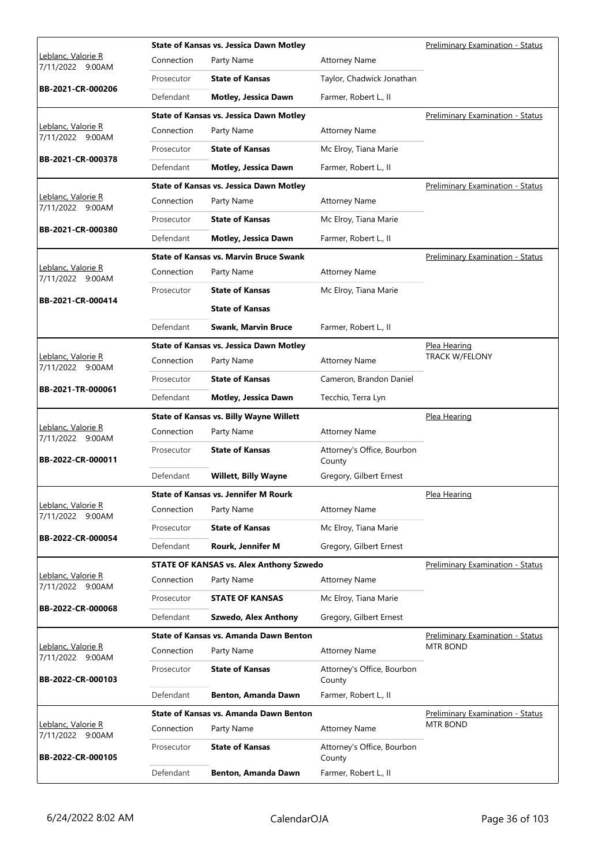|                                           |            | <b>State of Kansas vs. Jessica Dawn Motley</b> |                                      | Preliminary Examination - Status        |
|-------------------------------------------|------------|------------------------------------------------|--------------------------------------|-----------------------------------------|
| Leblanc, Valorie R<br>7/11/2022 9:00AM    | Connection | Party Name                                     | <b>Attorney Name</b>                 |                                         |
|                                           | Prosecutor | <b>State of Kansas</b>                         | Taylor, Chadwick Jonathan            |                                         |
| BB-2021-CR-000206                         | Defendant  | <b>Motley, Jessica Dawn</b>                    | Farmer, Robert L., II                |                                         |
|                                           |            | <b>State of Kansas vs. Jessica Dawn Motley</b> |                                      | <b>Preliminary Examination - Status</b> |
| Leblanc, Valorie R<br>7/11/2022 9:00AM    | Connection | Party Name                                     | <b>Attorney Name</b>                 |                                         |
| BB-2021-CR-000378                         | Prosecutor | <b>State of Kansas</b>                         | Mc Elroy, Tiana Marie                |                                         |
|                                           | Defendant  | Motley, Jessica Dawn                           | Farmer, Robert L., II                |                                         |
|                                           |            | <b>State of Kansas vs. Jessica Dawn Motley</b> |                                      | Preliminary Examination - Status        |
| Leblanc, Valorie R<br>7/11/2022 9:00AM    | Connection | Party Name                                     | <b>Attorney Name</b>                 |                                         |
| BB-2021-CR-000380                         | Prosecutor | <b>State of Kansas</b>                         | Mc Elroy, Tiana Marie                |                                         |
|                                           | Defendant  | Motley, Jessica Dawn                           | Farmer, Robert L., II                |                                         |
|                                           |            | <b>State of Kansas vs. Marvin Bruce Swank</b>  |                                      | Preliminary Examination - Status        |
| Leblanc, Valorie R<br>7/11/2022 9:00AM    | Connection | Party Name                                     | <b>Attorney Name</b>                 |                                         |
| BB-2021-CR-000414                         | Prosecutor | <b>State of Kansas</b>                         | Mc Elroy, Tiana Marie                |                                         |
|                                           |            | <b>State of Kansas</b>                         |                                      |                                         |
|                                           | Defendant  | <b>Swank, Marvin Bruce</b>                     | Farmer, Robert L., II                |                                         |
|                                           |            | <b>State of Kansas vs. Jessica Dawn Motley</b> |                                      | Plea Hearing                            |
| Leblanc, Valorie R<br>7/11/2022 9:00AM    | Connection | Party Name                                     | <b>Attorney Name</b>                 | <b>TRACK W/FELONY</b>                   |
| BB-2021-TR-000061                         | Prosecutor | <b>State of Kansas</b>                         | Cameron, Brandon Daniel              |                                         |
|                                           | Defendant  | Motley, Jessica Dawn                           | Tecchio, Terra Lyn                   |                                         |
|                                           |            |                                                |                                      |                                         |
|                                           |            | <b>State of Kansas vs. Billy Wayne Willett</b> |                                      | Plea Hearing                            |
| Leblanc, Valorie R<br>7/11/2022 9:00AM    | Connection | Party Name                                     | <b>Attorney Name</b>                 |                                         |
| BB-2022-CR-000011                         | Prosecutor | <b>State of Kansas</b>                         | Attorney's Office, Bourbon<br>County |                                         |
|                                           | Defendant  | <b>Willett, Billy Wayne</b>                    | Gregory, Gilbert Ernest              |                                         |
|                                           |            | <b>State of Kansas vs. Jennifer M Rourk</b>    |                                      | Plea Hearing                            |
| Leblanc, Valorie R<br>7/11/2022<br>9:00AM | Connection | Party Name                                     | <b>Attorney Name</b>                 |                                         |
| BB-2022-CR-000054                         | Prosecutor | <b>State of Kansas</b>                         | Mc Elroy, Tiana Marie                |                                         |
|                                           | Defendant  | Rourk, Jennifer M                              | Gregory, Gilbert Ernest              |                                         |
|                                           |            | <b>STATE OF KANSAS vs. Alex Anthony Szwedo</b> |                                      | Preliminary Examination - Status        |
| Leblanc, Valorie R<br>7/11/2022 9:00AM    | Connection | Party Name                                     | <b>Attorney Name</b>                 |                                         |
|                                           | Prosecutor | <b>STATE OF KANSAS</b>                         | Mc Elroy, Tiana Marie                |                                         |
| BB-2022-CR-000068                         | Defendant  | <b>Szwedo, Alex Anthony</b>                    | Gregory, Gilbert Ernest              |                                         |
|                                           |            | <b>State of Kansas vs. Amanda Dawn Benton</b>  |                                      | Preliminary Examination - Status        |
| Leblanc, Valorie R<br>7/11/2022 9:00AM    | Connection | Party Name                                     | <b>Attorney Name</b>                 | MTR BOND                                |
| BB-2022-CR-000103                         | Prosecutor | <b>State of Kansas</b>                         | Attorney's Office, Bourbon<br>County |                                         |
|                                           | Defendant  | Benton, Amanda Dawn                            | Farmer, Robert L., II                |                                         |
|                                           |            | <b>State of Kansas vs. Amanda Dawn Benton</b>  |                                      | Preliminary Examination - Status        |
| Leblanc, Valorie R<br>7/11/2022<br>9:00AM | Connection | Party Name                                     | <b>Attorney Name</b>                 | MTR BOND                                |
| BB-2022-CR-000105                         | Prosecutor | <b>State of Kansas</b>                         | Attorney's Office, Bourbon<br>County |                                         |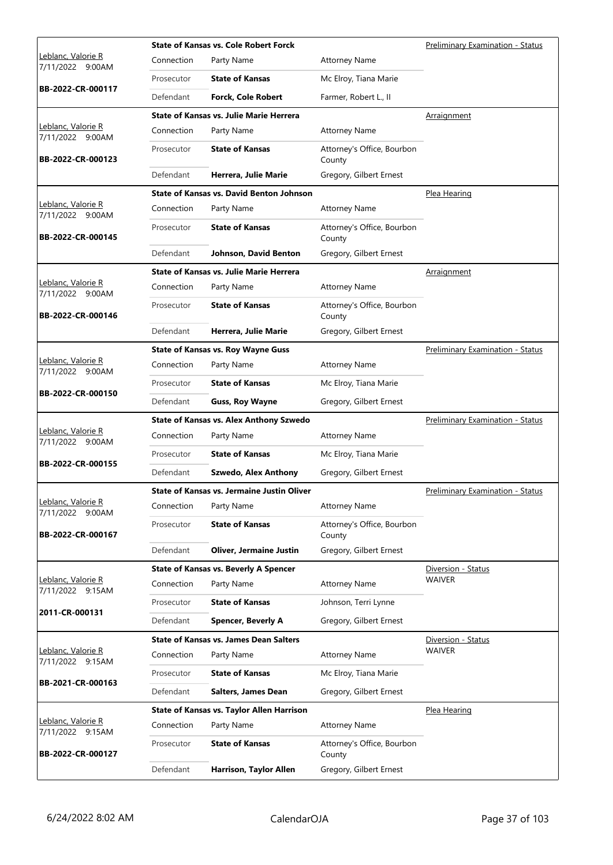|                                        |            | <b>State of Kansas vs. Cole Robert Forck</b>      |                                      | <b>Preliminary Examination - Status</b> |
|----------------------------------------|------------|---------------------------------------------------|--------------------------------------|-----------------------------------------|
| Leblanc, Valorie R<br>7/11/2022 9:00AM | Connection | Party Name                                        | <b>Attorney Name</b>                 |                                         |
|                                        | Prosecutor | <b>State of Kansas</b>                            | Mc Elroy, Tiana Marie                |                                         |
| BB-2022-CR-000117                      | Defendant  | <b>Forck, Cole Robert</b>                         | Farmer, Robert L., II                |                                         |
|                                        |            | State of Kansas vs. Julie Marie Herrera           |                                      | Arraignment                             |
| Leblanc, Valorie R<br>7/11/2022 9:00AM | Connection | Party Name                                        | <b>Attorney Name</b>                 |                                         |
| BB-2022-CR-000123                      | Prosecutor | <b>State of Kansas</b>                            | Attorney's Office, Bourbon<br>County |                                         |
|                                        | Defendant  | Herrera, Julie Marie                              | Gregory, Gilbert Ernest              |                                         |
|                                        |            | <b>State of Kansas vs. David Benton Johnson</b>   |                                      | Plea Hearing                            |
| Leblanc, Valorie R<br>7/11/2022 9:00AM | Connection | Party Name                                        | <b>Attorney Name</b>                 |                                         |
| BB-2022-CR-000145                      | Prosecutor | <b>State of Kansas</b>                            | Attorney's Office, Bourbon<br>County |                                         |
|                                        | Defendant  | Johnson, David Benton                             | Gregory, Gilbert Ernest              |                                         |
|                                        |            | State of Kansas vs. Julie Marie Herrera           |                                      | <b>Arraignment</b>                      |
| Leblanc, Valorie R<br>7/11/2022 9:00AM | Connection | Party Name                                        | <b>Attorney Name</b>                 |                                         |
| BB-2022-CR-000146                      | Prosecutor | <b>State of Kansas</b>                            | Attorney's Office, Bourbon<br>County |                                         |
|                                        | Defendant  | Herrera, Julie Marie                              | Gregory, Gilbert Ernest              |                                         |
|                                        |            | <b>State of Kansas vs. Roy Wayne Guss</b>         |                                      | <b>Preliminary Examination - Status</b> |
| Leblanc, Valorie R<br>7/11/2022 9:00AM | Connection | Party Name                                        | <b>Attorney Name</b>                 |                                         |
|                                        | Prosecutor | <b>State of Kansas</b>                            | Mc Elroy, Tiana Marie                |                                         |
| BB-2022-CR-000150                      | Defendant  | <b>Guss, Roy Wayne</b>                            | Gregory, Gilbert Ernest              |                                         |
|                                        |            |                                                   |                                      |                                         |
|                                        |            | <b>State of Kansas vs. Alex Anthony Szwedo</b>    |                                      | <b>Preliminary Examination - Status</b> |
| Leblanc, Valorie R<br>7/11/2022 9:00AM | Connection | Party Name                                        | <b>Attorney Name</b>                 |                                         |
|                                        | Prosecutor | <b>State of Kansas</b>                            | Mc Elroy, Tiana Marie                |                                         |
| BB-2022-CR-000155                      | Defendant  | <b>Szwedo, Alex Anthony</b>                       | Gregory, Gilbert Ernest              |                                         |
|                                        |            | <b>State of Kansas vs. Jermaine Justin Oliver</b> |                                      | <b>Preliminary Examination - Status</b> |
| <u>Leblanc, Valorie R</u>              | Connection | Party Name                                        | <b>Attorney Name</b>                 |                                         |
| 7/11/2022 9:00AM<br>BB-2022-CR-000167  | Prosecutor | <b>State of Kansas</b>                            | Attorney's Office, Bourbon<br>County |                                         |
|                                        | Defendant  | <b>Oliver, Jermaine Justin</b>                    | Gregory, Gilbert Ernest              |                                         |
|                                        |            | <b>State of Kansas vs. Beverly A Spencer</b>      |                                      | Diversion - Status                      |
| Leblanc, Valorie R<br>7/11/2022 9:15AM | Connection | Party Name                                        | <b>Attorney Name</b>                 | <b>WAIVER</b>                           |
|                                        | Prosecutor | <b>State of Kansas</b>                            | Johnson, Terri Lynne                 |                                         |
| 2011-CR-000131                         | Defendant  | <b>Spencer, Beverly A</b>                         | Gregory, Gilbert Ernest              |                                         |
|                                        |            | <b>State of Kansas vs. James Dean Salters</b>     |                                      | Diversion - Status                      |
| Leblanc, Valorie R                     | Connection | Party Name                                        | <b>Attorney Name</b>                 | <b>WAIVER</b>                           |
| 7/11/2022 9:15AM                       | Prosecutor | <b>State of Kansas</b>                            | Mc Elroy, Tiana Marie                |                                         |
| BB-2021-CR-000163                      | Defendant  | <b>Salters, James Dean</b>                        | Gregory, Gilbert Ernest              |                                         |
|                                        |            | <b>State of Kansas vs. Taylor Allen Harrison</b>  |                                      | Plea Hearing                            |
| Leblanc, Valorie R                     | Connection | Party Name                                        | <b>Attorney Name</b>                 |                                         |
| 7/11/2022 9:15AM<br>BB-2022-CR-000127  | Prosecutor | <b>State of Kansas</b>                            | Attorney's Office, Bourbon<br>County |                                         |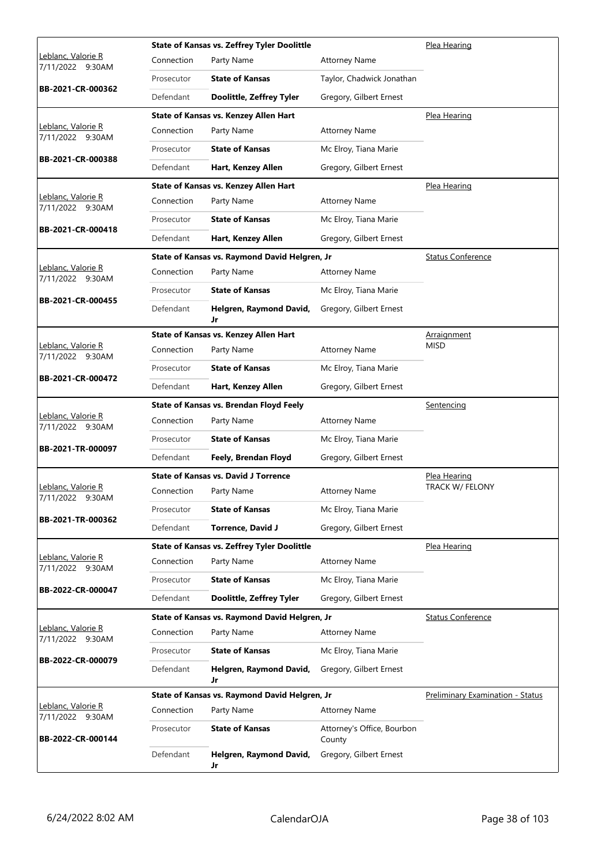|                                               |            | <b>State of Kansas vs. Zeffrey Tyler Doolittle</b> |                                      | Plea Hearing                     |
|-----------------------------------------------|------------|----------------------------------------------------|--------------------------------------|----------------------------------|
| Leblanc, Valorie R<br>7/11/2022 9:30AM        | Connection | Party Name                                         | <b>Attorney Name</b>                 |                                  |
|                                               | Prosecutor | <b>State of Kansas</b>                             | Taylor, Chadwick Jonathan            |                                  |
| BB-2021-CR-000362                             | Defendant  | Doolittle, Zeffrey Tyler                           | Gregory, Gilbert Ernest              |                                  |
|                                               |            | State of Kansas vs. Kenzey Allen Hart              |                                      | Plea Hearing                     |
| Leblanc, Valorie R<br>7/11/2022 9:30AM        | Connection | Party Name                                         | <b>Attorney Name</b>                 |                                  |
| BB-2021-CR-000388                             | Prosecutor | <b>State of Kansas</b>                             | Mc Elroy, Tiana Marie                |                                  |
|                                               | Defendant  | Hart, Kenzey Allen                                 | Gregory, Gilbert Ernest              |                                  |
|                                               |            | State of Kansas vs. Kenzey Allen Hart              |                                      | Plea Hearing                     |
| Leblanc, Valorie R<br>7/11/2022 9:30AM        | Connection | Party Name                                         | <b>Attorney Name</b>                 |                                  |
| BB-2021-CR-000418                             | Prosecutor | <b>State of Kansas</b>                             | Mc Elroy, Tiana Marie                |                                  |
|                                               | Defendant  | Hart, Kenzey Allen                                 | Gregory, Gilbert Ernest              |                                  |
|                                               |            | State of Kansas vs. Raymond David Helgren, Jr      |                                      | <b>Status Conference</b>         |
| Leblanc, Valorie R<br>7/11/2022 9:30AM        | Connection | Party Name                                         | <b>Attorney Name</b>                 |                                  |
| BB-2021-CR-000455                             | Prosecutor | <b>State of Kansas</b>                             | Mc Elroy, Tiana Marie                |                                  |
|                                               | Defendant  | Helgren, Raymond David,<br>Jr                      | Gregory, Gilbert Ernest              |                                  |
|                                               |            | State of Kansas vs. Kenzey Allen Hart              |                                      | Arraignment                      |
| Leblanc, Valorie R<br>7/11/2022 9:30AM        | Connection | Party Name                                         | <b>Attorney Name</b>                 | <b>MISD</b>                      |
|                                               | Prosecutor | <b>State of Kansas</b>                             | Mc Elroy, Tiana Marie                |                                  |
| BB-2021-CR-000472                             | Defendant  | Hart, Kenzey Allen                                 | Gregory, Gilbert Ernest              |                                  |
|                                               |            | State of Kansas vs. Brendan Floyd Feely            |                                      | Sentencing                       |
| Leblanc, Valorie R<br>7/11/2022 9:30AM        | Connection | Party Name                                         | <b>Attorney Name</b>                 |                                  |
| BB-2021-TR-000097                             | Prosecutor | <b>State of Kansas</b>                             | Mc Elroy, Tiana Marie                |                                  |
|                                               | Defendant  | Feely, Brendan Floyd                               | Gregory, Gilbert Ernest              |                                  |
|                                               |            | <b>State of Kansas vs. David J Torrence</b>        |                                      | Plea Hearing                     |
| <u>Leblanc, Valorie R</u><br>7/11/2022 9:30AM | Connection | Party Name                                         | <b>Attorney Name</b>                 | <b>TRACK W/ FELONY</b>           |
| BB-2021-TR-000362                             | Prosecutor | <b>State of Kansas</b>                             | Mc Elroy, Tiana Marie                |                                  |
|                                               | Defendant  | <b>Torrence, David J</b>                           | Gregory, Gilbert Ernest              |                                  |
|                                               |            | <b>State of Kansas vs. Zeffrey Tyler Doolittle</b> |                                      | Plea Hearing                     |
| <u>Leblanc, Valorie R</u><br>7/11/2022 9:30AM | Connection | Party Name                                         | <b>Attorney Name</b>                 |                                  |
| BB-2022-CR-000047                             | Prosecutor | <b>State of Kansas</b>                             | Mc Elroy, Tiana Marie                |                                  |
|                                               | Defendant  | Doolittle, Zeffrey Tyler                           | Gregory, Gilbert Ernest              |                                  |
|                                               |            | State of Kansas vs. Raymond David Helgren, Jr      |                                      | <b>Status Conference</b>         |
| Leblanc, Valorie R<br>7/11/2022 9:30AM        | Connection | Party Name                                         | <b>Attorney Name</b>                 |                                  |
| BB-2022-CR-000079                             | Prosecutor | <b>State of Kansas</b>                             | Mc Elroy, Tiana Marie                |                                  |
|                                               | Defendant  | Helgren, Raymond David,<br>Jr                      | Gregory, Gilbert Ernest              |                                  |
|                                               |            | State of Kansas vs. Raymond David Helgren, Jr      |                                      | Preliminary Examination - Status |
| Leblanc, Valorie R<br>7/11/2022 9:30AM        | Connection | Party Name                                         | <b>Attorney Name</b>                 |                                  |
| BB-2022-CR-000144                             | Prosecutor | <b>State of Kansas</b>                             | Attorney's Office, Bourbon<br>County |                                  |
|                                               | Defendant  | Helgren, Raymond David,<br>Jr                      | Gregory, Gilbert Ernest              |                                  |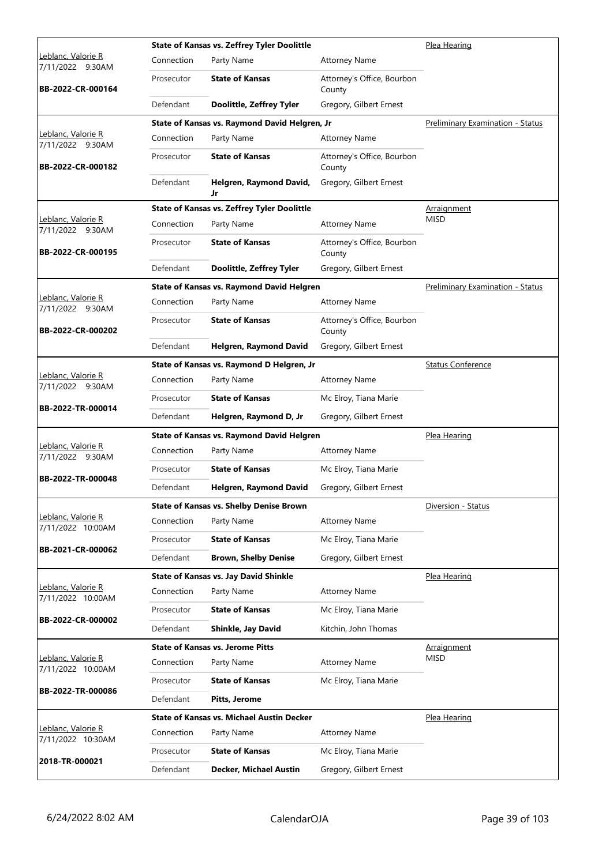| Connection<br>Party Name<br><b>Attorney Name</b><br>7/11/2022 9:30AM<br><b>State of Kansas</b><br>Attorney's Office, Bourbon<br>Prosecutor<br>BB-2022-CR-000164<br>County<br>Defendant<br>Doolittle, Zeffrey Tyler<br>Gregory, Gilbert Ernest<br>State of Kansas vs. Raymond David Helgren, Jr<br><b>Preliminary Examination - Status</b><br>Leblanc, Valorie R<br>Connection<br>Party Name<br><b>Attorney Name</b><br>7/11/2022 9:30AM<br><b>State of Kansas</b><br>Attorney's Office, Bourbon<br>Prosecutor<br>BB-2022-CR-000182<br>County<br>Defendant<br>Helgren, Raymond David,<br>Gregory, Gilbert Ernest<br>Jr<br><b>State of Kansas vs. Zeffrey Tyler Doolittle</b><br>Arraignment<br>Leblanc, Valorie R<br><b>MISD</b><br>Connection<br>Party Name<br><b>Attorney Name</b><br>7/11/2022 9:30AM<br><b>State of Kansas</b><br>Attorney's Office, Bourbon<br>Prosecutor<br>BB-2022-CR-000195<br>County<br>Defendant<br>Doolittle, Zeffrey Tyler<br>Gregory, Gilbert Ernest<br>State of Kansas vs. Raymond David Helgren<br>Preliminary Examination - Status<br>Leblanc, Valorie R<br>Connection<br>Party Name<br><b>Attorney Name</b><br>7/11/2022 9:30AM<br><b>State of Kansas</b><br>Attorney's Office, Bourbon<br>Prosecutor<br>BB-2022-CR-000202<br>County<br>Defendant<br>Helgren, Raymond David<br>Gregory, Gilbert Ernest<br>State of Kansas vs. Raymond D Helgren, Jr<br><b>Status Conference</b><br>Leblanc, Valorie R<br>Connection<br>Party Name<br><b>Attorney Name</b><br>7/11/2022 9:30AM<br><b>State of Kansas</b><br>Mc Elroy, Tiana Marie<br>Prosecutor<br>BB-2022-TR-000014<br>Defendant<br>Helgren, Raymond D, Jr<br>Gregory, Gilbert Ernest<br>State of Kansas vs. Raymond David Helgren<br>Plea Hearing<br>Leblanc, Valorie R<br>Connection<br>Party Name<br><b>Attorney Name</b><br>7/11/2022 9:30AM<br><b>State of Kansas</b><br>Mc Elroy, Tiana Marie<br>Prosecutor<br>BB-2022-TR-000048<br>Helgren, Raymond David<br>Gregory, Gilbert Ernest<br>Defendant<br><b>State of Kansas vs. Shelby Denise Brown</b><br>Diversion - Status<br>Leblanc, Valorie R<br>Connection<br>Party Name<br><b>Attorney Name</b><br>7/11/2022 10:00AM<br><b>State of Kansas</b><br>Mc Elroy, Tiana Marie<br>Prosecutor<br>BB-2021-CR-000062<br>Defendant<br><b>Brown, Shelby Denise</b><br>Gregory, Gilbert Ernest<br><b>State of Kansas vs. Jay David Shinkle</b><br>Plea Hearing<br>Leblanc, Valorie R<br>Connection<br>Party Name<br><b>Attorney Name</b><br>7/11/2022 10:00AM<br><b>State of Kansas</b><br>Mc Elroy, Tiana Marie<br>Prosecutor<br>BB-2022-CR-000002<br>Defendant<br>Kitchin, John Thomas<br>Shinkle, Jay David<br><b>State of Kansas vs. Jerome Pitts</b><br>Arraignment<br>Leblanc, Valorie R<br><b>MISD</b><br>Connection<br>Party Name<br><b>Attorney Name</b><br>7/11/2022 10:00AM<br><b>State of Kansas</b><br>Mc Elroy, Tiana Marie<br>Prosecutor<br>BB-2022-TR-000086<br>Defendant<br>Pitts, Jerome<br><b>State of Kansas vs. Michael Austin Decker</b><br>Plea Hearing<br>Leblanc, Valorie R<br>Connection<br>Party Name<br><b>Attorney Name</b><br>7/11/2022 10:30AM<br><b>State of Kansas</b><br>Mc Elroy, Tiana Marie<br>Prosecutor<br>2018-TR-000021 |                    |           | <b>State of Kansas vs. Zeffrey Tyler Doolittle</b> | Plea Hearing            |  |
|------------------------------------------------------------------------------------------------------------------------------------------------------------------------------------------------------------------------------------------------------------------------------------------------------------------------------------------------------------------------------------------------------------------------------------------------------------------------------------------------------------------------------------------------------------------------------------------------------------------------------------------------------------------------------------------------------------------------------------------------------------------------------------------------------------------------------------------------------------------------------------------------------------------------------------------------------------------------------------------------------------------------------------------------------------------------------------------------------------------------------------------------------------------------------------------------------------------------------------------------------------------------------------------------------------------------------------------------------------------------------------------------------------------------------------------------------------------------------------------------------------------------------------------------------------------------------------------------------------------------------------------------------------------------------------------------------------------------------------------------------------------------------------------------------------------------------------------------------------------------------------------------------------------------------------------------------------------------------------------------------------------------------------------------------------------------------------------------------------------------------------------------------------------------------------------------------------------------------------------------------------------------------------------------------------------------------------------------------------------------------------------------------------------------------------------------------------------------------------------------------------------------------------------------------------------------------------------------------------------------------------------------------------------------------------------------------------------------------------------------------------------------------------------------------------------------------------------------------------------------------------------------------------------------------------------------------------------------------------------------------------------------------------------------------------------------------------------------------------------------------------------------------------------------------------------------|--------------------|-----------|----------------------------------------------------|-------------------------|--|
|                                                                                                                                                                                                                                                                                                                                                                                                                                                                                                                                                                                                                                                                                                                                                                                                                                                                                                                                                                                                                                                                                                                                                                                                                                                                                                                                                                                                                                                                                                                                                                                                                                                                                                                                                                                                                                                                                                                                                                                                                                                                                                                                                                                                                                                                                                                                                                                                                                                                                                                                                                                                                                                                                                                                                                                                                                                                                                                                                                                                                                                                                                                                                                                                | Leblanc, Valorie R |           |                                                    |                         |  |
|                                                                                                                                                                                                                                                                                                                                                                                                                                                                                                                                                                                                                                                                                                                                                                                                                                                                                                                                                                                                                                                                                                                                                                                                                                                                                                                                                                                                                                                                                                                                                                                                                                                                                                                                                                                                                                                                                                                                                                                                                                                                                                                                                                                                                                                                                                                                                                                                                                                                                                                                                                                                                                                                                                                                                                                                                                                                                                                                                                                                                                                                                                                                                                                                |                    |           |                                                    |                         |  |
|                                                                                                                                                                                                                                                                                                                                                                                                                                                                                                                                                                                                                                                                                                                                                                                                                                                                                                                                                                                                                                                                                                                                                                                                                                                                                                                                                                                                                                                                                                                                                                                                                                                                                                                                                                                                                                                                                                                                                                                                                                                                                                                                                                                                                                                                                                                                                                                                                                                                                                                                                                                                                                                                                                                                                                                                                                                                                                                                                                                                                                                                                                                                                                                                |                    |           |                                                    |                         |  |
|                                                                                                                                                                                                                                                                                                                                                                                                                                                                                                                                                                                                                                                                                                                                                                                                                                                                                                                                                                                                                                                                                                                                                                                                                                                                                                                                                                                                                                                                                                                                                                                                                                                                                                                                                                                                                                                                                                                                                                                                                                                                                                                                                                                                                                                                                                                                                                                                                                                                                                                                                                                                                                                                                                                                                                                                                                                                                                                                                                                                                                                                                                                                                                                                |                    |           |                                                    |                         |  |
|                                                                                                                                                                                                                                                                                                                                                                                                                                                                                                                                                                                                                                                                                                                                                                                                                                                                                                                                                                                                                                                                                                                                                                                                                                                                                                                                                                                                                                                                                                                                                                                                                                                                                                                                                                                                                                                                                                                                                                                                                                                                                                                                                                                                                                                                                                                                                                                                                                                                                                                                                                                                                                                                                                                                                                                                                                                                                                                                                                                                                                                                                                                                                                                                |                    |           |                                                    |                         |  |
|                                                                                                                                                                                                                                                                                                                                                                                                                                                                                                                                                                                                                                                                                                                                                                                                                                                                                                                                                                                                                                                                                                                                                                                                                                                                                                                                                                                                                                                                                                                                                                                                                                                                                                                                                                                                                                                                                                                                                                                                                                                                                                                                                                                                                                                                                                                                                                                                                                                                                                                                                                                                                                                                                                                                                                                                                                                                                                                                                                                                                                                                                                                                                                                                |                    |           |                                                    |                         |  |
|                                                                                                                                                                                                                                                                                                                                                                                                                                                                                                                                                                                                                                                                                                                                                                                                                                                                                                                                                                                                                                                                                                                                                                                                                                                                                                                                                                                                                                                                                                                                                                                                                                                                                                                                                                                                                                                                                                                                                                                                                                                                                                                                                                                                                                                                                                                                                                                                                                                                                                                                                                                                                                                                                                                                                                                                                                                                                                                                                                                                                                                                                                                                                                                                |                    |           |                                                    |                         |  |
|                                                                                                                                                                                                                                                                                                                                                                                                                                                                                                                                                                                                                                                                                                                                                                                                                                                                                                                                                                                                                                                                                                                                                                                                                                                                                                                                                                                                                                                                                                                                                                                                                                                                                                                                                                                                                                                                                                                                                                                                                                                                                                                                                                                                                                                                                                                                                                                                                                                                                                                                                                                                                                                                                                                                                                                                                                                                                                                                                                                                                                                                                                                                                                                                |                    |           |                                                    |                         |  |
|                                                                                                                                                                                                                                                                                                                                                                                                                                                                                                                                                                                                                                                                                                                                                                                                                                                                                                                                                                                                                                                                                                                                                                                                                                                                                                                                                                                                                                                                                                                                                                                                                                                                                                                                                                                                                                                                                                                                                                                                                                                                                                                                                                                                                                                                                                                                                                                                                                                                                                                                                                                                                                                                                                                                                                                                                                                                                                                                                                                                                                                                                                                                                                                                |                    |           |                                                    |                         |  |
|                                                                                                                                                                                                                                                                                                                                                                                                                                                                                                                                                                                                                                                                                                                                                                                                                                                                                                                                                                                                                                                                                                                                                                                                                                                                                                                                                                                                                                                                                                                                                                                                                                                                                                                                                                                                                                                                                                                                                                                                                                                                                                                                                                                                                                                                                                                                                                                                                                                                                                                                                                                                                                                                                                                                                                                                                                                                                                                                                                                                                                                                                                                                                                                                |                    |           |                                                    |                         |  |
|                                                                                                                                                                                                                                                                                                                                                                                                                                                                                                                                                                                                                                                                                                                                                                                                                                                                                                                                                                                                                                                                                                                                                                                                                                                                                                                                                                                                                                                                                                                                                                                                                                                                                                                                                                                                                                                                                                                                                                                                                                                                                                                                                                                                                                                                                                                                                                                                                                                                                                                                                                                                                                                                                                                                                                                                                                                                                                                                                                                                                                                                                                                                                                                                |                    |           |                                                    |                         |  |
|                                                                                                                                                                                                                                                                                                                                                                                                                                                                                                                                                                                                                                                                                                                                                                                                                                                                                                                                                                                                                                                                                                                                                                                                                                                                                                                                                                                                                                                                                                                                                                                                                                                                                                                                                                                                                                                                                                                                                                                                                                                                                                                                                                                                                                                                                                                                                                                                                                                                                                                                                                                                                                                                                                                                                                                                                                                                                                                                                                                                                                                                                                                                                                                                |                    |           |                                                    |                         |  |
|                                                                                                                                                                                                                                                                                                                                                                                                                                                                                                                                                                                                                                                                                                                                                                                                                                                                                                                                                                                                                                                                                                                                                                                                                                                                                                                                                                                                                                                                                                                                                                                                                                                                                                                                                                                                                                                                                                                                                                                                                                                                                                                                                                                                                                                                                                                                                                                                                                                                                                                                                                                                                                                                                                                                                                                                                                                                                                                                                                                                                                                                                                                                                                                                |                    |           |                                                    |                         |  |
|                                                                                                                                                                                                                                                                                                                                                                                                                                                                                                                                                                                                                                                                                                                                                                                                                                                                                                                                                                                                                                                                                                                                                                                                                                                                                                                                                                                                                                                                                                                                                                                                                                                                                                                                                                                                                                                                                                                                                                                                                                                                                                                                                                                                                                                                                                                                                                                                                                                                                                                                                                                                                                                                                                                                                                                                                                                                                                                                                                                                                                                                                                                                                                                                |                    |           |                                                    |                         |  |
|                                                                                                                                                                                                                                                                                                                                                                                                                                                                                                                                                                                                                                                                                                                                                                                                                                                                                                                                                                                                                                                                                                                                                                                                                                                                                                                                                                                                                                                                                                                                                                                                                                                                                                                                                                                                                                                                                                                                                                                                                                                                                                                                                                                                                                                                                                                                                                                                                                                                                                                                                                                                                                                                                                                                                                                                                                                                                                                                                                                                                                                                                                                                                                                                |                    |           |                                                    |                         |  |
|                                                                                                                                                                                                                                                                                                                                                                                                                                                                                                                                                                                                                                                                                                                                                                                                                                                                                                                                                                                                                                                                                                                                                                                                                                                                                                                                                                                                                                                                                                                                                                                                                                                                                                                                                                                                                                                                                                                                                                                                                                                                                                                                                                                                                                                                                                                                                                                                                                                                                                                                                                                                                                                                                                                                                                                                                                                                                                                                                                                                                                                                                                                                                                                                |                    |           |                                                    |                         |  |
|                                                                                                                                                                                                                                                                                                                                                                                                                                                                                                                                                                                                                                                                                                                                                                                                                                                                                                                                                                                                                                                                                                                                                                                                                                                                                                                                                                                                                                                                                                                                                                                                                                                                                                                                                                                                                                                                                                                                                                                                                                                                                                                                                                                                                                                                                                                                                                                                                                                                                                                                                                                                                                                                                                                                                                                                                                                                                                                                                                                                                                                                                                                                                                                                |                    |           |                                                    |                         |  |
|                                                                                                                                                                                                                                                                                                                                                                                                                                                                                                                                                                                                                                                                                                                                                                                                                                                                                                                                                                                                                                                                                                                                                                                                                                                                                                                                                                                                                                                                                                                                                                                                                                                                                                                                                                                                                                                                                                                                                                                                                                                                                                                                                                                                                                                                                                                                                                                                                                                                                                                                                                                                                                                                                                                                                                                                                                                                                                                                                                                                                                                                                                                                                                                                |                    |           |                                                    |                         |  |
|                                                                                                                                                                                                                                                                                                                                                                                                                                                                                                                                                                                                                                                                                                                                                                                                                                                                                                                                                                                                                                                                                                                                                                                                                                                                                                                                                                                                                                                                                                                                                                                                                                                                                                                                                                                                                                                                                                                                                                                                                                                                                                                                                                                                                                                                                                                                                                                                                                                                                                                                                                                                                                                                                                                                                                                                                                                                                                                                                                                                                                                                                                                                                                                                |                    |           |                                                    |                         |  |
|                                                                                                                                                                                                                                                                                                                                                                                                                                                                                                                                                                                                                                                                                                                                                                                                                                                                                                                                                                                                                                                                                                                                                                                                                                                                                                                                                                                                                                                                                                                                                                                                                                                                                                                                                                                                                                                                                                                                                                                                                                                                                                                                                                                                                                                                                                                                                                                                                                                                                                                                                                                                                                                                                                                                                                                                                                                                                                                                                                                                                                                                                                                                                                                                |                    |           |                                                    |                         |  |
|                                                                                                                                                                                                                                                                                                                                                                                                                                                                                                                                                                                                                                                                                                                                                                                                                                                                                                                                                                                                                                                                                                                                                                                                                                                                                                                                                                                                                                                                                                                                                                                                                                                                                                                                                                                                                                                                                                                                                                                                                                                                                                                                                                                                                                                                                                                                                                                                                                                                                                                                                                                                                                                                                                                                                                                                                                                                                                                                                                                                                                                                                                                                                                                                |                    |           |                                                    |                         |  |
|                                                                                                                                                                                                                                                                                                                                                                                                                                                                                                                                                                                                                                                                                                                                                                                                                                                                                                                                                                                                                                                                                                                                                                                                                                                                                                                                                                                                                                                                                                                                                                                                                                                                                                                                                                                                                                                                                                                                                                                                                                                                                                                                                                                                                                                                                                                                                                                                                                                                                                                                                                                                                                                                                                                                                                                                                                                                                                                                                                                                                                                                                                                                                                                                |                    |           |                                                    |                         |  |
|                                                                                                                                                                                                                                                                                                                                                                                                                                                                                                                                                                                                                                                                                                                                                                                                                                                                                                                                                                                                                                                                                                                                                                                                                                                                                                                                                                                                                                                                                                                                                                                                                                                                                                                                                                                                                                                                                                                                                                                                                                                                                                                                                                                                                                                                                                                                                                                                                                                                                                                                                                                                                                                                                                                                                                                                                                                                                                                                                                                                                                                                                                                                                                                                |                    |           |                                                    |                         |  |
|                                                                                                                                                                                                                                                                                                                                                                                                                                                                                                                                                                                                                                                                                                                                                                                                                                                                                                                                                                                                                                                                                                                                                                                                                                                                                                                                                                                                                                                                                                                                                                                                                                                                                                                                                                                                                                                                                                                                                                                                                                                                                                                                                                                                                                                                                                                                                                                                                                                                                                                                                                                                                                                                                                                                                                                                                                                                                                                                                                                                                                                                                                                                                                                                |                    |           |                                                    |                         |  |
|                                                                                                                                                                                                                                                                                                                                                                                                                                                                                                                                                                                                                                                                                                                                                                                                                                                                                                                                                                                                                                                                                                                                                                                                                                                                                                                                                                                                                                                                                                                                                                                                                                                                                                                                                                                                                                                                                                                                                                                                                                                                                                                                                                                                                                                                                                                                                                                                                                                                                                                                                                                                                                                                                                                                                                                                                                                                                                                                                                                                                                                                                                                                                                                                |                    |           |                                                    |                         |  |
|                                                                                                                                                                                                                                                                                                                                                                                                                                                                                                                                                                                                                                                                                                                                                                                                                                                                                                                                                                                                                                                                                                                                                                                                                                                                                                                                                                                                                                                                                                                                                                                                                                                                                                                                                                                                                                                                                                                                                                                                                                                                                                                                                                                                                                                                                                                                                                                                                                                                                                                                                                                                                                                                                                                                                                                                                                                                                                                                                                                                                                                                                                                                                                                                |                    |           |                                                    |                         |  |
|                                                                                                                                                                                                                                                                                                                                                                                                                                                                                                                                                                                                                                                                                                                                                                                                                                                                                                                                                                                                                                                                                                                                                                                                                                                                                                                                                                                                                                                                                                                                                                                                                                                                                                                                                                                                                                                                                                                                                                                                                                                                                                                                                                                                                                                                                                                                                                                                                                                                                                                                                                                                                                                                                                                                                                                                                                                                                                                                                                                                                                                                                                                                                                                                |                    |           |                                                    |                         |  |
|                                                                                                                                                                                                                                                                                                                                                                                                                                                                                                                                                                                                                                                                                                                                                                                                                                                                                                                                                                                                                                                                                                                                                                                                                                                                                                                                                                                                                                                                                                                                                                                                                                                                                                                                                                                                                                                                                                                                                                                                                                                                                                                                                                                                                                                                                                                                                                                                                                                                                                                                                                                                                                                                                                                                                                                                                                                                                                                                                                                                                                                                                                                                                                                                |                    |           |                                                    |                         |  |
|                                                                                                                                                                                                                                                                                                                                                                                                                                                                                                                                                                                                                                                                                                                                                                                                                                                                                                                                                                                                                                                                                                                                                                                                                                                                                                                                                                                                                                                                                                                                                                                                                                                                                                                                                                                                                                                                                                                                                                                                                                                                                                                                                                                                                                                                                                                                                                                                                                                                                                                                                                                                                                                                                                                                                                                                                                                                                                                                                                                                                                                                                                                                                                                                |                    |           |                                                    |                         |  |
|                                                                                                                                                                                                                                                                                                                                                                                                                                                                                                                                                                                                                                                                                                                                                                                                                                                                                                                                                                                                                                                                                                                                                                                                                                                                                                                                                                                                                                                                                                                                                                                                                                                                                                                                                                                                                                                                                                                                                                                                                                                                                                                                                                                                                                                                                                                                                                                                                                                                                                                                                                                                                                                                                                                                                                                                                                                                                                                                                                                                                                                                                                                                                                                                |                    |           |                                                    |                         |  |
|                                                                                                                                                                                                                                                                                                                                                                                                                                                                                                                                                                                                                                                                                                                                                                                                                                                                                                                                                                                                                                                                                                                                                                                                                                                                                                                                                                                                                                                                                                                                                                                                                                                                                                                                                                                                                                                                                                                                                                                                                                                                                                                                                                                                                                                                                                                                                                                                                                                                                                                                                                                                                                                                                                                                                                                                                                                                                                                                                                                                                                                                                                                                                                                                |                    |           |                                                    |                         |  |
|                                                                                                                                                                                                                                                                                                                                                                                                                                                                                                                                                                                                                                                                                                                                                                                                                                                                                                                                                                                                                                                                                                                                                                                                                                                                                                                                                                                                                                                                                                                                                                                                                                                                                                                                                                                                                                                                                                                                                                                                                                                                                                                                                                                                                                                                                                                                                                                                                                                                                                                                                                                                                                                                                                                                                                                                                                                                                                                                                                                                                                                                                                                                                                                                |                    |           |                                                    |                         |  |
|                                                                                                                                                                                                                                                                                                                                                                                                                                                                                                                                                                                                                                                                                                                                                                                                                                                                                                                                                                                                                                                                                                                                                                                                                                                                                                                                                                                                                                                                                                                                                                                                                                                                                                                                                                                                                                                                                                                                                                                                                                                                                                                                                                                                                                                                                                                                                                                                                                                                                                                                                                                                                                                                                                                                                                                                                                                                                                                                                                                                                                                                                                                                                                                                |                    |           |                                                    |                         |  |
|                                                                                                                                                                                                                                                                                                                                                                                                                                                                                                                                                                                                                                                                                                                                                                                                                                                                                                                                                                                                                                                                                                                                                                                                                                                                                                                                                                                                                                                                                                                                                                                                                                                                                                                                                                                                                                                                                                                                                                                                                                                                                                                                                                                                                                                                                                                                                                                                                                                                                                                                                                                                                                                                                                                                                                                                                                                                                                                                                                                                                                                                                                                                                                                                |                    |           |                                                    |                         |  |
|                                                                                                                                                                                                                                                                                                                                                                                                                                                                                                                                                                                                                                                                                                                                                                                                                                                                                                                                                                                                                                                                                                                                                                                                                                                                                                                                                                                                                                                                                                                                                                                                                                                                                                                                                                                                                                                                                                                                                                                                                                                                                                                                                                                                                                                                                                                                                                                                                                                                                                                                                                                                                                                                                                                                                                                                                                                                                                                                                                                                                                                                                                                                                                                                |                    |           |                                                    |                         |  |
|                                                                                                                                                                                                                                                                                                                                                                                                                                                                                                                                                                                                                                                                                                                                                                                                                                                                                                                                                                                                                                                                                                                                                                                                                                                                                                                                                                                                                                                                                                                                                                                                                                                                                                                                                                                                                                                                                                                                                                                                                                                                                                                                                                                                                                                                                                                                                                                                                                                                                                                                                                                                                                                                                                                                                                                                                                                                                                                                                                                                                                                                                                                                                                                                |                    |           |                                                    |                         |  |
|                                                                                                                                                                                                                                                                                                                                                                                                                                                                                                                                                                                                                                                                                                                                                                                                                                                                                                                                                                                                                                                                                                                                                                                                                                                                                                                                                                                                                                                                                                                                                                                                                                                                                                                                                                                                                                                                                                                                                                                                                                                                                                                                                                                                                                                                                                                                                                                                                                                                                                                                                                                                                                                                                                                                                                                                                                                                                                                                                                                                                                                                                                                                                                                                |                    |           |                                                    |                         |  |
|                                                                                                                                                                                                                                                                                                                                                                                                                                                                                                                                                                                                                                                                                                                                                                                                                                                                                                                                                                                                                                                                                                                                                                                                                                                                                                                                                                                                                                                                                                                                                                                                                                                                                                                                                                                                                                                                                                                                                                                                                                                                                                                                                                                                                                                                                                                                                                                                                                                                                                                                                                                                                                                                                                                                                                                                                                                                                                                                                                                                                                                                                                                                                                                                |                    |           |                                                    |                         |  |
|                                                                                                                                                                                                                                                                                                                                                                                                                                                                                                                                                                                                                                                                                                                                                                                                                                                                                                                                                                                                                                                                                                                                                                                                                                                                                                                                                                                                                                                                                                                                                                                                                                                                                                                                                                                                                                                                                                                                                                                                                                                                                                                                                                                                                                                                                                                                                                                                                                                                                                                                                                                                                                                                                                                                                                                                                                                                                                                                                                                                                                                                                                                                                                                                |                    | Defendant | Decker, Michael Austin                             | Gregory, Gilbert Ernest |  |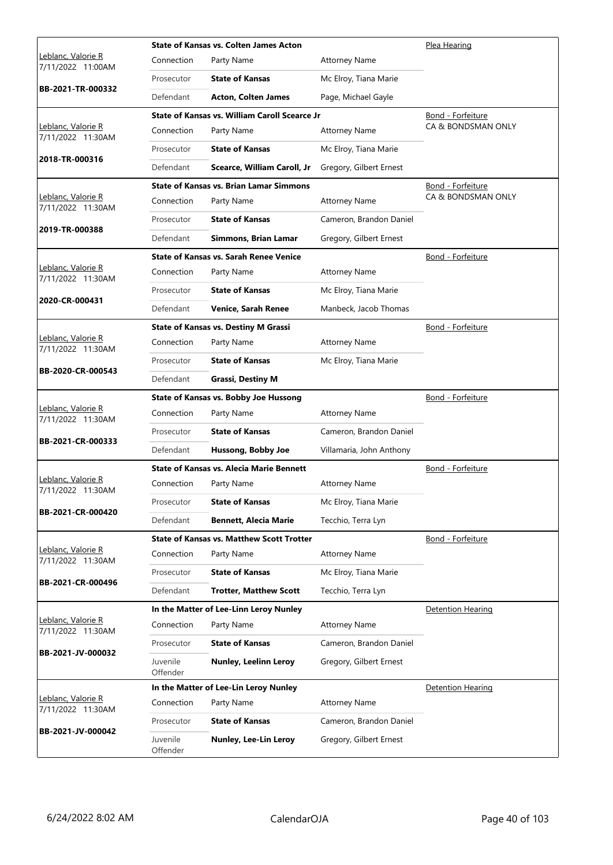|                                         |                      | <b>State of Kansas vs. Colten James Acton</b>    |                          | Plea Hearing             |
|-----------------------------------------|----------------------|--------------------------------------------------|--------------------------|--------------------------|
| Leblanc, Valorie R<br>7/11/2022 11:00AM | Connection           | Party Name                                       | <b>Attorney Name</b>     |                          |
|                                         | Prosecutor           | <b>State of Kansas</b>                           | Mc Elroy, Tiana Marie    |                          |
| BB-2021-TR-000332                       | Defendant            | <b>Acton, Colten James</b>                       | Page, Michael Gayle      |                          |
|                                         |                      | State of Kansas vs. William Caroll Scearce Jr    |                          | Bond - Forfeiture        |
| Leblanc, Valorie R<br>7/11/2022 11:30AM | Connection           | Party Name                                       | <b>Attorney Name</b>     | CA & BONDSMAN ONLY       |
|                                         | Prosecutor           | <b>State of Kansas</b>                           | Mc Elroy, Tiana Marie    |                          |
| 2018-TR-000316                          | Defendant            | Scearce, William Caroll, Jr                      | Gregory, Gilbert Ernest  |                          |
|                                         |                      | <b>State of Kansas vs. Brian Lamar Simmons</b>   |                          | Bond - Forfeiture        |
| Leblanc, Valorie R<br>7/11/2022 11:30AM | Connection           | Party Name                                       | <b>Attorney Name</b>     | CA & BONDSMAN ONLY       |
|                                         | Prosecutor           | <b>State of Kansas</b>                           | Cameron, Brandon Daniel  |                          |
| 2019-TR-000388                          | Defendant            | Simmons, Brian Lamar                             | Gregory, Gilbert Ernest  |                          |
|                                         |                      | <b>State of Kansas vs. Sarah Renee Venice</b>    |                          | Bond - Forfeiture        |
| Leblanc, Valorie R<br>7/11/2022 11:30AM | Connection           | Party Name                                       | <b>Attorney Name</b>     |                          |
|                                         | Prosecutor           | <b>State of Kansas</b>                           | Mc Elroy, Tiana Marie    |                          |
| 2020-CR-000431                          | Defendant            | <b>Venice, Sarah Renee</b>                       | Manbeck, Jacob Thomas    |                          |
|                                         |                      | <b>State of Kansas vs. Destiny M Grassi</b>      |                          | Bond - Forfeiture        |
| Leblanc, Valorie R<br>7/11/2022 11:30AM | Connection           | Party Name                                       | <b>Attorney Name</b>     |                          |
|                                         | Prosecutor           | <b>State of Kansas</b>                           | Mc Elroy, Tiana Marie    |                          |
| BB-2020-CR-000543                       | Defendant            | <b>Grassi, Destiny M</b>                         |                          |                          |
|                                         |                      | <b>State of Kansas vs. Bobby Joe Hussong</b>     |                          | Bond - Forfeiture        |
| Leblanc, Valorie R<br>7/11/2022 11:30AM | Connection           | Party Name                                       | <b>Attorney Name</b>     |                          |
|                                         | Prosecutor           | <b>State of Kansas</b>                           | Cameron, Brandon Daniel  |                          |
| BB-2021-CR-000333                       | Defendant            | Hussong, Bobby Joe                               | Villamaria, John Anthony |                          |
|                                         |                      | <b>State of Kansas vs. Alecia Marie Bennett</b>  |                          | Bond - Forfeiture        |
| Leblanc, Valorie R<br>7/11/2022 11:30AM | Connection           | Party Name                                       | <b>Attorney Name</b>     |                          |
|                                         | Prosecutor           | <b>State of Kansas</b>                           | Mc Elroy, Tiana Marie    |                          |
| BB-2021-CR-000420                       | Defendant            | <b>Bennett, Alecia Marie</b>                     | Tecchio, Terra Lyn       |                          |
|                                         |                      | <b>State of Kansas vs. Matthew Scott Trotter</b> |                          | Bond - Forfeiture        |
| Leblanc, Valorie R<br>7/11/2022 11:30AM | Connection           | Party Name                                       | <b>Attorney Name</b>     |                          |
|                                         | Prosecutor           | <b>State of Kansas</b>                           | Mc Elroy, Tiana Marie    |                          |
| BB-2021-CR-000496                       | Defendant            | <b>Trotter, Matthew Scott</b>                    | Tecchio, Terra Lyn       |                          |
|                                         |                      | In the Matter of Lee-Linn Leroy Nunley           |                          | <b>Detention Hearing</b> |
| Leblanc, Valorie R<br>7/11/2022 11:30AM | Connection           | Party Name                                       | <b>Attorney Name</b>     |                          |
|                                         | Prosecutor           | <b>State of Kansas</b>                           | Cameron, Brandon Daniel  |                          |
| BB-2021-JV-000032                       | Juvenile<br>Offender | Nunley, Leelinn Leroy                            | Gregory, Gilbert Ernest  |                          |
|                                         |                      | In the Matter of Lee-Lin Leroy Nunley            |                          | <b>Detention Hearing</b> |
| Leblanc, Valorie R<br>7/11/2022 11:30AM | Connection           | Party Name                                       | <b>Attorney Name</b>     |                          |
|                                         | Prosecutor           | <b>State of Kansas</b>                           | Cameron, Brandon Daniel  |                          |
| BB-2021-JV-000042                       | Juvenile<br>Offender | Nunley, Lee-Lin Leroy                            | Gregory, Gilbert Ernest  |                          |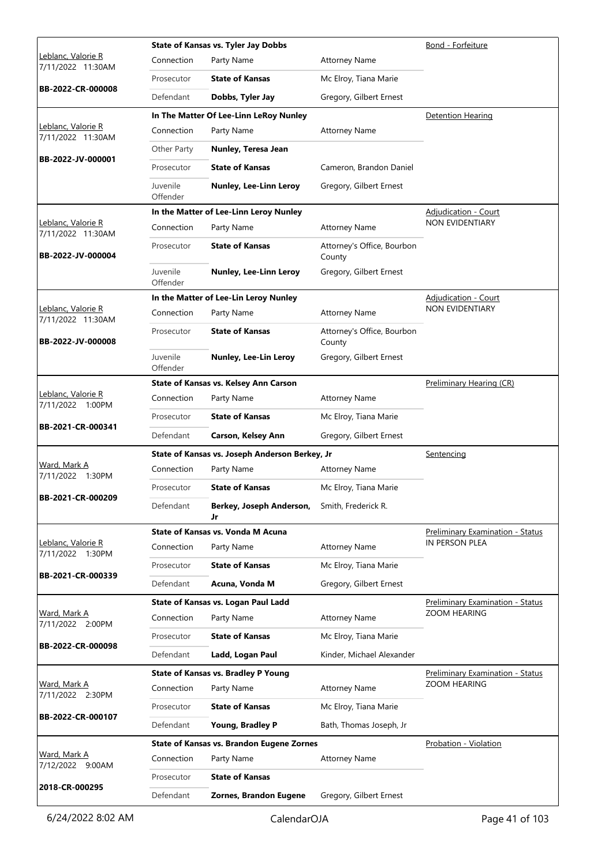|                                         |                      | <b>State of Kansas vs. Tyler Jay Dobbs</b>       | Bond - Forfeiture                    |                                  |
|-----------------------------------------|----------------------|--------------------------------------------------|--------------------------------------|----------------------------------|
| Leblanc, Valorie R<br>7/11/2022 11:30AM | Connection           | Party Name                                       | <b>Attorney Name</b>                 |                                  |
|                                         | Prosecutor           | <b>State of Kansas</b>                           | Mc Elroy, Tiana Marie                |                                  |
| BB-2022-CR-000008                       | Defendant            | Dobbs, Tyler Jay                                 | Gregory, Gilbert Ernest              |                                  |
|                                         |                      | In The Matter Of Lee-Linn LeRoy Nunley           |                                      | <b>Detention Hearing</b>         |
| Leblanc, Valorie R<br>7/11/2022 11:30AM | Connection           | Party Name                                       | <b>Attorney Name</b>                 |                                  |
|                                         | Other Party          | Nunley, Teresa Jean                              |                                      |                                  |
| BB-2022-JV-000001                       | Prosecutor           | <b>State of Kansas</b>                           | Cameron, Brandon Daniel              |                                  |
|                                         | Juvenile<br>Offender | Nunley, Lee-Linn Leroy                           | Gregory, Gilbert Ernest              |                                  |
|                                         |                      | In the Matter of Lee-Linn Leroy Nunley           |                                      | <b>Adjudication - Court</b>      |
| Leblanc, Valorie R<br>7/11/2022 11:30AM | Connection           | Party Name                                       | <b>Attorney Name</b>                 | NON EVIDENTIARY                  |
| BB-2022-JV-000004                       | Prosecutor           | <b>State of Kansas</b>                           | Attorney's Office, Bourbon<br>County |                                  |
|                                         | Juvenile<br>Offender | Nunley, Lee-Linn Leroy                           | Gregory, Gilbert Ernest              |                                  |
|                                         |                      | In the Matter of Lee-Lin Leroy Nunley            |                                      | Adjudication - Court             |
| Leblanc, Valorie R<br>7/11/2022 11:30AM | Connection           | Party Name                                       | <b>Attorney Name</b>                 | NON EVIDENTIARY                  |
| BB-2022-JV-000008                       | Prosecutor           | <b>State of Kansas</b>                           | Attorney's Office, Bourbon<br>County |                                  |
|                                         | Juvenile<br>Offender | Nunley, Lee-Lin Leroy                            | Gregory, Gilbert Ernest              |                                  |
|                                         |                      | State of Kansas vs. Kelsey Ann Carson            |                                      | Preliminary Hearing (CR)         |
| Leblanc, Valorie R<br>7/11/2022 1:00PM  | Connection           | Party Name                                       | <b>Attorney Name</b>                 |                                  |
| BB-2021-CR-000341                       | Prosecutor           | <b>State of Kansas</b>                           | Mc Elroy, Tiana Marie                |                                  |
|                                         | Defendant            | Carson, Kelsey Ann                               | Gregory, Gilbert Ernest              |                                  |
|                                         |                      | State of Kansas vs. Joseph Anderson Berkey, Jr   |                                      | <u>Sentencing</u>                |
| Ward, Mark A<br>7/11/2022 1:30PM        | Connection           | Party Name                                       | <b>Attorney Name</b>                 |                                  |
| BB-2021-CR-000209                       | Prosecutor           | <b>State of Kansas</b>                           | Mc Elroy, Tiana Marie                |                                  |
|                                         | Defendant            | Berkey, Joseph Anderson,<br>Jr                   | Smith, Frederick R.                  |                                  |
|                                         |                      | <b>State of Kansas vs. Vonda M Acuna</b>         |                                      | Preliminary Examination - Status |
| Leblanc, Valorie R<br>7/11/2022 1:30PM  | Connection           | Party Name                                       | <b>Attorney Name</b>                 | IN PERSON PLEA                   |
|                                         | Prosecutor           | <b>State of Kansas</b>                           | Mc Elroy, Tiana Marie                |                                  |
| BB-2021-CR-000339                       | Defendant            | Acuna, Vonda M                                   | Gregory, Gilbert Ernest              |                                  |
|                                         |                      | State of Kansas vs. Logan Paul Ladd              |                                      | Preliminary Examination - Status |
| Ward, Mark A<br>7/11/2022 2:00PM        | Connection           | Party Name                                       | <b>Attorney Name</b>                 | <b>ZOOM HEARING</b>              |
| BB-2022-CR-000098                       | Prosecutor           | <b>State of Kansas</b>                           | Mc Elroy, Tiana Marie                |                                  |
|                                         | Defendant            | Ladd, Logan Paul                                 | Kinder, Michael Alexander            |                                  |
|                                         |                      | <b>State of Kansas vs. Bradley P Young</b>       |                                      | Preliminary Examination - Status |
| <u>Ward, Mark A</u><br>7/11/2022 2:30PM | Connection           | Party Name                                       | <b>Attorney Name</b>                 | <b>ZOOM HEARING</b>              |
| BB-2022-CR-000107                       | Prosecutor           | <b>State of Kansas</b>                           | Mc Elroy, Tiana Marie                |                                  |
|                                         | Defendant            | Young, Bradley P                                 | Bath, Thomas Joseph, Jr              |                                  |
|                                         |                      | <b>State of Kansas vs. Brandon Eugene Zornes</b> |                                      | Probation - Violation            |
| <u>Ward, Mark A</u><br>7/12/2022 9:00AM | Connection           | Party Name                                       | <b>Attorney Name</b>                 |                                  |
| 2018-CR-000295                          | Prosecutor           | <b>State of Kansas</b>                           |                                      |                                  |
|                                         | Defendant            | Zornes, Brandon Eugene                           | Gregory, Gilbert Ernest              |                                  |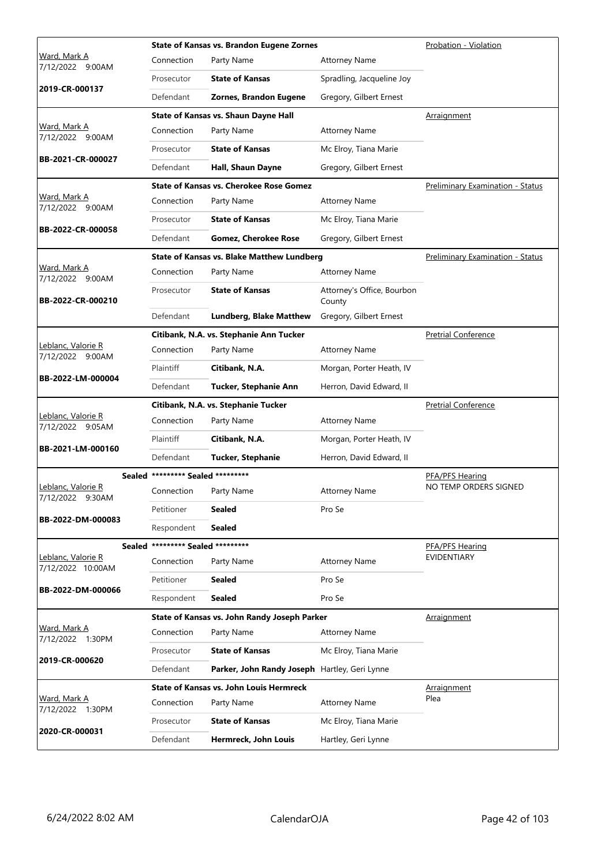|                                                | <b>State of Kansas vs. Brandon Eugene Zornes</b> |                                                   | Probation - Violation                |                                         |
|------------------------------------------------|--------------------------------------------------|---------------------------------------------------|--------------------------------------|-----------------------------------------|
| <u>Ward, Mark A</u><br>7/12/2022 9:00AM        | Connection                                       | Party Name                                        | <b>Attorney Name</b>                 |                                         |
|                                                | Prosecutor                                       | <b>State of Kansas</b>                            | Spradling, Jacqueline Joy            |                                         |
| 2019-CR-000137                                 | Defendant                                        | Zornes, Brandon Eugene                            | Gregory, Gilbert Ernest              |                                         |
|                                                |                                                  | State of Kansas vs. Shaun Dayne Hall              |                                      | Arraignment                             |
| <u>Ward, Mark A</u><br>7/12/2022 9:00AM        | Connection                                       | Party Name                                        | <b>Attorney Name</b>                 |                                         |
|                                                | Prosecutor                                       | <b>State of Kansas</b>                            | Mc Elroy, Tiana Marie                |                                         |
| BB-2021-CR-000027                              | Defendant                                        | Hall, Shaun Dayne                                 | Gregory, Gilbert Ernest              |                                         |
|                                                |                                                  | State of Kansas vs. Cherokee Rose Gomez           |                                      | <b>Preliminary Examination - Status</b> |
| Ward, Mark A<br>7/12/2022 9:00AM               | Connection                                       | Party Name                                        | <b>Attorney Name</b>                 |                                         |
|                                                | Prosecutor                                       | <b>State of Kansas</b>                            | Mc Elroy, Tiana Marie                |                                         |
| BB-2022-CR-000058                              | Defendant                                        | <b>Gomez, Cherokee Rose</b>                       | Gregory, Gilbert Ernest              |                                         |
|                                                |                                                  | <b>State of Kansas vs. Blake Matthew Lundberg</b> |                                      | <b>Preliminary Examination - Status</b> |
| Ward, Mark A<br>7/12/2022 9:00AM               | Connection                                       | Party Name                                        | <b>Attorney Name</b>                 |                                         |
| BB-2022-CR-000210                              | Prosecutor                                       | <b>State of Kansas</b>                            | Attorney's Office, Bourbon<br>County |                                         |
|                                                | Defendant                                        | <b>Lundberg, Blake Matthew</b>                    | Gregory, Gilbert Ernest              |                                         |
|                                                |                                                  | Citibank, N.A. vs. Stephanie Ann Tucker           |                                      | <b>Pretrial Conference</b>              |
| Leblanc, Valorie R<br>7/12/2022 9:00AM         | Connection                                       | Party Name                                        | <b>Attorney Name</b>                 |                                         |
|                                                | Plaintiff                                        | Citibank, N.A.                                    | Morgan, Porter Heath, IV             |                                         |
| BB-2022-LM-000004                              | Defendant                                        | Tucker, Stephanie Ann                             | Herron, David Edward, II             |                                         |
|                                                |                                                  | Citibank, N.A. vs. Stephanie Tucker               |                                      | <b>Pretrial Conference</b>              |
| Leblanc, Valorie R<br>7/12/2022 9:05AM         | Connection                                       | Party Name                                        | <b>Attorney Name</b>                 |                                         |
|                                                | Plaintiff                                        | Citibank, N.A.                                    | Morgan, Porter Heath, IV             |                                         |
| BB-2021-LM-000160                              | Defendant                                        | <b>Tucker, Stephanie</b>                          | Herron, David Edward, II             |                                         |
|                                                | Sealed ********* Sealed *********                |                                                   |                                      | <b>PFA/PFS Hearing</b>                  |
| <u> Leblanc, Valorie R</u><br>7/12/2022 9:30AM | Connection                                       | Party Name                                        | <b>Attorney Name</b>                 | NO TEMP ORDERS SIGNED                   |
|                                                | Petitioner                                       | <b>Sealed</b>                                     | Pro Se                               |                                         |
| BB-2022-DM-000083                              | Respondent                                       | <b>Sealed</b>                                     |                                      |                                         |
| <b>Sealed</b>                                  | ********* Sealed *********                       |                                                   |                                      | PFA/PFS Hearing                         |
| Leblanc, Valorie R<br>7/12/2022 10:00AM        | Connection                                       | Party Name                                        | <b>Attorney Name</b>                 | <b>EVIDENTIARY</b>                      |
|                                                | Petitioner                                       | <b>Sealed</b>                                     | Pro Se                               |                                         |
| BB-2022-DM-000066                              | Respondent                                       | <b>Sealed</b>                                     | Pro Se                               |                                         |
|                                                |                                                  | State of Kansas vs. John Randy Joseph Parker      |                                      | Arraignment                             |
| Ward, Mark A<br>7/12/2022 1:30PM               | Connection                                       | Party Name                                        | <b>Attorney Name</b>                 |                                         |
|                                                | Prosecutor                                       | <b>State of Kansas</b>                            | Mc Elroy, Tiana Marie                |                                         |
| 2019-CR-000620                                 | Defendant                                        | Parker, John Randy Joseph Hartley, Geri Lynne     |                                      |                                         |
|                                                |                                                  | <b>State of Kansas vs. John Louis Hermreck</b>    |                                      | <u>Arraignment</u>                      |
| Ward, Mark A<br>7/12/2022 1:30PM               | Connection                                       | Party Name                                        | <b>Attorney Name</b>                 | Plea                                    |
| 2020-CR-000031                                 | Prosecutor                                       | <b>State of Kansas</b>                            | Mc Elroy, Tiana Marie                |                                         |
|                                                |                                                  |                                                   |                                      |                                         |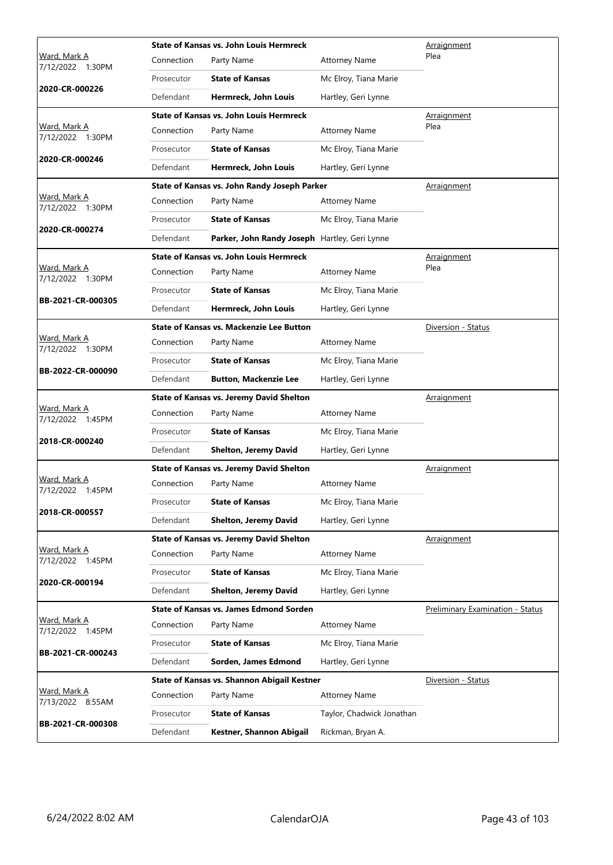|                                         |            | <b>State of Kansas vs. John Louis Hermreck</b>  | Arraignment               |                                         |
|-----------------------------------------|------------|-------------------------------------------------|---------------------------|-----------------------------------------|
| Ward, Mark A<br>7/12/2022 1:30PM        | Connection | Party Name                                      | <b>Attorney Name</b>      | Plea                                    |
|                                         | Prosecutor | <b>State of Kansas</b>                          | Mc Elroy, Tiana Marie     |                                         |
| 2020-CR-000226                          | Defendant  | Hermreck, John Louis                            | Hartley, Geri Lynne       |                                         |
|                                         |            | <b>State of Kansas vs. John Louis Hermreck</b>  |                           | Arraignment                             |
| <u>Ward, Mark A</u><br>7/12/2022 1:30PM | Connection | Party Name                                      | <b>Attorney Name</b>      | Plea                                    |
|                                         | Prosecutor | <b>State of Kansas</b>                          | Mc Elroy, Tiana Marie     |                                         |
| 2020-CR-000246                          | Defendant  | Hermreck, John Louis                            | Hartley, Geri Lynne       |                                         |
|                                         |            | State of Kansas vs. John Randy Joseph Parker    |                           | <b>Arraignment</b>                      |
| Ward, Mark A<br>7/12/2022 1:30PM        | Connection | Party Name                                      | <b>Attorney Name</b>      |                                         |
|                                         | Prosecutor | <b>State of Kansas</b>                          | Mc Elroy, Tiana Marie     |                                         |
| 2020-CR-000274                          | Defendant  | Parker, John Randy Joseph Hartley, Geri Lynne   |                           |                                         |
|                                         |            | <b>State of Kansas vs. John Louis Hermreck</b>  |                           | <b>Arraignment</b>                      |
| Ward, Mark A<br>7/12/2022 1:30PM        | Connection | Party Name                                      | <b>Attorney Name</b>      | Plea                                    |
|                                         | Prosecutor | <b>State of Kansas</b>                          | Mc Elroy, Tiana Marie     |                                         |
| BB-2021-CR-000305                       | Defendant  | Hermreck, John Louis                            | Hartley, Geri Lynne       |                                         |
|                                         |            | <b>State of Kansas vs. Mackenzie Lee Button</b> |                           | Diversion - Status                      |
| Ward, Mark A<br>7/12/2022 1:30PM        | Connection | Party Name                                      | <b>Attorney Name</b>      |                                         |
|                                         | Prosecutor | <b>State of Kansas</b>                          | Mc Elroy, Tiana Marie     |                                         |
| BB-2022-CR-000090                       | Defendant  | <b>Button, Mackenzie Lee</b>                    | Hartley, Geri Lynne       |                                         |
|                                         |            | <b>State of Kansas vs. Jeremy David Shelton</b> |                           | Arraignment                             |
| Ward, Mark A<br>7/12/2022 1:45PM        | Connection | Party Name                                      | <b>Attorney Name</b>      |                                         |
|                                         |            |                                                 | Mc Elroy, Tiana Marie     |                                         |
|                                         | Prosecutor | <b>State of Kansas</b>                          |                           |                                         |
| 2018-CR-000240                          | Defendant  | <b>Shelton, Jeremy David</b>                    | Hartley, Geri Lynne       |                                         |
|                                         |            | <b>State of Kansas vs. Jeremy David Shelton</b> |                           | Arraignment                             |
| Ward, Mark A<br>7/12/2022 1:45PM        | Connection | Party Name                                      | <b>Attorney Name</b>      |                                         |
|                                         | Prosecutor | <b>State of Kansas</b>                          | Mc Elroy, Tiana Marie     |                                         |
| 2018-CR-000557                          | Defendant  | <b>Shelton, Jeremy David</b>                    | Hartley, Geri Lynne       |                                         |
|                                         |            | <b>State of Kansas vs. Jeremy David Shelton</b> |                           | <u>Arraignment</u>                      |
| <u>Ward, Mark A</u><br>7/12/2022 1:45PM | Connection | Party Name                                      | <b>Attorney Name</b>      |                                         |
|                                         | Prosecutor | <b>State of Kansas</b>                          | Mc Elroy, Tiana Marie     |                                         |
| 2020-CR-000194                          | Defendant  | <b>Shelton, Jeremy David</b>                    | Hartley, Geri Lynne       |                                         |
|                                         |            | State of Kansas vs. James Edmond Sorden         |                           | <b>Preliminary Examination - Status</b> |
| Ward, Mark A<br>7/12/2022 1:45PM        | Connection | Party Name                                      | <b>Attorney Name</b>      |                                         |
|                                         | Prosecutor | <b>State of Kansas</b>                          | Mc Elroy, Tiana Marie     |                                         |
| BB-2021-CR-000243                       | Defendant  | Sorden, James Edmond                            | Hartley, Geri Lynne       |                                         |
|                                         |            | State of Kansas vs. Shannon Abigail Kestner     |                           | Diversion - Status                      |
| Ward, Mark A<br>7/13/2022 8:55AM        | Connection | Party Name                                      | <b>Attorney Name</b>      |                                         |
| BB-2021-CR-000308                       | Prosecutor | <b>State of Kansas</b>                          | Taylor, Chadwick Jonathan |                                         |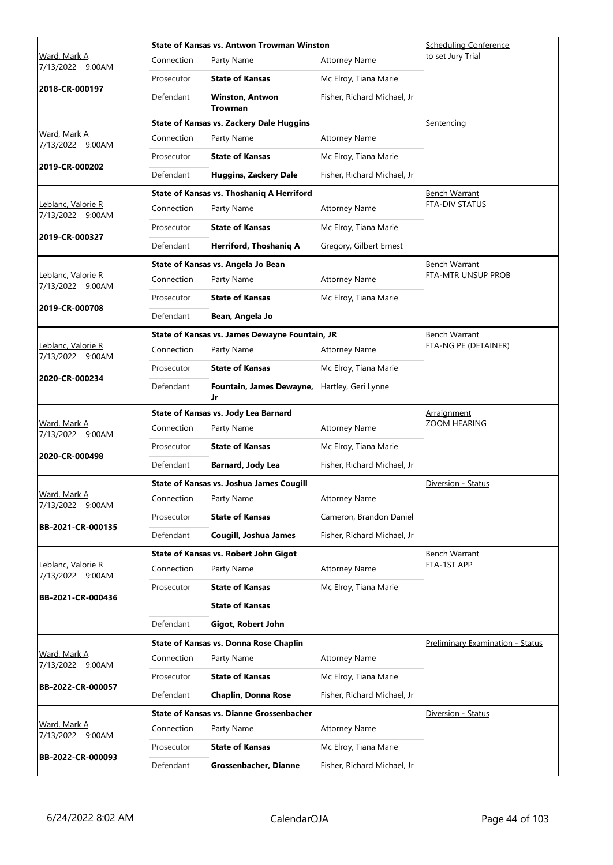|                                         |                       | <b>State of Kansas vs. Antwon Trowman Winston</b> | <b>Scheduling Conference</b> |                                  |
|-----------------------------------------|-----------------------|---------------------------------------------------|------------------------------|----------------------------------|
| Ward, Mark A<br>7/13/2022 9:00AM        | Connection            | Party Name                                        | <b>Attorney Name</b>         | to set Jury Trial                |
| 2018-CR-000197                          | Prosecutor            | <b>State of Kansas</b>                            | Mc Elroy, Tiana Marie        |                                  |
|                                         | Defendant             | <b>Winston, Antwon</b><br><b>Trowman</b>          | Fisher, Richard Michael, Jr  |                                  |
|                                         |                       | <b>State of Kansas vs. Zackery Dale Huggins</b>   |                              | Sentencing                       |
| Ward, Mark A<br>7/13/2022 9:00AM        | Connection            | Party Name                                        | <b>Attorney Name</b>         |                                  |
| 2019-CR-000202                          | Prosecutor            | <b>State of Kansas</b>                            | Mc Elroy, Tiana Marie        |                                  |
|                                         | Defendant             | <b>Huggins, Zackery Dale</b>                      | Fisher, Richard Michael, Jr  |                                  |
|                                         |                       | State of Kansas vs. Thoshaniq A Herriford         |                              | Bench Warrant                    |
| Leblanc, Valorie R<br>7/13/2022 9:00AM  | Connection            | Party Name                                        | <b>Attorney Name</b>         | <b>FTA-DIV STATUS</b>            |
| 2019-CR-000327                          | Prosecutor            | <b>State of Kansas</b>                            | Mc Elroy, Tiana Marie        |                                  |
|                                         | Defendant             | Herriford, Thoshaniq A                            | Gregory, Gilbert Ernest      |                                  |
|                                         |                       | State of Kansas vs. Angela Jo Bean                |                              | Bench Warrant                    |
| Leblanc, Valorie R<br>7/13/2022 9:00AM  | Connection            | Party Name                                        | <b>Attorney Name</b>         | FTA-MTR UNSUP PROB               |
|                                         | Prosecutor            | <b>State of Kansas</b>                            | Mc Elroy, Tiana Marie        |                                  |
| 2019-CR-000708                          | Defendant             | Bean, Angela Jo                                   |                              |                                  |
|                                         |                       | State of Kansas vs. James Dewayne Fountain, JR    |                              | Bench Warrant                    |
| Leblanc, Valorie R<br>7/13/2022 9:00AM  | Connection            | Party Name                                        | <b>Attorney Name</b>         | FTA-NG PE (DETAINER)             |
| 2020-CR-000234                          | Prosecutor            | <b>State of Kansas</b>                            | Mc Elroy, Tiana Marie        |                                  |
|                                         | Defendant             | Fountain, James Dewayne,<br>Jr                    | Hartley, Geri Lynne          |                                  |
|                                         |                       | State of Kansas vs. Jody Lea Barnard              |                              | Arraignment                      |
| <u>Ward, Mark A</u><br>7/13/2022 9:00AM | Connection            | Party Name                                        | <b>Attorney Name</b>         | ZOOM HEARING                     |
| 2020-CR-000498                          | Prosecutor            | <b>State of Kansas</b>                            | Mc Elroy, Tiana Marie        |                                  |
|                                         | Defendant             | <b>Barnard, Jody Lea</b>                          | Fisher, Richard Michael, Jr  |                                  |
|                                         |                       | <b>State of Kansas vs. Joshua James Cougill</b>   |                              | Diversion - Status               |
| <u>Ward, Mark A</u><br>7/13/2022 9:00AM | Connection Party Name |                                                   | <b>Attorney Name</b>         |                                  |
| BB-2021-CR-000135                       | Prosecutor            | <b>State of Kansas</b>                            | Cameron, Brandon Daniel      |                                  |
|                                         | Defendant             | Cougill, Joshua James                             | Fisher, Richard Michael, Jr  |                                  |
|                                         |                       | State of Kansas vs. Robert John Gigot             |                              | <b>Bench Warrant</b>             |
| Leblanc, Valorie R<br>7/13/2022 9:00AM  | Connection            | Party Name                                        | <b>Attorney Name</b>         | FTA-1ST APP                      |
| BB-2021-CR-000436                       | Prosecutor            | <b>State of Kansas</b>                            | Mc Elroy, Tiana Marie        |                                  |
|                                         |                       |                                                   |                              |                                  |
|                                         |                       | <b>State of Kansas</b>                            |                              |                                  |
|                                         | Defendant             | Gigot, Robert John                                |                              |                                  |
|                                         |                       | <b>State of Kansas vs. Donna Rose Chaplin</b>     |                              | Preliminary Examination - Status |
| Ward, Mark A<br>7/13/2022 9:00AM        | Connection            | Party Name                                        | <b>Attorney Name</b>         |                                  |
|                                         | Prosecutor            | <b>State of Kansas</b>                            | Mc Elroy, Tiana Marie        |                                  |
| BB-2022-CR-000057                       | Defendant             | <b>Chaplin, Donna Rose</b>                        | Fisher, Richard Michael, Jr  |                                  |
|                                         |                       | <b>State of Kansas vs. Dianne Grossenbacher</b>   |                              | Diversion - Status               |
| Ward, Mark A<br>7/13/2022 9:00AM        | Connection            | Party Name                                        | <b>Attorney Name</b>         |                                  |
| BB-2022-CR-000093                       | Prosecutor            | <b>State of Kansas</b>                            | Mc Elroy, Tiana Marie        |                                  |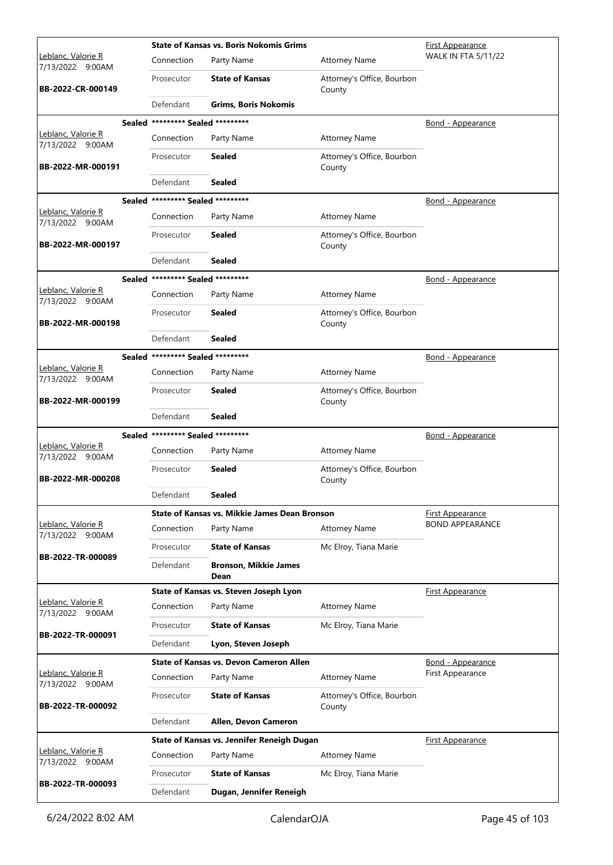|                                        |                                   | <b>State of Kansas vs. Boris Nokomis Grims</b> |                                      | First Appearance           |
|----------------------------------------|-----------------------------------|------------------------------------------------|--------------------------------------|----------------------------|
| Leblanc, Valorie R<br>7/13/2022 9:00AM | Connection                        | Party Name                                     | <b>Attorney Name</b>                 | <b>WALK IN FTA 5/11/22</b> |
| BB-2022-CR-000149                      | Prosecutor                        | <b>State of Kansas</b>                         | Attorney's Office, Bourbon<br>County |                            |
|                                        | Defendant                         | Grims, Boris Nokomis                           |                                      |                            |
|                                        | Sealed ********* Sealed ********* |                                                |                                      | Bond - Appearance          |
| Leblanc, Valorie R<br>7/13/2022 9:00AM | Connection                        | Party Name                                     | <b>Attorney Name</b>                 |                            |
| BB-2022-MR-000191                      | Prosecutor                        | <b>Sealed</b>                                  | Attorney's Office, Bourbon<br>County |                            |
|                                        | Defendant                         | Sealed                                         |                                      |                            |
|                                        | Sealed ********* Sealed ********* |                                                |                                      | <u>Bond - Appearance</u>   |
| Leblanc, Valorie R<br>7/13/2022 9:00AM | Connection                        | Party Name                                     | <b>Attorney Name</b>                 |                            |
| BB-2022-MR-000197                      | Prosecutor                        | <b>Sealed</b>                                  | Attorney's Office, Bourbon<br>County |                            |
|                                        | Defendant                         | Sealed                                         |                                      |                            |
|                                        | Sealed ********* Sealed ********* |                                                |                                      | Bond - Appearance          |
| Leblanc, Valorie R<br>7/13/2022 9:00AM | Connection                        | Party Name                                     | <b>Attorney Name</b>                 |                            |
| BB-2022-MR-000198                      | Prosecutor                        | <b>Sealed</b>                                  | Attorney's Office, Bourbon<br>County |                            |
|                                        | Defendant                         | <b>Sealed</b>                                  |                                      |                            |
|                                        | Sealed ********* Sealed ********* |                                                |                                      | <u>Bond - Appearance</u>   |
| Leblanc, Valorie R<br>7/13/2022 9:00AM | Connection                        | Party Name                                     | <b>Attorney Name</b>                 |                            |
| BB-2022-MR-000199                      | Prosecutor                        | <b>Sealed</b>                                  | Attorney's Office, Bourbon<br>County |                            |
|                                        | Defendant                         | Sealed                                         |                                      |                            |
|                                        | Sealed ********* Sealed ********* |                                                |                                      | <u>Bond - Appearance</u>   |
| Leblanc, Valorie R<br>7/13/2022 9:00AM | Connection                        | Party Name                                     | <b>Attorney Name</b>                 |                            |
| BB-2022-MR-000208                      | Prosecutor                        | Sealed                                         | Attorney's Office, Bourbon<br>County |                            |
|                                        | Defendant                         | Sealed                                         |                                      |                            |
|                                        |                                   | State of Kansas vs. Mikkie James Dean Bronson  |                                      | <b>First Appearance</b>    |
| Leblanc, Valorie R<br>7/13/2022 9:00AM | Connection                        | Party Name                                     | <b>Attorney Name</b>                 | <b>BOND APPEARANCE</b>     |
| BB-2022-TR-000089                      | Prosecutor                        | <b>State of Kansas</b>                         | Mc Elroy, Tiana Marie                |                            |
|                                        | Defendant                         | <b>Bronson, Mikkie James</b><br>Dean           |                                      |                            |
|                                        |                                   | State of Kansas vs. Steven Joseph Lyon         |                                      | <b>First Appearance</b>    |
| Leblanc, Valorie R<br>7/13/2022 9:00AM | Connection                        | Party Name                                     | <b>Attorney Name</b>                 |                            |
| BB-2022-TR-000091                      | Prosecutor                        | <b>State of Kansas</b>                         | Mc Elroy, Tiana Marie                |                            |
|                                        | Defendant                         | Lyon, Steven Joseph                            |                                      |                            |
|                                        |                                   | <b>State of Kansas vs. Devon Cameron Allen</b> |                                      | <u>Bond - Appearance</u>   |
| Leblanc, Valorie R<br>7/13/2022 9:00AM | Connection                        | Party Name                                     | <b>Attorney Name</b>                 | First Appearance           |
| BB-2022-TR-000092                      | Prosecutor                        | <b>State of Kansas</b>                         | Attorney's Office, Bourbon<br>County |                            |
|                                        | Defendant                         | Allen, Devon Cameron                           |                                      |                            |
|                                        |                                   | State of Kansas vs. Jennifer Reneigh Dugan     |                                      | <b>First Appearance</b>    |
| Leblanc, Valorie R<br>7/13/2022 9:00AM | Connection                        | Party Name                                     | <b>Attorney Name</b>                 |                            |
| BB-2022-TR-000093                      | Prosecutor                        | <b>State of Kansas</b>                         | Mc Elroy, Tiana Marie                |                            |
|                                        |                                   |                                                |                                      |                            |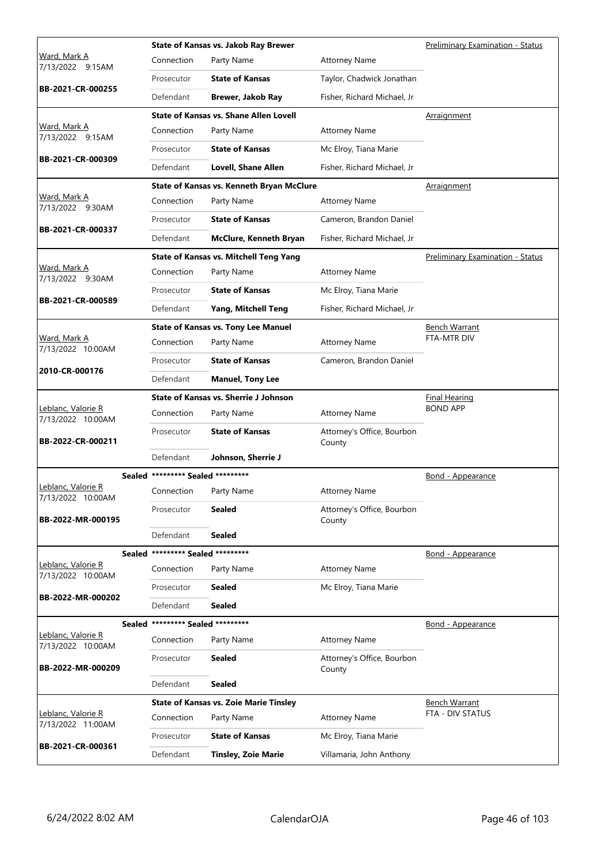|                                                 |                                   | State of Kansas vs. Jakob Ray Brewer          |                                      | Preliminary Examination - Status |
|-------------------------------------------------|-----------------------------------|-----------------------------------------------|--------------------------------------|----------------------------------|
| Ward, Mark A<br>7/13/2022 9:15AM                | Connection                        | Party Name                                    | <b>Attorney Name</b>                 |                                  |
|                                                 | Prosecutor                        | <b>State of Kansas</b>                        | Taylor, Chadwick Jonathan            |                                  |
| BB-2021-CR-000255                               | Defendant                         | Brewer, Jakob Ray                             | Fisher, Richard Michael, Jr          |                                  |
|                                                 |                                   | State of Kansas vs. Shane Allen Lovell        |                                      | Arraignment                      |
| <u>Ward, Mark A</u><br>7/13/2022 9:15AM         | Connection                        | Party Name                                    | <b>Attorney Name</b>                 |                                  |
| BB-2021-CR-000309                               | Prosecutor                        | <b>State of Kansas</b>                        | Mc Elroy, Tiana Marie                |                                  |
|                                                 | Defendant                         | <b>Lovell, Shane Allen</b>                    | Fisher, Richard Michael, Jr          |                                  |
|                                                 |                                   | State of Kansas vs. Kenneth Bryan McClure     |                                      | Arraignment                      |
| Ward, Mark A<br>7/13/2022 9:30AM                | Connection                        | Party Name                                    | <b>Attorney Name</b>                 |                                  |
| BB-2021-CR-000337                               | Prosecutor                        | <b>State of Kansas</b>                        | Cameron, Brandon Daniel              |                                  |
|                                                 | Defendant                         | <b>McClure, Kenneth Bryan</b>                 | Fisher, Richard Michael, Jr          |                                  |
|                                                 |                                   | <b>State of Kansas vs. Mitchell Teng Yang</b> |                                      | Preliminary Examination - Status |
| Ward, Mark A<br>7/13/2022 9:30AM                | Connection                        | Party Name                                    | <b>Attorney Name</b>                 |                                  |
|                                                 | Prosecutor                        | <b>State of Kansas</b>                        | Mc Elroy, Tiana Marie                |                                  |
| BB-2021-CR-000589                               | Defendant                         | Yang, Mitchell Teng                           | Fisher, Richard Michael, Jr          |                                  |
|                                                 |                                   | <b>State of Kansas vs. Tony Lee Manuel</b>    |                                      | <b>Bench Warrant</b>             |
| Ward, Mark A<br>7/13/2022 10:00AM               | Connection                        | Party Name                                    | <b>Attorney Name</b>                 | <b>FTA-MTR DIV</b>               |
|                                                 | Prosecutor                        | <b>State of Kansas</b>                        | Cameron, Brandon Daniel              |                                  |
| 2010-CR-000176                                  | Defendant                         | <b>Manuel, Tony Lee</b>                       |                                      |                                  |
|                                                 |                                   | <b>State of Kansas vs. Sherrie J Johnson</b>  |                                      | <b>Final Hearing</b>             |
| Leblanc, Valorie R<br>7/13/2022 10:00AM         | Connection                        | Party Name                                    | <b>Attorney Name</b>                 | <b>BOND APP</b>                  |
| BB-2022-CR-000211                               | Prosecutor                        | <b>State of Kansas</b>                        | Attorney's Office, Bourbon<br>County |                                  |
|                                                 | Defendant                         | Johnson, Sherrie J                            |                                      |                                  |
|                                                 | Sealed ********* Sealed ********* |                                               |                                      | <u>Bond - Appearance</u>         |
| <u> Leblanc, Valorie R</u><br>7/13/2022 10:00AM | Connection                        | Party Name                                    | <b>Attorney Name</b>                 |                                  |
| BB-2022-MR-000195                               | Prosecutor                        | <b>Sealed</b>                                 | Attorney's Office, Bourbon<br>County |                                  |
|                                                 | Defendant                         | <b>Sealed</b>                                 |                                      |                                  |
|                                                 | Sealed ********* Sealed ********* |                                               |                                      | <b>Bond - Appearance</b>         |
| Leblanc, Valorie R<br>7/13/2022 10:00AM         | Connection                        | Party Name                                    | <b>Attorney Name</b>                 |                                  |
|                                                 | Prosecutor                        | <b>Sealed</b>                                 | Mc Elroy, Tiana Marie                |                                  |
| BB-2022-MR-000202                               | Defendant                         | <b>Sealed</b>                                 |                                      |                                  |
|                                                 | Sealed ********* Sealed ********* |                                               |                                      | Bond - Appearance                |
| Leblanc, Valorie R<br>7/13/2022 10:00AM         | Connection                        | Party Name                                    | <b>Attorney Name</b>                 |                                  |
| BB-2022-MR-000209                               | Prosecutor                        | <b>Sealed</b>                                 | Attorney's Office, Bourbon<br>County |                                  |
|                                                 | Defendant                         | <b>Sealed</b>                                 |                                      |                                  |
|                                                 |                                   | <b>State of Kansas vs. Zoie Marie Tinsley</b> |                                      | <b>Bench Warrant</b>             |
| Leblanc, Valorie R<br>7/13/2022 11:00AM         | Connection                        | Party Name                                    | <b>Attorney Name</b>                 | FTA - DIV STATUS                 |
|                                                 | Prosecutor                        | <b>State of Kansas</b>                        | Mc Elroy, Tiana Marie                |                                  |
| BB-2021-CR-000361                               | Defendant                         | <b>Tinsley, Zoie Marie</b>                    | Villamaria, John Anthony             |                                  |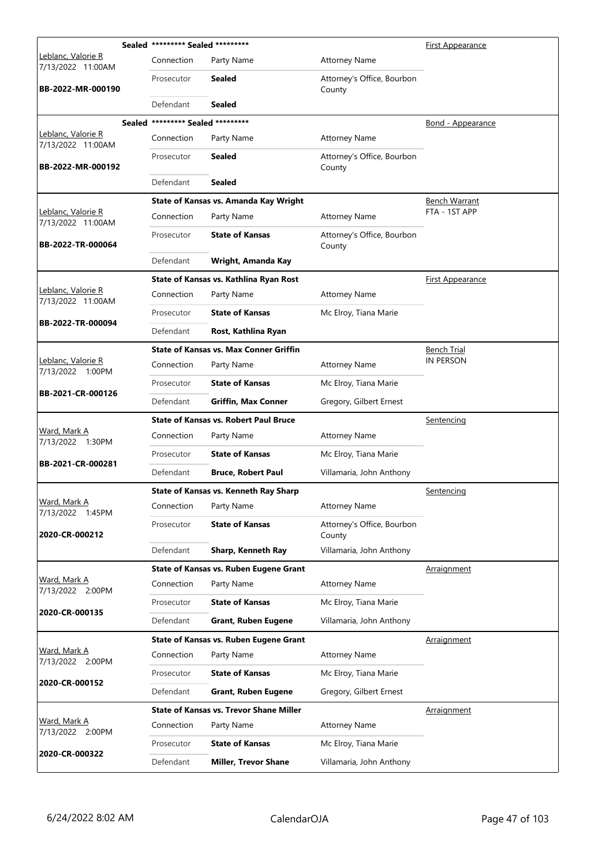|                                         | Sealed ********* Sealed ********* |                                                |                                      | First Appearance         |
|-----------------------------------------|-----------------------------------|------------------------------------------------|--------------------------------------|--------------------------|
| Leblanc, Valorie R<br>7/13/2022 11:00AM | Connection                        | Party Name                                     | <b>Attorney Name</b>                 |                          |
| BB-2022-MR-000190                       | Prosecutor                        | Sealed                                         | Attorney's Office, Bourbon<br>County |                          |
|                                         | Defendant                         | Sealed                                         |                                      |                          |
|                                         | Sealed ********* Sealed ********* |                                                |                                      | <b>Bond - Appearance</b> |
| Leblanc, Valorie R<br>7/13/2022 11:00AM | Connection                        | Party Name                                     | <b>Attorney Name</b>                 |                          |
| BB-2022-MR-000192                       | Prosecutor                        | <b>Sealed</b>                                  | Attorney's Office, Bourbon<br>County |                          |
|                                         | Defendant                         | <b>Sealed</b>                                  |                                      |                          |
|                                         |                                   | State of Kansas vs. Amanda Kay Wright          |                                      | <b>Bench Warrant</b>     |
| Leblanc, Valorie R<br>7/13/2022 11:00AM | Connection                        | Party Name                                     | <b>Attorney Name</b>                 | FTA - 1ST APP            |
| BB-2022-TR-000064                       | Prosecutor                        | <b>State of Kansas</b>                         | Attorney's Office, Bourbon<br>County |                          |
|                                         | Defendant                         | Wright, Amanda Kay                             |                                      |                          |
|                                         |                                   | State of Kansas vs. Kathlina Ryan Rost         |                                      | <u>First Appearance</u>  |
| Leblanc, Valorie R<br>7/13/2022 11:00AM | Connection                        | Party Name                                     | <b>Attorney Name</b>                 |                          |
|                                         | Prosecutor                        | <b>State of Kansas</b>                         | Mc Elroy, Tiana Marie                |                          |
| BB-2022-TR-000094                       | Defendant                         | Rost, Kathlina Ryan                            |                                      |                          |
|                                         |                                   | <b>State of Kansas vs. Max Conner Griffin</b>  |                                      | <b>Bench Trial</b>       |
| Leblanc, Valorie R<br>7/13/2022 1:00PM  | Connection                        | Party Name                                     | <b>Attorney Name</b>                 | IN PERSON                |
|                                         | Prosecutor                        | <b>State of Kansas</b>                         | Mc Elroy, Tiana Marie                |                          |
| BB-2021-CR-000126                       | Defendant                         | <b>Griffin, Max Conner</b>                     | Gregory, Gilbert Ernest              |                          |
|                                         |                                   | <b>State of Kansas vs. Robert Paul Bruce</b>   |                                      | Sentencing               |
| Ward, Mark A<br>7/13/2022 1:30PM        | Connection                        | Party Name                                     | <b>Attorney Name</b>                 |                          |
| BB-2021-CR-000281                       | Prosecutor                        | <b>State of Kansas</b>                         | Mc Elroy, Tiana Marie                |                          |
|                                         | Defendant                         | <b>Bruce, Robert Paul</b>                      | Villamaria, John Anthony             |                          |
|                                         |                                   | <b>State of Kansas vs. Kenneth Ray Sharp</b>   |                                      | <u>Sentencing</u>        |
| Ward, Mark A<br>7/13/2022 1:45PM        | Connection                        | Party Name                                     | <b>Attorney Name</b>                 |                          |
| 2020-CR-000212                          | Prosecutor                        | <b>State of Kansas</b>                         | Attorney's Office, Bourbon<br>County |                          |
|                                         | Defendant                         | Sharp, Kenneth Ray                             | Villamaria, John Anthony             |                          |
|                                         |                                   | State of Kansas vs. Ruben Eugene Grant         |                                      | Arraignment              |
| Ward, Mark A<br>7/13/2022 2:00PM        | Connection                        | Party Name                                     | <b>Attorney Name</b>                 |                          |
| 2020-CR-000135                          | Prosecutor                        | <b>State of Kansas</b>                         | Mc Elroy, Tiana Marie                |                          |
|                                         | Defendant                         | <b>Grant, Ruben Eugene</b>                     | Villamaria, John Anthony             |                          |
|                                         |                                   | <b>State of Kansas vs. Ruben Eugene Grant</b>  |                                      | Arraignment              |
| Ward, Mark A<br>7/13/2022 2:00PM        | Connection                        | Party Name                                     | <b>Attorney Name</b>                 |                          |
| 2020-CR-000152                          | Prosecutor                        | <b>State of Kansas</b>                         | Mc Elroy, Tiana Marie                |                          |
|                                         | Defendant                         | <b>Grant, Ruben Eugene</b>                     | Gregory, Gilbert Ernest              |                          |
|                                         |                                   | <b>State of Kansas vs. Trevor Shane Miller</b> |                                      | Arraignment              |
| Ward, Mark A<br>7/13/2022 2:00PM        | Connection                        | Party Name                                     | <b>Attorney Name</b>                 |                          |
| 2020-CR-000322                          | Prosecutor                        | <b>State of Kansas</b>                         | Mc Elroy, Tiana Marie                |                          |
|                                         | Defendant                         | <b>Miller, Trevor Shane</b>                    | Villamaria, John Anthony             |                          |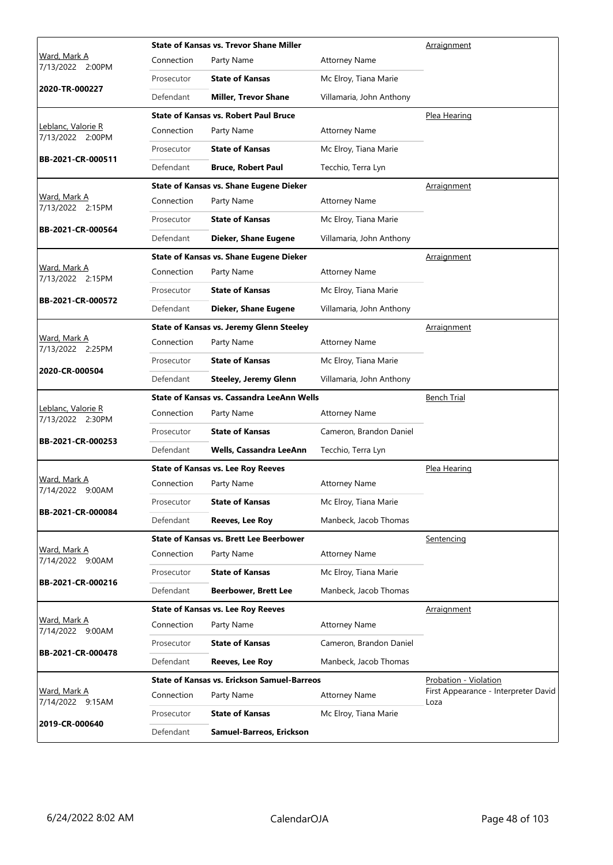|                                         |            | <b>State of Kansas vs. Trevor Shane Miller</b>     |                          | Arraignment                                  |
|-----------------------------------------|------------|----------------------------------------------------|--------------------------|----------------------------------------------|
| Ward, Mark A<br>7/13/2022 2:00PM        | Connection | Party Name                                         | <b>Attorney Name</b>     |                                              |
|                                         | Prosecutor | <b>State of Kansas</b>                             | Mc Elroy, Tiana Marie    |                                              |
| 2020-TR-000227                          | Defendant  | <b>Miller, Trevor Shane</b>                        | Villamaria, John Anthony |                                              |
|                                         |            | <b>State of Kansas vs. Robert Paul Bruce</b>       |                          | Plea Hearing                                 |
| Leblanc, Valorie R<br>7/13/2022 2:00PM  | Connection | Party Name                                         | <b>Attorney Name</b>     |                                              |
|                                         | Prosecutor | <b>State of Kansas</b>                             | Mc Elroy, Tiana Marie    |                                              |
| BB-2021-CR-000511                       | Defendant  | <b>Bruce, Robert Paul</b>                          | Tecchio, Terra Lyn       |                                              |
|                                         |            | <b>State of Kansas vs. Shane Eugene Dieker</b>     |                          | <u>Arraignment</u>                           |
| Ward, Mark A<br>7/13/2022 2:15PM        | Connection | Party Name                                         | <b>Attorney Name</b>     |                                              |
|                                         | Prosecutor | <b>State of Kansas</b>                             | Mc Elroy, Tiana Marie    |                                              |
| BB-2021-CR-000564                       | Defendant  | Dieker, Shane Eugene                               | Villamaria, John Anthony |                                              |
|                                         |            | <b>State of Kansas vs. Shane Eugene Dieker</b>     |                          | <b>Arraignment</b>                           |
| Ward, Mark A<br>7/13/2022 2:15PM        | Connection | Party Name                                         | <b>Attorney Name</b>     |                                              |
|                                         | Prosecutor | <b>State of Kansas</b>                             | Mc Elroy, Tiana Marie    |                                              |
| BB-2021-CR-000572                       | Defendant  | Dieker, Shane Eugene                               | Villamaria, John Anthony |                                              |
|                                         |            | <b>State of Kansas vs. Jeremy Glenn Steeley</b>    |                          | <u>Arraignment</u>                           |
| Ward, Mark A<br>7/13/2022 2:25PM        | Connection | Party Name                                         | <b>Attorney Name</b>     |                                              |
| 2020-CR-000504                          | Prosecutor | <b>State of Kansas</b>                             | Mc Elroy, Tiana Marie    |                                              |
|                                         | Defendant  | <b>Steeley, Jeremy Glenn</b>                       | Villamaria, John Anthony |                                              |
|                                         |            | State of Kansas vs. Cassandra LeeAnn Wells         | <b>Bench Trial</b>       |                                              |
| Leblanc, Valorie R<br>7/13/2022 2:30PM  | Connection | Party Name                                         | <b>Attorney Name</b>     |                                              |
|                                         | Prosecutor | <b>State of Kansas</b>                             | Cameron, Brandon Daniel  |                                              |
| BB-2021-CR-000253                       | Defendant  | Wells, Cassandra LeeAnn                            | Tecchio, Terra Lyn       |                                              |
|                                         |            | <b>State of Kansas vs. Lee Roy Reeves</b>          | Plea Hearing             |                                              |
| Ward, Mark A<br>7/14/2022 9:00AM        | Connection | Party Name                                         | <b>Attorney Name</b>     |                                              |
|                                         | Prosecutor | <b>State of Kansas</b>                             | Mc Elroy, Tiana Marie    |                                              |
| BB-2021-CR-000084                       | Defendant  | <b>Reeves, Lee Roy</b>                             | Manbeck, Jacob Thomas    |                                              |
|                                         |            | <b>State of Kansas vs. Brett Lee Beerbower</b>     |                          | Sentencing                                   |
| <u>Ward, Mark A</u><br>7/14/2022 9:00AM | Connection | Party Name                                         | <b>Attorney Name</b>     |                                              |
|                                         | Prosecutor | <b>State of Kansas</b>                             | Mc Elroy, Tiana Marie    |                                              |
| BB-2021-CR-000216                       | Defendant  | <b>Beerbower, Brett Lee</b>                        | Manbeck, Jacob Thomas    |                                              |
|                                         |            | <b>State of Kansas vs. Lee Roy Reeves</b>          |                          | Arraignment                                  |
| Ward, Mark A<br>7/14/2022 9:00AM        | Connection | Party Name                                         | <b>Attorney Name</b>     |                                              |
| BB-2021-CR-000478                       | Prosecutor | <b>State of Kansas</b>                             | Cameron, Brandon Daniel  |                                              |
|                                         | Defendant  | <b>Reeves, Lee Roy</b>                             | Manbeck, Jacob Thomas    |                                              |
|                                         |            | <b>State of Kansas vs. Erickson Samuel-Barreos</b> |                          | <b>Probation - Violation</b>                 |
| Ward, Mark A<br>7/14/2022 9:15AM        | Connection | Party Name                                         | <b>Attorney Name</b>     | First Appearance - Interpreter David<br>Loza |
|                                         |            |                                                    |                          |                                              |
| 2019-CR-000640                          | Prosecutor | <b>State of Kansas</b>                             | Mc Elroy, Tiana Marie    |                                              |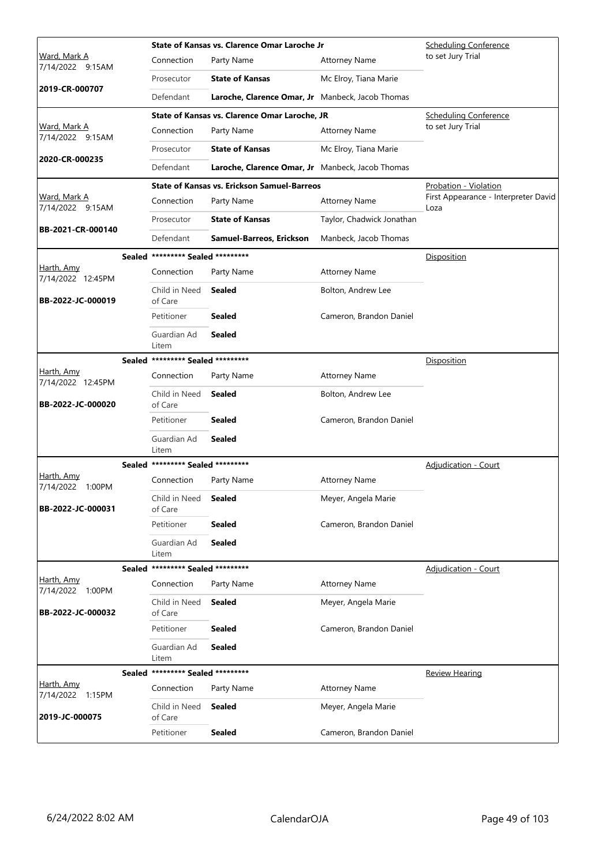|                                         |               |                                   | State of Kansas vs. Clarence Omar Laroche Jr       |                           | <b>Scheduling Conference</b>                 |
|-----------------------------------------|---------------|-----------------------------------|----------------------------------------------------|---------------------------|----------------------------------------------|
| Ward, Mark A<br>7/14/2022 9:15AM        |               | Connection                        | Party Name                                         | <b>Attorney Name</b>      | to set Jury Trial                            |
|                                         |               | Prosecutor                        | <b>State of Kansas</b>                             | Mc Elroy, Tiana Marie     |                                              |
| 2019-CR-000707                          |               | Defendant                         | Laroche, Clarence Omar, Jr Manbeck, Jacob Thomas   |                           |                                              |
|                                         |               |                                   | State of Kansas vs. Clarence Omar Laroche, JR      |                           | <b>Scheduling Conference</b>                 |
| <u>Ward, Mark A</u><br>7/14/2022 9:15AM |               | Connection                        | Party Name                                         | <b>Attorney Name</b>      | to set Jury Trial                            |
|                                         |               | Prosecutor                        | <b>State of Kansas</b>                             | Mc Elroy, Tiana Marie     |                                              |
| 2020-CR-000235                          |               | Defendant                         | Laroche, Clarence Omar, Jr Manbeck, Jacob Thomas   |                           |                                              |
|                                         |               |                                   | <b>State of Kansas vs. Erickson Samuel-Barreos</b> |                           | Probation - Violation                        |
| Ward, Mark A<br>7/14/2022 9:15AM        |               | Connection                        | Party Name                                         | <b>Attorney Name</b>      | First Appearance - Interpreter David<br>Loza |
|                                         |               | Prosecutor                        | <b>State of Kansas</b>                             | Taylor, Chadwick Jonathan |                                              |
| BB-2021-CR-000140                       |               | Defendant                         | Samuel-Barreos, Erickson                           | Manbeck, Jacob Thomas     |                                              |
|                                         |               | Sealed ********* Sealed ********* |                                                    |                           | Disposition                                  |
| Harth, Amy<br>7/14/2022 12:45PM         |               | Connection                        | Party Name                                         | <b>Attorney Name</b>      |                                              |
| BB-2022-JC-000019                       |               | Child in Need<br>of Care          | <b>Sealed</b>                                      | Bolton, Andrew Lee        |                                              |
|                                         |               | Petitioner                        | <b>Sealed</b>                                      | Cameron, Brandon Daniel   |                                              |
|                                         |               | Guardian Ad<br>Litem              | <b>Sealed</b>                                      |                           |                                              |
|                                         |               | Sealed ********* Sealed ********* |                                                    |                           | Disposition                                  |
| Harth, Amy<br>7/14/2022 12:45PM         |               | Connection                        | Party Name                                         | <b>Attorney Name</b>      |                                              |
| BB-2022-JC-000020                       |               | Child in Need<br>of Care          | <b>Sealed</b>                                      | Bolton, Andrew Lee        |                                              |
|                                         |               | Petitioner                        | <b>Sealed</b>                                      | Cameron, Brandon Daniel   |                                              |
|                                         |               | Guardian Ad<br>Litem              | <b>Sealed</b>                                      |                           |                                              |
|                                         |               | Sealed ********* Sealed ********* |                                                    |                           | <b>Adjudication - Court</b>                  |
| <u>Harth, Amv</u><br>7/14/2022 1:00PM   |               | Connection                        | Party Name                                         | <b>Attorney Name</b>      |                                              |
| BB-2022-JC-000031                       |               | Child in Need Sealed<br>of Care   |                                                    | Meyer, Angela Marie       |                                              |
|                                         |               | Petitioner                        | <b>Sealed</b>                                      | Cameron, Brandon Daniel   |                                              |
|                                         |               | Guardian Ad<br>Litem              | <b>Sealed</b>                                      |                           |                                              |
|                                         | <b>Sealed</b> | ********* Sealed *********        |                                                    |                           | Adjudication - Court                         |
| Harth, Amy<br>7/14/2022 1:00PM          |               | Connection                        | Party Name                                         | <b>Attorney Name</b>      |                                              |
| BB-2022-JC-000032                       |               | Child in Need<br>of Care          | <b>Sealed</b>                                      | Meyer, Angela Marie       |                                              |
|                                         |               | Petitioner                        | <b>Sealed</b>                                      | Cameron, Brandon Daniel   |                                              |
|                                         |               | Guardian Ad<br>Litem              | <b>Sealed</b>                                      |                           |                                              |
|                                         |               | Sealed ********* Sealed ********* |                                                    |                           | <b>Review Hearing</b>                        |
| Harth, Amy<br>7/14/2022 1:15PM          |               | Connection                        | Party Name                                         | <b>Attorney Name</b>      |                                              |
| 2019-JC-000075                          |               | Child in Need<br>of Care          | Sealed                                             | Meyer, Angela Marie       |                                              |
|                                         |               | Petitioner                        | <b>Sealed</b>                                      | Cameron, Brandon Daniel   |                                              |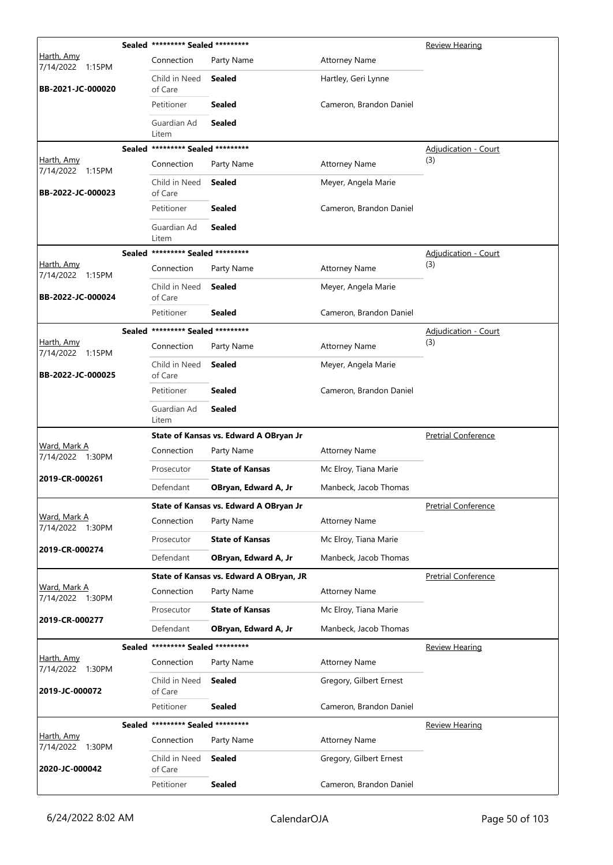|                                  | Sealed ********* Sealed ********* |                                         |                         | Review Hearing              |
|----------------------------------|-----------------------------------|-----------------------------------------|-------------------------|-----------------------------|
| Harth, Amy<br>7/14/2022 1:15PM   | Connection                        | Party Name                              | <b>Attorney Name</b>    |                             |
| BB-2021-JC-000020                | Child in Need<br>of Care          | <b>Sealed</b>                           | Hartley, Geri Lynne     |                             |
|                                  | Petitioner                        | <b>Sealed</b>                           | Cameron, Brandon Daniel |                             |
|                                  | Guardian Ad<br>Litem              | <b>Sealed</b>                           |                         |                             |
|                                  | Sealed ********* Sealed ********* |                                         |                         | Adjudication - Court        |
| Harth, Amy<br>7/14/2022 1:15PM   | Connection                        | Party Name                              | <b>Attorney Name</b>    | (3)                         |
| BB-2022-JC-000023                | Child in Need<br>of Care          | Sealed                                  | Meyer, Angela Marie     |                             |
|                                  | Petitioner                        | <b>Sealed</b>                           | Cameron, Brandon Daniel |                             |
|                                  | Guardian Ad<br>Litem              | <b>Sealed</b>                           |                         |                             |
|                                  | Sealed ********* Sealed ********* |                                         |                         | <b>Adjudication - Court</b> |
| Harth, Amy<br>7/14/2022 1:15PM   | Connection                        | Party Name                              | <b>Attorney Name</b>    | (3)                         |
| BB-2022-JC-000024                | Child in Need<br>of Care          | Sealed                                  | Meyer, Angela Marie     |                             |
|                                  | Petitioner                        | <b>Sealed</b>                           | Cameron, Brandon Daniel |                             |
|                                  | Sealed ********* Sealed ********* |                                         |                         | <b>Adjudication - Court</b> |
| Harth, Amy<br>7/14/2022 1:15PM   | Connection                        | Party Name                              | <b>Attorney Name</b>    | (3)                         |
| BB-2022-JC-000025                | Child in Need<br>of Care          | <b>Sealed</b>                           | Meyer, Angela Marie     |                             |
|                                  | Petitioner                        | <b>Sealed</b>                           | Cameron, Brandon Daniel |                             |
|                                  | Guardian Ad<br>Litem              | <b>Sealed</b>                           |                         |                             |
|                                  |                                   | State of Kansas vs. Edward A OBryan Jr  |                         | <b>Pretrial Conference</b>  |
| Ward, Mark A<br>7/14/2022 1:30PM | Connection                        | Party Name                              | <b>Attorney Name</b>    |                             |
| 2019-CR-000261                   | Prosecutor                        | <b>State of Kansas</b>                  | Mc Elroy, Tiana Marie   |                             |
|                                  | Defendant                         | OBryan, Edward A, Jr                    | Manbeck, Jacob Thomas   |                             |
|                                  |                                   | State of Kansas vs. Edward A OBryan Jr  |                         | <b>Pretrial Conference</b>  |
| Ward, Mark A<br>7/14/2022 1:30PM | Connection                        | Party Name                              | <b>Attorney Name</b>    |                             |
| 2019-CR-000274                   | Prosecutor                        | <b>State of Kansas</b>                  | Mc Elroy, Tiana Marie   |                             |
|                                  | Defendant                         | OBryan, Edward A, Jr                    | Manbeck, Jacob Thomas   |                             |
|                                  |                                   | State of Kansas vs. Edward A OBryan, JR |                         | <b>Pretrial Conference</b>  |
| Ward, Mark A<br>7/14/2022 1:30PM | Connection                        | Party Name                              | <b>Attorney Name</b>    |                             |
| 2019-CR-000277                   | Prosecutor                        | <b>State of Kansas</b>                  | Mc Elroy, Tiana Marie   |                             |
|                                  | Defendant                         | OBryan, Edward A, Jr                    | Manbeck, Jacob Thomas   |                             |
|                                  | Sealed ********* Sealed ********* |                                         |                         | <b>Review Hearing</b>       |
| Harth, Amy<br>7/14/2022 1:30PM   | Connection                        | Party Name                              | <b>Attorney Name</b>    |                             |
| 2019-JC-000072                   | Child in Need<br>of Care          | <b>Sealed</b>                           | Gregory, Gilbert Ernest |                             |
|                                  | Petitioner                        | <b>Sealed</b>                           | Cameron, Brandon Daniel |                             |
|                                  | Sealed ********* Sealed ********* |                                         |                         | <b>Review Hearing</b>       |
| Harth, Amy<br>7/14/2022 1:30PM   | Connection                        | Party Name                              | <b>Attorney Name</b>    |                             |
| 2020-JC-000042                   | Child in Need<br>of Care          | <b>Sealed</b>                           | Gregory, Gilbert Ernest |                             |
|                                  | Petitioner                        | <b>Sealed</b>                           | Cameron, Brandon Daniel |                             |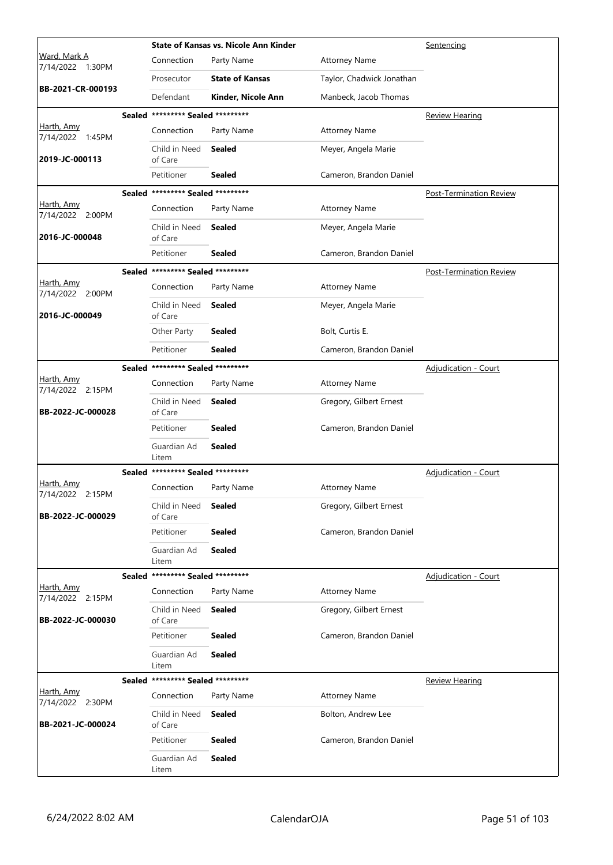|                                  |        |                                   | <b>State of Kansas vs. Nicole Ann Kinder</b> |                           | Sentencing                     |
|----------------------------------|--------|-----------------------------------|----------------------------------------------|---------------------------|--------------------------------|
| Ward, Mark A<br>7/14/2022 1:30PM |        | Connection                        | Party Name                                   | <b>Attorney Name</b>      |                                |
|                                  |        | Prosecutor                        | <b>State of Kansas</b>                       | Taylor, Chadwick Jonathan |                                |
| BB-2021-CR-000193                |        | Defendant                         | Kinder, Nicole Ann                           | Manbeck, Jacob Thomas     |                                |
|                                  |        | Sealed ********* Sealed ********* |                                              |                           | <b>Review Hearing</b>          |
| Harth, Amy<br>7/14/2022 1:45PM   |        | Connection                        | Party Name                                   | <b>Attorney Name</b>      |                                |
| 2019-JC-000113                   |        | Child in Need<br>of Care          | Sealed                                       | Meyer, Angela Marie       |                                |
|                                  |        | Petitioner                        | <b>Sealed</b>                                | Cameron, Brandon Daniel   |                                |
|                                  |        | Sealed ********* Sealed ********* |                                              |                           | <b>Post-Termination Review</b> |
| Harth, Amy<br>7/14/2022 2:00PM   |        | Connection                        | Party Name                                   | <b>Attorney Name</b>      |                                |
| 2016-JC-000048                   |        | Child in Need<br>of Care          | <b>Sealed</b>                                | Meyer, Angela Marie       |                                |
|                                  |        | Petitioner                        | <b>Sealed</b>                                | Cameron, Brandon Daniel   |                                |
|                                  |        | Sealed ********* Sealed ********* |                                              |                           | <b>Post-Termination Review</b> |
| Harth, Amy<br>7/14/2022 2:00PM   |        | Connection                        | Party Name                                   | <b>Attorney Name</b>      |                                |
| 2016-JC-000049                   |        | Child in Need<br>of Care          | Sealed                                       | Meyer, Angela Marie       |                                |
|                                  |        | Other Party                       | Sealed                                       | Bolt, Curtis E.           |                                |
|                                  |        | Petitioner                        | <b>Sealed</b>                                | Cameron, Brandon Daniel   |                                |
|                                  |        | Sealed ********* Sealed ********* |                                              |                           | <b>Adjudication - Court</b>    |
| Harth, Amy<br>7/14/2022 2:15PM   |        | Connection                        | Party Name                                   | <b>Attorney Name</b>      |                                |
| BB-2022-JC-000028                |        | Child in Need<br>of Care          | <b>Sealed</b>                                | Gregory, Gilbert Ernest   |                                |
|                                  |        | Petitioner                        | <b>Sealed</b>                                | Cameron, Brandon Daniel   |                                |
|                                  |        | Guardian Ad<br>Litem              | <b>Sealed</b>                                |                           |                                |
|                                  |        | Sealed ********* Sealed ********* |                                              |                           | <b>Adjudication - Court</b>    |
| Harth, Amy<br>7/14/2022 2:15PM   |        | Connection                        | Party Name                                   | <b>Attorney Name</b>      |                                |
| BB-2022-JC-000029                |        | Child in Need<br>of Care          | <b>Sealed</b>                                | Gregory, Gilbert Ernest   |                                |
|                                  |        | Petitioner                        | <b>Sealed</b>                                | Cameron, Brandon Daniel   |                                |
|                                  |        | Guardian Ad<br>Litem              | <b>Sealed</b>                                |                           |                                |
|                                  |        | Sealed ********* Sealed ********* |                                              |                           | <b>Adjudication - Court</b>    |
| Harth, Amy<br>7/14/2022 2:15PM   |        | Connection                        | Party Name                                   | <b>Attorney Name</b>      |                                |
| BB-2022-JC-000030                |        | Child in Need<br>of Care          | <b>Sealed</b>                                | Gregory, Gilbert Ernest   |                                |
|                                  |        | Petitioner                        | <b>Sealed</b>                                | Cameron, Brandon Daniel   |                                |
|                                  |        | Guardian Ad<br>Litem              | <b>Sealed</b>                                |                           |                                |
|                                  | Sealed | ********* Sealed *********        |                                              |                           | <b>Review Hearing</b>          |
| Harth, Amy<br>7/14/2022 2:30PM   |        | Connection                        | Party Name                                   | <b>Attorney Name</b>      |                                |
| BB-2021-JC-000024                |        | Child in Need<br>of Care          | <b>Sealed</b>                                | Bolton, Andrew Lee        |                                |
|                                  |        | Petitioner                        | <b>Sealed</b>                                | Cameron, Brandon Daniel   |                                |
|                                  |        | Guardian Ad<br>Litem              | <b>Sealed</b>                                |                           |                                |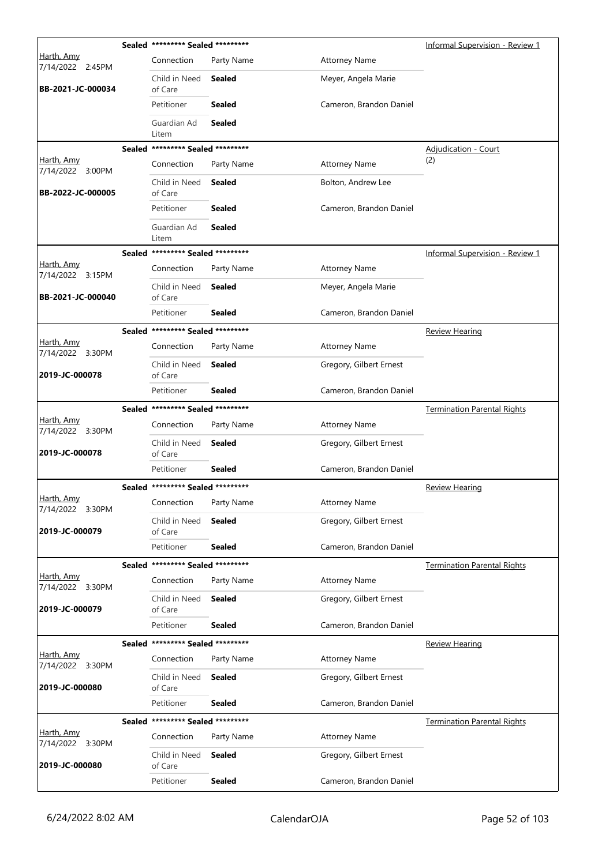|                                | Sealed ********* Sealed ********* |               |                         | Informal Supervision - Review 1        |
|--------------------------------|-----------------------------------|---------------|-------------------------|----------------------------------------|
| Harth, Amy<br>7/14/2022 2:45PM | Connection                        | Party Name    | <b>Attorney Name</b>    |                                        |
| BB-2021-JC-000034              | Child in Need<br>of Care          | <b>Sealed</b> | Meyer, Angela Marie     |                                        |
|                                | Petitioner                        | <b>Sealed</b> | Cameron, Brandon Daniel |                                        |
|                                | Guardian Ad<br>Litem              | <b>Sealed</b> |                         |                                        |
|                                | Sealed ********* Sealed ********* |               |                         | <b>Adjudication - Court</b>            |
| Harth, Amy<br>7/14/2022 3:00PM | Connection                        | Party Name    | <b>Attorney Name</b>    | (2)                                    |
| BB-2022-JC-000005              | Child in Need<br>of Care          | <b>Sealed</b> | Bolton, Andrew Lee      |                                        |
|                                | Petitioner                        | <b>Sealed</b> | Cameron, Brandon Daniel |                                        |
|                                | Guardian Ad<br>Litem              | <b>Sealed</b> |                         |                                        |
|                                | Sealed ********* Sealed ********* |               |                         | <b>Informal Supervision - Review 1</b> |
| Harth, Amy<br>7/14/2022 3:15PM | Connection                        | Party Name    | <b>Attorney Name</b>    |                                        |
| BB-2021-JC-000040              | Child in Need<br>of Care          | <b>Sealed</b> | Meyer, Angela Marie     |                                        |
|                                | Petitioner                        | <b>Sealed</b> | Cameron, Brandon Daniel |                                        |
|                                | Sealed ********* Sealed ********* |               |                         | <b>Review Hearing</b>                  |
| Harth, Amy<br>7/14/2022 3:30PM | Connection                        | Party Name    | <b>Attorney Name</b>    |                                        |
| 2019-JC-000078                 | Child in Need<br>of Care          | <b>Sealed</b> | Gregory, Gilbert Ernest |                                        |
|                                | Petitioner                        | Sealed        | Cameron, Brandon Daniel |                                        |
|                                | Sealed ********* Sealed ********* |               |                         | <b>Termination Parental Rights</b>     |
| Harth, Amy<br>7/14/2022 3:30PM | Connection                        | Party Name    | <b>Attorney Name</b>    |                                        |
| 2019-JC-000078                 | Child in Need<br>of Care          | Sealed        | Gregory, Gilbert Ernest |                                        |
|                                | Petitioner                        | Sealed        | Cameron, Brandon Daniel |                                        |
|                                | Sealed ********* Sealed ********* |               |                         | <b>Review Hearing</b>                  |
| Harth, Amy<br>7/14/2022 3:30PM | Connection                        | Party Name    | <b>Attorney Name</b>    |                                        |
| 2019-JC-000079                 | Child in Need<br>of Care          | <b>Sealed</b> | Gregory, Gilbert Ernest |                                        |
|                                | Petitioner                        | <b>Sealed</b> | Cameron, Brandon Daniel |                                        |
|                                | Sealed ********* Sealed ********* |               |                         | <b>Termination Parental Rights</b>     |
| Harth, Amy<br>7/14/2022 3:30PM | Connection                        | Party Name    | <b>Attorney Name</b>    |                                        |
| 2019-JC-000079                 | Child in Need<br>of Care          | <b>Sealed</b> | Gregory, Gilbert Ernest |                                        |
|                                | Petitioner                        | <b>Sealed</b> | Cameron, Brandon Daniel |                                        |
|                                | Sealed ********* Sealed ********* |               |                         | <b>Review Hearing</b>                  |
| Harth, Amy<br>7/14/2022 3:30PM | Connection                        | Party Name    | <b>Attorney Name</b>    |                                        |
| 2019-JC-000080                 | Child in Need<br>of Care          | Sealed        | Gregory, Gilbert Ernest |                                        |
|                                | Petitioner                        | <b>Sealed</b> | Cameron, Brandon Daniel |                                        |
|                                | Sealed ********* Sealed ********* |               |                         | <b>Termination Parental Rights</b>     |
| Harth, Amy<br>7/14/2022 3:30PM | Connection                        | Party Name    | <b>Attorney Name</b>    |                                        |
| 2019-JC-000080                 | Child in Need<br>of Care          | Sealed        | Gregory, Gilbert Ernest |                                        |
|                                | Petitioner                        | <b>Sealed</b> | Cameron, Brandon Daniel |                                        |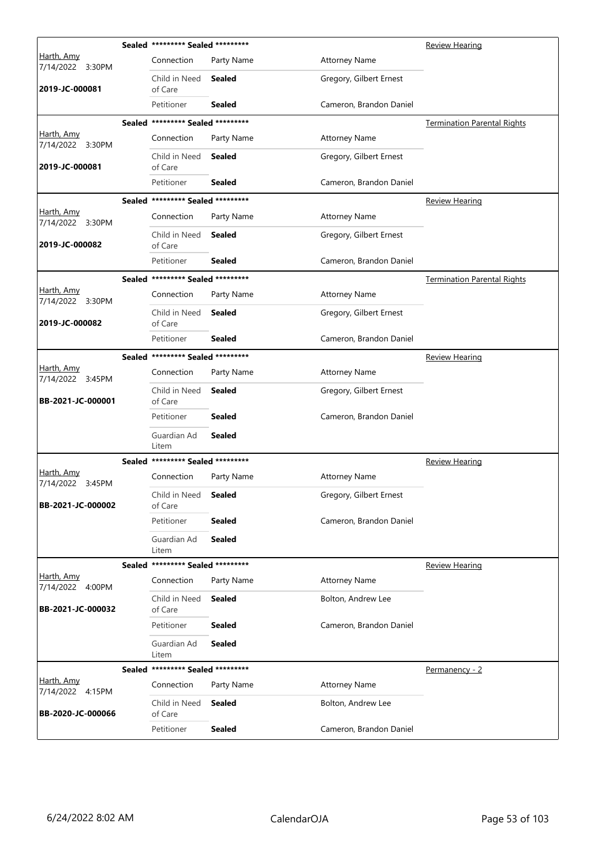|                                       |        | Sealed ********* Sealed ********* |               |                         | <b>Review Hearing</b>              |
|---------------------------------------|--------|-----------------------------------|---------------|-------------------------|------------------------------------|
| Harth, Amy<br>7/14/2022 3:30PM        |        | Connection                        | Party Name    | <b>Attorney Name</b>    |                                    |
| 2019-JC-000081                        |        | Child in Need<br>of Care          | Sealed        | Gregory, Gilbert Ernest |                                    |
|                                       |        | Petitioner                        | <b>Sealed</b> | Cameron, Brandon Daniel |                                    |
|                                       |        | Sealed ********* Sealed ********* |               |                         | <b>Termination Parental Rights</b> |
| Harth, Amy<br>7/14/2022 3:30PM        |        | Connection                        | Party Name    | <b>Attorney Name</b>    |                                    |
| 2019-JC-000081                        |        | Child in Need<br>of Care          | Sealed        | Gregory, Gilbert Ernest |                                    |
|                                       |        | Petitioner                        | <b>Sealed</b> | Cameron, Brandon Daniel |                                    |
|                                       |        | Sealed ********* Sealed ********* |               |                         | <u>Review Hearing</u>              |
| Harth, Amy<br>7/14/2022 3:30PM        |        | Connection                        | Party Name    | <b>Attorney Name</b>    |                                    |
| 2019-JC-000082                        |        | Child in Need<br>of Care          | Sealed        | Gregory, Gilbert Ernest |                                    |
|                                       |        | Petitioner                        | Sealed        | Cameron, Brandon Daniel |                                    |
|                                       |        | Sealed ********* Sealed ********* |               |                         | <b>Termination Parental Rights</b> |
| Harth, Amy<br>7/14/2022 3:30PM        |        | Connection                        | Party Name    | <b>Attorney Name</b>    |                                    |
| 2019-JC-000082                        |        | Child in Need<br>of Care          | Sealed        | Gregory, Gilbert Ernest |                                    |
|                                       |        | Petitioner                        | Sealed        | Cameron, Brandon Daniel |                                    |
|                                       |        | Sealed ********* Sealed ********* |               |                         | <b>Review Hearing</b>              |
| Harth, Amy<br>7/14/2022 3:45PM        |        | Connection                        | Party Name    | <b>Attorney Name</b>    |                                    |
| BB-2021-JC-000001                     |        | Child in Need<br>of Care          | <b>Sealed</b> | Gregory, Gilbert Ernest |                                    |
|                                       |        | Petitioner                        | Sealed        | Cameron, Brandon Daniel |                                    |
|                                       |        | Guardian Ad<br>Litem              | <b>Sealed</b> |                         |                                    |
|                                       |        | Sealed ********* Sealed ********* |               |                         | <b>Review Hearing</b>              |
| <u>Harth, Amy</u><br>7/14/2022 3:45PM |        | Connection                        | Party Name    | <b>Attorney Name</b>    |                                    |
| BB-2021-JC-000002                     |        | Child in Need<br>of Care          | <b>Sealed</b> | Gregory, Gilbert Ernest |                                    |
|                                       |        | Petitioner                        | <b>Sealed</b> | Cameron, Brandon Daniel |                                    |
|                                       |        | Guardian Ad<br>Litem              | Sealed        |                         |                                    |
|                                       |        | Sealed ********* Sealed ********* |               |                         | <b>Review Hearing</b>              |
| Harth, Amy<br>7/14/2022 4:00PM        |        | Connection                        | Party Name    | <b>Attorney Name</b>    |                                    |
| BB-2021-JC-000032                     |        | Child in Need<br>of Care          | <b>Sealed</b> | Bolton, Andrew Lee      |                                    |
|                                       |        | Petitioner                        | <b>Sealed</b> | Cameron, Brandon Daniel |                                    |
|                                       |        | Guardian Ad<br>Litem              | <b>Sealed</b> |                         |                                    |
|                                       | Sealed | ********* Sealed *********        |               |                         | Permanency - 2                     |
| <u>Harth, Amv</u><br>7/14/2022 4:15PM |        | Connection                        | Party Name    | <b>Attorney Name</b>    |                                    |
| BB-2020-JC-000066                     |        | Child in Need<br>of Care          | <b>Sealed</b> | Bolton, Andrew Lee      |                                    |
|                                       |        | Petitioner                        | <b>Sealed</b> | Cameron, Brandon Daniel |                                    |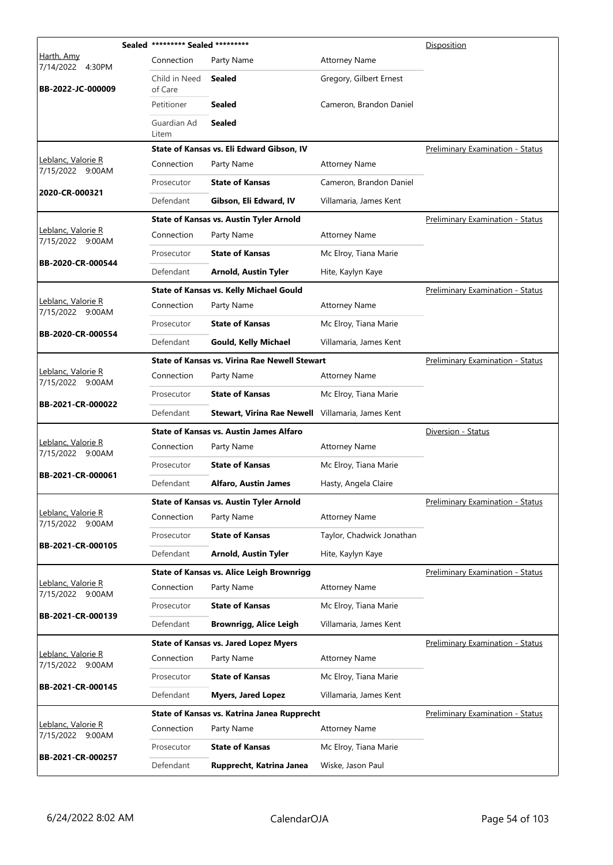|                                        | Sealed ********* Sealed ********* |                                                      |                           | Disposition                             |
|----------------------------------------|-----------------------------------|------------------------------------------------------|---------------------------|-----------------------------------------|
| Harth, Amy<br>7/14/2022<br>4:30PM      | Connection                        | Party Name                                           | <b>Attorney Name</b>      |                                         |
| BB-2022-JC-000009                      | Child in Need<br>of Care          | Sealed                                               | Gregory, Gilbert Ernest   |                                         |
|                                        | Petitioner                        | Sealed                                               | Cameron, Brandon Daniel   |                                         |
|                                        | Guardian Ad<br>Litem              | <b>Sealed</b>                                        |                           |                                         |
|                                        |                                   | State of Kansas vs. Eli Edward Gibson, IV            |                           | Preliminary Examination - Status        |
| Leblanc, Valorie R<br>7/15/2022 9:00AM | Connection                        | Party Name                                           | <b>Attorney Name</b>      |                                         |
|                                        | Prosecutor                        | <b>State of Kansas</b>                               | Cameron, Brandon Daniel   |                                         |
| 2020-CR-000321                         | Defendant                         | Gibson, Eli Edward, IV                               | Villamaria, James Kent    |                                         |
|                                        |                                   | <b>State of Kansas vs. Austin Tyler Arnold</b>       |                           | Preliminary Examination - Status        |
| Leblanc, Valorie R<br>7/15/2022 9:00AM | Connection                        | Party Name                                           | <b>Attorney Name</b>      |                                         |
|                                        | Prosecutor                        | <b>State of Kansas</b>                               | Mc Elroy, Tiana Marie     |                                         |
| BB-2020-CR-000544                      | Defendant                         | <b>Arnold, Austin Tyler</b>                          | Hite, Kaylyn Kaye         |                                         |
|                                        |                                   | <b>State of Kansas vs. Kelly Michael Gould</b>       |                           | Preliminary Examination - Status        |
| Leblanc, Valorie R<br>7/15/2022 9:00AM | Connection                        | Party Name                                           | <b>Attorney Name</b>      |                                         |
|                                        | Prosecutor                        | <b>State of Kansas</b>                               | Mc Elroy, Tiana Marie     |                                         |
| BB-2020-CR-000554                      | Defendant                         | <b>Gould, Kelly Michael</b>                          | Villamaria, James Kent    |                                         |
|                                        |                                   | <b>State of Kansas vs. Virina Rae Newell Stewart</b> |                           | <b>Preliminary Examination - Status</b> |
| Leblanc, Valorie R<br>7/15/2022 9:00AM | Connection                        | Party Name                                           | <b>Attorney Name</b>      |                                         |
|                                        | Prosecutor                        | <b>State of Kansas</b>                               | Mc Elroy, Tiana Marie     |                                         |
| BB-2021-CR-000022                      | Defendant                         | Stewart, Virina Rae Newell Villamaria, James Kent    |                           |                                         |
|                                        |                                   | <b>State of Kansas vs. Austin James Alfaro</b>       |                           | Diversion - Status                      |
| Leblanc, Valorie R<br>7/15/2022 9:00AM | Connection                        | Party Name                                           | <b>Attorney Name</b>      |                                         |
| BB-2021-CR-000061                      | Prosecutor                        | <b>State of Kansas</b>                               | Mc Elroy, Tiana Marie     |                                         |
|                                        | Defendant                         | <b>Alfaro, Austin James</b>                          | Hasty, Angela Claire      |                                         |
|                                        |                                   | <b>State of Kansas vs. Austin Tyler Arnold</b>       |                           | <b>Preliminary Examination - Status</b> |
| Leblanc, Valorie R<br>7/15/2022 9:00AM | Connection                        | Party Name                                           | <b>Attorney Name</b>      |                                         |
| BB-2021-CR-000105                      | Prosecutor                        | <b>State of Kansas</b>                               | Taylor, Chadwick Jonathan |                                         |
|                                        | Defendant                         | <b>Arnold, Austin Tyler</b>                          | Hite, Kaylyn Kaye         |                                         |
|                                        |                                   | <b>State of Kansas vs. Alice Leigh Brownrigg</b>     |                           | <b>Preliminary Examination - Status</b> |
| Leblanc, Valorie R<br>7/15/2022 9:00AM | Connection                        | Party Name                                           | <b>Attorney Name</b>      |                                         |
| BB-2021-CR-000139                      | Prosecutor                        | <b>State of Kansas</b>                               | Mc Elroy, Tiana Marie     |                                         |
|                                        | Defendant                         | <b>Brownrigg, Alice Leigh</b>                        | Villamaria, James Kent    |                                         |
|                                        |                                   | <b>State of Kansas vs. Jared Lopez Myers</b>         |                           | <b>Preliminary Examination - Status</b> |
| Leblanc, Valorie R<br>7/15/2022 9:00AM | Connection                        | Party Name                                           | <b>Attorney Name</b>      |                                         |
| BB-2021-CR-000145                      | Prosecutor                        | <b>State of Kansas</b>                               | Mc Elroy, Tiana Marie     |                                         |
|                                        | Defendant                         | <b>Myers, Jared Lopez</b>                            | Villamaria, James Kent    |                                         |
|                                        |                                   | State of Kansas vs. Katrina Janea Rupprecht          |                           | <b>Preliminary Examination - Status</b> |
| Leblanc, Valorie R<br>7/15/2022 9:00AM | Connection                        | Party Name                                           | <b>Attorney Name</b>      |                                         |
|                                        | Prosecutor                        | <b>State of Kansas</b>                               | Mc Elroy, Tiana Marie     |                                         |
| BB-2021-CR-000257                      | Defendant                         | Rupprecht, Katrina Janea                             | Wiske, Jason Paul         |                                         |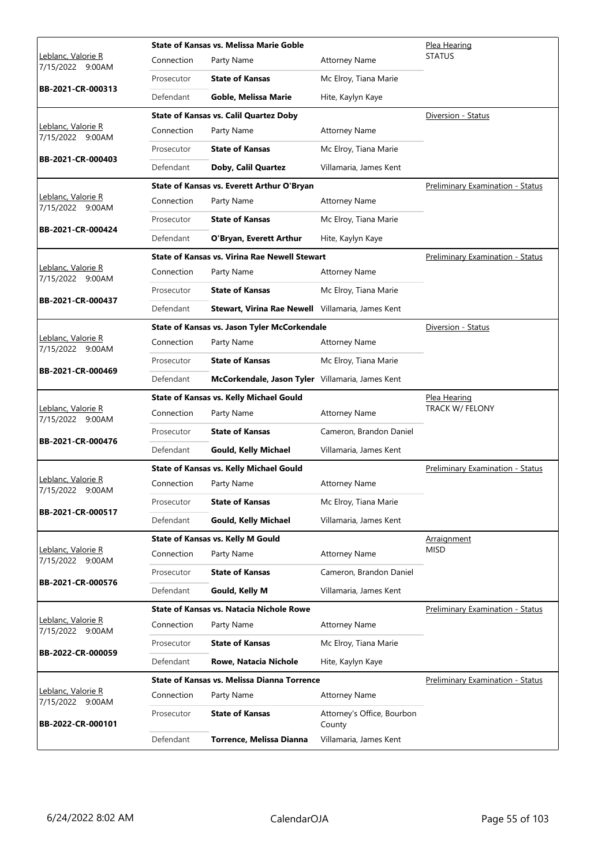|                                                |            | State of Kansas vs. Melissa Marie Goble              |                                      | Plea Hearing                            |
|------------------------------------------------|------------|------------------------------------------------------|--------------------------------------|-----------------------------------------|
| <u> Leblanc, Valorie R</u><br>7/15/2022 9:00AM | Connection | Party Name                                           | <b>Attorney Name</b>                 | <b>STATUS</b>                           |
|                                                | Prosecutor | <b>State of Kansas</b>                               | Mc Elroy, Tiana Marie                |                                         |
| BB-2021-CR-000313                              | Defendant  | Goble, Melissa Marie                                 | Hite, Kaylyn Kaye                    |                                         |
|                                                |            | <b>State of Kansas vs. Calil Quartez Doby</b>        |                                      | Diversion - Status                      |
| Leblanc, Valorie R<br>7/15/2022 9:00AM         | Connection | Party Name                                           | <b>Attorney Name</b>                 |                                         |
|                                                | Prosecutor | <b>State of Kansas</b>                               | Mc Elroy, Tiana Marie                |                                         |
| BB-2021-CR-000403                              | Defendant  | Doby, Calil Quartez                                  | Villamaria, James Kent               |                                         |
|                                                |            | State of Kansas vs. Everett Arthur O'Bryan           |                                      | <b>Preliminary Examination - Status</b> |
| Leblanc, Valorie R<br>7/15/2022 9:00AM         | Connection | Party Name                                           | <b>Attorney Name</b>                 |                                         |
|                                                | Prosecutor | <b>State of Kansas</b>                               | Mc Elroy, Tiana Marie                |                                         |
| BB-2021-CR-000424                              | Defendant  | O'Bryan, Everett Arthur                              | Hite, Kaylyn Kaye                    |                                         |
|                                                |            | <b>State of Kansas vs. Virina Rae Newell Stewart</b> |                                      | Preliminary Examination - Status        |
| Leblanc, Valorie R<br>7/15/2022 9:00AM         | Connection | Party Name                                           | <b>Attorney Name</b>                 |                                         |
|                                                | Prosecutor | <b>State of Kansas</b>                               | Mc Elroy, Tiana Marie                |                                         |
| BB-2021-CR-000437                              | Defendant  | Stewart, Virina Rae Newell Villamaria, James Kent    |                                      |                                         |
|                                                |            | State of Kansas vs. Jason Tyler McCorkendale         |                                      | Diversion - Status                      |
| Leblanc, Valorie R<br>7/15/2022 9:00AM         | Connection | Party Name                                           | <b>Attorney Name</b>                 |                                         |
|                                                | Prosecutor | <b>State of Kansas</b>                               | Mc Elroy, Tiana Marie                |                                         |
| BB-2021-CR-000469                              | Defendant  | McCorkendale, Jason Tyler Villamaria, James Kent     |                                      |                                         |
|                                                |            | <b>State of Kansas vs. Kelly Michael Gould</b>       |                                      | <u>Plea Hearing</u>                     |
|                                                |            |                                                      |                                      |                                         |
| Leblanc, Valorie R<br>7/15/2022 9:00AM         | Connection | Party Name                                           | <b>Attorney Name</b>                 | TRACK W/ FELONY                         |
|                                                | Prosecutor | <b>State of Kansas</b>                               | Cameron, Brandon Daniel              |                                         |
| BB-2021-CR-000476                              | Defendant  | <b>Gould, Kelly Michael</b>                          | Villamaria, James Kent               |                                         |
|                                                |            | <b>State of Kansas vs. Kelly Michael Gould</b>       |                                      | <b>Preliminary Examination - Status</b> |
| Leblanc, Valorie R<br>7/15/2022 9:00AM         | Connection | Party Name                                           | <b>Attorney Name</b>                 |                                         |
|                                                | Prosecutor | <b>State of Kansas</b>                               | Mc Elroy, Tiana Marie                |                                         |
| BB-2021-CR-000517                              | Defendant  | <b>Gould, Kelly Michael</b>                          | Villamaria, James Kent               |                                         |
|                                                |            | <b>State of Kansas vs. Kelly M Gould</b>             |                                      | Arraignment                             |
| Leblanc, Valorie R<br>7/15/2022 9:00AM         | Connection | Party Name                                           | <b>Attorney Name</b>                 | <b>MISD</b>                             |
|                                                | Prosecutor | <b>State of Kansas</b>                               | Cameron, Brandon Daniel              |                                         |
| BB-2021-CR-000576                              | Defendant  | Gould, Kelly M                                       | Villamaria, James Kent               |                                         |
|                                                |            | State of Kansas vs. Natacia Nichole Rowe             |                                      | <b>Preliminary Examination - Status</b> |
| Leblanc, Valorie R<br>7/15/2022 9:00AM         | Connection | Party Name                                           | <b>Attorney Name</b>                 |                                         |
|                                                | Prosecutor | <b>State of Kansas</b>                               | Mc Elroy, Tiana Marie                |                                         |
| BB-2022-CR-000059                              | Defendant  | Rowe, Natacia Nichole                                | Hite, Kaylyn Kaye                    |                                         |
|                                                |            | <b>State of Kansas vs. Melissa Dianna Torrence</b>   |                                      | <b>Preliminary Examination - Status</b> |
| Leblanc, Valorie R<br>7/15/2022 9:00AM         | Connection | Party Name                                           | <b>Attorney Name</b>                 |                                         |
| BB-2022-CR-000101                              | Prosecutor | <b>State of Kansas</b>                               | Attorney's Office, Bourbon<br>County |                                         |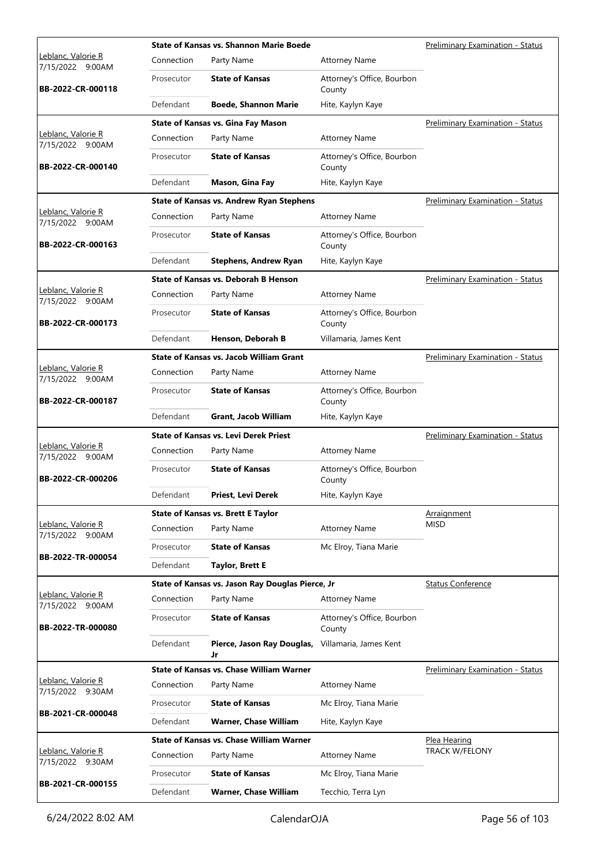|                                        |            | <b>State of Kansas vs. Shannon Marie Boede</b>   |                                      | <b>Preliminary Examination - Status</b> |
|----------------------------------------|------------|--------------------------------------------------|--------------------------------------|-----------------------------------------|
| Leblanc, Valorie R<br>7/15/2022 9:00AM | Connection | Party Name                                       | <b>Attorney Name</b>                 |                                         |
| BB-2022-CR-000118                      | Prosecutor | <b>State of Kansas</b>                           | Attorney's Office, Bourbon<br>County |                                         |
|                                        | Defendant  | <b>Boede, Shannon Marie</b>                      | Hite, Kaylyn Kaye                    |                                         |
|                                        |            | State of Kansas vs. Gina Fay Mason               |                                      | Preliminary Examination - Status        |
| Leblanc, Valorie R<br>7/15/2022 9:00AM | Connection | Party Name                                       | <b>Attorney Name</b>                 |                                         |
| BB-2022-CR-000140                      | Prosecutor | <b>State of Kansas</b>                           | Attorney's Office, Bourbon<br>County |                                         |
|                                        | Defendant  | Mason, Gina Fay                                  | Hite, Kaylyn Kaye                    |                                         |
|                                        |            | <b>State of Kansas vs. Andrew Ryan Stephens</b>  |                                      | <b>Preliminary Examination - Status</b> |
| Leblanc, Valorie R<br>7/15/2022 9:00AM | Connection | Party Name                                       | <b>Attorney Name</b>                 |                                         |
| BB-2022-CR-000163                      | Prosecutor | <b>State of Kansas</b>                           | Attorney's Office, Bourbon<br>County |                                         |
|                                        | Defendant  | <b>Stephens, Andrew Ryan</b>                     | Hite, Kaylyn Kaye                    |                                         |
|                                        |            | <b>State of Kansas vs. Deborah B Henson</b>      |                                      | <b>Preliminary Examination - Status</b> |
| Leblanc, Valorie R<br>7/15/2022 9:00AM | Connection | Party Name                                       | <b>Attorney Name</b>                 |                                         |
| BB-2022-CR-000173                      | Prosecutor | <b>State of Kansas</b>                           | Attorney's Office, Bourbon<br>County |                                         |
|                                        | Defendant  | Henson, Deborah B                                | Villamaria, James Kent               |                                         |
|                                        |            | <b>State of Kansas vs. Jacob William Grant</b>   |                                      | Preliminary Examination - Status        |
| Leblanc, Valorie R<br>7/15/2022 9:00AM | Connection | Party Name                                       | <b>Attorney Name</b>                 |                                         |
| BB-2022-CR-000187                      | Prosecutor | <b>State of Kansas</b>                           | Attorney's Office, Bourbon<br>County |                                         |
|                                        | Defendant  | Grant, Jacob William                             | Hite, Kaylyn Kaye                    |                                         |
|                                        |            | <b>State of Kansas vs. Levi Derek Priest</b>     |                                      | <b>Preliminary Examination - Status</b> |
| Leblanc, Valorie R<br>7/15/2022 9:00AM | Connection | Party Name                                       | <b>Attorney Name</b>                 |                                         |
| BB-2022-CR-000206                      | Prosecutor | <b>State of Kansas</b>                           | Attorney's Office, Bourbon<br>County |                                         |
|                                        | Defendant  | Priest, Levi Derek                               | Hite, Kaylyn Kaye                    |                                         |
|                                        |            | <b>State of Kansas vs. Brett E Taylor</b>        |                                      | Arraignment                             |
| Leblanc, Valorie R<br>7/15/2022 9:00AM | Connection | Party Name                                       | <b>Attorney Name</b>                 | MISD                                    |
|                                        | Prosecutor | <b>State of Kansas</b>                           | Mc Elroy, Tiana Marie                |                                         |
| BB-2022-TR-000054                      | Defendant  | <b>Taylor, Brett E</b>                           |                                      |                                         |
|                                        |            | State of Kansas vs. Jason Ray Douglas Pierce, Jr |                                      | <b>Status Conference</b>                |
| Leblanc, Valorie R<br>7/15/2022 9:00AM | Connection | Party Name                                       | <b>Attorney Name</b>                 |                                         |
| BB-2022-TR-000080                      | Prosecutor | <b>State of Kansas</b>                           | Attorney's Office, Bourbon<br>County |                                         |
|                                        | Defendant  | Pierce, Jason Ray Douglas,<br>Jr                 | Villamaria, James Kent               |                                         |
|                                        |            | <b>State of Kansas vs. Chase William Warner</b>  |                                      | Preliminary Examination - Status        |
| Leblanc, Valorie R<br>7/15/2022 9:30AM | Connection | Party Name                                       | <b>Attorney Name</b>                 |                                         |
| BB-2021-CR-000048                      | Prosecutor | <b>State of Kansas</b>                           | Mc Elroy, Tiana Marie                |                                         |
|                                        | Defendant  | Warner, Chase William                            | Hite, Kaylyn Kaye                    |                                         |
|                                        |            |                                                  |                                      |                                         |
|                                        |            | <b>State of Kansas vs. Chase William Warner</b>  |                                      | Plea Hearing                            |
| Leblanc, Valorie R                     | Connection | Party Name                                       | <b>Attorney Name</b>                 | <b>TRACK W/FELONY</b>                   |
| 7/15/2022 9:30AM<br>BB-2021-CR-000155  | Prosecutor | <b>State of Kansas</b>                           | Mc Elroy, Tiana Marie                |                                         |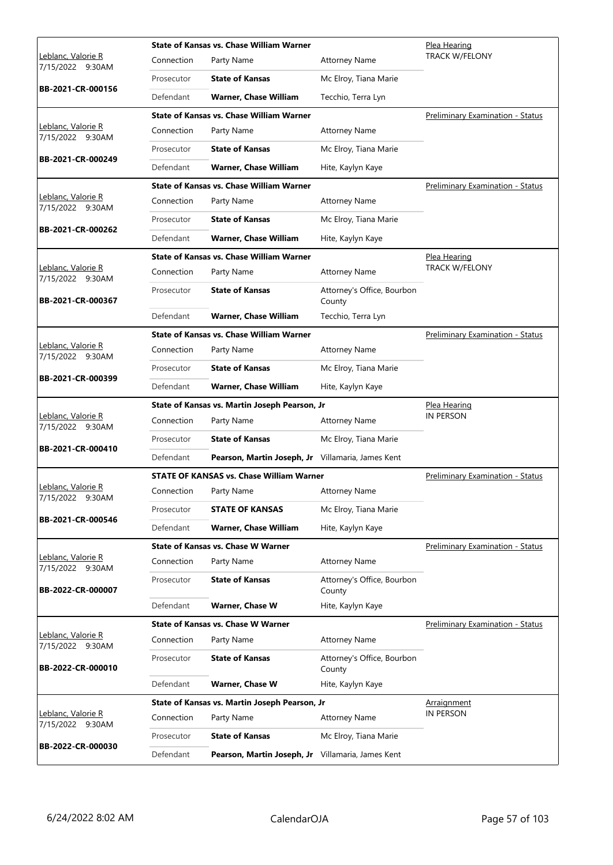|                                                |            | <b>State of Kansas vs. Chase William Warner</b>   |                                      | Plea Hearing                            |
|------------------------------------------------|------------|---------------------------------------------------|--------------------------------------|-----------------------------------------|
| <u> Leblanc, Valorie R</u><br>7/15/2022 9:30AM | Connection | Party Name                                        | <b>Attorney Name</b>                 | <b>TRACK W/FELONY</b>                   |
|                                                | Prosecutor | <b>State of Kansas</b>                            | Mc Elroy, Tiana Marie                |                                         |
| BB-2021-CR-000156                              | Defendant  | <b>Warner, Chase William</b>                      | Tecchio, Terra Lyn                   |                                         |
|                                                |            | <b>State of Kansas vs. Chase William Warner</b>   |                                      | Preliminary Examination - Status        |
| Leblanc, Valorie R<br>7/15/2022 9:30AM         | Connection | Party Name                                        | <b>Attorney Name</b>                 |                                         |
|                                                | Prosecutor | <b>State of Kansas</b>                            | Mc Elroy, Tiana Marie                |                                         |
| BB-2021-CR-000249                              | Defendant  | <b>Warner, Chase William</b>                      | Hite, Kaylyn Kaye                    |                                         |
|                                                |            | <b>State of Kansas vs. Chase William Warner</b>   |                                      | <b>Preliminary Examination - Status</b> |
| Leblanc, Valorie R<br>7/15/2022 9:30AM         | Connection | Party Name                                        | <b>Attorney Name</b>                 |                                         |
|                                                | Prosecutor | <b>State of Kansas</b>                            | Mc Elroy, Tiana Marie                |                                         |
| BB-2021-CR-000262                              | Defendant  | <b>Warner, Chase William</b>                      | Hite, Kaylyn Kaye                    |                                         |
|                                                |            | <b>State of Kansas vs. Chase William Warner</b>   |                                      | Plea Hearing                            |
| Leblanc, Valorie R<br>7/15/2022 9:30AM         | Connection | Party Name                                        | <b>Attorney Name</b>                 | <b>TRACK W/FELONY</b>                   |
| BB-2021-CR-000367                              | Prosecutor | <b>State of Kansas</b>                            | Attorney's Office, Bourbon<br>County |                                         |
|                                                | Defendant  | <b>Warner, Chase William</b>                      | Tecchio, Terra Lyn                   |                                         |
|                                                |            | <b>State of Kansas vs. Chase William Warner</b>   |                                      | Preliminary Examination - Status        |
| Leblanc, Valorie R<br>7/15/2022 9:30AM         | Connection | Party Name                                        | <b>Attorney Name</b>                 |                                         |
| BB-2021-CR-000399                              | Prosecutor | <b>State of Kansas</b>                            | Mc Elroy, Tiana Marie                |                                         |
|                                                | Defendant  | <b>Warner, Chase William</b>                      | Hite, Kaylyn Kaye                    |                                         |
|                                                |            | State of Kansas vs. Martin Joseph Pearson, Jr     |                                      | Plea Hearing                            |
|                                                |            |                                                   |                                      |                                         |
| Leblanc, Valorie R<br>7/15/2022 9:30AM         | Connection | Party Name                                        | <b>Attorney Name</b>                 | IN PERSON                               |
|                                                | Prosecutor | <b>State of Kansas</b>                            | Mc Elroy, Tiana Marie                |                                         |
| BB-2021-CR-000410                              | Defendant  | Pearson, Martin Joseph, Jr Villamaria, James Kent |                                      |                                         |
|                                                |            | <b>STATE OF KANSAS vs. Chase William Warner</b>   |                                      | Preliminary Examination - Status        |
| <u> Leblanc, Valorie R</u><br>7/15/2022 9:30AM | Connection | Party Name                                        | <b>Attorney Name</b>                 |                                         |
|                                                | Prosecutor | <b>STATE OF KANSAS</b>                            | Mc Elroy, Tiana Marie                |                                         |
| BB-2021-CR-000546                              | Defendant  | <b>Warner, Chase William</b>                      | Hite, Kaylyn Kaye                    |                                         |
|                                                |            | <b>State of Kansas vs. Chase W Warner</b>         |                                      | Preliminary Examination - Status        |
| Leblanc, Valorie R                             | Connection | Party Name                                        | <b>Attorney Name</b>                 |                                         |
| 7/15/2022 9:30AM<br>BB-2022-CR-000007          | Prosecutor | <b>State of Kansas</b>                            | Attorney's Office, Bourbon<br>County |                                         |
|                                                | Defendant  | <b>Warner, Chase W</b>                            | Hite, Kaylyn Kaye                    |                                         |
|                                                |            | <b>State of Kansas vs. Chase W Warner</b>         |                                      | <b>Preliminary Examination - Status</b> |
| Leblanc, Valorie R<br>7/15/2022 9:30AM         | Connection | Party Name                                        | <b>Attorney Name</b>                 |                                         |
| BB-2022-CR-000010                              | Prosecutor | <b>State of Kansas</b>                            | Attorney's Office, Bourbon<br>County |                                         |
|                                                | Defendant  | Warner, Chase W                                   | Hite, Kaylyn Kaye                    |                                         |
|                                                |            | State of Kansas vs. Martin Joseph Pearson, Jr     |                                      | Arraignment                             |
| Leblanc, Valorie R<br>7/15/2022 9:30AM         | Connection | Party Name                                        | <b>Attorney Name</b>                 | IN PERSON                               |
| BB-2022-CR-000030                              | Prosecutor | <b>State of Kansas</b>                            | Mc Elroy, Tiana Marie                |                                         |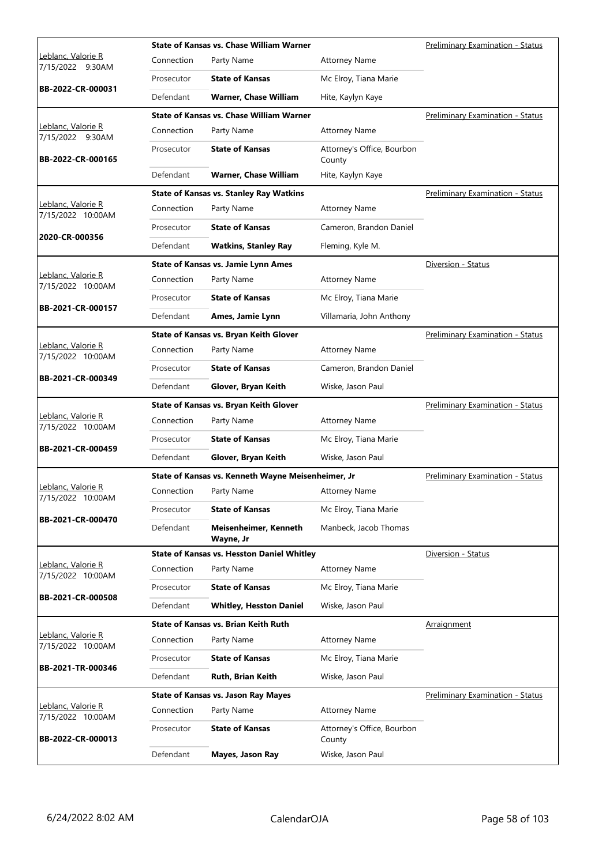|                                         |            | <b>State of Kansas vs. Chase William Warner</b>    |                                      | <b>Preliminary Examination - Status</b> |
|-----------------------------------------|------------|----------------------------------------------------|--------------------------------------|-----------------------------------------|
| Leblanc, Valorie R<br>7/15/2022 9:30AM  | Connection | Party Name                                         | <b>Attorney Name</b>                 |                                         |
|                                         | Prosecutor | <b>State of Kansas</b>                             | Mc Elroy, Tiana Marie                |                                         |
| BB-2022-CR-000031                       | Defendant  | <b>Warner, Chase William</b>                       | Hite, Kaylyn Kaye                    |                                         |
|                                         |            | <b>State of Kansas vs. Chase William Warner</b>    |                                      | <b>Preliminary Examination - Status</b> |
| Leblanc, Valorie R<br>7/15/2022 9:30AM  | Connection | Party Name                                         | <b>Attorney Name</b>                 |                                         |
| BB-2022-CR-000165                       | Prosecutor | <b>State of Kansas</b>                             | Attorney's Office, Bourbon<br>County |                                         |
|                                         | Defendant  | <b>Warner, Chase William</b>                       | Hite, Kaylyn Kaye                    |                                         |
|                                         |            | <b>State of Kansas vs. Stanley Ray Watkins</b>     |                                      | Preliminary Examination - Status        |
| Leblanc, Valorie R<br>7/15/2022 10:00AM | Connection | Party Name                                         | <b>Attorney Name</b>                 |                                         |
|                                         | Prosecutor | <b>State of Kansas</b>                             | Cameron, Brandon Daniel              |                                         |
| 2020-CR-000356                          | Defendant  | <b>Watkins, Stanley Ray</b>                        | Fleming, Kyle M.                     |                                         |
|                                         |            | <b>State of Kansas vs. Jamie Lynn Ames</b>         |                                      | Diversion - Status                      |
| Leblanc, Valorie R<br>7/15/2022 10:00AM | Connection | Party Name                                         | <b>Attorney Name</b>                 |                                         |
|                                         | Prosecutor | <b>State of Kansas</b>                             | Mc Elroy, Tiana Marie                |                                         |
| BB-2021-CR-000157                       | Defendant  | Ames, Jamie Lynn                                   | Villamaria, John Anthony             |                                         |
|                                         |            | State of Kansas vs. Bryan Keith Glover             |                                      | <b>Preliminary Examination - Status</b> |
| Leblanc, Valorie R<br>7/15/2022 10:00AM | Connection | Party Name                                         | <b>Attorney Name</b>                 |                                         |
|                                         | Prosecutor | <b>State of Kansas</b>                             | Cameron, Brandon Daniel              |                                         |
| BB-2021-CR-000349                       | Defendant  | Glover, Bryan Keith                                | Wiske, Jason Paul                    |                                         |
|                                         |            | State of Kansas vs. Bryan Keith Glover             |                                      | Preliminary Examination - Status        |
|                                         |            |                                                    |                                      |                                         |
| Leblanc, Valorie R                      | Connection | Party Name                                         | <b>Attorney Name</b>                 |                                         |
| 7/15/2022 10:00AM                       | Prosecutor | <b>State of Kansas</b>                             | Mc Elroy, Tiana Marie                |                                         |
| BB-2021-CR-000459                       | Defendant  | Glover, Bryan Keith                                | Wiske, Jason Paul                    |                                         |
|                                         |            | State of Kansas vs. Kenneth Wayne Meisenheimer, Jr |                                      | <b>Preliminary Examination - Status</b> |
| Leblanc, Valorie R                      | Connection | Party Name                                         | <b>Attorney Name</b>                 |                                         |
| 7/15/2022 10:00AM                       | Prosecutor | <b>State of Kansas</b>                             | Mc Elroy, Tiana Marie                |                                         |
| BB-2021-CR-000470                       | Defendant  | Meisenheimer, Kenneth<br>Wayne, Jr                 | Manbeck, Jacob Thomas                |                                         |
|                                         |            | <b>State of Kansas vs. Hesston Daniel Whitley</b>  |                                      | Diversion - Status                      |
| Leblanc, Valorie R<br>7/15/2022 10:00AM | Connection | Party Name                                         | <b>Attorney Name</b>                 |                                         |
|                                         | Prosecutor | <b>State of Kansas</b>                             | Mc Elroy, Tiana Marie                |                                         |
| BB-2021-CR-000508                       | Defendant  | <b>Whitley, Hesston Daniel</b>                     | Wiske, Jason Paul                    |                                         |
|                                         |            | <b>State of Kansas vs. Brian Keith Ruth</b>        |                                      | Arraignment                             |
| Leblanc, Valorie R<br>7/15/2022 10:00AM | Connection | Party Name                                         | <b>Attorney Name</b>                 |                                         |
|                                         | Prosecutor | <b>State of Kansas</b>                             | Mc Elroy, Tiana Marie                |                                         |
| BB-2021-TR-000346                       | Defendant  | Ruth, Brian Keith                                  | Wiske, Jason Paul                    |                                         |
|                                         |            | <b>State of Kansas vs. Jason Ray Mayes</b>         |                                      | <b>Preliminary Examination - Status</b> |
| Leblanc, Valorie R<br>7/15/2022 10:00AM | Connection | Party Name                                         | <b>Attorney Name</b>                 |                                         |
| BB-2022-CR-000013                       | Prosecutor | <b>State of Kansas</b>                             | Attorney's Office, Bourbon<br>County |                                         |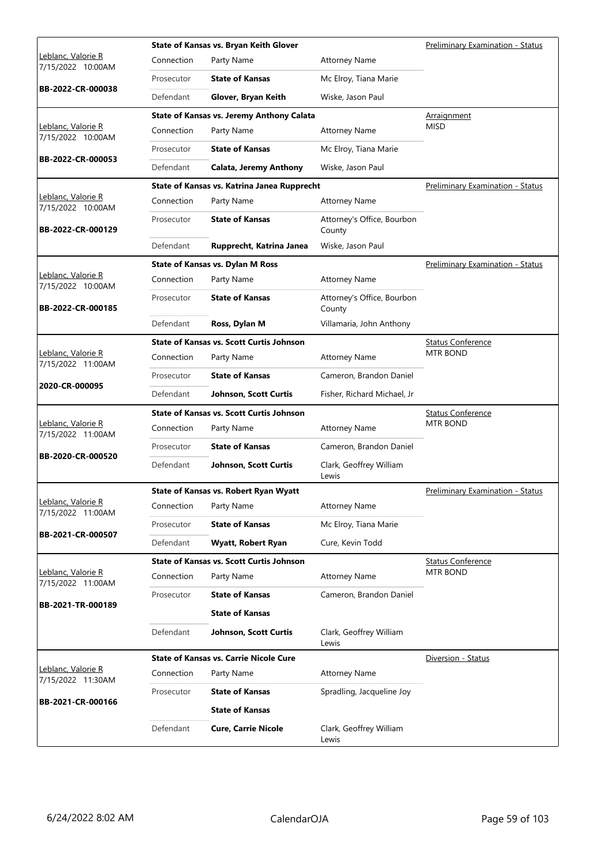|                                         |            | State of Kansas vs. Bryan Keith Glover          |                                      | Preliminary Examination - Status        |
|-----------------------------------------|------------|-------------------------------------------------|--------------------------------------|-----------------------------------------|
| Leblanc, Valorie R<br>7/15/2022 10:00AM | Connection | Party Name                                      | <b>Attorney Name</b>                 |                                         |
|                                         | Prosecutor | <b>State of Kansas</b>                          | Mc Elroy, Tiana Marie                |                                         |
| BB-2022-CR-000038                       | Defendant  | Glover, Bryan Keith                             | Wiske, Jason Paul                    |                                         |
|                                         |            | State of Kansas vs. Jeremy Anthony Calata       |                                      | Arraignment                             |
| Leblanc, Valorie R<br>7/15/2022 10:00AM | Connection | Party Name                                      | <b>Attorney Name</b>                 | <b>MISD</b>                             |
|                                         | Prosecutor | <b>State of Kansas</b>                          | Mc Elroy, Tiana Marie                |                                         |
| BB-2022-CR-000053                       | Defendant  | <b>Calata, Jeremy Anthony</b>                   | Wiske, Jason Paul                    |                                         |
|                                         |            | State of Kansas vs. Katrina Janea Rupprecht     |                                      | Preliminary Examination - Status        |
| Leblanc, Valorie R<br>7/15/2022 10:00AM | Connection | Party Name                                      | <b>Attorney Name</b>                 |                                         |
| BB-2022-CR-000129                       | Prosecutor | <b>State of Kansas</b>                          | Attorney's Office, Bourbon<br>County |                                         |
|                                         | Defendant  | Rupprecht, Katrina Janea                        | Wiske, Jason Paul                    |                                         |
|                                         |            | <b>State of Kansas vs. Dylan M Ross</b>         |                                      | <b>Preliminary Examination - Status</b> |
| Leblanc, Valorie R<br>7/15/2022 10:00AM | Connection | Party Name                                      | <b>Attorney Name</b>                 |                                         |
| BB-2022-CR-000185                       | Prosecutor | <b>State of Kansas</b>                          | Attorney's Office, Bourbon<br>County |                                         |
|                                         | Defendant  | Ross, Dylan M                                   | Villamaria, John Anthony             |                                         |
|                                         |            | <b>State of Kansas vs. Scott Curtis Johnson</b> |                                      | <b>Status Conference</b>                |
| Leblanc, Valorie R<br>7/15/2022 11:00AM | Connection | Party Name                                      | <b>Attorney Name</b>                 | <b>MTR BOND</b>                         |
|                                         | Prosecutor | <b>State of Kansas</b>                          | Cameron, Brandon Daniel              |                                         |
| 2020-CR-000095                          | Defendant  | <b>Johnson, Scott Curtis</b>                    | Fisher, Richard Michael, Jr          |                                         |
|                                         |            | <b>State of Kansas vs. Scott Curtis Johnson</b> |                                      | <b>Status Conference</b>                |
| Leblanc, Valorie R<br>7/15/2022 11:00AM | Connection | Party Name                                      | <b>Attorney Name</b>                 | <b>MTR BOND</b>                         |
| BB-2020-CR-000520                       | Prosecutor | <b>State of Kansas</b>                          | Cameron, Brandon Daniel              |                                         |
|                                         | Defendant  | Johnson, Scott Curtis                           | Clark, Geoffrey William<br>Lewis     |                                         |
|                                         |            | <b>State of Kansas vs. Robert Ryan Wyatt</b>    |                                      | <b>Preliminary Examination - Status</b> |
| Leblanc, Valorie R<br>7/15/2022 11:00AM | Connection | Party Name                                      | <b>Attorney Name</b>                 |                                         |
| BB-2021-CR-000507                       | Prosecutor | <b>State of Kansas</b>                          | Mc Elroy, Tiana Marie                |                                         |
|                                         | Defendant  | Wyatt, Robert Ryan                              | Cure, Kevin Todd                     |                                         |
|                                         |            | <b>State of Kansas vs. Scott Curtis Johnson</b> |                                      | <b>Status Conference</b>                |
| Leblanc, Valorie R<br>7/15/2022 11:00AM | Connection | Party Name                                      | <b>Attorney Name</b>                 | <b>MTR BOND</b>                         |
| BB-2021-TR-000189                       | Prosecutor | <b>State of Kansas</b>                          | Cameron, Brandon Daniel              |                                         |
|                                         |            | <b>State of Kansas</b>                          |                                      |                                         |
|                                         | Defendant  | Johnson, Scott Curtis                           | Clark, Geoffrey William<br>Lewis     |                                         |
|                                         |            | <b>State of Kansas vs. Carrie Nicole Cure</b>   |                                      | Diversion - Status                      |
| Leblanc, Valorie R<br>7/15/2022 11:30AM | Connection | Party Name                                      | <b>Attorney Name</b>                 |                                         |
| BB-2021-CR-000166                       | Prosecutor | <b>State of Kansas</b>                          | Spradling, Jacqueline Joy            |                                         |
|                                         |            | <b>State of Kansas</b>                          |                                      |                                         |
|                                         | Defendant  | <b>Cure, Carrie Nicole</b>                      | Clark, Geoffrey William<br>Lewis     |                                         |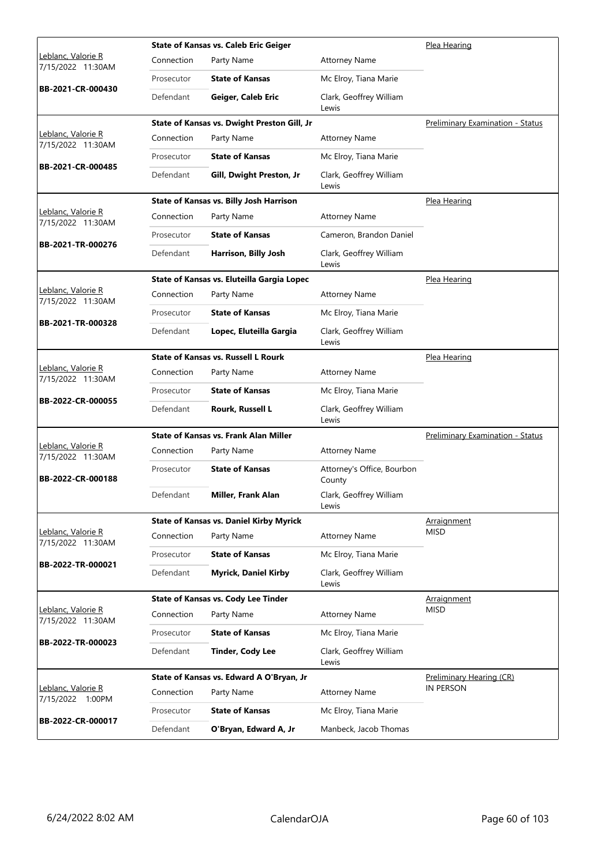|                                         |            | <b>State of Kansas vs. Caleb Eric Geiger</b>   |                                      | Plea Hearing                            |
|-----------------------------------------|------------|------------------------------------------------|--------------------------------------|-----------------------------------------|
| Leblanc, Valorie R<br>7/15/2022 11:30AM | Connection | Party Name                                     | <b>Attorney Name</b>                 |                                         |
| BB-2021-CR-000430                       | Prosecutor | <b>State of Kansas</b>                         | Mc Elroy, Tiana Marie                |                                         |
|                                         | Defendant  | Geiger, Caleb Eric                             | Clark, Geoffrey William<br>Lewis     |                                         |
|                                         |            | State of Kansas vs. Dwight Preston Gill, Jr    |                                      | <b>Preliminary Examination - Status</b> |
| Leblanc, Valorie R<br>7/15/2022 11:30AM | Connection | Party Name                                     | <b>Attorney Name</b>                 |                                         |
|                                         | Prosecutor | <b>State of Kansas</b>                         | Mc Elroy, Tiana Marie                |                                         |
| BB-2021-CR-000485                       | Defendant  | Gill, Dwight Preston, Jr                       | Clark, Geoffrey William<br>Lewis     |                                         |
|                                         |            | <b>State of Kansas vs. Billy Josh Harrison</b> |                                      | Plea Hearing                            |
| Leblanc, Valorie R<br>7/15/2022 11:30AM | Connection | Party Name                                     | <b>Attorney Name</b>                 |                                         |
|                                         | Prosecutor | <b>State of Kansas</b>                         | Cameron, Brandon Daniel              |                                         |
| BB-2021-TR-000276                       | Defendant  | Harrison, Billy Josh                           | Clark, Geoffrey William<br>Lewis     |                                         |
|                                         |            | State of Kansas vs. Eluteilla Gargia Lopec     |                                      | Plea Hearing                            |
| Leblanc, Valorie R<br>7/15/2022 11:30AM | Connection | Party Name                                     | <b>Attorney Name</b>                 |                                         |
|                                         | Prosecutor | <b>State of Kansas</b>                         | Mc Elroy, Tiana Marie                |                                         |
| BB-2021-TR-000328                       | Defendant  | Lopec, Eluteilla Gargia                        | Clark, Geoffrey William<br>Lewis     |                                         |
|                                         |            | <b>State of Kansas vs. Russell L Rourk</b>     |                                      | Plea Hearing                            |
| Leblanc, Valorie R<br>7/15/2022 11:30AM | Connection | Party Name                                     | <b>Attorney Name</b>                 |                                         |
|                                         | Prosecutor | <b>State of Kansas</b>                         | Mc Elroy, Tiana Marie                |                                         |
| BB-2022-CR-000055                       | Defendant  | Rourk, Russell L                               | Clark, Geoffrey William<br>Lewis     |                                         |
|                                         |            | <b>State of Kansas vs. Frank Alan Miller</b>   |                                      | <b>Preliminary Examination - Status</b> |
| Leblanc, Valorie R<br>7/15/2022 11:30AM | Connection | Party Name                                     | <b>Attorney Name</b>                 |                                         |
| BB-2022-CR-000188                       | Prosecutor | <b>State of Kansas</b>                         | Attorney's Office, Bourbon<br>County |                                         |
|                                         | Defendant  | Miller, Frank Alan                             | Clark, Geoffrey William<br>Lewis     |                                         |
|                                         |            | <b>State of Kansas vs. Daniel Kirby Myrick</b> |                                      | Arraignment                             |
| Leblanc, Valorie R<br>7/15/2022 11:30AM | Connection | Party Name                                     | <b>Attorney Name</b>                 | <b>MISD</b>                             |
| BB-2022-TR-000021                       | Prosecutor | <b>State of Kansas</b>                         | Mc Elroy, Tiana Marie                |                                         |
|                                         | Defendant  | <b>Myrick, Daniel Kirby</b>                    | Clark, Geoffrey William<br>Lewis     |                                         |
|                                         |            | <b>State of Kansas vs. Cody Lee Tinder</b>     |                                      | <b>Arraignment</b>                      |
| Leblanc, Valorie R<br>7/15/2022 11:30AM | Connection | Party Name                                     | <b>Attorney Name</b>                 | <b>MISD</b>                             |
|                                         | Prosecutor | <b>State of Kansas</b>                         | Mc Elroy, Tiana Marie                |                                         |
| BB-2022-TR-000023                       | Defendant  | <b>Tinder, Cody Lee</b>                        | Clark, Geoffrey William<br>Lewis     |                                         |
|                                         |            | State of Kansas vs. Edward A O'Bryan, Jr       |                                      | Preliminary Hearing (CR)                |
| Leblanc, Valorie R<br>7/15/2022 1:00PM  | Connection | Party Name                                     | <b>Attorney Name</b>                 | IN PERSON                               |
| BB-2022-CR-000017                       | Prosecutor | <b>State of Kansas</b>                         | Mc Elroy, Tiana Marie                |                                         |
|                                         | Defendant  | O'Bryan, Edward A, Jr                          | Manbeck, Jacob Thomas                |                                         |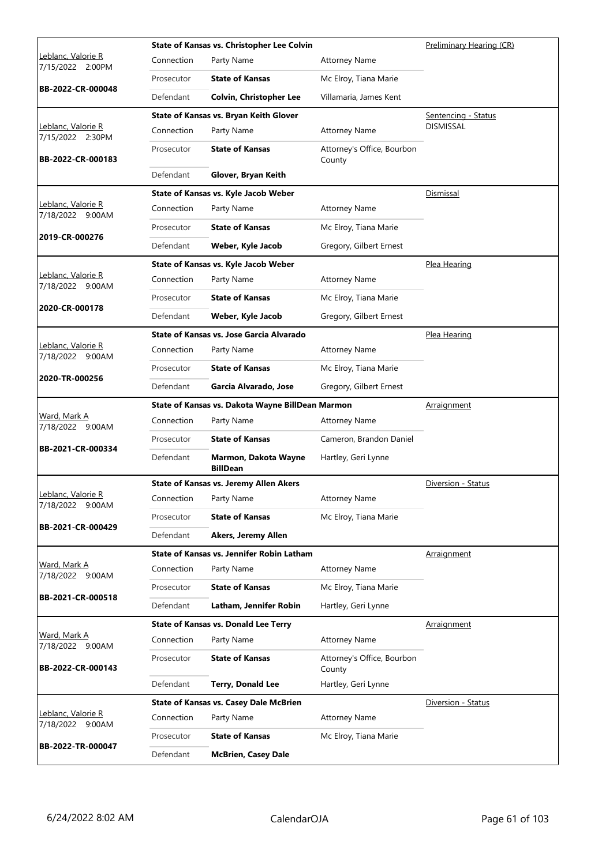|                                         |            | State of Kansas vs. Christopher Lee Colvin       |                                      | Preliminary Hearing (CR) |
|-----------------------------------------|------------|--------------------------------------------------|--------------------------------------|--------------------------|
| Leblanc, Valorie R<br>7/15/2022 2:00PM  | Connection | Party Name                                       | <b>Attorney Name</b>                 |                          |
|                                         | Prosecutor | <b>State of Kansas</b>                           | Mc Elroy, Tiana Marie                |                          |
| BB-2022-CR-000048                       | Defendant  | <b>Colvin, Christopher Lee</b>                   | Villamaria, James Kent               |                          |
|                                         |            | State of Kansas vs. Bryan Keith Glover           |                                      | Sentencing - Status      |
| Leblanc, Valorie R<br>7/15/2022 2:30PM  | Connection | Party Name                                       | <b>Attorney Name</b>                 | <b>DISMISSAL</b>         |
| BB-2022-CR-000183                       | Prosecutor | <b>State of Kansas</b>                           | Attorney's Office, Bourbon<br>County |                          |
|                                         | Defendant  | Glover, Bryan Keith                              |                                      |                          |
|                                         |            | State of Kansas vs. Kyle Jacob Weber             |                                      | Dismissal                |
| Leblanc, Valorie R<br>7/18/2022 9:00AM  | Connection | Party Name                                       | <b>Attorney Name</b>                 |                          |
|                                         | Prosecutor | <b>State of Kansas</b>                           | Mc Elroy, Tiana Marie                |                          |
| 2019-CR-000276                          | Defendant  | Weber, Kyle Jacob                                | Gregory, Gilbert Ernest              |                          |
|                                         |            | State of Kansas vs. Kyle Jacob Weber             |                                      | Plea Hearing             |
| Leblanc, Valorie R<br>7/18/2022 9:00AM  | Connection | Party Name                                       | <b>Attorney Name</b>                 |                          |
|                                         | Prosecutor | <b>State of Kansas</b>                           | Mc Elroy, Tiana Marie                |                          |
| 2020-CR-000178                          | Defendant  | Weber, Kyle Jacob                                | Gregory, Gilbert Ernest              |                          |
|                                         |            | State of Kansas vs. Jose Garcia Alvarado         |                                      | Plea Hearing             |
| Leblanc, Valorie R<br>7/18/2022 9:00AM  | Connection | Party Name                                       | <b>Attorney Name</b>                 |                          |
|                                         | Prosecutor | <b>State of Kansas</b>                           | Mc Elroy, Tiana Marie                |                          |
| 2020-TR-000256                          | Defendant  | Garcia Alvarado, Jose                            | Gregory, Gilbert Ernest              |                          |
|                                         |            | State of Kansas vs. Dakota Wayne BillDean Marmon |                                      | Arraignment              |
|                                         |            |                                                  |                                      |                          |
| <u>Ward, Mark A</u><br>7/18/2022 9:00AM | Connection | Party Name                                       | <b>Attorney Name</b>                 |                          |
|                                         | Prosecutor | <b>State of Kansas</b>                           | Cameron, Brandon Daniel              |                          |
| BB-2021-CR-000334                       | Defendant  | Marmon, Dakota Wayne<br><b>BillDean</b>          | Hartley, Geri Lynne                  |                          |
|                                         |            | <b>State of Kansas vs. Jeremy Allen Akers</b>    |                                      | Diversion - Status       |
| Leblanc, Valorie R<br>7/18/2022 9:00AM  | Connection | Party Name                                       | <b>Attorney Name</b>                 |                          |
|                                         | Prosecutor | <b>State of Kansas</b>                           | Mc Elroy, Tiana Marie                |                          |
| BB-2021-CR-000429                       | Defendant  | Akers, Jeremy Allen                              |                                      |                          |
|                                         |            | State of Kansas vs. Jennifer Robin Latham        |                                      | Arraignment              |
| Ward, Mark A<br>7/18/2022 9:00AM        | Connection | Party Name                                       | <b>Attorney Name</b>                 |                          |
|                                         | Prosecutor | <b>State of Kansas</b>                           | Mc Elroy, Tiana Marie                |                          |
| BB-2021-CR-000518                       | Defendant  | Latham, Jennifer Robin                           | Hartley, Geri Lynne                  |                          |
|                                         |            | <b>State of Kansas vs. Donald Lee Terry</b>      |                                      | Arraignment              |
| <u>Ward, Mark A</u><br>7/18/2022 9:00AM | Connection | Party Name                                       | <b>Attorney Name</b>                 |                          |
| BB-2022-CR-000143                       | Prosecutor | <b>State of Kansas</b>                           | Attorney's Office, Bourbon<br>County |                          |
|                                         | Defendant  | <b>Terry, Donald Lee</b>                         | Hartley, Geri Lynne                  |                          |
|                                         |            | <b>State of Kansas vs. Casey Dale McBrien</b>    |                                      | Diversion - Status       |
| Leblanc, Valorie R<br>7/18/2022 9:00AM  | Connection | Party Name                                       | <b>Attorney Name</b>                 |                          |
| BB-2022-TR-000047                       | Prosecutor | <b>State of Kansas</b>                           | Mc Elroy, Tiana Marie                |                          |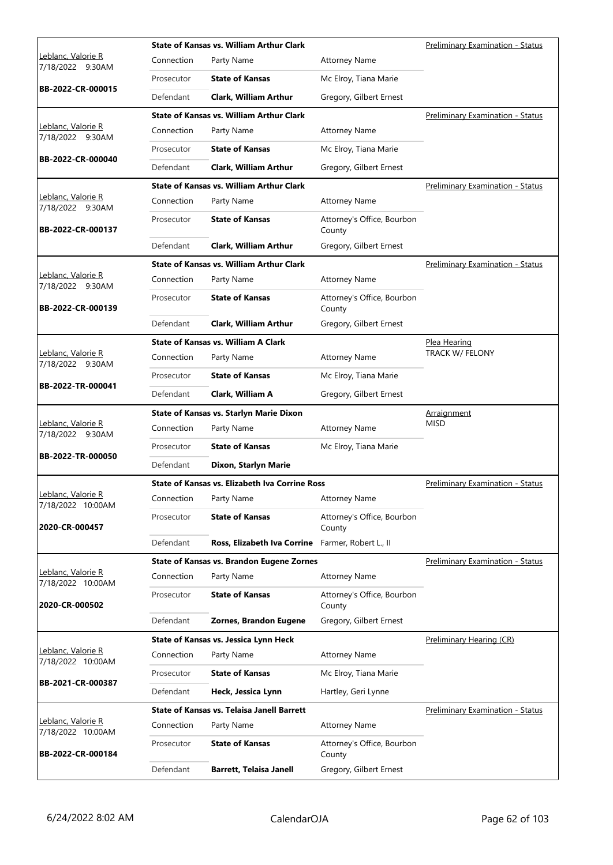|                                         |            | <b>State of Kansas vs. William Arthur Clark</b>       |                                      | <b>Preliminary Examination - Status</b> |
|-----------------------------------------|------------|-------------------------------------------------------|--------------------------------------|-----------------------------------------|
| Leblanc, Valorie R<br>7/18/2022 9:30AM  | Connection | Party Name                                            | <b>Attorney Name</b>                 |                                         |
|                                         | Prosecutor | <b>State of Kansas</b>                                | Mc Elroy, Tiana Marie                |                                         |
| BB-2022-CR-000015                       | Defendant  | <b>Clark. William Arthur</b>                          | Gregory, Gilbert Ernest              |                                         |
|                                         |            | <b>State of Kansas vs. William Arthur Clark</b>       |                                      | Preliminary Examination - Status        |
| Leblanc, Valorie R<br>7/18/2022 9:30AM  | Connection | Party Name                                            | <b>Attorney Name</b>                 |                                         |
| BB-2022-CR-000040                       | Prosecutor | <b>State of Kansas</b>                                | Mc Elroy, Tiana Marie                |                                         |
|                                         | Defendant  | <b>Clark, William Arthur</b>                          | Gregory, Gilbert Ernest              |                                         |
|                                         |            | <b>State of Kansas vs. William Arthur Clark</b>       |                                      | Preliminary Examination - Status        |
| Leblanc, Valorie R<br>7/18/2022 9:30AM  | Connection | Party Name                                            | <b>Attorney Name</b>                 |                                         |
| BB-2022-CR-000137                       | Prosecutor | <b>State of Kansas</b>                                | Attorney's Office, Bourbon<br>County |                                         |
|                                         | Defendant  | <b>Clark, William Arthur</b>                          | Gregory, Gilbert Ernest              |                                         |
|                                         |            | <b>State of Kansas vs. William Arthur Clark</b>       |                                      | Preliminary Examination - Status        |
| Leblanc, Valorie R<br>7/18/2022 9:30AM  | Connection | Party Name                                            | <b>Attorney Name</b>                 |                                         |
| BB-2022-CR-000139                       | Prosecutor | <b>State of Kansas</b>                                | Attorney's Office, Bourbon<br>County |                                         |
|                                         | Defendant  | <b>Clark, William Arthur</b>                          | Gregory, Gilbert Ernest              |                                         |
|                                         |            | <b>State of Kansas vs. William A Clark</b>            |                                      | <u>Plea Hearing</u>                     |
| Leblanc, Valorie R<br>7/18/2022 9:30AM  | Connection | Party Name                                            | <b>Attorney Name</b>                 | TRACK W/ FELONY                         |
|                                         | Prosecutor | <b>State of Kansas</b>                                | Mc Elroy, Tiana Marie                |                                         |
| BB-2022-TR-000041                       | Defendant  | Clark, William A                                      | Gregory, Gilbert Ernest              |                                         |
|                                         |            | <b>State of Kansas vs. Starlyn Marie Dixon</b>        |                                      | Arraignment                             |
| Leblanc, Valorie R<br>7/18/2022 9:30AM  | Connection | Party Name                                            | <b>Attorney Name</b>                 | <b>MISD</b>                             |
|                                         |            |                                                       |                                      |                                         |
|                                         | Prosecutor | <b>State of Kansas</b>                                | Mc Elroy, Tiana Marie                |                                         |
| BB-2022-TR-000050                       | Defendant  | Dixon, Starlyn Marie                                  |                                      |                                         |
|                                         |            | <b>State of Kansas vs. Elizabeth Iva Corrine Ross</b> |                                      | Preliminary Examination - Status        |
| Leblanc, Valorie R<br>7/18/2022 10:00AM |            | Connection Party Name                                 | <b>Attorney Name</b>                 |                                         |
| 2020-CR-000457                          | Prosecutor | <b>State of Kansas</b>                                | Attorney's Office, Bourbon<br>County |                                         |
|                                         | Defendant  | Ross, Elizabeth Iva Corrine Farmer, Robert L., II     |                                      |                                         |
|                                         |            | <b>State of Kansas vs. Brandon Eugene Zornes</b>      |                                      | Preliminary Examination - Status        |
| Leblanc, Valorie R                      | Connection | Party Name                                            | <b>Attorney Name</b>                 |                                         |
| 7/18/2022 10:00AM<br>2020-CR-000502     | Prosecutor | <b>State of Kansas</b>                                | Attorney's Office, Bourbon<br>County |                                         |
|                                         | Defendant  | Zornes, Brandon Eugene                                | Gregory, Gilbert Ernest              |                                         |
|                                         |            | State of Kansas vs. Jessica Lynn Heck                 |                                      | Preliminary Hearing (CR)                |
| Leblanc, Valorie R<br>7/18/2022 10:00AM | Connection | Party Name                                            | <b>Attorney Name</b>                 |                                         |
|                                         | Prosecutor | <b>State of Kansas</b>                                | Mc Elroy, Tiana Marie                |                                         |
| BB-2021-CR-000387                       | Defendant  | Heck, Jessica Lynn                                    | Hartley, Geri Lynne                  |                                         |
|                                         |            | <b>State of Kansas vs. Telaisa Janell Barrett</b>     |                                      | Preliminary Examination - Status        |
| Leblanc, Valorie R<br>7/18/2022 10:00AM | Connection | Party Name                                            | <b>Attorney Name</b>                 |                                         |
| BB-2022-CR-000184                       | Prosecutor | <b>State of Kansas</b>                                | Attorney's Office, Bourbon<br>County |                                         |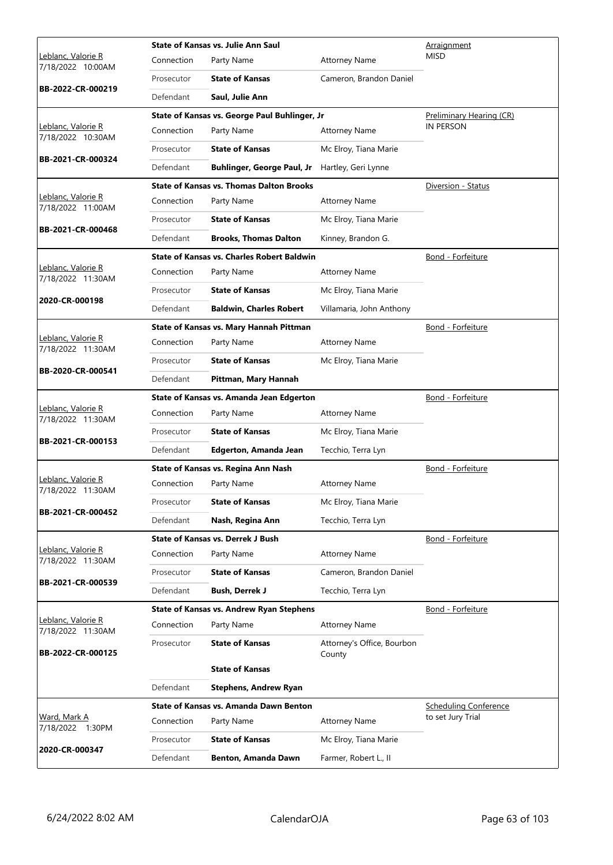|                                                 |            | State of Kansas vs. Julie Ann Saul                |                                      | Arraignment                                       |
|-------------------------------------------------|------------|---------------------------------------------------|--------------------------------------|---------------------------------------------------|
| <u> Leblanc, Valorie R</u><br>7/18/2022 10:00AM | Connection | Party Name                                        | <b>Attorney Name</b>                 | <b>MISD</b>                                       |
|                                                 | Prosecutor | <b>State of Kansas</b>                            | Cameron, Brandon Daniel              |                                                   |
| BB-2022-CR-000219                               | Defendant  | Saul, Julie Ann                                   |                                      |                                                   |
|                                                 |            | State of Kansas vs. George Paul Buhlinger, Jr     |                                      | Preliminary Hearing (CR)                          |
| Leblanc, Valorie R<br>7/18/2022 10:30AM         | Connection | Party Name                                        | <b>Attorney Name</b>                 | <b>IN PERSON</b>                                  |
|                                                 | Prosecutor | <b>State of Kansas</b>                            | Mc Elroy, Tiana Marie                |                                                   |
| BB-2021-CR-000324                               | Defendant  | <b>Buhlinger, George Paul, Jr</b>                 | Hartley, Geri Lynne                  |                                                   |
|                                                 |            | <b>State of Kansas vs. Thomas Dalton Brooks</b>   |                                      | Diversion - Status                                |
| Leblanc, Valorie R<br>7/18/2022 11:00AM         | Connection | Party Name                                        | <b>Attorney Name</b>                 |                                                   |
|                                                 | Prosecutor | <b>State of Kansas</b>                            | Mc Elroy, Tiana Marie                |                                                   |
| BB-2021-CR-000468                               | Defendant  | <b>Brooks, Thomas Dalton</b>                      | Kinney, Brandon G.                   |                                                   |
|                                                 |            | <b>State of Kansas vs. Charles Robert Baldwin</b> |                                      | Bond - Forfeiture                                 |
| Leblanc, Valorie R<br>7/18/2022 11:30AM         | Connection | Party Name                                        | <b>Attorney Name</b>                 |                                                   |
| 2020-CR-000198                                  | Prosecutor | <b>State of Kansas</b>                            | Mc Elroy, Tiana Marie                |                                                   |
|                                                 | Defendant  | <b>Baldwin, Charles Robert</b>                    | Villamaria, John Anthony             |                                                   |
|                                                 |            | State of Kansas vs. Mary Hannah Pittman           |                                      | <b>Bond - Forfeiture</b>                          |
| Leblanc, Valorie R<br>7/18/2022 11:30AM         | Connection | Party Name                                        | <b>Attorney Name</b>                 |                                                   |
| BB-2020-CR-000541                               | Prosecutor | <b>State of Kansas</b>                            | Mc Elroy, Tiana Marie                |                                                   |
|                                                 | Defendant  | Pittman, Mary Hannah                              |                                      |                                                   |
|                                                 |            | State of Kansas vs. Amanda Jean Edgerton          |                                      | <b>Bond - Forfeiture</b>                          |
| Leblanc, Valorie R<br>7/18/2022 11:30AM         | Connection | Party Name                                        | <b>Attorney Name</b>                 |                                                   |
| BB-2021-CR-000153                               | Prosecutor | <b>State of Kansas</b>                            | Mc Elroy, Tiana Marie                |                                                   |
|                                                 | Defendant  | Edgerton, Amanda Jean                             | Tecchio, Terra Lyn                   |                                                   |
|                                                 |            | State of Kansas vs. Regina Ann Nash               |                                      | Bond - Forfeiture                                 |
| Leblanc, Valorie R<br>7/18/2022 11:30AM         | Connection | Party Name                                        | <b>Attorney Name</b>                 |                                                   |
| BB-2021-CR-000452                               | Prosecutor | <b>State of Kansas</b>                            | Mc Elroy, Tiana Marie                |                                                   |
|                                                 | Defendant  | Nash, Regina Ann                                  | Tecchio, Terra Lyn                   |                                                   |
|                                                 |            | <b>State of Kansas vs. Derrek J Bush</b>          |                                      | Bond - Forfeiture                                 |
| Leblanc, Valorie R<br>7/18/2022 11:30AM         | Connection | Party Name                                        | <b>Attorney Name</b>                 |                                                   |
| BB-2021-CR-000539                               | Prosecutor | <b>State of Kansas</b>                            | Cameron, Brandon Daniel              |                                                   |
|                                                 | Defendant  | <b>Bush, Derrek J</b>                             | Tecchio, Terra Lyn                   |                                                   |
|                                                 |            | <b>State of Kansas vs. Andrew Ryan Stephens</b>   |                                      | <b>Bond - Forfeiture</b>                          |
| Leblanc, Valorie R<br>7/18/2022 11:30AM         | Connection | Party Name                                        | <b>Attorney Name</b>                 |                                                   |
| BB-2022-CR-000125                               | Prosecutor | <b>State of Kansas</b>                            | Attorney's Office, Bourbon<br>County |                                                   |
|                                                 |            | <b>State of Kansas</b>                            |                                      |                                                   |
|                                                 | Defendant  | <b>Stephens, Andrew Ryan</b>                      |                                      |                                                   |
| Ward, Mark A                                    |            | <b>State of Kansas vs. Amanda Dawn Benton</b>     |                                      | <b>Scheduling Conference</b><br>to set Jury Trial |
| 7/18/2022 1:30PM                                | Connection | Party Name                                        | <b>Attorney Name</b>                 |                                                   |
| 2020-CR-000347                                  | Prosecutor | <b>State of Kansas</b>                            | Mc Elroy, Tiana Marie                |                                                   |
|                                                 | Defendant  | Benton, Amanda Dawn                               | Farmer, Robert L., II                |                                                   |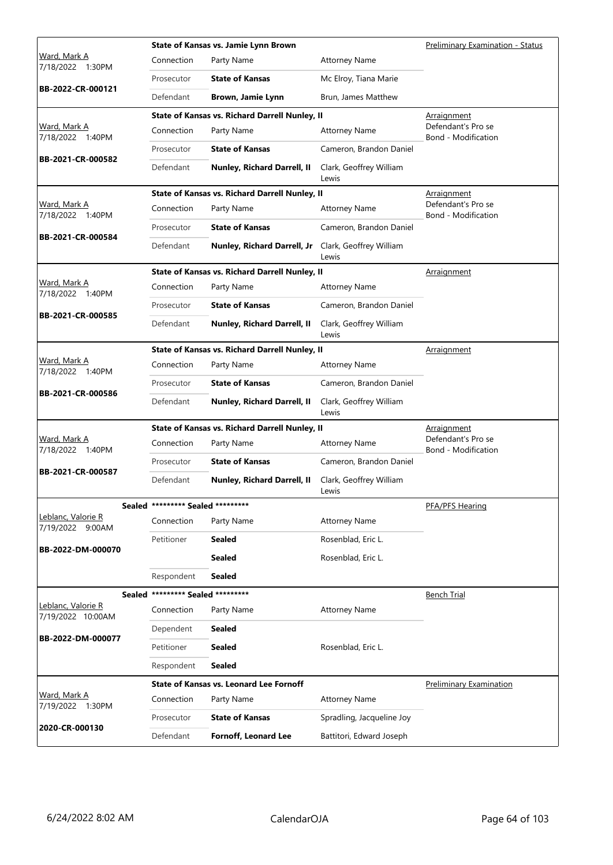|                                         |                                   | State of Kansas vs. Jamie Lynn Brown           |                                  | <b>Preliminary Examination - Status</b>   |
|-----------------------------------------|-----------------------------------|------------------------------------------------|----------------------------------|-------------------------------------------|
| Ward, Mark A<br>7/18/2022 1:30PM        | Connection                        | Party Name                                     | <b>Attorney Name</b>             |                                           |
|                                         | Prosecutor                        | <b>State of Kansas</b>                         | Mc Elroy, Tiana Marie            |                                           |
| BB-2022-CR-000121                       | Defendant                         | Brown, Jamie Lynn                              | Brun, James Matthew              |                                           |
|                                         |                                   | State of Kansas vs. Richard Darrell Nunley, II |                                  | <u>Arraignment</u>                        |
| Ward, Mark A<br>7/18/2022 1:40PM        | Connection                        | Party Name                                     | <b>Attorney Name</b>             | Defendant's Pro se<br>Bond - Modification |
|                                         | Prosecutor                        | <b>State of Kansas</b>                         | Cameron, Brandon Daniel          |                                           |
| BB-2021-CR-000582                       | Defendant                         | Nunley, Richard Darrell, II                    | Clark, Geoffrey William<br>Lewis |                                           |
|                                         |                                   | State of Kansas vs. Richard Darrell Nunley, II |                                  | Arraignment                               |
| Ward, Mark A<br>7/18/2022 1:40PM        | Connection                        | Party Name                                     | <b>Attorney Name</b>             | Defendant's Pro se<br>Bond - Modification |
|                                         | Prosecutor                        | <b>State of Kansas</b>                         | Cameron, Brandon Daniel          |                                           |
| BB-2021-CR-000584                       | Defendant                         | Nunley, Richard Darrell, Jr                    | Clark, Geoffrey William<br>Lewis |                                           |
|                                         |                                   | State of Kansas vs. Richard Darrell Nunley, II |                                  | <b>Arraignment</b>                        |
| Ward, Mark A<br>7/18/2022 1:40PM        | Connection                        | Party Name                                     | <b>Attorney Name</b>             |                                           |
| BB-2021-CR-000585                       | Prosecutor                        | <b>State of Kansas</b>                         | Cameron, Brandon Daniel          |                                           |
|                                         | Defendant                         | Nunley, Richard Darrell, II                    | Clark, Geoffrey William<br>Lewis |                                           |
|                                         |                                   | State of Kansas vs. Richard Darrell Nunley, II |                                  | Arraignment                               |
| Ward, Mark A<br>7/18/2022 1:40PM        | Connection                        | Party Name                                     | <b>Attorney Name</b>             |                                           |
|                                         | Prosecutor                        | <b>State of Kansas</b>                         | Cameron, Brandon Daniel          |                                           |
| BB-2021-CR-000586                       | Defendant                         | Nunley, Richard Darrell, II                    | Clark, Geoffrey William<br>Lewis |                                           |
|                                         |                                   | State of Kansas vs. Richard Darrell Nunley, II |                                  | <u>Arraignment</u>                        |
| Ward, Mark A<br>7/18/2022 1:40PM        | Connection                        | Party Name                                     | <b>Attorney Name</b>             | Defendant's Pro se<br>Bond - Modification |
| BB-2021-CR-000587                       | Prosecutor                        | <b>State of Kansas</b>                         | Cameron, Brandon Daniel          |                                           |
|                                         | Defendant                         | Nunley, Richard Darrell, II                    | Clark, Geoffrey William<br>Lewis |                                           |
|                                         | Sealed ********* Sealed ********* |                                                |                                  | PFA/PFS Hearing                           |
| Leblanc, Valorie R<br>7/19/2022 9:00AM  | Connection                        | Party Name                                     | <b>Attorney Name</b>             |                                           |
| BB-2022-DM-000070                       | Petitioner                        | Sealed                                         | Rosenblad, Eric L.               |                                           |
|                                         |                                   | <b>Sealed</b>                                  | Rosenblad, Eric L.               |                                           |
|                                         | Respondent                        | Sealed                                         |                                  |                                           |
|                                         | Sealed ********* Sealed ********* |                                                |                                  | <b>Bench Trial</b>                        |
| Leblanc, Valorie R<br>7/19/2022 10:00AM | Connection                        | Party Name                                     | <b>Attorney Name</b>             |                                           |
| BB-2022-DM-000077                       | Dependent                         | Sealed                                         |                                  |                                           |
|                                         | Petitioner                        | Sealed                                         | Rosenblad, Eric L.               |                                           |
|                                         | Respondent                        | Sealed                                         |                                  |                                           |
|                                         |                                   | <b>State of Kansas vs. Leonard Lee Fornoff</b> |                                  | <b>Preliminary Examination</b>            |
| Ward, Mark A<br>7/19/2022 1:30PM        | Connection                        | Party Name                                     | <b>Attorney Name</b>             |                                           |
|                                         | Prosecutor                        | <b>State of Kansas</b>                         | Spradling, Jacqueline Joy        |                                           |
| 2020-CR-000130                          | Defendant                         | <b>Fornoff, Leonard Lee</b>                    | Battitori, Edward Joseph         |                                           |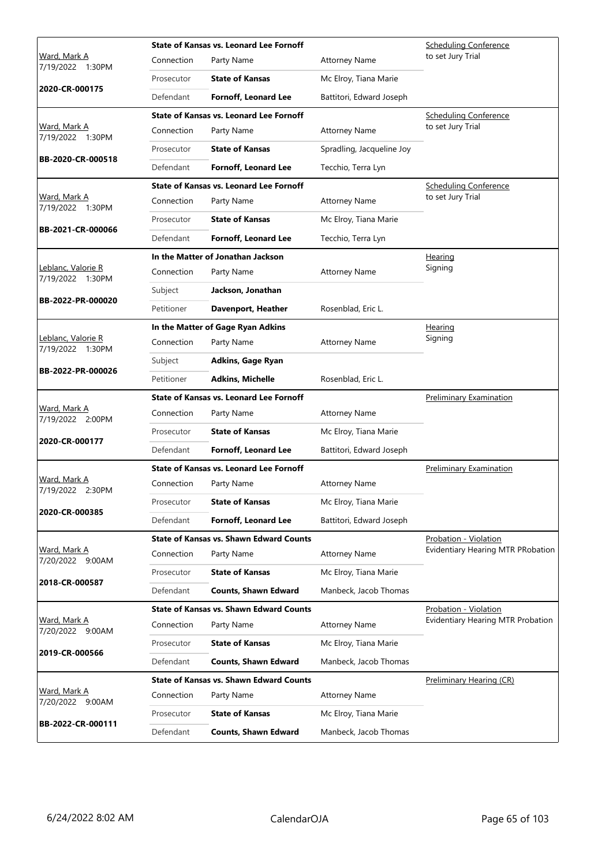|                                         |            | <b>State of Kansas vs. Leonard Lee Fornoff</b> |                           | <b>Scheduling Conference</b>      |
|-----------------------------------------|------------|------------------------------------------------|---------------------------|-----------------------------------|
| Ward, Mark A<br>7/19/2022 1:30PM        | Connection | Party Name                                     | <b>Attorney Name</b>      | to set Jury Trial                 |
|                                         | Prosecutor | <b>State of Kansas</b>                         | Mc Elroy, Tiana Marie     |                                   |
| 2020-CR-000175                          | Defendant  | <b>Fornoff, Leonard Lee</b>                    | Battitori, Edward Joseph  |                                   |
|                                         |            | <b>State of Kansas vs. Leonard Lee Fornoff</b> |                           | <b>Scheduling Conference</b>      |
| Ward, Mark A<br>7/19/2022 1:30PM        | Connection | Party Name                                     | <b>Attorney Name</b>      | to set Jury Trial                 |
|                                         | Prosecutor | <b>State of Kansas</b>                         | Spradling, Jacqueline Joy |                                   |
| BB-2020-CR-000518                       | Defendant  | <b>Fornoff, Leonard Lee</b>                    | Tecchio, Terra Lyn        |                                   |
|                                         |            | <b>State of Kansas vs. Leonard Lee Fornoff</b> |                           | <b>Scheduling Conference</b>      |
| Ward, Mark A<br>7/19/2022 1:30PM        | Connection | Party Name                                     | <b>Attorney Name</b>      | to set Jury Trial                 |
| BB-2021-CR-000066                       | Prosecutor | <b>State of Kansas</b>                         | Mc Elroy, Tiana Marie     |                                   |
|                                         | Defendant  | <b>Fornoff, Leonard Lee</b>                    | Tecchio, Terra Lyn        |                                   |
|                                         |            | In the Matter of Jonathan Jackson              |                           | <b>Hearing</b>                    |
| Leblanc, Valorie R<br>7/19/2022 1:30PM  | Connection | Party Name                                     | <b>Attorney Name</b>      | Signing                           |
|                                         | Subject    | Jackson, Jonathan                              |                           |                                   |
| BB-2022-PR-000020                       | Petitioner | Davenport, Heather                             | Rosenblad, Eric L.        |                                   |
|                                         |            | In the Matter of Gage Ryan Adkins              |                           | Hearing                           |
| Leblanc, Valorie R<br>7/19/2022 1:30PM  | Connection | Party Name                                     | <b>Attorney Name</b>      | Signing                           |
|                                         | Subject    | <b>Adkins, Gage Ryan</b>                       |                           |                                   |
| BB-2022-PR-000026                       | Petitioner | <b>Adkins, Michelle</b>                        | Rosenblad, Eric L.        |                                   |
|                                         |            | <b>State of Kansas vs. Leonard Lee Fornoff</b> |                           | <b>Preliminary Examination</b>    |
| Ward, Mark A<br>7/19/2022 2:00PM        | Connection | Party Name                                     | <b>Attorney Name</b>      |                                   |
| 2020-CR-000177                          | Prosecutor | <b>State of Kansas</b>                         | Mc Elroy, Tiana Marie     |                                   |
|                                         | Defendant  | Fornoff, Leonard Lee                           | Battitori, Edward Joseph  |                                   |
|                                         |            | State of Kansas vs. Leonard Lee Fornoff        |                           | <b>Preliminary Examination</b>    |
| Ward, Mark A<br>7/19/2022 2:30PM        | Connection | Party Name                                     | <b>Attorney Name</b>      |                                   |
|                                         | Prosecutor | <b>State of Kansas</b>                         | Mc Elroy, Tiana Marie     |                                   |
| 2020-CR-000385                          | Defendant  | <b>Fornoff, Leonard Lee</b>                    | Battitori, Edward Joseph  |                                   |
|                                         |            | <b>State of Kansas vs. Shawn Edward Counts</b> |                           | Probation - Violation             |
| <u>Ward, Mark A</u><br>7/20/2022 9:00AM | Connection | Party Name                                     | <b>Attorney Name</b>      | Evidentiary Hearing MTR PRobation |
|                                         | Prosecutor | <b>State of Kansas</b>                         | Mc Elroy, Tiana Marie     |                                   |
| 2018-CR-000587                          | Defendant  | <b>Counts, Shawn Edward</b>                    | Manbeck, Jacob Thomas     |                                   |
|                                         |            | <b>State of Kansas vs. Shawn Edward Counts</b> |                           | Probation - Violation             |
| <u>Ward, Mark A</u><br>7/20/2022 9:00AM | Connection | Party Name                                     | <b>Attorney Name</b>      | Evidentiary Hearing MTR Probation |
|                                         | Prosecutor | <b>State of Kansas</b>                         | Mc Elroy, Tiana Marie     |                                   |
| 2019-CR-000566                          | Defendant  | <b>Counts, Shawn Edward</b>                    | Manbeck, Jacob Thomas     |                                   |
|                                         |            | <b>State of Kansas vs. Shawn Edward Counts</b> |                           | Preliminary Hearing (CR)          |
| Ward, Mark A<br>7/20/2022 9:00AM        | Connection | Party Name                                     | <b>Attorney Name</b>      |                                   |
|                                         |            |                                                |                           |                                   |
| BB-2022-CR-000111                       | Prosecutor | <b>State of Kansas</b>                         | Mc Elroy, Tiana Marie     |                                   |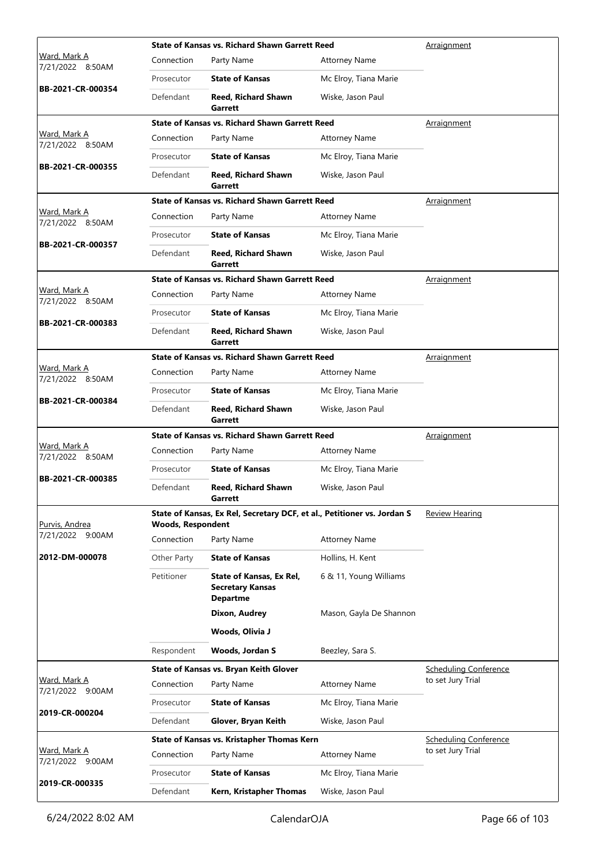|                                         |                          | <b>State of Kansas vs. Richard Shawn Garrett Reed</b>                   |                         | Arraignment                  |
|-----------------------------------------|--------------------------|-------------------------------------------------------------------------|-------------------------|------------------------------|
| <u>Ward, Mark A</u><br>7/21/2022 8:50AM | Connection               | Party Name                                                              | <b>Attorney Name</b>    |                              |
|                                         | Prosecutor               | <b>State of Kansas</b>                                                  | Mc Elroy, Tiana Marie   |                              |
| BB-2021-CR-000354                       | Defendant                | <b>Reed. Richard Shawn</b><br>Garrett                                   | Wiske, Jason Paul       |                              |
|                                         |                          | <b>State of Kansas vs. Richard Shawn Garrett Reed</b>                   |                         | <u>Arraignment</u>           |
| Ward, Mark A<br>7/21/2022 8:50AM        | Connection               | Party Name                                                              | <b>Attorney Name</b>    |                              |
| BB-2021-CR-000355                       | Prosecutor               | <b>State of Kansas</b>                                                  | Mc Elroy, Tiana Marie   |                              |
|                                         | Defendant                | <b>Reed, Richard Shawn</b><br>Garrett                                   | Wiske, Jason Paul       |                              |
|                                         |                          | <b>State of Kansas vs. Richard Shawn Garrett Reed</b>                   |                         | <b>Arraignment</b>           |
| Ward, Mark A<br>7/21/2022 8:50AM        | Connection               | Party Name                                                              | <b>Attorney Name</b>    |                              |
|                                         | Prosecutor               | <b>State of Kansas</b>                                                  | Mc Elroy, Tiana Marie   |                              |
| BB-2021-CR-000357                       | Defendant                | Reed, Richard Shawn<br>Garrett                                          | Wiske, Jason Paul       |                              |
|                                         |                          | <b>State of Kansas vs. Richard Shawn Garrett Reed</b>                   |                         | <u>Arraignment</u>           |
| <u>Ward, Mark A</u><br>7/21/2022 8:50AM | Connection               | Party Name                                                              | <b>Attorney Name</b>    |                              |
|                                         | Prosecutor               | <b>State of Kansas</b>                                                  | Mc Elroy, Tiana Marie   |                              |
| BB-2021-CR-000383                       | Defendant                | <b>Reed, Richard Shawn</b><br>Garrett                                   | Wiske, Jason Paul       |                              |
|                                         |                          | <b>State of Kansas vs. Richard Shawn Garrett Reed</b>                   |                         | <u>Arraignment</u>           |
| Ward, Mark A<br>7/21/2022 8:50AM        | Connection               | Party Name                                                              | <b>Attorney Name</b>    |                              |
|                                         | Prosecutor               | <b>State of Kansas</b>                                                  | Mc Elroy, Tiana Marie   |                              |
| BB-2021-CR-000384                       | Defendant                | <b>Reed, Richard Shawn</b><br>Garrett                                   | Wiske, Jason Paul       |                              |
|                                         |                          | <b>State of Kansas vs. Richard Shawn Garrett Reed</b>                   |                         | <u>Arraignment</u>           |
| Ward, Mark A<br>7/21/2022 8:50AM        | Connection               | Party Name                                                              | <b>Attorney Name</b>    |                              |
|                                         | Prosecutor               | <b>State of Kansas</b>                                                  | Mc Elroy, Tiana Marie   |                              |
| BB-2021-CR-000385                       | Defendant                | <b>Reed. Richard Shawn</b><br>Garrett                                   | Wiske, Jason Paul       |                              |
| Purvis, Andrea                          | <b>Woods, Respondent</b> | State of Kansas, Ex Rel, Secretary DCF, et al., Petitioner vs. Jordan S |                         | <b>Review Hearing</b>        |
| 7/21/2022 9:00AM                        | Connection               | Party Name                                                              | <b>Attorney Name</b>    |                              |
| 2012-DM-000078                          | Other Party              | <b>State of Kansas</b>                                                  | Hollins, H. Kent        |                              |
|                                         | Petitioner               | State of Kansas, Ex Rel,<br><b>Secretary Kansas</b><br><b>Departme</b>  | 6 & 11, Young Williams  |                              |
|                                         |                          | Dixon, Audrey                                                           | Mason, Gayla De Shannon |                              |
|                                         |                          | Woods, Olivia J                                                         |                         |                              |
|                                         | Respondent               | Woods, Jordan S                                                         | Beezley, Sara S.        |                              |
|                                         |                          | State of Kansas vs. Bryan Keith Glover                                  |                         | <b>Scheduling Conference</b> |
| Ward, Mark A<br>7/21/2022 9:00AM        | Connection               | Party Name                                                              | <b>Attorney Name</b>    | to set Jury Trial            |
| 2019-CR-000204                          | Prosecutor               | <b>State of Kansas</b>                                                  | Mc Elroy, Tiana Marie   |                              |
|                                         | Defendant                | Glover, Bryan Keith                                                     | Wiske, Jason Paul       |                              |
|                                         |                          | State of Kansas vs. Kristapher Thomas Kern                              |                         | <b>Scheduling Conference</b> |
| Ward, Mark A<br>7/21/2022 9:00AM        | Connection               | Party Name                                                              | <b>Attorney Name</b>    | to set Jury Trial            |
| 2019-CR-000335                          | Prosecutor               | <b>State of Kansas</b>                                                  | Mc Elroy, Tiana Marie   |                              |
|                                         |                          |                                                                         |                         |                              |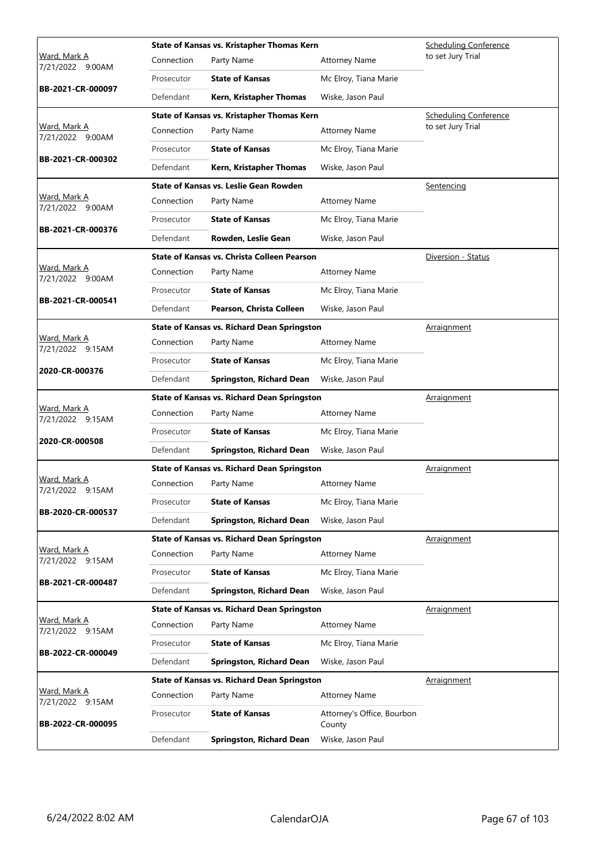|                                         |            | State of Kansas vs. Kristapher Thomas Kern         |                                      | <b>Scheduling Conference</b> |  |
|-----------------------------------------|------------|----------------------------------------------------|--------------------------------------|------------------------------|--|
| Ward, Mark A<br>7/21/2022<br>9:00AM     | Connection | Party Name                                         | <b>Attorney Name</b>                 | to set Jury Trial            |  |
|                                         | Prosecutor | <b>State of Kansas</b>                             | Mc Elroy, Tiana Marie                |                              |  |
| BB-2021-CR-000097                       | Defendant  | Kern, Kristapher Thomas                            | Wiske, Jason Paul                    |                              |  |
|                                         |            | State of Kansas vs. Kristapher Thomas Kern         |                                      | <b>Scheduling Conference</b> |  |
| Ward, Mark A<br>7/21/2022 9:00AM        | Connection | Party Name                                         | <b>Attorney Name</b>                 | to set Jury Trial            |  |
|                                         | Prosecutor | <b>State of Kansas</b>                             | Mc Elroy, Tiana Marie                |                              |  |
| BB-2021-CR-000302                       | Defendant  | Kern, Kristapher Thomas                            | Wiske, Jason Paul                    |                              |  |
|                                         |            | State of Kansas vs. Leslie Gean Rowden             |                                      | <b>Sentencing</b>            |  |
| Ward, Mark A<br>7/21/2022 9:00AM        | Connection | Party Name                                         | <b>Attorney Name</b>                 |                              |  |
|                                         | Prosecutor | <b>State of Kansas</b>                             | Mc Elroy, Tiana Marie                |                              |  |
| BB-2021-CR-000376                       | Defendant  | Rowden, Leslie Gean                                | Wiske, Jason Paul                    |                              |  |
|                                         |            | State of Kansas vs. Christa Colleen Pearson        |                                      | Diversion - Status           |  |
| Ward, Mark A<br>7/21/2022 9:00AM        | Connection | Party Name                                         | <b>Attorney Name</b>                 |                              |  |
|                                         | Prosecutor | <b>State of Kansas</b>                             | Mc Elroy, Tiana Marie                |                              |  |
| BB-2021-CR-000541                       | Defendant  | Pearson, Christa Colleen                           | Wiske, Jason Paul                    |                              |  |
|                                         |            | <b>State of Kansas vs. Richard Dean Springston</b> |                                      | <u>Arraignment</u>           |  |
| Ward, Mark A<br>7/21/2022 9:15AM        | Connection | Party Name                                         | <b>Attorney Name</b>                 |                              |  |
|                                         | Prosecutor | <b>State of Kansas</b>                             | Mc Elroy, Tiana Marie                |                              |  |
| 2020-CR-000376                          | Defendant  | Springston, Richard Dean                           | Wiske, Jason Paul                    |                              |  |
|                                         |            | <b>State of Kansas vs. Richard Dean Springston</b> |                                      | Arraignment                  |  |
| Ward, Mark A<br>7/21/2022 9:15AM        | Connection | Party Name                                         | <b>Attorney Name</b>                 |                              |  |
| 2020-CR-000508                          | Prosecutor | <b>State of Kansas</b>                             | Mc Elroy, Tiana Marie                |                              |  |
|                                         | Defendant  | <b>Springston, Richard Dean</b>                    | Wiske, Jason Paul                    |                              |  |
|                                         |            | <b>State of Kansas vs. Richard Dean Springston</b> |                                      | Arraignment                  |  |
| Ward, Mark A<br>7/21/2022 9:15AM        | Connection | Party Name                                         | <b>Attorney Name</b>                 |                              |  |
|                                         | Prosecutor | <b>State of Kansas</b>                             | Mc Elroy, Tiana Marie                |                              |  |
| BB-2020-CR-000537                       | Defendant  | <b>Springston, Richard Dean</b>                    | Wiske, Jason Paul                    |                              |  |
|                                         |            | State of Kansas vs. Richard Dean Springston        |                                      | Arraignment                  |  |
| <u>Ward, Mark A</u><br>7/21/2022 9:15AM | Connection | Party Name                                         | <b>Attorney Name</b>                 |                              |  |
|                                         | Prosecutor | <b>State of Kansas</b>                             | Mc Elroy, Tiana Marie                |                              |  |
| BB-2021-CR-000487                       | Defendant  | Springston, Richard Dean                           | Wiske, Jason Paul                    |                              |  |
|                                         |            | <b>State of Kansas vs. Richard Dean Springston</b> |                                      | Arraignment                  |  |
| <u>Ward, Mark A</u><br>7/21/2022 9:15AM | Connection | Party Name                                         | <b>Attorney Name</b>                 |                              |  |
|                                         | Prosecutor | <b>State of Kansas</b>                             | Mc Elroy, Tiana Marie                |                              |  |
| BB-2022-CR-000049                       | Defendant  | <b>Springston, Richard Dean</b>                    | Wiske, Jason Paul                    |                              |  |
|                                         |            | <b>State of Kansas vs. Richard Dean Springston</b> |                                      | <u>Arraignment</u>           |  |
| Ward, Mark A<br>7/21/2022 9:15AM        | Connection | Party Name                                         | <b>Attorney Name</b>                 |                              |  |
| BB-2022-CR-000095                       | Prosecutor | <b>State of Kansas</b>                             | Attorney's Office, Bourbon<br>County |                              |  |
|                                         | Defendant  | <b>Springston, Richard Dean</b>                    | Wiske, Jason Paul                    |                              |  |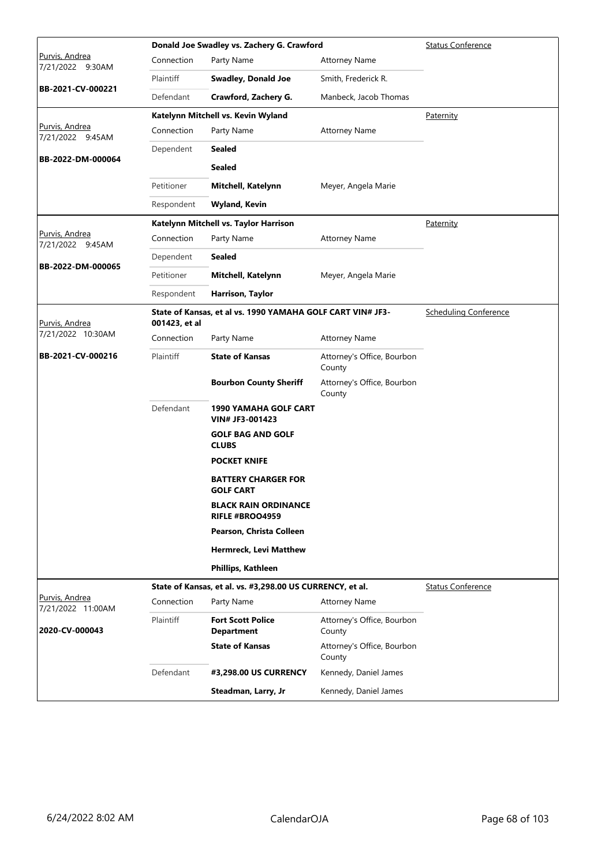|                                     |               | Donald Joe Swadley vs. Zachery G. Crawford                 |                                      | <b>Status Conference</b>     |
|-------------------------------------|---------------|------------------------------------------------------------|--------------------------------------|------------------------------|
| Purvis, Andrea<br>7/21/2022 9:30AM  | Connection    | Party Name                                                 | <b>Attorney Name</b>                 |                              |
|                                     | Plaintiff     | <b>Swadley, Donald Joe</b>                                 | Smith, Frederick R.                  |                              |
| BB-2021-CV-000221                   | Defendant     | Crawford, Zachery G.                                       | Manbeck, Jacob Thomas                |                              |
|                                     |               | Katelynn Mitchell vs. Kevin Wyland                         |                                      | Paternity                    |
| Purvis, Andrea<br>7/21/2022 9:45AM  | Connection    | Party Name                                                 | <b>Attorney Name</b>                 |                              |
| BB-2022-DM-000064                   | Dependent     | <b>Sealed</b>                                              |                                      |                              |
|                                     |               | <b>Sealed</b>                                              |                                      |                              |
|                                     | Petitioner    | Mitchell, Katelynn                                         | Meyer, Angela Marie                  |                              |
|                                     | Respondent    | <b>Wyland, Kevin</b>                                       |                                      |                              |
|                                     |               | Katelynn Mitchell vs. Taylor Harrison                      |                                      | Paternity                    |
| Purvis, Andrea<br>7/21/2022 9:45AM  | Connection    | Party Name                                                 | <b>Attorney Name</b>                 |                              |
|                                     | Dependent     | <b>Sealed</b>                                              |                                      |                              |
| BB-2022-DM-000065                   | Petitioner    | Mitchell, Katelynn                                         | Meyer, Angela Marie                  |                              |
|                                     | Respondent    | Harrison, Taylor                                           |                                      |                              |
| Purvis, Andrea                      | 001423, et al | State of Kansas, et al vs. 1990 YAMAHA GOLF CART VIN# JF3- |                                      | <b>Scheduling Conference</b> |
| 7/21/2022 10:30AM                   | Connection    | Party Name                                                 | <b>Attorney Name</b>                 |                              |
| BB-2021-CV-000216                   | Plaintiff     | <b>State of Kansas</b>                                     | Attorney's Office, Bourbon<br>County |                              |
|                                     |               | <b>Bourbon County Sheriff</b>                              | Attorney's Office, Bourbon<br>County |                              |
|                                     | Defendant     | <b>1990 YAMAHA GOLF CART</b><br>VIN# JF3-001423            |                                      |                              |
|                                     |               | <b>GOLF BAG AND GOLF</b><br><b>CLUBS</b>                   |                                      |                              |
|                                     |               | <b>POCKET KNIFE</b>                                        |                                      |                              |
|                                     |               | <b>BATTERY CHARGER FOR</b><br><b>GOLF CART</b>             |                                      |                              |
|                                     |               | <b>BLACK RAIN ORDINANCE</b><br>RIFLE #BROO4959             |                                      |                              |
|                                     |               | Pearson, Christa Colleen                                   |                                      |                              |
|                                     |               | <b>Hermreck, Levi Matthew</b>                              |                                      |                              |
|                                     |               | Phillips, Kathleen                                         |                                      |                              |
|                                     |               | State of Kansas, et al. vs. #3,298.00 US CURRENCY, et al.  |                                      | <b>Status Conference</b>     |
| Purvis, Andrea<br>7/21/2022 11:00AM | Connection    | Party Name                                                 | <b>Attorney Name</b>                 |                              |
| 2020-CV-000043                      | Plaintiff     | <b>Fort Scott Police</b><br><b>Department</b>              | Attorney's Office, Bourbon<br>County |                              |
|                                     |               | <b>State of Kansas</b>                                     | Attorney's Office, Bourbon<br>County |                              |
|                                     | Defendant     | #3,298.00 US CURRENCY                                      | Kennedy, Daniel James                |                              |
|                                     |               | Steadman, Larry, Jr                                        | Kennedy, Daniel James                |                              |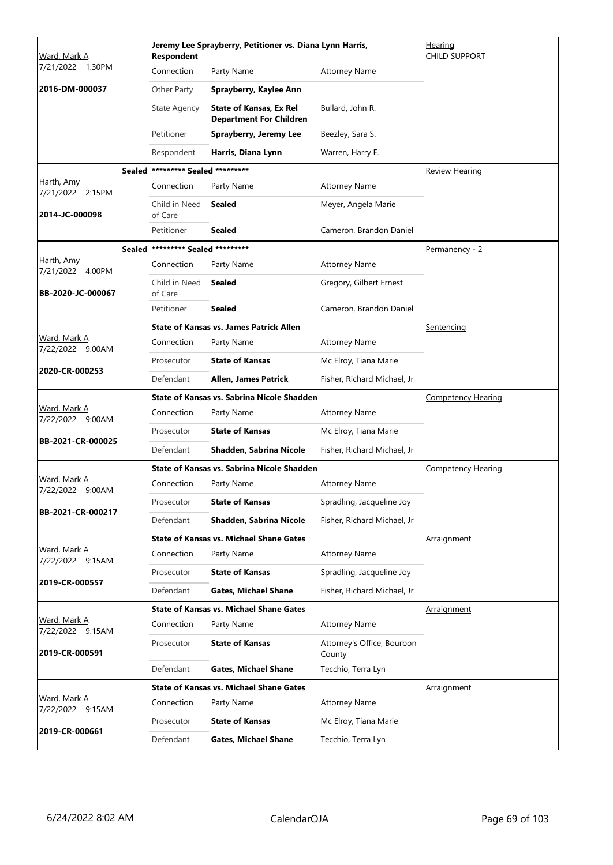| Ward, Mark A                            | <b>Respondent</b>                 | Jeremy Lee Sprayberry, Petitioner vs. Diana Lynn Harris,         |                                      | <u>Hearing</u><br><b>CHILD SUPPORT</b> |
|-----------------------------------------|-----------------------------------|------------------------------------------------------------------|--------------------------------------|----------------------------------------|
| 7/21/2022 1:30PM                        | Connection                        | Party Name                                                       | <b>Attorney Name</b>                 |                                        |
| 2016-DM-000037                          | Other Party                       | Sprayberry, Kaylee Ann                                           |                                      |                                        |
|                                         | <b>State Agency</b>               | <b>State of Kansas, Ex Rel</b><br><b>Department For Children</b> | Bullard, John R.                     |                                        |
|                                         | Petitioner                        | <b>Sprayberry, Jeremy Lee</b>                                    | Beezley, Sara S.                     |                                        |
|                                         | Respondent                        | Harris, Diana Lynn                                               | Warren, Harry E.                     |                                        |
|                                         | Sealed ********* Sealed ********* |                                                                  |                                      | Review Hearing                         |
| Harth, Amy<br>7/21/2022 2:15PM          | Connection                        | Party Name                                                       | <b>Attorney Name</b>                 |                                        |
| 2014-JC-000098                          | Child in Need<br>of Care          | <b>Sealed</b>                                                    | Meyer, Angela Marie                  |                                        |
|                                         | Petitioner                        | Sealed                                                           | Cameron, Brandon Daniel              |                                        |
|                                         | Sealed ********* Sealed ********* |                                                                  |                                      | <u>Permanency - 2</u>                  |
| Harth, Amy<br>7/21/2022 4:00PM          | Connection                        | Party Name                                                       | <b>Attorney Name</b>                 |                                        |
| BB-2020-JC-000067                       | Child in Need<br>of Care          | <b>Sealed</b>                                                    | Gregory, Gilbert Ernest              |                                        |
|                                         | Petitioner                        | <b>Sealed</b>                                                    | Cameron, Brandon Daniel              |                                        |
|                                         |                                   | <b>State of Kansas vs. James Patrick Allen</b>                   |                                      | Sentencing                             |
| Ward, Mark A<br>7/22/2022 9:00AM        | Connection                        | Party Name                                                       | <b>Attorney Name</b>                 |                                        |
|                                         | Prosecutor                        | <b>State of Kansas</b>                                           | Mc Elroy, Tiana Marie                |                                        |
| 2020-CR-000253                          | Defendant                         | <b>Allen, James Patrick</b>                                      | Fisher, Richard Michael, Jr          |                                        |
|                                         |                                   | State of Kansas vs. Sabrina Nicole Shadden                       |                                      | <b>Competency Hearing</b>              |
| Ward, Mark A<br>7/22/2022 9:00AM        | Connection                        | Party Name                                                       | <b>Attorney Name</b>                 |                                        |
|                                         | Prosecutor                        | <b>State of Kansas</b>                                           | Mc Elroy, Tiana Marie                |                                        |
| BB-2021-CR-000025                       | Defendant                         | Shadden, Sabrina Nicole                                          | Fisher, Richard Michael, Jr          |                                        |
|                                         |                                   | State of Kansas vs. Sabrina Nicole Shadden                       |                                      | Competency Hearing                     |
| <u>Ward, Mark A</u><br>7/22/2022 9:00AM | Connection                        | Party Name                                                       | <b>Attorney Name</b>                 |                                        |
|                                         | Prosecutor                        | <b>State of Kansas</b>                                           | Spradling, Jacqueline Joy            |                                        |
| BB-2021-CR-000217                       | Defendant                         | Shadden, Sabrina Nicole                                          | Fisher, Richard Michael, Jr          |                                        |
|                                         |                                   | <b>State of Kansas vs. Michael Shane Gates</b>                   |                                      | <b>Arraignment</b>                     |
| <u>Ward, Mark A</u><br>7/22/2022 9:15AM | Connection                        | Party Name                                                       | <b>Attorney Name</b>                 |                                        |
|                                         | Prosecutor                        | <b>State of Kansas</b>                                           | Spradling, Jacqueline Joy            |                                        |
| 2019-CR-000557                          |                                   |                                                                  |                                      |                                        |
|                                         | Defendant                         | <b>Gates, Michael Shane</b>                                      | Fisher, Richard Michael, Jr          |                                        |
|                                         |                                   | <b>State of Kansas vs. Michael Shane Gates</b>                   |                                      | Arraignment                            |
| <u>Ward, Mark A</u>                     | Connection                        | Party Name                                                       | <b>Attorney Name</b>                 |                                        |
| 7/22/2022 9:15AM<br>2019-CR-000591      | Prosecutor                        | <b>State of Kansas</b>                                           | Attorney's Office, Bourbon<br>County |                                        |
|                                         | Defendant                         | <b>Gates, Michael Shane</b>                                      | Tecchio, Terra Lyn                   |                                        |
|                                         |                                   | <b>State of Kansas vs. Michael Shane Gates</b>                   |                                      | Arraignment                            |
| Ward, Mark A<br>7/22/2022 9:15AM        | Connection                        | Party Name                                                       | <b>Attorney Name</b>                 |                                        |
| 2019-CR-000661                          | Prosecutor                        | <b>State of Kansas</b>                                           | Mc Elroy, Tiana Marie                |                                        |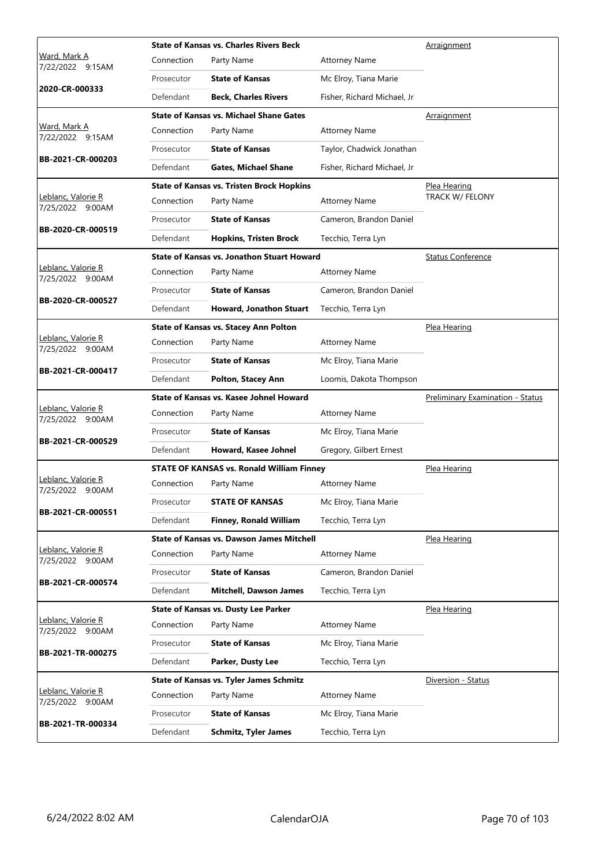|                                            |            | <b>State of Kansas vs. Charles Rivers Beck</b>    |                             | Arraignment                             |
|--------------------------------------------|------------|---------------------------------------------------|-----------------------------|-----------------------------------------|
| <u>Ward, Mark A</u><br>7/22/2022<br>9:15AM | Connection | Party Name                                        | <b>Attorney Name</b>        |                                         |
|                                            | Prosecutor | <b>State of Kansas</b>                            | Mc Elroy, Tiana Marie       |                                         |
| 2020-CR-000333                             | Defendant  | <b>Beck, Charles Rivers</b>                       | Fisher, Richard Michael, Jr |                                         |
|                                            |            | <b>State of Kansas vs. Michael Shane Gates</b>    |                             | Arraignment                             |
| Ward, Mark A<br>7/22/2022 9:15AM           | Connection | Party Name                                        | <b>Attorney Name</b>        |                                         |
|                                            | Prosecutor | <b>State of Kansas</b>                            | Taylor, Chadwick Jonathan   |                                         |
| BB-2021-CR-000203                          | Defendant  | <b>Gates, Michael Shane</b>                       | Fisher, Richard Michael, Jr |                                         |
|                                            |            | <b>State of Kansas vs. Tristen Brock Hopkins</b>  |                             | <u>Plea Hearing</u>                     |
| Leblanc, Valorie R<br>7/25/2022 9:00AM     | Connection | Party Name                                        | <b>Attorney Name</b>        | TRACK W/ FELONY                         |
| BB-2020-CR-000519                          | Prosecutor | <b>State of Kansas</b>                            | Cameron, Brandon Daniel     |                                         |
|                                            | Defendant  | <b>Hopkins, Tristen Brock</b>                     | Tecchio, Terra Lyn          |                                         |
|                                            |            | <b>State of Kansas vs. Jonathon Stuart Howard</b> |                             | <b>Status Conference</b>                |
| Leblanc, Valorie R<br>7/25/2022 9:00AM     | Connection | Party Name                                        | <b>Attorney Name</b>        |                                         |
| BB-2020-CR-000527                          | Prosecutor | <b>State of Kansas</b>                            | Cameron, Brandon Daniel     |                                         |
|                                            | Defendant  | Howard, Jonathon Stuart                           | Tecchio, Terra Lyn          |                                         |
|                                            |            | State of Kansas vs. Stacey Ann Polton             |                             | Plea Hearing                            |
| Leblanc, Valorie R<br>7/25/2022 9:00AM     | Connection | Party Name                                        | <b>Attorney Name</b>        |                                         |
|                                            | Prosecutor | <b>State of Kansas</b>                            | Mc Elroy, Tiana Marie       |                                         |
| BB-2021-CR-000417                          | Defendant  | Polton, Stacey Ann                                | Loomis, Dakota Thompson     |                                         |
|                                            |            | State of Kansas vs. Kasee Johnel Howard           |                             | <b>Preliminary Examination - Status</b> |
| Leblanc, Valorie R                         |            | Party Name                                        | <b>Attorney Name</b>        |                                         |
| 7/25/2022 9:00AM                           | Connection |                                                   |                             |                                         |
|                                            | Prosecutor | <b>State of Kansas</b>                            | Mc Elroy, Tiana Marie       |                                         |
| BB-2021-CR-000529                          | Defendant  | Howard, Kasee Johnel                              | Gregory, Gilbert Ernest     |                                         |
|                                            |            | <b>STATE OF KANSAS vs. Ronald William Finney</b>  |                             | Plea Hearing                            |
| Leblanc, Valorie R<br>7/25/2022 9:00AM     | Connection | Party Name                                        | <b>Attorney Name</b>        |                                         |
|                                            | Prosecutor | <b>STATE OF KANSAS</b>                            | Mc Elroy, Tiana Marie       |                                         |
| BB-2021-CR-000551                          | Defendant  | <b>Finney, Ronald William</b>                     | Tecchio, Terra Lyn          |                                         |
|                                            |            | <b>State of Kansas vs. Dawson James Mitchell</b>  |                             | Plea Hearing                            |
| Leblanc, Valorie R<br>7/25/2022 9:00AM     | Connection | Party Name                                        | <b>Attorney Name</b>        |                                         |
|                                            | Prosecutor | <b>State of Kansas</b>                            | Cameron, Brandon Daniel     |                                         |
| BB-2021-CR-000574                          | Defendant  | <b>Mitchell, Dawson James</b>                     | Tecchio, Terra Lyn          |                                         |
|                                            |            | <b>State of Kansas vs. Dusty Lee Parker</b>       |                             | Plea Hearing                            |
| Leblanc, Valorie R<br>7/25/2022 9:00AM     | Connection | Party Name                                        | <b>Attorney Name</b>        |                                         |
|                                            | Prosecutor | <b>State of Kansas</b>                            | Mc Elroy, Tiana Marie       |                                         |
| BB-2021-TR-000275                          | Defendant  | Parker, Dusty Lee                                 | Tecchio, Terra Lyn          |                                         |
|                                            |            | <b>State of Kansas vs. Tyler James Schmitz</b>    |                             | Diversion - Status                      |
| Leblanc, Valorie R<br>7/25/2022<br>9:00AM  | Connection | Party Name                                        | <b>Attorney Name</b>        |                                         |
| BB-2021-TR-000334                          | Prosecutor | <b>State of Kansas</b>                            | Mc Elroy, Tiana Marie       |                                         |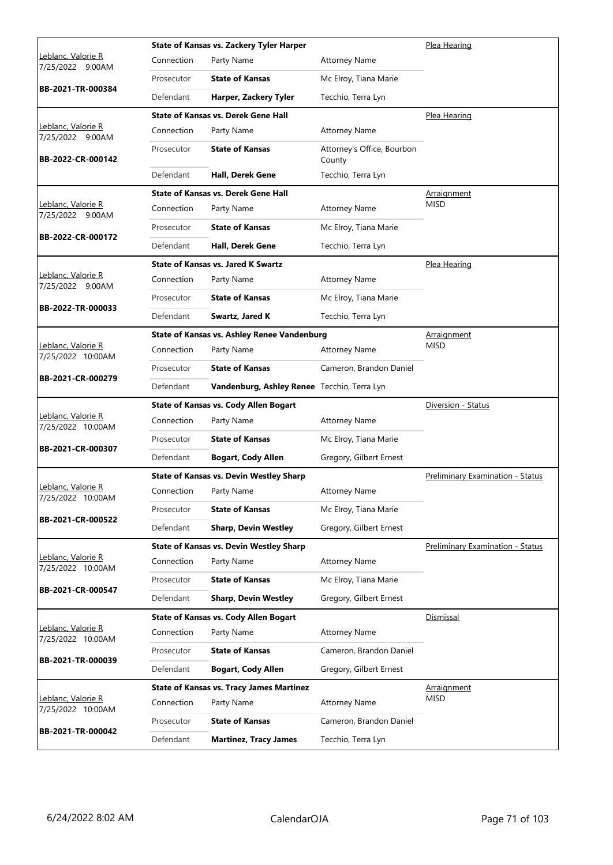|                                               |            | <b>State of Kansas vs. Zackery Tyler Harper</b>    |                                      | Plea Hearing                            |
|-----------------------------------------------|------------|----------------------------------------------------|--------------------------------------|-----------------------------------------|
| <u>Leblanc, Valorie R</u><br>7/25/2022 9:00AM | Connection | Party Name                                         | <b>Attorney Name</b>                 |                                         |
|                                               | Prosecutor | <b>State of Kansas</b>                             | Mc Elroy, Tiana Marie                |                                         |
| BB-2021-TR-000384                             | Defendant  | Harper, Zackery Tyler                              | Tecchio, Terra Lyn                   |                                         |
|                                               |            | <b>State of Kansas vs. Derek Gene Hall</b>         |                                      | Plea Hearing                            |
| Leblanc, Valorie R<br>7/25/2022 9:00AM        | Connection | Party Name                                         | <b>Attorney Name</b>                 |                                         |
| BB-2022-CR-000142                             | Prosecutor | <b>State of Kansas</b>                             | Attorney's Office, Bourbon<br>County |                                         |
|                                               | Defendant  | Hall, Derek Gene                                   | Tecchio, Terra Lyn                   |                                         |
|                                               |            | <b>State of Kansas vs. Derek Gene Hall</b>         |                                      | <b>Arraignment</b>                      |
| Leblanc, Valorie R<br>7/25/2022 9:00AM        | Connection | Party Name                                         | Attorney Name                        | <b>MISD</b>                             |
|                                               | Prosecutor | <b>State of Kansas</b>                             | Mc Elroy, Tiana Marie                |                                         |
| BB-2022-CR-000172                             | Defendant  | Hall, Derek Gene                                   | Tecchio, Terra Lyn                   |                                         |
|                                               |            | <b>State of Kansas vs. Jared K Swartz</b>          |                                      | Plea Hearing                            |
| Leblanc, Valorie R<br>7/25/2022 9:00AM        | Connection | Party Name                                         | <b>Attorney Name</b>                 |                                         |
|                                               | Prosecutor | <b>State of Kansas</b>                             | Mc Elroy, Tiana Marie                |                                         |
| BB-2022-TR-000033                             | Defendant  | Swartz, Jared K                                    | Tecchio, Terra Lyn                   |                                         |
|                                               |            | <b>State of Kansas vs. Ashley Renee Vandenburg</b> |                                      | Arraignment                             |
| Leblanc, Valorie R<br>7/25/2022 10:00AM       | Connection | Party Name                                         | <b>Attorney Name</b>                 | <b>MISD</b>                             |
|                                               | Prosecutor | <b>State of Kansas</b>                             | Cameron, Brandon Daniel              |                                         |
| BB-2021-CR-000279                             | Defendant  | Vandenburg, Ashley Renee Tecchio, Terra Lyn        |                                      |                                         |
|                                               |            |                                                    |                                      |                                         |
|                                               |            | <b>State of Kansas vs. Cody Allen Bogart</b>       |                                      | Diversion - Status                      |
| Leblanc, Valorie R                            | Connection | Party Name                                         | <b>Attorney Name</b>                 |                                         |
| 7/25/2022 10:00AM                             | Prosecutor | <b>State of Kansas</b>                             | Mc Elroy, Tiana Marie                |                                         |
| BB-2021-CR-000307                             | Defendant  | <b>Bogart, Cody Allen</b>                          | Gregory, Gilbert Ernest              |                                         |
|                                               |            | <b>State of Kansas vs. Devin Westley Sharp</b>     |                                      | Preliminary Examination - Status        |
| <u>Leblanc, Valorie R</u>                     | Connection | Party Name                                         | <b>Attorney Name</b>                 |                                         |
| 7/25/2022 10:00AM                             | Prosecutor | <b>State of Kansas</b>                             | Mc Elroy, Tiana Marie                |                                         |
| BB-2021-CR-000522                             | Defendant  | <b>Sharp, Devin Westley</b>                        | Gregory, Gilbert Ernest              |                                         |
|                                               |            | <b>State of Kansas vs. Devin Westley Sharp</b>     |                                      | <b>Preliminary Examination - Status</b> |
| Leblanc, Valorie R                            | Connection | Party Name                                         | <b>Attorney Name</b>                 |                                         |
| 7/25/2022 10:00AM                             | Prosecutor | <b>State of Kansas</b>                             | Mc Elroy, Tiana Marie                |                                         |
| BB-2021-CR-000547                             | Defendant  | <b>Sharp, Devin Westley</b>                        | Gregory, Gilbert Ernest              |                                         |
|                                               |            | <b>State of Kansas vs. Cody Allen Bogart</b>       |                                      | Dismissal                               |
| Leblanc, Valorie R                            | Connection | Party Name                                         | <b>Attorney Name</b>                 |                                         |
| 7/25/2022 10:00AM                             | Prosecutor | <b>State of Kansas</b>                             | Cameron, Brandon Daniel              |                                         |
| BB-2021-TR-000039                             | Defendant  | <b>Bogart, Cody Allen</b>                          | Gregory, Gilbert Ernest              |                                         |
|                                               |            | <b>State of Kansas vs. Tracy James Martinez</b>    |                                      | <b>Arraignment</b>                      |
| Leblanc, Valorie R<br>7/25/2022 10:00AM       | Connection | Party Name                                         | <b>Attorney Name</b>                 | <b>MISD</b>                             |
| BB-2021-TR-000042                             | Prosecutor | <b>State of Kansas</b>                             | Cameron, Brandon Daniel              |                                         |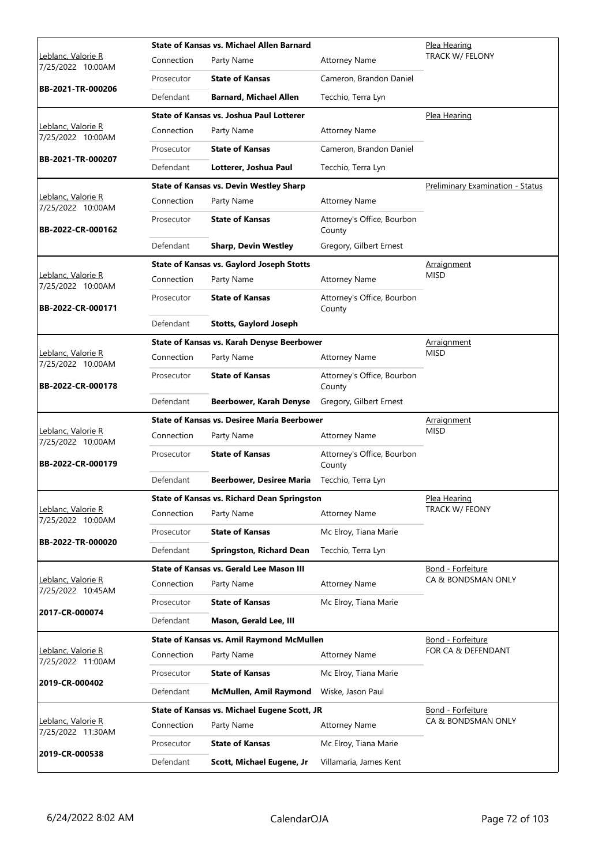|                                                |            | State of Kansas vs. Michael Allen Barnard          |                                      | Plea Hearing                     |
|------------------------------------------------|------------|----------------------------------------------------|--------------------------------------|----------------------------------|
| <u>Leblanc, Valorie R</u><br>7/25/2022 10:00AM | Connection | Party Name                                         | <b>Attorney Name</b>                 | TRACK W/ FELONY                  |
|                                                | Prosecutor | <b>State of Kansas</b>                             | Cameron, Brandon Daniel              |                                  |
| BB-2021-TR-000206                              | Defendant  | <b>Barnard, Michael Allen</b>                      | Tecchio, Terra Lyn                   |                                  |
|                                                |            | State of Kansas vs. Joshua Paul Lotterer           |                                      | Plea Hearing                     |
| Leblanc, Valorie R<br>7/25/2022 10:00AM        | Connection | Party Name                                         | <b>Attorney Name</b>                 |                                  |
|                                                | Prosecutor | <b>State of Kansas</b>                             | Cameron, Brandon Daniel              |                                  |
| BB-2021-TR-000207                              | Defendant  | Lotterer, Joshua Paul                              | Tecchio, Terra Lyn                   |                                  |
|                                                |            | <b>State of Kansas vs. Devin Westley Sharp</b>     |                                      | Preliminary Examination - Status |
| Leblanc, Valorie R<br>7/25/2022 10:00AM        | Connection | Party Name                                         | <b>Attorney Name</b>                 |                                  |
| BB-2022-CR-000162                              | Prosecutor | <b>State of Kansas</b>                             | Attorney's Office, Bourbon<br>County |                                  |
|                                                | Defendant  | <b>Sharp, Devin Westley</b>                        | Gregory, Gilbert Ernest              |                                  |
|                                                |            | <b>State of Kansas vs. Gaylord Joseph Stotts</b>   |                                      | Arraignment                      |
| Leblanc, Valorie R<br>7/25/2022 10:00AM        | Connection | Party Name                                         | <b>Attorney Name</b>                 | <b>MISD</b>                      |
| BB-2022-CR-000171                              | Prosecutor | <b>State of Kansas</b>                             | Attorney's Office, Bourbon<br>County |                                  |
|                                                | Defendant  | <b>Stotts, Gaylord Joseph</b>                      |                                      |                                  |
|                                                |            | State of Kansas vs. Karah Denyse Beerbower         |                                      | Arraignment                      |
| Leblanc, Valorie R<br>7/25/2022 10:00AM        | Connection | Party Name                                         | <b>Attorney Name</b>                 | <b>MISD</b>                      |
| BB-2022-CR-000178                              | Prosecutor | <b>State of Kansas</b>                             | Attorney's Office, Bourbon<br>County |                                  |
|                                                | Defendant  | <b>Beerbower, Karah Denyse</b>                     | Gregory, Gilbert Ernest              |                                  |
|                                                |            | State of Kansas vs. Desiree Maria Beerbower        |                                      | <b>Arraignment</b>               |
| Leblanc, Valorie R<br>7/25/2022 10:00AM        | Connection | Party Name                                         | <b>Attorney Name</b>                 | <b>MISD</b>                      |
| BB-2022-CR-000179                              |            | <b>State of Kansas</b>                             | Attorney's Office, Bourbon           |                                  |
|                                                | Prosecutor |                                                    | County                               |                                  |
|                                                | Defendant  | Beerbower, Desiree Maria                           | Tecchio, Terra Lyn                   |                                  |
|                                                |            | <b>State of Kansas vs. Richard Dean Springston</b> |                                      | Plea Hearing                     |
| Leblanc, Valorie R<br>7/25/2022 10:00AM        | Connection | Party Name                                         | <b>Attorney Name</b>                 | TRACK W/ FEONY                   |
|                                                | Prosecutor | <b>State of Kansas</b>                             | Mc Elroy, Tiana Marie                |                                  |
| BB-2022-TR-000020                              | Defendant  | <b>Springston, Richard Dean</b>                    | Tecchio, Terra Lyn                   |                                  |
|                                                |            | State of Kansas vs. Gerald Lee Mason III           |                                      | Bond - Forfeiture                |
| <u>Leblanc, Valorie R</u><br>7/25/2022 10:45AM | Connection | Party Name                                         | <b>Attorney Name</b>                 | CA & BONDSMAN ONLY               |
|                                                | Prosecutor | <b>State of Kansas</b>                             | Mc Elroy, Tiana Marie                |                                  |
| 2017-CR-000074                                 | Defendant  | Mason, Gerald Lee, III                             |                                      |                                  |
|                                                |            | State of Kansas vs. Amil Raymond McMullen          |                                      | Bond - Forfeiture                |
| Leblanc, Valorie R<br>7/25/2022 11:00AM        | Connection | Party Name                                         | <b>Attorney Name</b>                 | FOR CA & DEFENDANT               |
|                                                | Prosecutor | <b>State of Kansas</b>                             | Mc Elroy, Tiana Marie                |                                  |
| 2019-CR-000402                                 | Defendant  | McMullen, Amil Raymond                             | Wiske, Jason Paul                    |                                  |
|                                                |            | State of Kansas vs. Michael Eugene Scott, JR       |                                      | Bond - Forfeiture                |
| Leblanc, Valorie R<br>7/25/2022 11:30AM        | Connection | Party Name                                         | <b>Attorney Name</b>                 | CA & BONDSMAN ONLY               |
| 2019-CR-000538                                 | Prosecutor | <b>State of Kansas</b>                             | Mc Elroy, Tiana Marie                |                                  |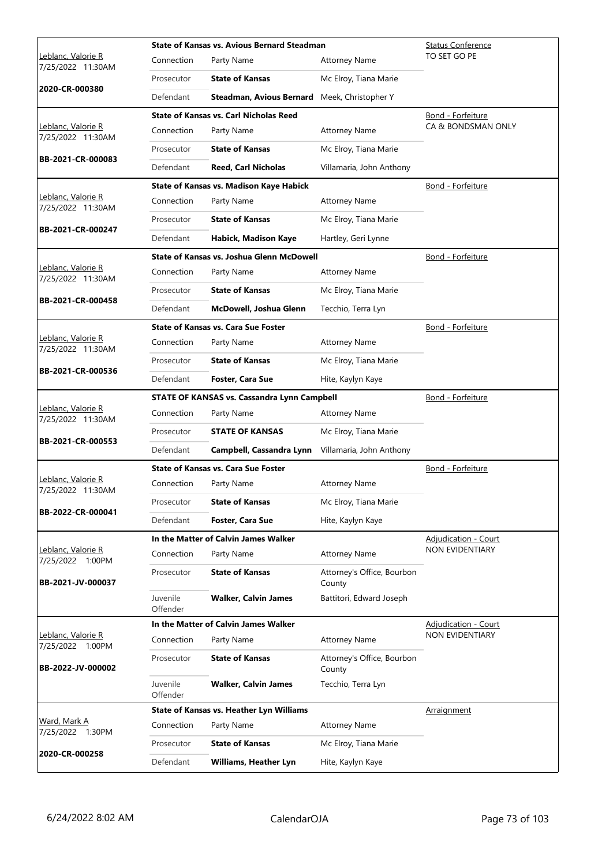|                                                |                      | <b>State of Kansas vs. Avious Bernard Steadman</b> |                                      | <b>Status Conference</b> |
|------------------------------------------------|----------------------|----------------------------------------------------|--------------------------------------|--------------------------|
| Leblanc, Valorie R<br>7/25/2022 11:30AM        | Connection           | Party Name                                         | <b>Attorney Name</b>                 | TO SET GO PE             |
|                                                | Prosecutor           | <b>State of Kansas</b>                             | Mc Elroy, Tiana Marie                |                          |
| 2020-CR-000380                                 | Defendant            | <b>Steadman, Avious Bernard</b>                    | Meek, Christopher Y                  |                          |
|                                                |                      | <b>State of Kansas vs. Carl Nicholas Reed</b>      |                                      | Bond - Forfeiture        |
| Leblanc, Valorie R<br>7/25/2022 11:30AM        | Connection           | Party Name                                         | <b>Attorney Name</b>                 | CA & BONDSMAN ONLY       |
|                                                | Prosecutor           | <b>State of Kansas</b>                             | Mc Elroy, Tiana Marie                |                          |
| BB-2021-CR-000083                              | Defendant            | <b>Reed, Carl Nicholas</b>                         | Villamaria, John Anthony             |                          |
|                                                |                      | <b>State of Kansas vs. Madison Kaye Habick</b>     |                                      | Bond - Forfeiture        |
| Leblanc, Valorie R<br>7/25/2022 11:30AM        | Connection           | Party Name                                         | <b>Attorney Name</b>                 |                          |
| BB-2021-CR-000247                              | Prosecutor           | <b>State of Kansas</b>                             | Mc Elroy, Tiana Marie                |                          |
|                                                | Defendant            | Habick, Madison Kaye                               | Hartley, Geri Lynne                  |                          |
|                                                |                      | State of Kansas vs. Joshua Glenn McDowell          |                                      | Bond - Forfeiture        |
| Leblanc, Valorie R<br>7/25/2022 11:30AM        | Connection           | Party Name                                         | <b>Attorney Name</b>                 |                          |
| BB-2021-CR-000458                              | Prosecutor           | <b>State of Kansas</b>                             | Mc Elroy, Tiana Marie                |                          |
|                                                | Defendant            | McDowell, Joshua Glenn                             | Tecchio, Terra Lyn                   |                          |
|                                                |                      | <b>State of Kansas vs. Cara Sue Foster</b>         |                                      | Bond - Forfeiture        |
| Leblanc, Valorie R<br>7/25/2022 11:30AM        | Connection           | Party Name                                         | <b>Attorney Name</b>                 |                          |
|                                                | Prosecutor           | <b>State of Kansas</b>                             | Mc Elroy, Tiana Marie                |                          |
| BB-2021-CR-000536                              | Defendant            | <b>Foster, Cara Sue</b>                            | Hite, Kaylyn Kaye                    |                          |
|                                                |                      | <b>STATE OF KANSAS vs. Cassandra Lynn Campbell</b> |                                      | Bond - Forfeiture        |
| Leblanc, Valorie R<br>7/25/2022 11:30AM        | Connection           | Party Name                                         | <b>Attorney Name</b>                 |                          |
| BB-2021-CR-000553                              | Prosecutor           | <b>STATE OF KANSAS</b>                             | Mc Elroy, Tiana Marie                |                          |
|                                                | Defendant            | Campbell, Cassandra Lynn                           | Villamaria, John Anthony             |                          |
|                                                |                      | <b>State of Kansas vs. Cara Sue Foster</b>         |                                      | Bond - Forfeiture        |
| Leblanc, Valorie R<br>7/25/2022 11:30AM        | Connection           | Party Name                                         | <b>Attorney Name</b>                 |                          |
| BB-2022-CR-000041                              | Prosecutor           | <b>State of Kansas</b>                             | Mc Elroy, Tiana Marie                |                          |
|                                                | Defendant            | Foster, Cara Sue                                   | Hite, Kaylyn Kaye                    |                          |
|                                                |                      | In the Matter of Calvin James Walker               |                                      | Adjudication - Court     |
| <u> Leblanc, Valorie R</u><br>7/25/2022 1:00PM | Connection           | Party Name                                         | <b>Attorney Name</b>                 | NON EVIDENTIARY          |
| BB-2021-JV-000037                              | Prosecutor           | <b>State of Kansas</b>                             | Attorney's Office, Bourbon<br>County |                          |
|                                                | Juvenile<br>Offender | <b>Walker, Calvin James</b>                        | Battitori, Edward Joseph             |                          |
|                                                |                      | In the Matter of Calvin James Walker               |                                      | Adjudication - Court     |
| <u> Leblanc, Valorie R</u><br>7/25/2022 1:00PM | Connection           | Party Name                                         | <b>Attorney Name</b>                 | NON EVIDENTIARY          |
| BB-2022-JV-000002                              | Prosecutor           | <b>State of Kansas</b>                             | Attorney's Office, Bourbon<br>County |                          |
|                                                | Juvenile<br>Offender | <b>Walker, Calvin James</b>                        | Tecchio, Terra Lyn                   |                          |
|                                                |                      | State of Kansas vs. Heather Lyn Williams           |                                      | Arraignment              |
| Ward, Mark A<br>7/25/2022 1:30PM               | Connection           | Party Name                                         | <b>Attorney Name</b>                 |                          |
| 2020-CR-000258                                 | Prosecutor           | <b>State of Kansas</b>                             | Mc Elroy, Tiana Marie                |                          |
|                                                | Defendant            | Williams, Heather Lyn                              | Hite, Kaylyn Kaye                    |                          |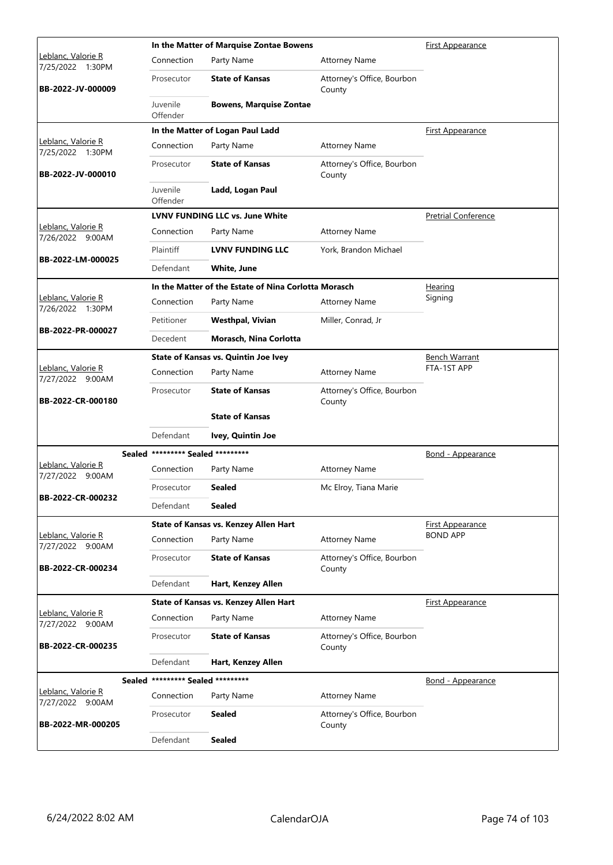|                                        |                                   | In the Matter of Marquise Zontae Bowens              |                                      | <b>First Appearance</b>    |
|----------------------------------------|-----------------------------------|------------------------------------------------------|--------------------------------------|----------------------------|
| Leblanc, Valorie R<br>7/25/2022 1:30PM | Connection                        | Party Name                                           | <b>Attorney Name</b>                 |                            |
| BB-2022-JV-000009                      | Prosecutor                        | <b>State of Kansas</b>                               | Attorney's Office, Bourbon<br>County |                            |
|                                        | Juvenile<br>Offender              | <b>Bowens, Marquise Zontae</b>                       |                                      |                            |
|                                        |                                   | In the Matter of Logan Paul Ladd                     |                                      | <b>First Appearance</b>    |
| Leblanc, Valorie R<br>7/25/2022 1:30PM | Connection                        | Party Name                                           | <b>Attorney Name</b>                 |                            |
| BB-2022-JV-000010                      | Prosecutor                        | <b>State of Kansas</b>                               | Attorney's Office, Bourbon<br>County |                            |
|                                        | Juvenile<br>Offender              | Ladd, Logan Paul                                     |                                      |                            |
|                                        |                                   | <b>LVNV FUNDING LLC vs. June White</b>               |                                      | <b>Pretrial Conference</b> |
| Leblanc, Valorie R<br>7/26/2022 9:00AM | Connection                        | Party Name                                           | <b>Attorney Name</b>                 |                            |
|                                        | Plaintiff                         | <b>LVNV FUNDING LLC</b>                              | York, Brandon Michael                |                            |
| BB-2022-LM-000025                      | Defendant                         | <b>White, June</b>                                   |                                      |                            |
|                                        |                                   | In the Matter of the Estate of Nina Corlotta Morasch |                                      | Hearing                    |
| Leblanc, Valorie R<br>7/26/2022 1:30PM | Connection                        | Party Name                                           | <b>Attorney Name</b>                 | Signing                    |
|                                        | Petitioner                        | <b>Westhpal, Vivian</b>                              | Miller, Conrad, Jr                   |                            |
| BB-2022-PR-000027                      | Decedent                          | Morasch, Nina Corlotta                               |                                      |                            |
|                                        |                                   | <b>State of Kansas vs. Quintin Joe Ivey</b>          |                                      | <b>Bench Warrant</b>       |
| Leblanc, Valorie R<br>7/27/2022 9:00AM | Connection                        | Party Name                                           | <b>Attorney Name</b>                 | FTA-1ST APP                |
| BB-2022-CR-000180                      | Prosecutor                        | <b>State of Kansas</b>                               | Attorney's Office, Bourbon<br>County |                            |
|                                        |                                   | <b>State of Kansas</b>                               |                                      |                            |
|                                        | Defendant                         | Ivey, Quintin Joe                                    |                                      |                            |
|                                        | Sealed ********* Sealed ********* |                                                      |                                      | Bond - Appearance          |
| Leblanc, Valorie R<br>7/27/2022 9:00AM | Connection                        | Party Name                                           | <b>Attorney Name</b>                 |                            |
|                                        | Prosecutor                        | Sealed                                               | Mc Elroy, Tiana Marie                |                            |
| BB-2022-CR-000232                      | Defendant                         | <b>Sealed</b>                                        |                                      |                            |
|                                        |                                   | State of Kansas vs. Kenzey Allen Hart                |                                      | <b>First Appearance</b>    |
| Leblanc, Valorie R<br>7/27/2022 9:00AM | Connection                        | Party Name                                           | <b>Attorney Name</b>                 | <b>BOND APP</b>            |
| BB-2022-CR-000234                      | Prosecutor                        | <b>State of Kansas</b>                               | Attorney's Office, Bourbon<br>County |                            |
|                                        | Defendant                         | Hart, Kenzey Allen                                   |                                      |                            |
|                                        |                                   | State of Kansas vs. Kenzey Allen Hart                |                                      | First Appearance           |
| Leblanc, Valorie R<br>7/27/2022 9:00AM | Connection                        | Party Name                                           | <b>Attorney Name</b>                 |                            |
| BB-2022-CR-000235                      | Prosecutor                        | <b>State of Kansas</b>                               | Attorney's Office, Bourbon<br>County |                            |
|                                        | Defendant                         | Hart, Kenzey Allen                                   |                                      |                            |
|                                        | Sealed ********* Sealed ********* |                                                      |                                      | <u>Bond - Appearance</u>   |
| Leblanc, Valorie R<br>7/27/2022 9:00AM | Connection                        | Party Name                                           | <b>Attorney Name</b>                 |                            |
| BB-2022-MR-000205                      | Prosecutor                        | Sealed                                               | Attorney's Office, Bourbon<br>County |                            |
|                                        | Defendant                         | <b>Sealed</b>                                        |                                      |                            |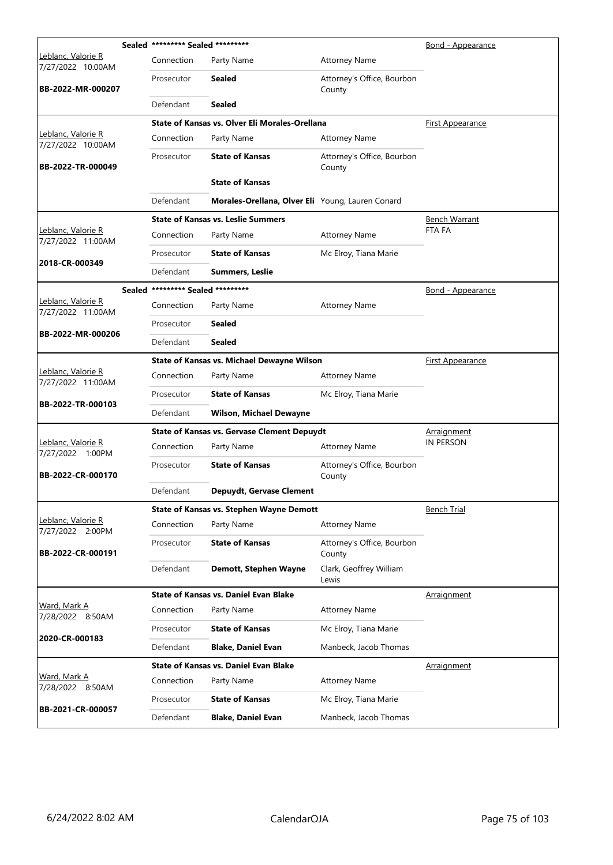|                                         | Sealed ********* Sealed ********* |                                                    |                                      | <b>Bond - Appearance</b> |
|-----------------------------------------|-----------------------------------|----------------------------------------------------|--------------------------------------|--------------------------|
| Leblanc, Valorie R<br>7/27/2022 10:00AM | Connection                        | Party Name                                         | <b>Attorney Name</b>                 |                          |
| BB-2022-MR-000207                       | Prosecutor                        | <b>Sealed</b>                                      | Attorney's Office, Bourbon<br>County |                          |
|                                         | Defendant                         | <b>Sealed</b>                                      |                                      |                          |
|                                         |                                   | State of Kansas vs. Olver Eli Morales-Orellana     |                                      | First Appearance         |
| Leblanc, Valorie R<br>7/27/2022 10:00AM | Connection                        | Party Name                                         | <b>Attorney Name</b>                 |                          |
| BB-2022-TR-000049                       | Prosecutor                        | <b>State of Kansas</b>                             | Attorney's Office, Bourbon<br>County |                          |
|                                         |                                   | <b>State of Kansas</b>                             |                                      |                          |
|                                         | Defendant                         | Morales-Orellana, Olver Eli Young, Lauren Conard   |                                      |                          |
|                                         |                                   | <b>State of Kansas vs. Leslie Summers</b>          |                                      | <b>Bench Warrant</b>     |
| Leblanc, Valorie R<br>7/27/2022 11:00AM | Connection                        | Party Name                                         | <b>Attorney Name</b>                 | <b>FTA FA</b>            |
|                                         | Prosecutor                        | <b>State of Kansas</b>                             | Mc Elroy, Tiana Marie                |                          |
| 2018-CR-000349                          | Defendant                         | <b>Summers, Leslie</b>                             |                                      |                          |
|                                         | Sealed ********* Sealed ********* |                                                    |                                      | <u>Bond - Appearance</u> |
| Leblanc, Valorie R<br>7/27/2022 11:00AM | Connection                        | Party Name                                         | <b>Attorney Name</b>                 |                          |
|                                         | Prosecutor                        | <b>Sealed</b>                                      |                                      |                          |
| BB-2022-MR-000206                       | Defendant                         | <b>Sealed</b>                                      |                                      |                          |
|                                         |                                   | <b>State of Kansas vs. Michael Dewayne Wilson</b>  |                                      | <b>First Appearance</b>  |
| Leblanc, Valorie R<br>7/27/2022 11:00AM | Connection                        | Party Name                                         | <b>Attorney Name</b>                 |                          |
|                                         | Prosecutor                        | <b>State of Kansas</b>                             | Mc Elroy, Tiana Marie                |                          |
| BB-2022-TR-000103                       | Defendant                         | <b>Wilson, Michael Dewayne</b>                     |                                      |                          |
|                                         |                                   | <b>State of Kansas vs. Gervase Clement Depuydt</b> |                                      | <u>Arraignment</u>       |
| Leblanc, Valorie R<br>7/27/2022 1:00PM  | Connection                        | Party Name                                         | <b>Attorney Name</b>                 | IN PERSON                |
| BB-2022-CR-000170                       | Prosecutor                        | <b>State of Kansas</b>                             | Attorney's Office, Bourbon<br>County |                          |
|                                         | Defendant                         | Depuydt, Gervase Clement                           |                                      |                          |
|                                         |                                   | <b>State of Kansas vs. Stephen Wayne Demott</b>    |                                      | <b>Bench Trial</b>       |
| Leblanc, Valorie R<br>7/27/2022 2:00PM  | Connection                        | Party Name                                         | <b>Attorney Name</b>                 |                          |
| BB-2022-CR-000191                       | Prosecutor                        | <b>State of Kansas</b>                             | Attorney's Office, Bourbon<br>County |                          |
|                                         | Defendant                         | Demott, Stephen Wayne                              | Clark, Geoffrey William<br>Lewis     |                          |
|                                         |                                   | <b>State of Kansas vs. Daniel Evan Blake</b>       |                                      | <b>Arraignment</b>       |
| Ward, Mark A<br>7/28/2022 8:50AM        | Connection                        | Party Name                                         | <b>Attorney Name</b>                 |                          |
| 2020-CR-000183                          | Prosecutor                        | <b>State of Kansas</b>                             | Mc Elroy, Tiana Marie                |                          |
|                                         | Defendant                         | <b>Blake, Daniel Evan</b>                          | Manbeck, Jacob Thomas                |                          |
|                                         |                                   | <b>State of Kansas vs. Daniel Evan Blake</b>       |                                      | Arraignment              |
| Ward, Mark A<br>7/28/2022 8:50AM        | Connection                        | Party Name                                         | <b>Attorney Name</b>                 |                          |
| BB-2021-CR-000057                       | Prosecutor                        | <b>State of Kansas</b>                             | Mc Elroy, Tiana Marie                |                          |
|                                         | Defendant                         | <b>Blake, Daniel Evan</b>                          | Manbeck, Jacob Thomas                |                          |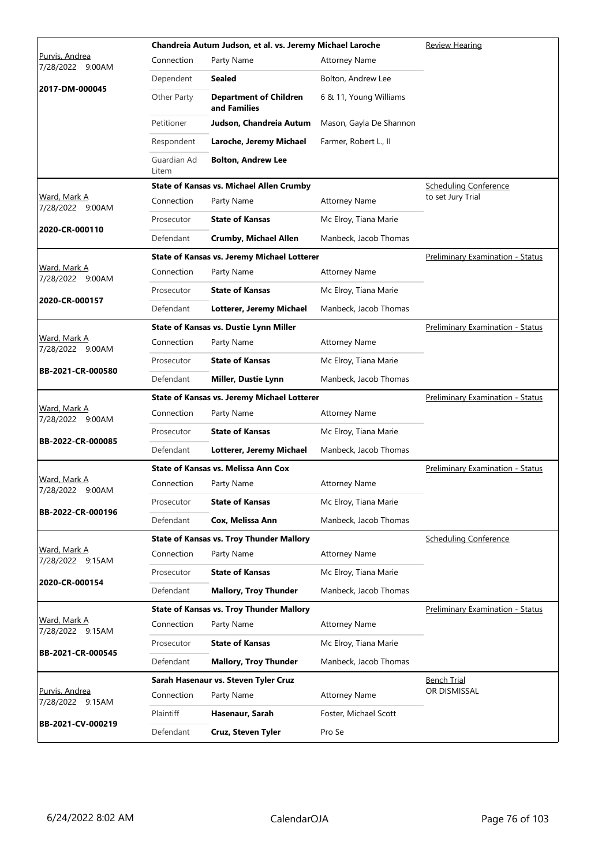|                                              |                      | Chandreia Autum Judson, et al. vs. Jeremy Michael Laroche |                         | Review Hearing                          |
|----------------------------------------------|----------------------|-----------------------------------------------------------|-------------------------|-----------------------------------------|
| <u>Purvis, Andrea</u><br>7/28/2022<br>9:00AM | Connection           | Party Name                                                | <b>Attorney Name</b>    |                                         |
|                                              | Dependent            | Sealed                                                    | Bolton, Andrew Lee      |                                         |
| 2017-DM-000045                               | Other Party          | <b>Department of Children</b><br>and Families             | 6 & 11, Young Williams  |                                         |
|                                              | Petitioner           | Judson, Chandreia Autum                                   | Mason, Gayla De Shannon |                                         |
|                                              | Respondent           | Laroche, Jeremy Michael                                   | Farmer, Robert L., II   |                                         |
|                                              | Guardian Ad<br>Litem | <b>Bolton, Andrew Lee</b>                                 |                         |                                         |
|                                              |                      | <b>State of Kansas vs. Michael Allen Crumby</b>           |                         | <b>Scheduling Conference</b>            |
| Ward, Mark A<br>7/28/2022 9:00AM             | Connection           | Party Name                                                | <b>Attorney Name</b>    | to set Jury Trial                       |
| 2020-CR-000110                               | Prosecutor           | <b>State of Kansas</b>                                    | Mc Elroy, Tiana Marie   |                                         |
|                                              | Defendant            | <b>Crumby, Michael Allen</b>                              | Manbeck, Jacob Thomas   |                                         |
|                                              |                      | <b>State of Kansas vs. Jeremy Michael Lotterer</b>        |                         | <b>Preliminary Examination - Status</b> |
| Ward, Mark A<br>7/28/2022 9:00AM             | Connection           | Party Name                                                | <b>Attorney Name</b>    |                                         |
| 2020-CR-000157                               | Prosecutor           | <b>State of Kansas</b>                                    | Mc Elroy, Tiana Marie   |                                         |
|                                              | Defendant            | Lotterer, Jeremy Michael                                  | Manbeck, Jacob Thomas   |                                         |
|                                              |                      | State of Kansas vs. Dustie Lynn Miller                    |                         | <b>Preliminary Examination - Status</b> |
| Ward, Mark A<br>7/28/2022 9:00AM             | Connection           | Party Name                                                | <b>Attorney Name</b>    |                                         |
|                                              | Prosecutor           | <b>State of Kansas</b>                                    | Mc Elroy, Tiana Marie   |                                         |
| BB-2021-CR-000580                            | Defendant            | Miller, Dustie Lynn                                       | Manbeck, Jacob Thomas   |                                         |
|                                              |                      | State of Kansas vs. Jeremy Michael Lotterer               |                         | Preliminary Examination - Status        |
|                                              |                      |                                                           |                         |                                         |
| Ward, Mark A<br>7/28/2022 9:00AM             | Connection           | Party Name                                                | <b>Attorney Name</b>    |                                         |
|                                              | Prosecutor           | <b>State of Kansas</b>                                    | Mc Elroy, Tiana Marie   |                                         |
| BB-2022-CR-000085                            | Defendant            | Lotterer, Jeremy Michael                                  | Manbeck, Jacob Thomas   |                                         |
|                                              |                      | <b>State of Kansas vs. Melissa Ann Cox</b>                |                         | <b>Preliminary Examination - Status</b> |
| Ward, Mark A<br>7/28/2022 9:00AM             | Connection           | Party Name                                                | <b>Attorney Name</b>    |                                         |
|                                              | Prosecutor           | <b>State of Kansas</b>                                    | Mc Elroy, Tiana Marie   |                                         |
| BB-2022-CR-000196                            | Defendant            | Cox, Melissa Ann                                          | Manbeck, Jacob Thomas   |                                         |
|                                              |                      | <b>State of Kansas vs. Troy Thunder Mallory</b>           |                         | <b>Scheduling Conference</b>            |
| Ward, Mark A<br>7/28/2022 9:15AM             | Connection           | Party Name                                                | <b>Attorney Name</b>    |                                         |
|                                              | Prosecutor           | <b>State of Kansas</b>                                    | Mc Elroy, Tiana Marie   |                                         |
| 2020-CR-000154                               | Defendant            | <b>Mallory, Troy Thunder</b>                              | Manbeck, Jacob Thomas   |                                         |
|                                              |                      | <b>State of Kansas vs. Troy Thunder Mallory</b>           |                         | <b>Preliminary Examination - Status</b> |
| Ward, Mark A<br>7/28/2022 9:15AM             | Connection           | Party Name                                                | <b>Attorney Name</b>    |                                         |
|                                              | Prosecutor           | <b>State of Kansas</b>                                    | Mc Elroy, Tiana Marie   |                                         |
| BB-2021-CR-000545                            | Defendant            | <b>Mallory, Troy Thunder</b>                              | Manbeck, Jacob Thomas   |                                         |
|                                              |                      | Sarah Hasenaur vs. Steven Tyler Cruz                      |                         | Bench Trial                             |
| Purvis, Andrea<br>7/28/2022 9:15AM           | Connection           | Party Name                                                | <b>Attorney Name</b>    | OR DISMISSAL                            |
| BB-2021-CV-000219                            | Plaintiff            | Hasenaur, Sarah                                           | Foster, Michael Scott   |                                         |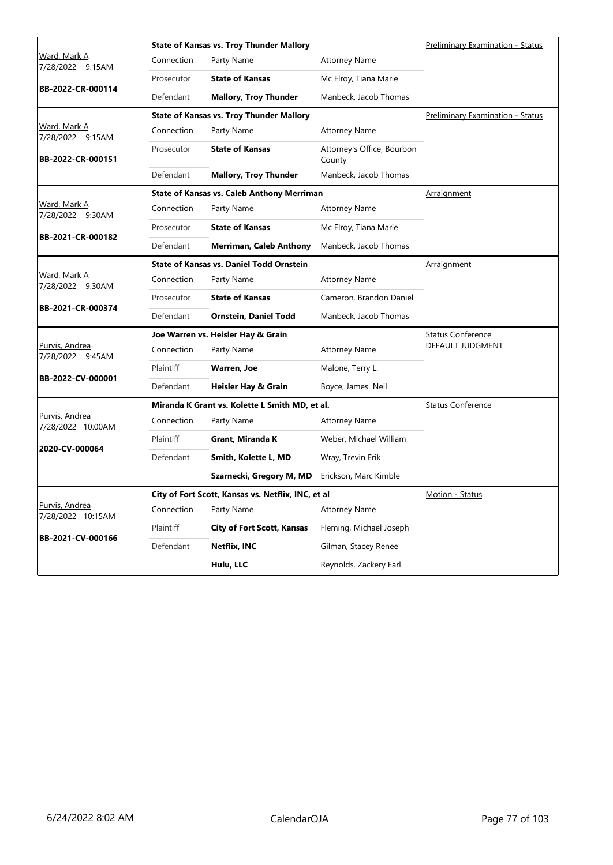|                                         |            | <b>State of Kansas vs. Troy Thunder Mallory</b>    |                                      | <b>Preliminary Examination - Status</b> |  |  |
|-----------------------------------------|------------|----------------------------------------------------|--------------------------------------|-----------------------------------------|--|--|
| Ward, Mark A<br>7/28/2022 9:15AM        | Connection | Party Name                                         | <b>Attorney Name</b>                 |                                         |  |  |
|                                         | Prosecutor | <b>State of Kansas</b>                             | Mc Elroy, Tiana Marie                |                                         |  |  |
| BB-2022-CR-000114                       | Defendant  | <b>Mallory, Troy Thunder</b>                       | Manbeck, Jacob Thomas                |                                         |  |  |
|                                         |            | <b>State of Kansas vs. Troy Thunder Mallory</b>    |                                      | Preliminary Examination - Status        |  |  |
| <u>Ward, Mark A</u><br>7/28/2022 9:15AM | Connection | Party Name                                         | <b>Attorney Name</b>                 |                                         |  |  |
| BB-2022-CR-000151                       | Prosecutor | <b>State of Kansas</b>                             | Attorney's Office, Bourbon<br>County |                                         |  |  |
|                                         | Defendant  | <b>Mallory, Troy Thunder</b>                       | Manbeck, Jacob Thomas                |                                         |  |  |
|                                         |            | <b>State of Kansas vs. Caleb Anthony Merriman</b>  |                                      | <b>Arraignment</b>                      |  |  |
| <u>Ward, Mark A</u><br>7/28/2022 9:30AM | Connection | Party Name                                         | <b>Attorney Name</b>                 |                                         |  |  |
|                                         | Prosecutor | <b>State of Kansas</b>                             | Mc Elroy, Tiana Marie                |                                         |  |  |
| BB-2021-CR-000182                       | Defendant  | <b>Merriman, Caleb Anthony</b>                     | Manbeck, Jacob Thomas                |                                         |  |  |
|                                         |            | <b>State of Kansas vs. Daniel Todd Ornstein</b>    |                                      | Arraignment                             |  |  |
| <u>Ward, Mark A</u><br>7/28/2022 9:30AM | Connection | Party Name                                         | <b>Attorney Name</b>                 |                                         |  |  |
|                                         | Prosecutor | <b>State of Kansas</b>                             | Cameron, Brandon Daniel              |                                         |  |  |
| BB-2021-CR-000374                       | Defendant  | Ornstein, Daniel Todd                              | Manbeck, Jacob Thomas                |                                         |  |  |
|                                         |            | Joe Warren vs. Heisler Hay & Grain                 |                                      | <b>Status Conference</b>                |  |  |
| Purvis, Andrea<br>7/28/2022 9:45AM      | Connection | Party Name                                         | <b>Attorney Name</b>                 | DEFAULT JUDGMENT                        |  |  |
|                                         | Plaintiff  | Warren, Joe                                        | Malone, Terry L.                     |                                         |  |  |
| BB-2022-CV-000001                       | Defendant  | Heisler Hay & Grain                                | Boyce, James Neil                    |                                         |  |  |
|                                         |            | Miranda K Grant vs. Kolette L Smith MD, et al.     |                                      | <b>Status Conference</b>                |  |  |
| Purvis, Andrea<br>7/28/2022 10:00AM     | Connection | Party Name                                         | <b>Attorney Name</b>                 |                                         |  |  |
|                                         | Plaintiff  | Grant, Miranda K                                   | Weber, Michael William               |                                         |  |  |
| 2020-CV-000064                          | Defendant  | Smith, Kolette L, MD                               | Wray, Trevin Erik                    |                                         |  |  |
|                                         |            | Szarnecki, Gregory M, MD                           | Erickson, Marc Kimble                |                                         |  |  |
|                                         |            | City of Fort Scott, Kansas vs. Netflix, INC, et al |                                      | Motion - Status                         |  |  |
| Purvis, Andrea<br>7/28/2022 10:15AM     | Connection | Party Name                                         | <b>Attorney Name</b>                 |                                         |  |  |
|                                         | Plaintiff  | <b>City of Fort Scott, Kansas</b>                  | Fleming, Michael Joseph              |                                         |  |  |
| BB-2021-CV-000166                       | Defendant  | <b>Netflix, INC</b>                                | Gilman, Stacey Renee                 |                                         |  |  |
|                                         |            | Hulu, LLC                                          | Reynolds, Zackery Earl               |                                         |  |  |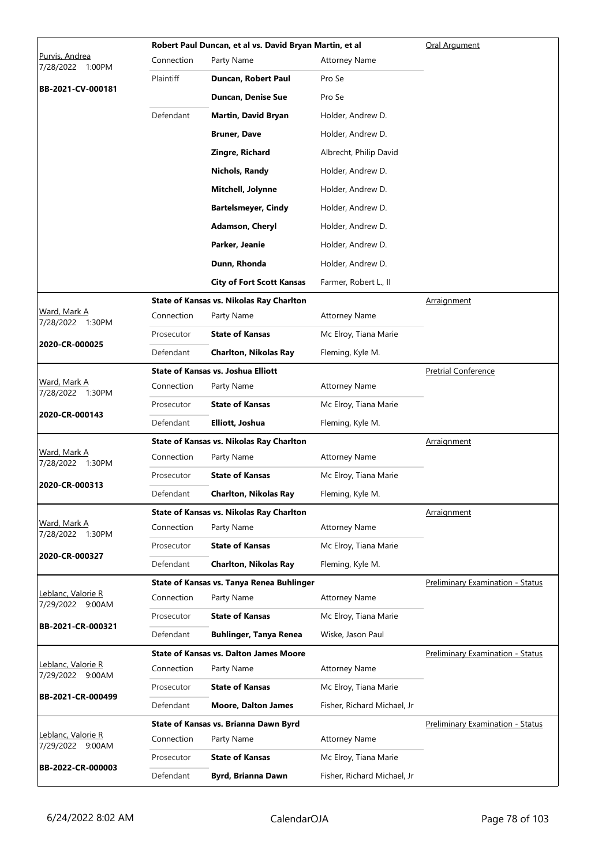|                                       | Robert Paul Duncan, et al vs. David Bryan Martin, et al |                                                 | Oral Argument               |                                         |
|---------------------------------------|---------------------------------------------------------|-------------------------------------------------|-----------------------------|-----------------------------------------|
| Purvis, Andrea<br>7/28/2022<br>1:00PM | Connection                                              | Party Name                                      | <b>Attorney Name</b>        |                                         |
|                                       | Plaintiff                                               | Duncan, Robert Paul                             | Pro Se                      |                                         |
| BB-2021-CV-000181                     |                                                         | <b>Duncan, Denise Sue</b>                       | Pro Se                      |                                         |
|                                       | Defendant                                               | Martin, David Bryan                             | Holder, Andrew D.           |                                         |
|                                       |                                                         | <b>Bruner, Dave</b>                             | Holder, Andrew D.           |                                         |
|                                       |                                                         | Zingre, Richard                                 | Albrecht, Philip David      |                                         |
|                                       |                                                         | <b>Nichols, Randy</b>                           | Holder, Andrew D.           |                                         |
|                                       |                                                         | Mitchell, Jolynne                               | Holder, Andrew D.           |                                         |
|                                       |                                                         | <b>Bartelsmeyer, Cindy</b>                      | Holder, Andrew D.           |                                         |
|                                       |                                                         | <b>Adamson, Cheryl</b>                          | Holder, Andrew D.           |                                         |
|                                       |                                                         | Parker, Jeanie                                  | Holder, Andrew D.           |                                         |
|                                       |                                                         | Dunn, Rhonda                                    | Holder, Andrew D.           |                                         |
|                                       |                                                         | <b>City of Fort Scott Kansas</b>                | Farmer, Robert L., II       |                                         |
|                                       |                                                         | <b>State of Kansas vs. Nikolas Ray Charlton</b> |                             | Arraignment                             |
| Ward, Mark A<br>7/28/2022 1:30PM      | Connection                                              | Party Name                                      | <b>Attorney Name</b>        |                                         |
|                                       | Prosecutor                                              | <b>State of Kansas</b>                          | Mc Elroy, Tiana Marie       |                                         |
| 2020-CR-000025                        | Defendant                                               | <b>Charlton, Nikolas Ray</b>                    | Fleming, Kyle M.            |                                         |
|                                       |                                                         | <b>State of Kansas vs. Joshua Elliott</b>       |                             | <b>Pretrial Conference</b>              |
| Ward, Mark A<br>7/28/2022 1:30PM      | Connection                                              | Party Name                                      | <b>Attorney Name</b>        |                                         |
| 2020-CR-000143                        | Prosecutor                                              | <b>State of Kansas</b>                          | Mc Elroy, Tiana Marie       |                                         |
|                                       | Defendant                                               | Elliott, Joshua                                 | Fleming, Kyle M.            |                                         |
|                                       |                                                         | State of Kansas vs. Nikolas Ray Charlton        |                             | <b>Arraignment</b>                      |
| Ward, Mark A<br>7/28/2022 1:30PM      | Connection                                              | Party Name                                      | <b>Attorney Name</b>        |                                         |
| 2020-CR-000313                        | Prosecutor                                              | <b>State of Kansas</b>                          | Mc Elroy, Tiana Marie       |                                         |
|                                       | Defendant                                               | <b>Charlton, Nikolas Ray</b>                    | Fleming, Kyle M.            |                                         |
| Ward, Mark A                          |                                                         | State of Kansas vs. Nikolas Ray Charlton        |                             | <b>Arraignment</b>                      |
| 7/28/2022 1:30PM                      | Connection                                              | Party Name                                      | <b>Attorney Name</b>        |                                         |
| 2020-CR-000327                        | Prosecutor                                              | <b>State of Kansas</b>                          | Mc Elroy, Tiana Marie       |                                         |
|                                       | Defendant                                               | <b>Charlton, Nikolas Ray</b>                    | Fleming, Kyle M.            |                                         |
| Leblanc, Valorie R                    |                                                         | State of Kansas vs. Tanya Renea Buhlinger       |                             | <b>Preliminary Examination - Status</b> |
| 7/29/2022 9:00AM                      | Connection                                              | Party Name                                      | <b>Attorney Name</b>        |                                         |
| BB-2021-CR-000321                     | Prosecutor                                              | <b>State of Kansas</b>                          | Mc Elroy, Tiana Marie       |                                         |
|                                       | Defendant                                               | <b>Buhlinger, Tanya Renea</b>                   | Wiske, Jason Paul           |                                         |
| Leblanc, Valorie R                    |                                                         | <b>State of Kansas vs. Dalton James Moore</b>   |                             | <b>Preliminary Examination - Status</b> |
| 7/29/2022 9:00AM                      | Connection                                              | Party Name                                      | <b>Attorney Name</b>        |                                         |
| BB-2021-CR-000499                     | Prosecutor                                              | <b>State of Kansas</b>                          | Mc Elroy, Tiana Marie       |                                         |
|                                       | Defendant                                               | <b>Moore, Dalton James</b>                      | Fisher, Richard Michael, Jr |                                         |
| <u> Leblanc, Valorie R</u>            |                                                         | State of Kansas vs. Brianna Dawn Byrd           |                             | <b>Preliminary Examination - Status</b> |
| 7/29/2022 9:00AM                      | Connection                                              | Party Name                                      | <b>Attorney Name</b>        |                                         |
| BB-2022-CR-000003                     | Prosecutor                                              | <b>State of Kansas</b>                          | Mc Elroy, Tiana Marie       |                                         |
|                                       | Defendant                                               | Byrd, Brianna Dawn                              | Fisher, Richard Michael, Jr |                                         |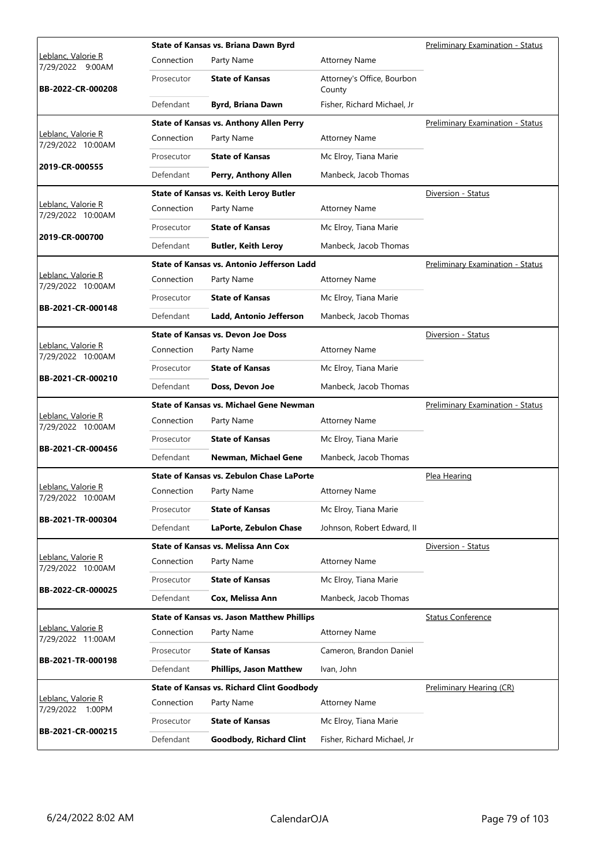|                                         |            | State of Kansas vs. Briana Dawn Byrd              |                                      | <b>Preliminary Examination - Status</b> |  |  |
|-----------------------------------------|------------|---------------------------------------------------|--------------------------------------|-----------------------------------------|--|--|
| Leblanc, Valorie R<br>7/29/2022 9:00AM  | Connection | Party Name                                        | <b>Attorney Name</b>                 |                                         |  |  |
| BB-2022-CR-000208                       | Prosecutor | <b>State of Kansas</b>                            | Attorney's Office, Bourbon<br>County |                                         |  |  |
|                                         | Defendant  | <b>Byrd, Briana Dawn</b>                          | Fisher, Richard Michael, Jr          |                                         |  |  |
|                                         |            | <b>State of Kansas vs. Anthony Allen Perry</b>    |                                      | Preliminary Examination - Status        |  |  |
| Leblanc, Valorie R<br>7/29/2022 10:00AM | Connection | Party Name                                        | <b>Attorney Name</b>                 |                                         |  |  |
|                                         | Prosecutor | <b>State of Kansas</b>                            | Mc Elroy, Tiana Marie                |                                         |  |  |
| 2019-CR-000555                          | Defendant  | Perry, Anthony Allen                              | Manbeck, Jacob Thomas                |                                         |  |  |
|                                         |            | State of Kansas vs. Keith Leroy Butler            |                                      | Diversion - Status                      |  |  |
| Leblanc, Valorie R<br>7/29/2022 10:00AM | Connection | Party Name                                        | <b>Attorney Name</b>                 |                                         |  |  |
|                                         | Prosecutor | <b>State of Kansas</b>                            | Mc Elroy, Tiana Marie                |                                         |  |  |
| 2019-CR-000700                          | Defendant  | <b>Butler, Keith Leroy</b>                        | Manbeck, Jacob Thomas                |                                         |  |  |
|                                         |            | State of Kansas vs. Antonio Jefferson Ladd        |                                      | Preliminary Examination - Status        |  |  |
| Leblanc, Valorie R<br>7/29/2022 10:00AM | Connection | Party Name                                        | <b>Attorney Name</b>                 |                                         |  |  |
|                                         | Prosecutor | <b>State of Kansas</b>                            | Mc Elroy, Tiana Marie                |                                         |  |  |
| BB-2021-CR-000148                       | Defendant  | Ladd, Antonio Jefferson                           | Manbeck, Jacob Thomas                |                                         |  |  |
|                                         |            | <b>State of Kansas vs. Devon Joe Doss</b>         |                                      | Diversion - Status                      |  |  |
| Leblanc, Valorie R<br>7/29/2022 10:00AM | Connection | Party Name                                        | <b>Attorney Name</b>                 |                                         |  |  |
|                                         | Prosecutor | <b>State of Kansas</b>                            | Mc Elroy, Tiana Marie                |                                         |  |  |
| BB-2021-CR-000210                       | Defendant  | Doss, Devon Joe                                   | Manbeck, Jacob Thomas                |                                         |  |  |
|                                         |            | <b>State of Kansas vs. Michael Gene Newman</b>    |                                      | <b>Preliminary Examination - Status</b> |  |  |
| Leblanc, Valorie R<br>7/29/2022 10:00AM | Connection | Party Name                                        | <b>Attorney Name</b>                 |                                         |  |  |
|                                         | Prosecutor | <b>State of Kansas</b>                            | Mc Elroy, Tiana Marie                |                                         |  |  |
| BB-2021-CR-000456                       | Defendant  | Newman, Michael Gene                              | Manbeck, Jacob Thomas                |                                         |  |  |
|                                         |            | <b>State of Kansas vs. Zebulon Chase LaPorte</b>  |                                      | Plea Hearing                            |  |  |
| Leblanc, Valorie R<br>7/29/2022 10:00AM | Connection | Party Name                                        | <b>Attorney Name</b>                 |                                         |  |  |
|                                         | Prosecutor | <b>State of Kansas</b>                            | Mc Elroy, Tiana Marie                |                                         |  |  |
| BB-2021-TR-000304                       | Defendant  | LaPorte, Zebulon Chase                            | Johnson, Robert Edward, II           |                                         |  |  |
|                                         |            | <b>State of Kansas vs. Melissa Ann Cox</b>        |                                      | Diversion - Status                      |  |  |
| Leblanc, Valorie R<br>7/29/2022 10:00AM | Connection | Party Name                                        | <b>Attorney Name</b>                 |                                         |  |  |
|                                         | Prosecutor | <b>State of Kansas</b>                            | Mc Elroy, Tiana Marie                |                                         |  |  |
| BB-2022-CR-000025                       | Defendant  | Cox, Melissa Ann                                  | Manbeck, Jacob Thomas                |                                         |  |  |
|                                         |            | <b>State of Kansas vs. Jason Matthew Phillips</b> |                                      | <b>Status Conference</b>                |  |  |
| Leblanc, Valorie R<br>7/29/2022 11:00AM | Connection | Party Name                                        | <b>Attorney Name</b>                 |                                         |  |  |
|                                         | Prosecutor | <b>State of Kansas</b>                            | Cameron, Brandon Daniel              |                                         |  |  |
| BB-2021-TR-000198                       | Defendant  | <b>Phillips, Jason Matthew</b>                    | Ivan, John                           |                                         |  |  |
|                                         |            | <b>State of Kansas vs. Richard Clint Goodbody</b> |                                      | <b>Preliminary Hearing (CR)</b>         |  |  |
| Leblanc, Valorie R<br>7/29/2022 1:00PM  | Connection | Party Name                                        | <b>Attorney Name</b>                 |                                         |  |  |
|                                         | Prosecutor | <b>State of Kansas</b>                            | Mc Elroy, Tiana Marie                |                                         |  |  |
| BB-2021-CR-000215                       | Defendant  | <b>Goodbody, Richard Clint</b>                    | Fisher, Richard Michael, Jr          |                                         |  |  |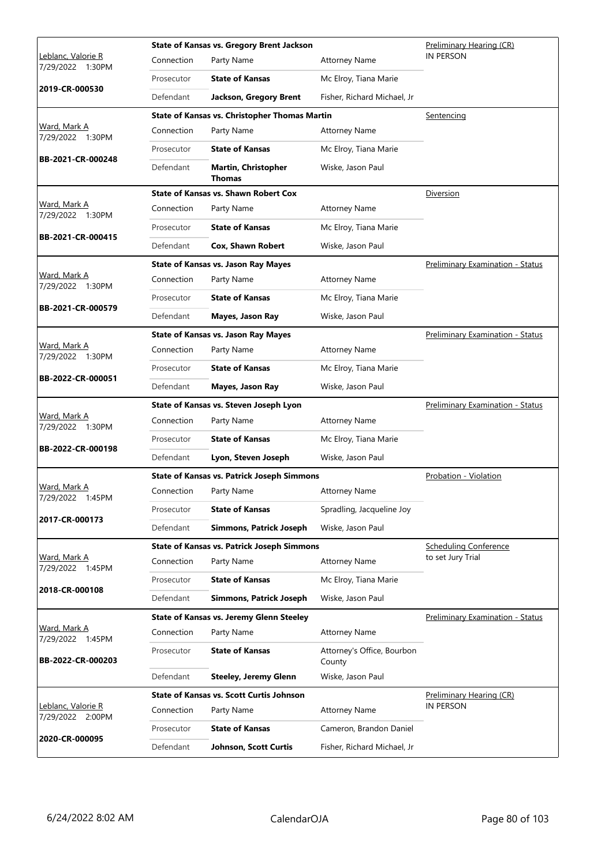|                                        |            | <b>State of Kansas vs. Gregory Brent Jackson</b>     |                                      | Preliminary Hearing (CR)         |
|----------------------------------------|------------|------------------------------------------------------|--------------------------------------|----------------------------------|
| Leblanc, Valorie R<br>7/29/2022 1:30PM | Connection | Party Name                                           | <b>Attorney Name</b>                 | <b>IN PERSON</b>                 |
|                                        | Prosecutor | <b>State of Kansas</b>                               | Mc Elroy, Tiana Marie                |                                  |
| 2019-CR-000530                         | Defendant  | Jackson, Gregory Brent                               | Fisher, Richard Michael, Jr          |                                  |
|                                        |            | <b>State of Kansas vs. Christopher Thomas Martin</b> |                                      | Sentencing                       |
| Ward, Mark A<br>7/29/2022 1:30PM       | Connection | Party Name                                           | <b>Attorney Name</b>                 |                                  |
| BB-2021-CR-000248                      | Prosecutor | <b>State of Kansas</b>                               | Mc Elroy, Tiana Marie                |                                  |
|                                        | Defendant  | <b>Martin, Christopher</b><br>Thomas                 | Wiske, Jason Paul                    |                                  |
|                                        |            | <b>State of Kansas vs. Shawn Robert Cox</b>          |                                      | Diversion                        |
| Ward, Mark A<br>7/29/2022 1:30PM       | Connection | Party Name                                           | <b>Attorney Name</b>                 |                                  |
|                                        | Prosecutor | <b>State of Kansas</b>                               | Mc Elroy, Tiana Marie                |                                  |
| BB-2021-CR-000415                      | Defendant  | <b>Cox, Shawn Robert</b>                             | Wiske, Jason Paul                    |                                  |
|                                        |            | <b>State of Kansas vs. Jason Ray Mayes</b>           |                                      | Preliminary Examination - Status |
| Ward, Mark A<br>7/29/2022 1:30PM       | Connection | Party Name                                           | <b>Attorney Name</b>                 |                                  |
|                                        | Prosecutor | <b>State of Kansas</b>                               | Mc Elroy, Tiana Marie                |                                  |
| BB-2021-CR-000579                      | Defendant  | <b>Mayes, Jason Ray</b>                              | Wiske, Jason Paul                    |                                  |
|                                        |            | <b>State of Kansas vs. Jason Ray Mayes</b>           |                                      | Preliminary Examination - Status |
| Ward, Mark A<br>7/29/2022 1:30PM       | Connection | Party Name                                           | <b>Attorney Name</b>                 |                                  |
|                                        | Prosecutor | <b>State of Kansas</b>                               | Mc Elroy, Tiana Marie                |                                  |
| BB-2022-CR-000051                      | Defendant  | <b>Mayes, Jason Ray</b>                              | Wiske, Jason Paul                    |                                  |
|                                        |            |                                                      |                                      |                                  |
|                                        |            | State of Kansas vs. Steven Joseph Lyon               |                                      | Preliminary Examination - Status |
| Ward, Mark A                           | Connection | Party Name                                           | <b>Attorney Name</b>                 |                                  |
| 7/29/2022 1:30PM                       | Prosecutor | <b>State of Kansas</b>                               | Mc Elroy, Tiana Marie                |                                  |
| BB-2022-CR-000198                      | Defendant  | Lyon, Steven Joseph                                  | Wiske, Jason Paul                    |                                  |
|                                        |            | <b>State of Kansas vs. Patrick Joseph Simmons</b>    |                                      | Probation - Violation            |
| <u>Ward, Mark A</u>                    | Connection | Party Name                                           | <b>Attorney Name</b>                 |                                  |
| 7/29/2022 1:45PM                       | Prosecutor | <b>State of Kansas</b>                               | Spradling, Jacqueline Joy            |                                  |
| 2017-CR-000173                         | Defendant  | <b>Simmons, Patrick Joseph</b>                       | Wiske, Jason Paul                    |                                  |
|                                        |            | <b>State of Kansas vs. Patrick Joseph Simmons</b>    |                                      | <b>Scheduling Conference</b>     |
| Ward, Mark A                           | Connection | Party Name                                           | <b>Attorney Name</b>                 | to set Jury Trial                |
| 7/29/2022 1:45PM                       | Prosecutor | <b>State of Kansas</b>                               | Mc Elroy, Tiana Marie                |                                  |
| 2018-CR-000108                         | Defendant  | <b>Simmons, Patrick Joseph</b>                       | Wiske, Jason Paul                    |                                  |
|                                        |            | <b>State of Kansas vs. Jeremy Glenn Steeley</b>      |                                      | Preliminary Examination - Status |
| Ward, Mark A<br>7/29/2022 1:45PM       | Connection | Party Name                                           | <b>Attorney Name</b>                 |                                  |
| BB-2022-CR-000203                      | Prosecutor | <b>State of Kansas</b>                               | Attorney's Office, Bourbon<br>County |                                  |
|                                        | Defendant  | <b>Steeley, Jeremy Glenn</b>                         | Wiske, Jason Paul                    |                                  |
|                                        |            | <b>State of Kansas vs. Scott Curtis Johnson</b>      |                                      | Preliminary Hearing (CR)         |
| Leblanc, Valorie R<br>7/29/2022 2:00PM | Connection | Party Name                                           | <b>Attorney Name</b>                 | <b>IN PERSON</b>                 |
| 2020-CR-000095                         | Prosecutor | <b>State of Kansas</b>                               | Cameron, Brandon Daniel              |                                  |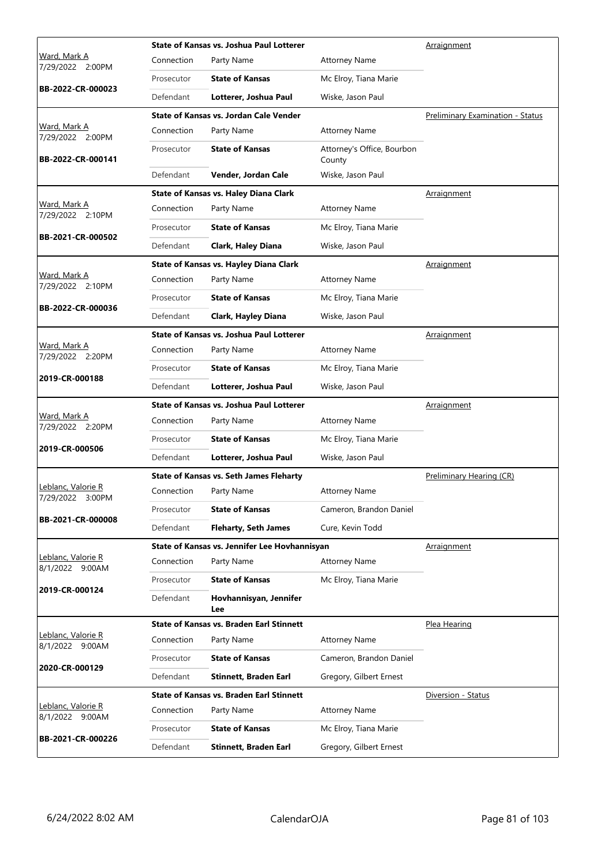|                                         |            | State of Kansas vs. Joshua Paul Lotterer        |                                      | Arraignment                      |
|-----------------------------------------|------------|-------------------------------------------------|--------------------------------------|----------------------------------|
| <u>Ward, Mark A</u><br>7/29/2022 2:00PM | Connection | Party Name                                      | <b>Attorney Name</b>                 |                                  |
|                                         | Prosecutor | <b>State of Kansas</b>                          | Mc Elroy, Tiana Marie                |                                  |
| BB-2022-CR-000023                       | Defendant  | Lotterer, Joshua Paul                           | Wiske, Jason Paul                    |                                  |
|                                         |            | State of Kansas vs. Jordan Cale Vender          |                                      | Preliminary Examination - Status |
| Ward, Mark A<br>7/29/2022 2:00PM        | Connection | Party Name                                      | <b>Attorney Name</b>                 |                                  |
| BB-2022-CR-000141                       | Prosecutor | <b>State of Kansas</b>                          | Attorney's Office, Bourbon<br>County |                                  |
|                                         | Defendant  | Vender, Jordan Cale                             | Wiske, Jason Paul                    |                                  |
|                                         |            | State of Kansas vs. Haley Diana Clark           |                                      | Arraignment                      |
| Ward, Mark A<br>7/29/2022 2:10PM        | Connection | Party Name                                      | <b>Attorney Name</b>                 |                                  |
|                                         | Prosecutor | <b>State of Kansas</b>                          | Mc Elroy, Tiana Marie                |                                  |
| BB-2021-CR-000502                       | Defendant  | Clark, Haley Diana                              | Wiske, Jason Paul                    |                                  |
|                                         |            | State of Kansas vs. Hayley Diana Clark          |                                      | Arraignment                      |
| <u>Ward, Mark A</u><br>7/29/2022 2:10PM | Connection | Party Name                                      | <b>Attorney Name</b>                 |                                  |
|                                         | Prosecutor | <b>State of Kansas</b>                          | Mc Elroy, Tiana Marie                |                                  |
| BB-2022-CR-000036                       | Defendant  | Clark, Hayley Diana                             | Wiske, Jason Paul                    |                                  |
|                                         |            | State of Kansas vs. Joshua Paul Lotterer        |                                      | Arraignment                      |
| Ward, Mark A<br>7/29/2022 2:20PM        | Connection | Party Name                                      | <b>Attorney Name</b>                 |                                  |
|                                         | Prosecutor | <b>State of Kansas</b>                          | Mc Elroy, Tiana Marie                |                                  |
| 2019-CR-000188                          | Defendant  | Lotterer, Joshua Paul                           | Wiske, Jason Paul                    |                                  |
|                                         |            | State of Kansas vs. Joshua Paul Lotterer        |                                      | <b>Arraignment</b>               |
|                                         |            |                                                 |                                      |                                  |
| Ward, Mark A<br>7/29/2022 2:20PM        | Connection | Party Name                                      | <b>Attorney Name</b>                 |                                  |
|                                         | Prosecutor | <b>State of Kansas</b>                          | Mc Elroy, Tiana Marie                |                                  |
| 2019-CR-000506                          | Defendant  | Lotterer, Joshua Paul                           | Wiske, Jason Paul                    |                                  |
|                                         |            | <b>State of Kansas vs. Seth James Fleharty</b>  |                                      | Preliminary Hearing (CR)         |
| Leblanc, Valorie R<br>7/29/2022 3:00PM  | Connection | Party Name                                      | <b>Attorney Name</b>                 |                                  |
|                                         | Prosecutor | <b>State of Kansas</b>                          | Cameron, Brandon Daniel              |                                  |
| BB-2021-CR-000008                       | Defendant  | <b>Fleharty, Seth James</b>                     | Cure, Kevin Todd                     |                                  |
|                                         |            | State of Kansas vs. Jennifer Lee Hovhannisyan   |                                      | Arraignment                      |
| Leblanc, Valorie R                      | Connection | Party Name                                      | <b>Attorney Name</b>                 |                                  |
| 8/1/2022 9:00AM                         | Prosecutor | <b>State of Kansas</b>                          | Mc Elroy, Tiana Marie                |                                  |
| 2019-CR-000124                          | Defendant  | Hovhannisyan, Jennifer<br>Lee                   |                                      |                                  |
|                                         |            | <b>State of Kansas vs. Braden Earl Stinnett</b> |                                      | Plea Hearing                     |
| Leblanc, Valorie R<br>8/1/2022 9:00AM   | Connection | Party Name                                      | <b>Attorney Name</b>                 |                                  |
|                                         | Prosecutor | <b>State of Kansas</b>                          | Cameron, Brandon Daniel              |                                  |
| 2020-CR-000129                          | Defendant  | Stinnett, Braden Earl                           | Gregory, Gilbert Ernest              |                                  |
|                                         |            | <b>State of Kansas vs. Braden Earl Stinnett</b> |                                      | Diversion - Status               |
| Leblanc, Valorie R<br>8/1/2022 9:00AM   | Connection | Party Name                                      | <b>Attorney Name</b>                 |                                  |
| BB-2021-CR-000226                       | Prosecutor | <b>State of Kansas</b>                          | Mc Elroy, Tiana Marie                |                                  |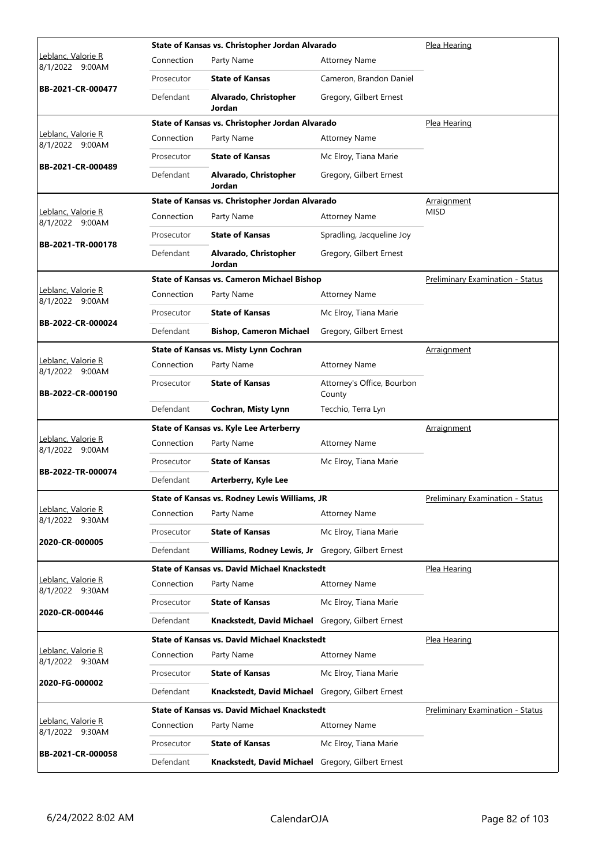|                                               |            | State of Kansas vs. Christopher Jordan Alvarado     |                                      | Plea Hearing                            |
|-----------------------------------------------|------------|-----------------------------------------------------|--------------------------------------|-----------------------------------------|
| <u> Leblanc, Valorie R</u><br>8/1/2022 9:00AM | Connection | Party Name                                          | <b>Attorney Name</b>                 |                                         |
|                                               | Prosecutor | <b>State of Kansas</b>                              | Cameron, Brandon Daniel              |                                         |
| BB-2021-CR-000477                             | Defendant  | Alvarado, Christopher<br>Jordan                     | Gregory, Gilbert Ernest              |                                         |
|                                               |            | State of Kansas vs. Christopher Jordan Alvarado     |                                      | Plea Hearing                            |
| Leblanc, Valorie R<br>8/1/2022 9:00AM         | Connection | Party Name                                          | <b>Attorney Name</b>                 |                                         |
| BB-2021-CR-000489                             | Prosecutor | <b>State of Kansas</b>                              | Mc Elroy, Tiana Marie                |                                         |
|                                               | Defendant  | Alvarado, Christopher<br>Jordan                     | Gregory, Gilbert Ernest              |                                         |
|                                               |            | State of Kansas vs. Christopher Jordan Alvarado     |                                      | Arraignment                             |
| Leblanc, Valorie R<br>8/1/2022 9:00AM         | Connection | Party Name                                          | <b>Attorney Name</b>                 | <b>MISD</b>                             |
|                                               | Prosecutor | <b>State of Kansas</b>                              | Spradling, Jacqueline Joy            |                                         |
| BB-2021-TR-000178                             | Defendant  | Alvarado, Christopher<br>Jordan                     | Gregory, Gilbert Ernest              |                                         |
|                                               |            | <b>State of Kansas vs. Cameron Michael Bishop</b>   |                                      | <b>Preliminary Examination - Status</b> |
| <u> Leblanc, Valorie R</u><br>8/1/2022 9:00AM | Connection | Party Name                                          | <b>Attorney Name</b>                 |                                         |
|                                               | Prosecutor | <b>State of Kansas</b>                              | Mc Elroy, Tiana Marie                |                                         |
| BB-2022-CR-000024                             | Defendant  | <b>Bishop, Cameron Michael</b>                      | Gregory, Gilbert Ernest              |                                         |
|                                               |            | State of Kansas vs. Misty Lynn Cochran              |                                      | Arraignment                             |
| Leblanc, Valorie R<br>8/1/2022 9:00AM         | Connection | Party Name                                          | <b>Attorney Name</b>                 |                                         |
| BB-2022-CR-000190                             | Prosecutor | <b>State of Kansas</b>                              | Attorney's Office, Bourbon<br>County |                                         |
|                                               | Defendant  | Cochran, Misty Lynn                                 | Tecchio, Terra Lyn                   |                                         |
|                                               |            | State of Kansas vs. Kyle Lee Arterberry             |                                      | Arraignment                             |
| Leblanc, Valorie R<br>8/1/2022 9:00AM         | Connection | Party Name                                          | <b>Attorney Name</b>                 |                                         |
|                                               | Prosecutor | <b>State of Kansas</b>                              | Mc Elroy, Tiana Marie                |                                         |
| BB-2022-TR-000074                             | Defendant  | Arterberry, Kyle Lee                                |                                      |                                         |
|                                               |            | State of Kansas vs. Rodney Lewis Williams, JR       |                                      | Preliminary Examination - Status        |
| Leblanc, Valorie R<br>8/1/2022 9:30AM         | Connection | Party Name                                          | <b>Attorney Name</b>                 |                                         |
|                                               | Prosecutor | <b>State of Kansas</b>                              | Mc Elroy, Tiana Marie                |                                         |
| 2020-CR-000005                                | Defendant  | Williams, Rodney Lewis, Jr Gregory, Gilbert Ernest  |                                      |                                         |
|                                               |            | <b>State of Kansas vs. David Michael Knackstedt</b> |                                      | Plea Hearing                            |
| Leblanc, Valorie R<br>8/1/2022 9:30AM         | Connection | Party Name                                          | <b>Attorney Name</b>                 |                                         |
|                                               | Prosecutor | <b>State of Kansas</b>                              | Mc Elroy, Tiana Marie                |                                         |
| 2020-CR-000446                                | Defendant  | Knackstedt, David Michael Gregory, Gilbert Ernest   |                                      |                                         |
|                                               |            | <b>State of Kansas vs. David Michael Knackstedt</b> |                                      | Plea Hearing                            |
| Leblanc, Valorie R<br>8/1/2022 9:30AM         | Connection | Party Name                                          | <b>Attorney Name</b>                 |                                         |
|                                               | Prosecutor | <b>State of Kansas</b>                              | Mc Elroy, Tiana Marie                |                                         |
| 2020-FG-000002                                | Defendant  | Knackstedt, David Michael Gregory, Gilbert Ernest   |                                      |                                         |
|                                               |            | <b>State of Kansas vs. David Michael Knackstedt</b> |                                      | <b>Preliminary Examination - Status</b> |
| Leblanc, Valorie R<br>8/1/2022 9:30AM         | Connection | Party Name                                          | <b>Attorney Name</b>                 |                                         |
|                                               | Prosecutor | <b>State of Kansas</b>                              | Mc Elroy, Tiana Marie                |                                         |
| BB-2021-CR-000058                             | Defendant  | Knackstedt, David Michael                           | Gregory, Gilbert Ernest              |                                         |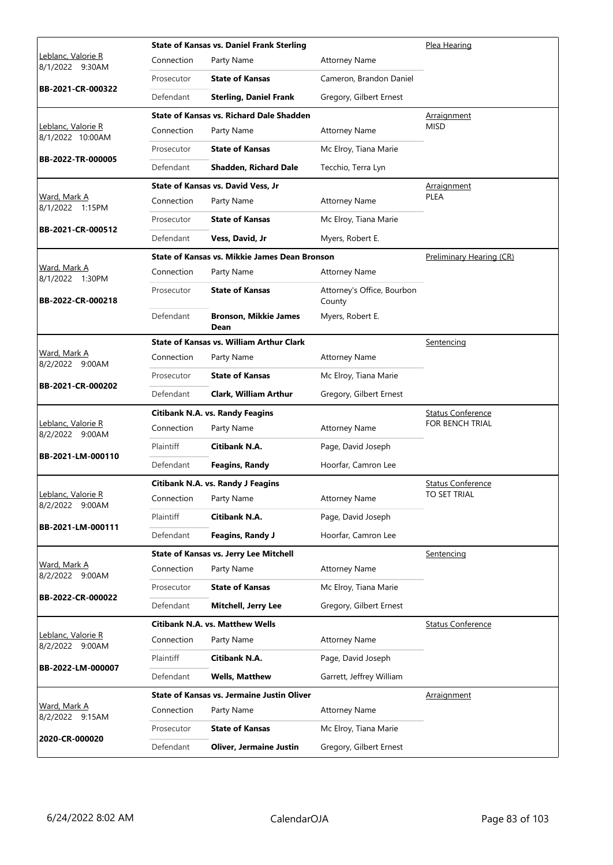|                                              |            | <b>State of Kansas vs. Daniel Frank Sterling</b> |                                      | Plea Hearing             |  |  |
|----------------------------------------------|------------|--------------------------------------------------|--------------------------------------|--------------------------|--|--|
| <u>Leblanc, Valorie R</u><br>8/1/2022 9:30AM | Connection | Party Name                                       | <b>Attorney Name</b>                 |                          |  |  |
|                                              | Prosecutor | <b>State of Kansas</b>                           | Cameron, Brandon Daniel              |                          |  |  |
| BB-2021-CR-000322                            | Defendant  | <b>Sterling, Daniel Frank</b>                    | Gregory, Gilbert Ernest              |                          |  |  |
|                                              |            | State of Kansas vs. Richard Dale Shadden         |                                      | Arraignment              |  |  |
| Leblanc, Valorie R<br>8/1/2022 10:00AM       | Connection | Party Name                                       | <b>Attorney Name</b>                 | <b>MISD</b>              |  |  |
| BB-2022-TR-000005                            | Prosecutor | <b>State of Kansas</b>                           | Mc Elroy, Tiana Marie                |                          |  |  |
|                                              | Defendant  | <b>Shadden, Richard Dale</b>                     | Tecchio, Terra Lyn                   |                          |  |  |
|                                              |            | <b>State of Kansas vs. David Vess, Jr</b>        |                                      | <b>Arraignment</b>       |  |  |
| Ward, Mark A<br>8/1/2022 1:15PM              | Connection | Party Name                                       | <b>Attorney Name</b>                 | <b>PLEA</b>              |  |  |
|                                              | Prosecutor | <b>State of Kansas</b>                           | Mc Elroy, Tiana Marie                |                          |  |  |
| BB-2021-CR-000512                            | Defendant  | Vess, David, Jr                                  | Myers, Robert E.                     |                          |  |  |
|                                              |            | State of Kansas vs. Mikkie James Dean Bronson    |                                      | Preliminary Hearing (CR) |  |  |
| Ward, Mark A<br>8/1/2022 1:30PM              | Connection | Party Name                                       | <b>Attorney Name</b>                 |                          |  |  |
| BB-2022-CR-000218                            | Prosecutor | <b>State of Kansas</b>                           | Attorney's Office, Bourbon<br>County |                          |  |  |
|                                              | Defendant  | <b>Bronson, Mikkie James</b><br>Dean             | Myers, Robert E.                     |                          |  |  |
|                                              |            | <b>State of Kansas vs. William Arthur Clark</b>  |                                      | <u>Sentencing</u>        |  |  |
| Ward, Mark A<br>8/2/2022 9:00AM              | Connection | Party Name                                       | <b>Attorney Name</b>                 |                          |  |  |
|                                              | Prosecutor | <b>State of Kansas</b>                           | Mc Elroy, Tiana Marie                |                          |  |  |
| BB-2021-CR-000202                            | Defendant  | <b>Clark, William Arthur</b>                     | Gregory, Gilbert Ernest              |                          |  |  |
|                                              |            | <b>Citibank N.A. vs. Randy Feagins</b>           |                                      | <b>Status Conference</b> |  |  |
| Leblanc, Valorie R<br>8/2/2022 9:00AM        | Connection | Party Name                                       | <b>Attorney Name</b>                 | <b>FOR BENCH TRIAL</b>   |  |  |
| BB-2021-LM-000110                            | Plaintiff  | Citibank N.A.                                    | Page, David Joseph                   |                          |  |  |
|                                              | Defendant  | <b>Feagins, Randy</b>                            | Hoorfar, Camron Lee                  |                          |  |  |
|                                              |            | Citibank N.A. vs. Randy J Feagins                |                                      | <b>Status Conference</b> |  |  |
| Leblanc, Valorie R<br>8/2/2022 9:00AM        |            | Connection Party Name                            | <b>Attorney Name</b>                 | TO SET TRIAL             |  |  |
| BB-2021-LM-000111                            | Plaintiff  | Citibank N.A.                                    | Page, David Joseph                   |                          |  |  |
|                                              | Defendant  | <b>Feagins, Randy J</b>                          | Hoorfar, Camron Lee                  |                          |  |  |
|                                              |            | <b>State of Kansas vs. Jerry Lee Mitchell</b>    |                                      | Sentencing               |  |  |
| <u>Ward, Mark A</u><br>8/2/2022 9:00AM       | Connection | Party Name                                       | <b>Attorney Name</b>                 |                          |  |  |
| BB-2022-CR-000022                            | Prosecutor | <b>State of Kansas</b>                           | Mc Elroy, Tiana Marie                |                          |  |  |
|                                              | Defendant  | Mitchell, Jerry Lee                              | Gregory, Gilbert Ernest              |                          |  |  |
|                                              |            | Citibank N.A. vs. Matthew Wells                  |                                      | <b>Status Conference</b> |  |  |
| Leblanc, Valorie R<br>8/2/2022 9:00AM        | Connection | Party Name                                       | Attorney Name                        |                          |  |  |
| BB-2022-LM-000007                            | Plaintiff  | Citibank N.A.                                    | Page, David Joseph                   |                          |  |  |
|                                              | Defendant  | <b>Wells, Matthew</b>                            | Garrett, Jeffrey William             |                          |  |  |
|                                              |            | State of Kansas vs. Jermaine Justin Oliver       |                                      | <b>Arraignment</b>       |  |  |
| <u>Ward, Mark A</u><br>8/2/2022 9:15AM       | Connection | Party Name                                       | <b>Attorney Name</b>                 |                          |  |  |
| 2020-CR-000020                               | Prosecutor | <b>State of Kansas</b>                           | Mc Elroy, Tiana Marie                |                          |  |  |
|                                              | Defendant  | <b>Oliver, Jermaine Justin</b>                   | Gregory, Gilbert Ernest              |                          |  |  |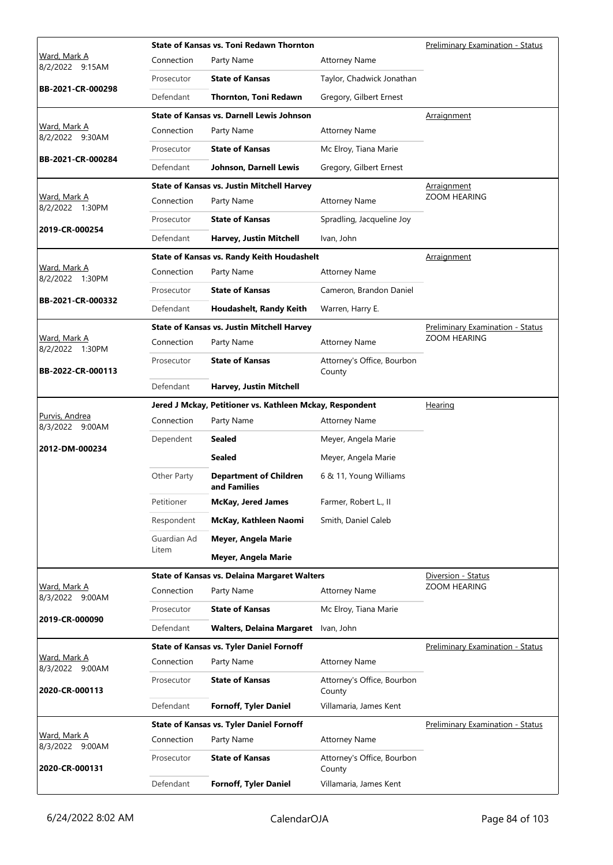|                                        |             | <b>State of Kansas vs. Toni Redawn Thornton</b>          |                                      | Preliminary Examination - Status        |
|----------------------------------------|-------------|----------------------------------------------------------|--------------------------------------|-----------------------------------------|
| <u>Ward, Mark A</u><br>8/2/2022 9:15AM | Connection  | Party Name                                               | <b>Attorney Name</b>                 |                                         |
|                                        | Prosecutor  | <b>State of Kansas</b>                                   | Taylor, Chadwick Jonathan            |                                         |
| BB-2021-CR-000298                      | Defendant   | Thornton, Toni Redawn                                    | Gregory, Gilbert Ernest              |                                         |
|                                        |             | <b>State of Kansas vs. Darnell Lewis Johnson</b>         |                                      | Arraignment                             |
| Ward, Mark A<br>8/2/2022 9:30AM        | Connection  | Party Name                                               | <b>Attorney Name</b>                 |                                         |
|                                        | Prosecutor  | <b>State of Kansas</b>                                   | Mc Elroy, Tiana Marie                |                                         |
| BB-2021-CR-000284                      | Defendant   | Johnson, Darnell Lewis                                   | Gregory, Gilbert Ernest              |                                         |
|                                        |             | <b>State of Kansas vs. Justin Mitchell Harvey</b>        |                                      | Arraignment                             |
| Ward, Mark A<br>8/2/2022 1:30PM        | Connection  | Party Name                                               | <b>Attorney Name</b>                 | ZOOM HEARING                            |
|                                        | Prosecutor  | <b>State of Kansas</b>                                   | Spradling, Jacqueline Joy            |                                         |
| 2019-CR-000254                         | Defendant   | Harvey, Justin Mitchell                                  | Ivan, John                           |                                         |
|                                        |             | State of Kansas vs. Randy Keith Houdashelt               |                                      | <b>Arraignment</b>                      |
| Ward, Mark A<br>8/2/2022 1:30PM        | Connection  | Party Name                                               | <b>Attorney Name</b>                 |                                         |
|                                        | Prosecutor  | <b>State of Kansas</b>                                   | Cameron, Brandon Daniel              |                                         |
| BB-2021-CR-000332                      | Defendant   | Houdashelt, Randy Keith                                  | Warren, Harry E.                     |                                         |
|                                        |             | <b>State of Kansas vs. Justin Mitchell Harvey</b>        |                                      | Preliminary Examination - Status        |
| Ward, Mark A<br>8/2/2022 1:30PM        | Connection  | Party Name                                               | <b>Attorney Name</b>                 | <b>ZOOM HEARING</b>                     |
| BB-2022-CR-000113                      | Prosecutor  | <b>State of Kansas</b>                                   | Attorney's Office, Bourbon<br>County |                                         |
|                                        | Defendant   | Harvey, Justin Mitchell                                  |                                      |                                         |
|                                        |             | Jered J Mckay, Petitioner vs. Kathleen Mckay, Respondent |                                      | <b>Hearing</b>                          |
| Purvis, Andrea<br>8/3/2022 9:00AM      | Connection  | Party Name                                               | <b>Attorney Name</b>                 |                                         |
| 2012-DM-000234                         | Dependent   | <b>Sealed</b>                                            | Meyer, Angela Marie                  |                                         |
|                                        |             | <b>Sealed</b>                                            | Meyer, Angela Marie                  |                                         |
|                                        | Other Party | <b>Department of Children</b><br>and Families            | 6 & 11, Young Williams               |                                         |
|                                        | Petitioner  | <b>McKay, Jered James</b>                                | Farmer, Robert L., II                |                                         |
|                                        | Respondent  | McKay, Kathleen Naomi                                    | Smith, Daniel Caleb                  |                                         |
|                                        | Guardian Ad | Meyer, Angela Marie                                      |                                      |                                         |
|                                        | Litem       | Meyer, Angela Marie                                      |                                      |                                         |
|                                        |             | <b>State of Kansas vs. Delaina Margaret Walters</b>      |                                      | Diversion - Status                      |
| Ward, Mark A<br>8/3/2022 9:00AM        | Connection  | Party Name                                               | <b>Attorney Name</b>                 | ZOOM HEARING                            |
| 2019-CR-000090                         | Prosecutor  | <b>State of Kansas</b>                                   | Mc Elroy, Tiana Marie                |                                         |
|                                        | Defendant   | <b>Walters, Delaina Margaret</b>                         | Ivan, John                           |                                         |
|                                        |             | <b>State of Kansas vs. Tyler Daniel Fornoff</b>          |                                      | <b>Preliminary Examination - Status</b> |
| <u>Ward, Mark A</u><br>8/3/2022 9:00AM | Connection  | Party Name                                               | <b>Attorney Name</b>                 |                                         |
| 2020-CR-000113                         | Prosecutor  | <b>State of Kansas</b>                                   | Attorney's Office, Bourbon<br>County |                                         |
|                                        | Defendant   | <b>Fornoff, Tyler Daniel</b>                             | Villamaria, James Kent               |                                         |
|                                        |             | <b>State of Kansas vs. Tyler Daniel Fornoff</b>          |                                      | <b>Preliminary Examination - Status</b> |
| Ward, Mark A<br>8/3/2022 9:00AM        | Connection  | Party Name                                               | <b>Attorney Name</b>                 |                                         |
| 2020-CR-000131                         | Prosecutor  | <b>State of Kansas</b>                                   | Attorney's Office, Bourbon<br>County |                                         |
|                                        | Defendant   | Fornoff, Tyler Daniel                                    | Villamaria, James Kent               |                                         |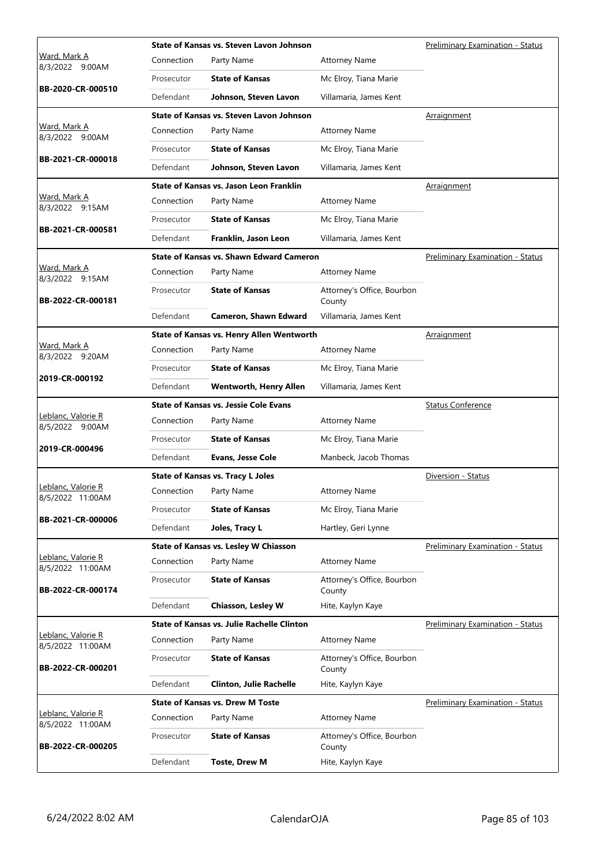|                                        |            | State of Kansas vs. Steven Lavon Johnson        | Preliminary Examination - Status     |                                         |
|----------------------------------------|------------|-------------------------------------------------|--------------------------------------|-----------------------------------------|
| <u>Ward, Mark A</u><br>8/3/2022 9:00AM | Connection | Party Name                                      | <b>Attorney Name</b>                 |                                         |
|                                        | Prosecutor | <b>State of Kansas</b>                          | Mc Elroy, Tiana Marie                |                                         |
| BB-2020-CR-000510                      | Defendant  | Johnson, Steven Lavon                           | Villamaria, James Kent               |                                         |
|                                        |            | State of Kansas vs. Steven Lavon Johnson        |                                      | Arraignment                             |
| Ward, Mark A<br>8/3/2022 9:00AM        | Connection | Party Name                                      | <b>Attorney Name</b>                 |                                         |
|                                        | Prosecutor | <b>State of Kansas</b>                          | Mc Elroy, Tiana Marie                |                                         |
| BB-2021-CR-000018                      | Defendant  | Johnson, Steven Lavon                           | Villamaria, James Kent               |                                         |
|                                        |            | State of Kansas vs. Jason Leon Franklin         |                                      | Arraignment                             |
| Ward, Mark A<br>8/3/2022 9:15AM        | Connection | Party Name                                      | <b>Attorney Name</b>                 |                                         |
| BB-2021-CR-000581                      | Prosecutor | <b>State of Kansas</b>                          | Mc Elroy, Tiana Marie                |                                         |
|                                        | Defendant  | Franklin, Jason Leon                            | Villamaria, James Kent               |                                         |
|                                        |            | <b>State of Kansas vs. Shawn Edward Cameron</b> |                                      | <b>Preliminary Examination - Status</b> |
| Ward, Mark A<br>8/3/2022 9:15AM        | Connection | Party Name                                      | <b>Attorney Name</b>                 |                                         |
| BB-2022-CR-000181                      | Prosecutor | <b>State of Kansas</b>                          | Attorney's Office, Bourbon<br>County |                                         |
|                                        | Defendant  | <b>Cameron, Shawn Edward</b>                    | Villamaria, James Kent               |                                         |
|                                        |            | State of Kansas vs. Henry Allen Wentworth       |                                      | Arraignment                             |
| Ward, Mark A<br>8/3/2022 9:20AM        | Connection | Party Name                                      | <b>Attorney Name</b>                 |                                         |
| 2019-CR-000192                         | Prosecutor | <b>State of Kansas</b>                          | Mc Elroy, Tiana Marie                |                                         |
|                                        | Defendant  | <b>Wentworth, Henry Allen</b>                   | Villamaria, James Kent               |                                         |
|                                        |            | <b>State of Kansas vs. Jessie Cole Evans</b>    |                                      | <b>Status Conference</b>                |
| Leblanc, Valorie R<br>8/5/2022 9:00AM  | Connection | Party Name                                      | <b>Attorney Name</b>                 |                                         |
| 2019-CR-000496                         | Prosecutor | <b>State of Kansas</b>                          | Mc Elroy, Tiana Marie                |                                         |
|                                        | Defendant  | <b>Evans, Jesse Cole</b>                        | Manbeck, Jacob Thomas                |                                         |
|                                        |            | <b>State of Kansas vs. Tracy L Joles</b>        |                                      | Diversion - Status                      |
| Leblanc, Valorie R<br>8/5/2022 11:00AM | Connection | Party Name                                      | <b>Attorney Name</b>                 |                                         |
| BB-2021-CR-000006                      | Prosecutor | <b>State of Kansas</b>                          | Mc Elroy, Tiana Marie                |                                         |
|                                        | Defendant  | Joles, Tracy L                                  | Hartley, Geri Lynne                  |                                         |
|                                        |            | State of Kansas vs. Lesley W Chiasson           |                                      | <b>Preliminary Examination - Status</b> |
| Leblanc, Valorie R<br>8/5/2022 11:00AM | Connection | Party Name                                      | <b>Attorney Name</b>                 |                                         |
| BB-2022-CR-000174                      | Prosecutor | <b>State of Kansas</b>                          | Attorney's Office, Bourbon<br>County |                                         |
|                                        | Defendant  | Chiasson, Lesley W                              | Hite, Kaylyn Kaye                    |                                         |
|                                        |            | State of Kansas vs. Julie Rachelle Clinton      |                                      | Preliminary Examination - Status        |
| Leblanc, Valorie R<br>8/5/2022 11:00AM | Connection | Party Name                                      | <b>Attorney Name</b>                 |                                         |
| BB-2022-CR-000201                      | Prosecutor | <b>State of Kansas</b>                          | Attorney's Office, Bourbon<br>County |                                         |
|                                        | Defendant  | <b>Clinton, Julie Rachelle</b>                  | Hite, Kaylyn Kaye                    |                                         |
|                                        |            | <b>State of Kansas vs. Drew M Toste</b>         |                                      | <b>Preliminary Examination - Status</b> |
| Leblanc, Valorie R<br>8/5/2022 11:00AM | Connection | Party Name                                      | <b>Attorney Name</b>                 |                                         |
| BB-2022-CR-000205                      | Prosecutor | <b>State of Kansas</b>                          | Attorney's Office, Bourbon<br>County |                                         |
|                                        | Defendant  | <b>Toste, Drew M</b>                            | Hite, Kaylyn Kaye                    |                                         |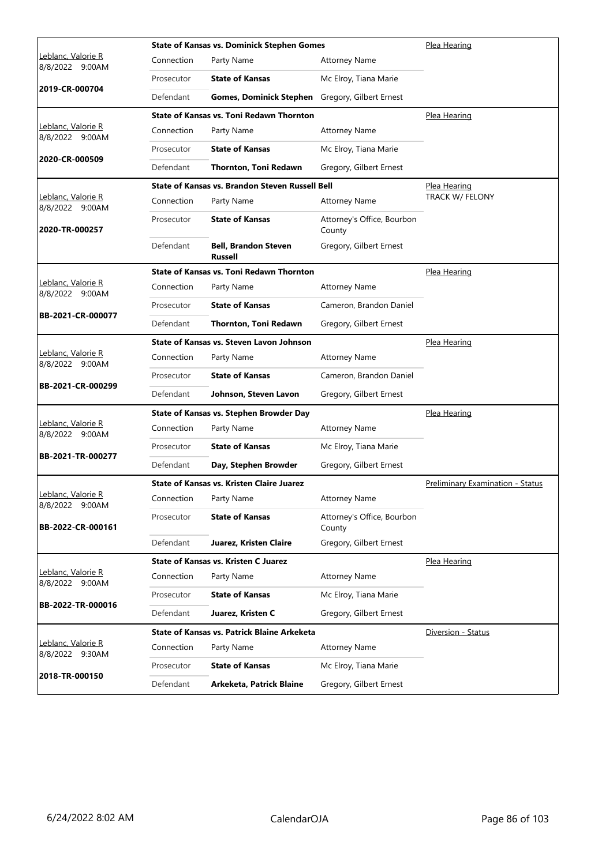|                                               |            | <b>State of Kansas vs. Dominick Stephen Gomes</b> | Plea Hearing                         |                                  |
|-----------------------------------------------|------------|---------------------------------------------------|--------------------------------------|----------------------------------|
| Leblanc, Valorie R<br>8/8/2022 9:00AM         | Connection | Party Name                                        | <b>Attorney Name</b>                 |                                  |
|                                               | Prosecutor | <b>State of Kansas</b>                            | Mc Elroy, Tiana Marie                |                                  |
| 2019-CR-000704                                | Defendant  | <b>Gomes, Dominick Stephen</b>                    | Gregory, Gilbert Ernest              |                                  |
|                                               |            | <b>State of Kansas vs. Toni Redawn Thornton</b>   |                                      | Plea Hearing                     |
| Leblanc, Valorie R<br>8/8/2022 9:00AM         | Connection | Party Name                                        | <b>Attorney Name</b>                 |                                  |
|                                               | Prosecutor | <b>State of Kansas</b>                            | Mc Elroy, Tiana Marie                |                                  |
| 2020-CR-000509                                | Defendant  | <b>Thornton, Toni Redawn</b>                      | Gregory, Gilbert Ernest              |                                  |
|                                               |            | State of Kansas vs. Brandon Steven Russell Bell   |                                      | <u>Plea Hearing</u>              |
| Leblanc, Valorie R<br>8/8/2022 9:00AM         | Connection | Party Name                                        | <b>Attorney Name</b>                 | TRACK W/ FELONY                  |
| 2020-TR-000257                                | Prosecutor | <b>State of Kansas</b>                            | Attorney's Office, Bourbon<br>County |                                  |
|                                               | Defendant  | <b>Bell. Brandon Steven</b><br><b>Russell</b>     | Gregory, Gilbert Ernest              |                                  |
|                                               |            | <b>State of Kansas vs. Toni Redawn Thornton</b>   |                                      | Plea Hearing                     |
| Leblanc, Valorie R<br>8/8/2022 9:00AM         | Connection | Party Name                                        | <b>Attorney Name</b>                 |                                  |
|                                               | Prosecutor | <b>State of Kansas</b>                            | Cameron, Brandon Daniel              |                                  |
| BB-2021-CR-000077                             | Defendant  | Thornton, Toni Redawn                             | Gregory, Gilbert Ernest              |                                  |
|                                               |            | State of Kansas vs. Steven Lavon Johnson          |                                      | Plea Hearing                     |
| Leblanc, Valorie R<br>8/8/2022 9:00AM         | Connection | Party Name                                        | <b>Attorney Name</b>                 |                                  |
|                                               | Prosecutor | <b>State of Kansas</b>                            | Cameron, Brandon Daniel              |                                  |
| BB-2021-CR-000299                             | Defendant  | Johnson, Steven Lavon                             | Gregory, Gilbert Ernest              |                                  |
|                                               |            | State of Kansas vs. Stephen Browder Day           | Plea Hearing                         |                                  |
| <u> Leblanc, Valorie R</u><br>8/8/2022 9:00AM | Connection | Party Name                                        | <b>Attorney Name</b>                 |                                  |
|                                               | Prosecutor | <b>State of Kansas</b>                            | Mc Elroy, Tiana Marie                |                                  |
| BB-2021-TR-000277                             | Defendant  | Day, Stephen Browder                              | Gregory, Gilbert Ernest              |                                  |
|                                               |            | <b>State of Kansas vs. Kristen Claire Juarez</b>  |                                      | Preliminary Examination - Status |
| Teblanc, Valorie R<br>8/8/2022 9:00AM         | Connection | Party Name                                        | <b>Attorney Name</b>                 |                                  |
| BB-2022-CR-000161                             | Prosecutor | <b>State of Kansas</b>                            | Attorney's Office, Bourbon<br>County |                                  |
|                                               | Defendant  | Juarez, Kristen Claire                            | Gregory, Gilbert Ernest              |                                  |
|                                               |            | <b>State of Kansas vs. Kristen C Juarez</b>       |                                      | Plea Hearing                     |
| Leblanc, Valorie R<br>8/8/2022 9:00AM         | Connection | Party Name                                        | <b>Attorney Name</b>                 |                                  |
| BB-2022-TR-000016                             | Prosecutor | <b>State of Kansas</b>                            | Mc Elroy, Tiana Marie                |                                  |
|                                               | Defendant  | Juarez, Kristen C                                 | Gregory, Gilbert Ernest              |                                  |
|                                               |            | State of Kansas vs. Patrick Blaine Arkeketa       |                                      | Diversion - Status               |
| Leblanc, Valorie R<br>8/8/2022 9:30AM         | Connection | Party Name                                        | <b>Attorney Name</b>                 |                                  |
| 2018-TR-000150                                | Prosecutor | <b>State of Kansas</b>                            | Mc Elroy, Tiana Marie                |                                  |
|                                               | Defendant  | Arkeketa, Patrick Blaine                          | Gregory, Gilbert Ernest              |                                  |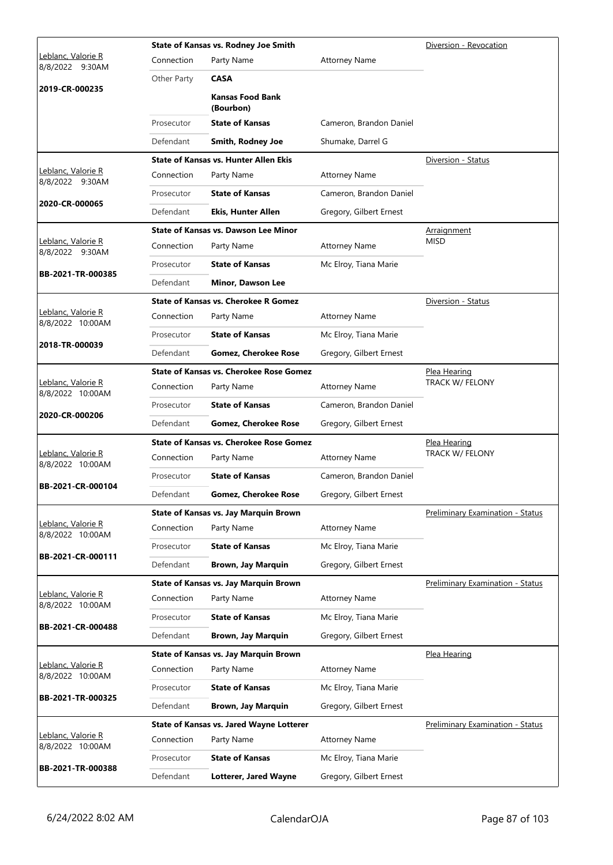|                                        |             | State of Kansas vs. Rodney Joe Smith           | Diversion - Revocation  |                                         |
|----------------------------------------|-------------|------------------------------------------------|-------------------------|-----------------------------------------|
| Leblanc, Valorie R<br>8/8/2022 9:30AM  | Connection  | Party Name                                     | <b>Attorney Name</b>    |                                         |
|                                        | Other Party | <b>CASA</b>                                    |                         |                                         |
| 2019-CR-000235                         |             | <b>Kansas Food Bank</b><br>(Bourbon)           |                         |                                         |
|                                        | Prosecutor  | <b>State of Kansas</b>                         | Cameron, Brandon Daniel |                                         |
|                                        | Defendant   | Smith, Rodney Joe                              | Shumake, Darrel G       |                                         |
|                                        |             | <b>State of Kansas vs. Hunter Allen Ekis</b>   |                         | Diversion - Status                      |
| Leblanc, Valorie R<br>8/8/2022 9:30AM  | Connection  | Party Name                                     | <b>Attorney Name</b>    |                                         |
| 2020-CR-000065                         | Prosecutor  | <b>State of Kansas</b>                         | Cameron, Brandon Daniel |                                         |
|                                        | Defendant   | <b>Ekis, Hunter Allen</b>                      | Gregory, Gilbert Ernest |                                         |
|                                        |             | State of Kansas vs. Dawson Lee Minor           |                         | <b>Arraignment</b>                      |
| Leblanc, Valorie R<br>8/8/2022 9:30AM  | Connection  | Party Name                                     | <b>Attorney Name</b>    | <b>MISD</b>                             |
| BB-2021-TR-000385                      | Prosecutor  | <b>State of Kansas</b>                         | Mc Elroy, Tiana Marie   |                                         |
|                                        | Defendant   | Minor, Dawson Lee                              |                         |                                         |
|                                        |             | <b>State of Kansas vs. Cherokee R Gomez</b>    |                         | Diversion - Status                      |
| Leblanc, Valorie R<br>8/8/2022 10:00AM | Connection  | Party Name                                     | <b>Attorney Name</b>    |                                         |
| 2018-TR-000039                         | Prosecutor  | <b>State of Kansas</b>                         | Mc Elroy, Tiana Marie   |                                         |
|                                        | Defendant   | <b>Gomez, Cherokee Rose</b>                    | Gregory, Gilbert Ernest |                                         |
|                                        |             | <b>State of Kansas vs. Cherokee Rose Gomez</b> | <u>Plea Hearing</u>     |                                         |
| Leblanc, Valorie R<br>8/8/2022 10:00AM | Connection  | Party Name                                     | <b>Attorney Name</b>    | TRACK W/ FELONY                         |
| 2020-CR-000206                         | Prosecutor  | <b>State of Kansas</b>                         | Cameron, Brandon Daniel |                                         |
|                                        | Defendant   | Gomez, Cherokee Rose                           | Gregory, Gilbert Ernest |                                         |
|                                        |             | <b>State of Kansas vs. Cherokee Rose Gomez</b> |                         | Plea Hearing                            |
| Leblanc, Valorie R<br>8/8/2022 10:00AM | Connection  | Party Name                                     | <b>Attorney Name</b>    | TRACK W/ FELONY                         |
| BB-2021-CR-000104                      | Prosecutor  | <b>State of Kansas</b>                         | Cameron, Brandon Daniel |                                         |
|                                        | Defendant   | <b>Gomez, Cherokee Rose</b>                    | Gregory, Gilbert Ernest |                                         |
|                                        |             | <b>State of Kansas vs. Jay Marquin Brown</b>   |                         | Preliminary Examination - Status        |
| Leblanc, Valorie R<br>8/8/2022 10:00AM | Connection  | Party Name                                     | <b>Attorney Name</b>    |                                         |
| BB-2021-CR-000111                      | Prosecutor  | <b>State of Kansas</b>                         | Mc Elroy, Tiana Marie   |                                         |
|                                        | Defendant   | <b>Brown, Jay Marquin</b>                      | Gregory, Gilbert Ernest |                                         |
|                                        |             | <b>State of Kansas vs. Jay Marquin Brown</b>   |                         | Preliminary Examination - Status        |
| Leblanc, Valorie R<br>8/8/2022 10:00AM | Connection  | Party Name                                     | <b>Attorney Name</b>    |                                         |
| BB-2021-CR-000488                      | Prosecutor  | <b>State of Kansas</b>                         | Mc Elroy, Tiana Marie   |                                         |
|                                        | Defendant   | <b>Brown, Jay Marquin</b>                      | Gregory, Gilbert Ernest |                                         |
|                                        |             | <b>State of Kansas vs. Jay Marquin Brown</b>   |                         | Plea Hearing                            |
| Leblanc, Valorie R<br>8/8/2022 10:00AM | Connection  | Party Name                                     | <b>Attorney Name</b>    |                                         |
| BB-2021-TR-000325                      | Prosecutor  | <b>State of Kansas</b>                         | Mc Elroy, Tiana Marie   |                                         |
|                                        | Defendant   | <b>Brown, Jay Marquin</b>                      | Gregory, Gilbert Ernest |                                         |
|                                        |             | State of Kansas vs. Jared Wayne Lotterer       |                         | <b>Preliminary Examination - Status</b> |
| Leblanc, Valorie R<br>8/8/2022 10:00AM | Connection  | Party Name                                     | <b>Attorney Name</b>    |                                         |
| BB-2021-TR-000388                      | Prosecutor  | <b>State of Kansas</b>                         | Mc Elroy, Tiana Marie   |                                         |
|                                        | Defendant   | Lotterer, Jared Wayne                          | Gregory, Gilbert Ernest |                                         |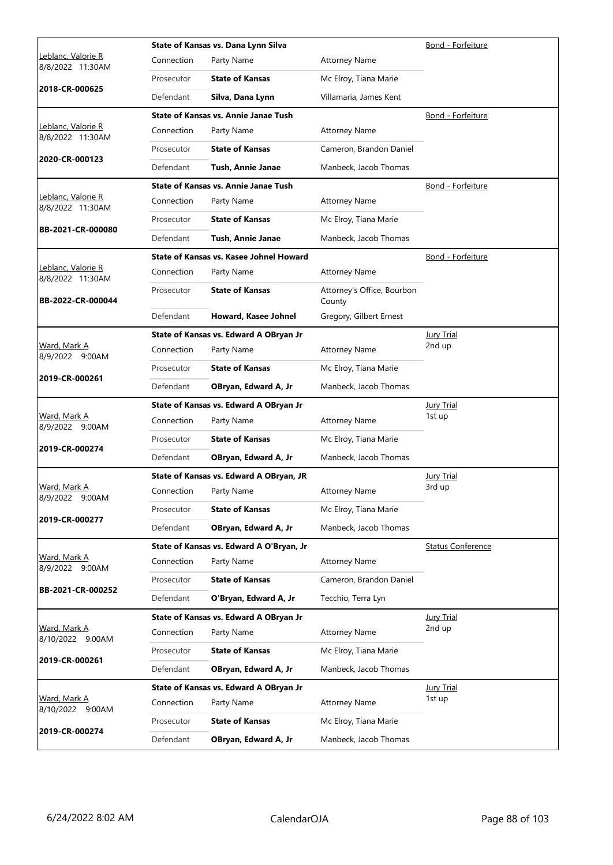|                                        |            | State of Kansas vs. Dana Lynn Silva         | Bond - Forfeiture                    |                          |
|----------------------------------------|------------|---------------------------------------------|--------------------------------------|--------------------------|
| Leblanc, Valorie R<br>8/8/2022 11:30AM | Connection | Party Name                                  | <b>Attorney Name</b>                 |                          |
|                                        | Prosecutor | <b>State of Kansas</b>                      | Mc Elroy, Tiana Marie                |                          |
| 2018-CR-000625                         | Defendant  | Silva, Dana Lynn                            | Villamaria, James Kent               |                          |
|                                        |            | State of Kansas vs. Annie Janae Tush        |                                      | Bond - Forfeiture        |
| Leblanc, Valorie R<br>8/8/2022 11:30AM | Connection | Party Name                                  | <b>Attorney Name</b>                 |                          |
|                                        | Prosecutor | <b>State of Kansas</b>                      | Cameron, Brandon Daniel              |                          |
| 2020-CR-000123                         | Defendant  | Tush, Annie Janae                           | Manbeck, Jacob Thomas                |                          |
|                                        |            | <b>State of Kansas vs. Annie Janae Tush</b> |                                      | Bond - Forfeiture        |
| Leblanc, Valorie R<br>8/8/2022 11:30AM | Connection | Party Name                                  | <b>Attorney Name</b>                 |                          |
|                                        | Prosecutor | <b>State of Kansas</b>                      | Mc Elroy, Tiana Marie                |                          |
| BB-2021-CR-000080                      | Defendant  | <b>Tush, Annie Janae</b>                    | Manbeck, Jacob Thomas                |                          |
|                                        |            | State of Kansas vs. Kasee Johnel Howard     |                                      | Bond - Forfeiture        |
| Leblanc, Valorie R<br>8/8/2022 11:30AM | Connection | Party Name                                  | <b>Attorney Name</b>                 |                          |
| BB-2022-CR-000044                      | Prosecutor | <b>State of Kansas</b>                      | Attorney's Office, Bourbon<br>County |                          |
|                                        | Defendant  | Howard, Kasee Johnel                        | Gregory, Gilbert Ernest              |                          |
|                                        |            | State of Kansas vs. Edward A OBryan Jr      |                                      | Jury Trial               |
| <u>Ward, Mark A</u><br>8/9/2022 9:00AM | Connection | Party Name                                  | <b>Attorney Name</b>                 | 2nd up                   |
|                                        | Prosecutor | <b>State of Kansas</b>                      | Mc Elroy, Tiana Marie                |                          |
| 2019-CR-000261                         | Defendant  | OBryan, Edward A, Jr                        | Manbeck, Jacob Thomas                |                          |
| Ward, Mark A<br>8/9/2022 9:00AM        |            | State of Kansas vs. Edward A OBryan Jr      | <b>Jury Trial</b>                    |                          |
|                                        | Connection | Party Name                                  | <b>Attorney Name</b>                 | 1st up                   |
| 2019-CR-000274                         | Prosecutor | <b>State of Kansas</b>                      | Mc Elroy, Tiana Marie                |                          |
|                                        | Defendant  | OBryan, Edward A, Jr                        | Manbeck, Jacob Thomas                |                          |
|                                        |            | State of Kansas vs. Edward A OBryan, JR     | <b>Jury Trial</b>                    |                          |
| Ward, Mark A<br>8/9/2022 9:00AM        | Connection | Party Name                                  | <b>Attorney Name</b>                 | 3rd up                   |
| 2019-CR-000277                         | Prosecutor | <b>State of Kansas</b>                      | Mc Elroy, Tiana Marie                |                          |
|                                        | Defendant  | OBryan, Edward A, Jr                        | Manbeck, Jacob Thomas                |                          |
|                                        |            | State of Kansas vs. Edward A O'Bryan, Jr    |                                      | <b>Status Conference</b> |
| Ward, Mark A<br>8/9/2022 9:00AM        | Connection | Party Name                                  | <b>Attorney Name</b>                 |                          |
| BB-2021-CR-000252                      | Prosecutor | <b>State of Kansas</b>                      | Cameron, Brandon Daniel              |                          |
|                                        | Defendant  | O'Bryan, Edward A, Jr                       | Tecchio, Terra Lyn                   |                          |
|                                        |            | State of Kansas vs. Edward A OBryan Jr      |                                      | <b>Jury Trial</b>        |
| Ward, Mark A<br>8/10/2022 9:00AM       | Connection | Party Name                                  | <b>Attorney Name</b>                 | 2nd up                   |
| 2019-CR-000261                         | Prosecutor | <b>State of Kansas</b>                      | Mc Elroy, Tiana Marie                |                          |
|                                        | Defendant  | OBryan, Edward A, Jr                        | Manbeck, Jacob Thomas                |                          |
|                                        |            | State of Kansas vs. Edward A OBryan Jr      |                                      | <b>Jury Trial</b>        |
| Ward, Mark A<br>8/10/2022 9:00AM       | Connection | Party Name                                  | <b>Attorney Name</b>                 | 1st up                   |
| 2019-CR-000274                         | Prosecutor | <b>State of Kansas</b>                      | Mc Elroy, Tiana Marie                |                          |
|                                        | Defendant  | OBryan, Edward A, Jr                        | Manbeck, Jacob Thomas                |                          |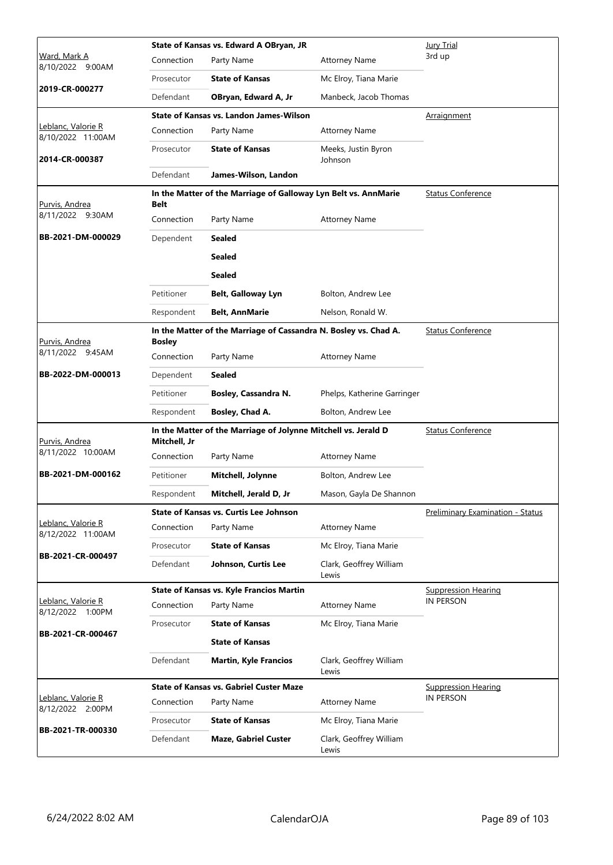|                                         |               | State of Kansas vs. Edward A OBryan, JR                          | Jury Trial                       |                                         |
|-----------------------------------------|---------------|------------------------------------------------------------------|----------------------------------|-----------------------------------------|
| <u>Ward, Mark A</u><br>8/10/2022 9:00AM | Connection    | Party Name                                                       | <b>Attorney Name</b>             | 3rd up                                  |
|                                         | Prosecutor    | <b>State of Kansas</b>                                           | Mc Elroy, Tiana Marie            |                                         |
| 2019-CR-000277                          | Defendant     | OBryan, Edward A, Jr                                             | Manbeck, Jacob Thomas            |                                         |
|                                         |               | State of Kansas vs. Landon James-Wilson                          |                                  | Arraignment                             |
| Leblanc, Valorie R<br>8/10/2022 11:00AM | Connection    | Party Name                                                       | <b>Attorney Name</b>             |                                         |
| 2014-CR-000387                          | Prosecutor    | <b>State of Kansas</b>                                           | Meeks, Justin Byron<br>Johnson   |                                         |
|                                         | Defendant     | James-Wilson, Landon                                             |                                  |                                         |
| Purvis, Andrea                          | Belt          | In the Matter of the Marriage of Galloway Lyn Belt vs. AnnMarie  |                                  | <b>Status Conference</b>                |
| 8/11/2022 9:30AM                        | Connection    | Party Name                                                       | <b>Attorney Name</b>             |                                         |
| BB-2021-DM-000029                       | Dependent     | <b>Sealed</b>                                                    |                                  |                                         |
|                                         |               | Sealed                                                           |                                  |                                         |
|                                         |               | <b>Sealed</b>                                                    |                                  |                                         |
|                                         | Petitioner    | Belt, Galloway Lyn                                               | Bolton, Andrew Lee               |                                         |
|                                         | Respondent    | <b>Belt, AnnMarie</b>                                            | Nelson, Ronald W.                |                                         |
| Purvis, Andrea                          | <b>Bosley</b> | In the Matter of the Marriage of Cassandra N. Bosley vs. Chad A. |                                  | <b>Status Conference</b>                |
| 8/11/2022 9:45AM                        | Connection    | Party Name                                                       | <b>Attorney Name</b>             |                                         |
| BB-2022-DM-000013                       | Dependent     | <b>Sealed</b>                                                    |                                  |                                         |
|                                         | Petitioner    | Bosley, Cassandra N.                                             | Phelps, Katherine Garringer      |                                         |
|                                         | Respondent    | Bosley, Chad A.                                                  | Bolton, Andrew Lee               |                                         |
| <u>Purvis, Andrea</u>                   | Mitchell, Jr  | In the Matter of the Marriage of Jolynne Mitchell vs. Jerald D   |                                  | <b>Status Conference</b>                |
| 8/11/2022 10:00AM                       | Connection    | Party Name                                                       | <b>Attorney Name</b>             |                                         |
| BB-2021-DM-000162                       | Petitioner    | Mitchell, Jolynne                                                | Bolton, Andrew Lee               |                                         |
|                                         | Respondent    | Mitchell, Jerald D, Jr                                           | Mason, Gayla De Shannon          |                                         |
|                                         |               | <b>State of Kansas vs. Curtis Lee Johnson</b>                    |                                  | <b>Preliminary Examination - Status</b> |
| Leblanc, Valorie R<br>8/12/2022 11:00AM | Connection    | Party Name                                                       | <b>Attorney Name</b>             |                                         |
| BB-2021-CR-000497                       | Prosecutor    | <b>State of Kansas</b>                                           | Mc Elroy, Tiana Marie            |                                         |
|                                         | Defendant     | Johnson, Curtis Lee                                              | Clark, Geoffrey William<br>Lewis |                                         |
|                                         |               | <b>State of Kansas vs. Kyle Francios Martin</b>                  |                                  | <b>Suppression Hearing</b>              |
| Leblanc, Valorie R<br>8/12/2022 1:00PM  | Connection    | Party Name                                                       | <b>Attorney Name</b>             | IN PERSON                               |
| BB-2021-CR-000467                       | Prosecutor    | <b>State of Kansas</b>                                           | Mc Elroy, Tiana Marie            |                                         |
|                                         |               | <b>State of Kansas</b>                                           |                                  |                                         |
|                                         | Defendant     | <b>Martin, Kyle Francios</b>                                     | Clark, Geoffrey William<br>Lewis |                                         |
|                                         |               | <b>State of Kansas vs. Gabriel Custer Maze</b>                   |                                  | <b>Suppression Hearing</b>              |
| Leblanc, Valorie R<br>8/12/2022 2:00PM  | Connection    | Party Name                                                       | <b>Attorney Name</b>             | IN PERSON                               |
|                                         | Prosecutor    | <b>State of Kansas</b>                                           | Mc Elroy, Tiana Marie            |                                         |
| BB-2021-TR-000330                       | Defendant     | <b>Maze, Gabriel Custer</b>                                      | Clark, Geoffrey William<br>Lewis |                                         |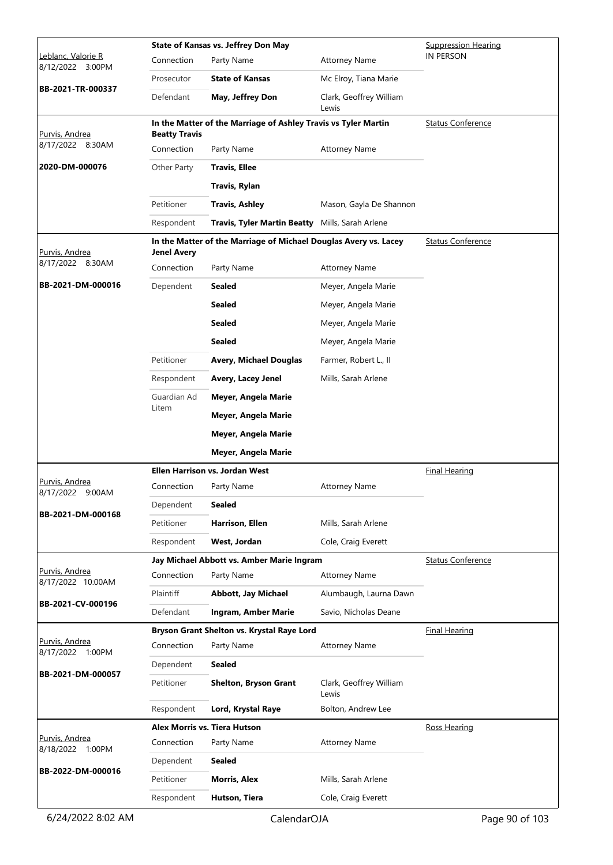|                                        | <b>State of Kansas vs. Jeffrey Don May</b> |                                                                  |                                  |                          |  |
|----------------------------------------|--------------------------------------------|------------------------------------------------------------------|----------------------------------|--------------------------|--|
| Leblanc, Valorie R<br>8/12/2022 3:00PM | Connection                                 | Party Name                                                       | <b>Attorney Name</b>             | <b>IN PERSON</b>         |  |
|                                        | Prosecutor                                 | <b>State of Kansas</b>                                           | Mc Elroy, Tiana Marie            |                          |  |
| BB-2021-TR-000337                      | Defendant                                  | May, Jeffrey Don                                                 | Clark, Geoffrey William<br>Lewis |                          |  |
| Purvis, Andrea                         | <b>Beatty Travis</b>                       | In the Matter of the Marriage of Ashley Travis vs Tyler Martin   |                                  | <b>Status Conference</b> |  |
| 8/17/2022 8:30AM                       | Connection                                 | Party Name                                                       | <b>Attorney Name</b>             |                          |  |
| 2020-DM-000076                         | Other Party                                | <b>Travis, Ellee</b>                                             |                                  |                          |  |
|                                        |                                            | <b>Travis, Rylan</b>                                             |                                  |                          |  |
|                                        | Petitioner                                 | <b>Travis, Ashley</b>                                            | Mason, Gayla De Shannon          |                          |  |
|                                        | Respondent                                 | Travis, Tyler Martin Beatty Mills, Sarah Arlene                  |                                  |                          |  |
| Purvis, Andrea                         | <b>Jenel Avery</b>                         | In the Matter of the Marriage of Michael Douglas Avery vs. Lacey |                                  | <b>Status Conference</b> |  |
| 8/17/2022 8:30AM                       | Connection                                 | Party Name                                                       | <b>Attorney Name</b>             |                          |  |
| BB-2021-DM-000016                      | Dependent                                  | Sealed                                                           | Meyer, Angela Marie              |                          |  |
|                                        |                                            | Sealed                                                           | Meyer, Angela Marie              |                          |  |
|                                        |                                            | Sealed                                                           | Meyer, Angela Marie              |                          |  |
|                                        |                                            | Sealed                                                           | Meyer, Angela Marie              |                          |  |
|                                        | Petitioner                                 | <b>Avery, Michael Douglas</b>                                    | Farmer, Robert L., II            |                          |  |
|                                        | Respondent                                 | Avery, Lacey Jenel                                               | Mills, Sarah Arlene              |                          |  |
|                                        | Guardian Ad                                | Meyer, Angela Marie                                              |                                  |                          |  |
|                                        | Litem                                      | Meyer, Angela Marie                                              |                                  |                          |  |
|                                        |                                            | Meyer, Angela Marie                                              |                                  |                          |  |
|                                        |                                            | Meyer, Angela Marie                                              |                                  |                          |  |
|                                        |                                            | <b>Ellen Harrison vs. Jordan West</b>                            |                                  | <b>Final Hearing</b>     |  |
| Purvis, Andrea<br>8/17/2022<br>9:00AM  | Connection                                 | Party Name                                                       | Attorney Name                    |                          |  |
|                                        | Dependent                                  | <b>Sealed</b>                                                    |                                  |                          |  |
| BB-2021-DM-000168                      | Petitioner                                 | Harrison, Ellen                                                  | Mills, Sarah Arlene              |                          |  |
|                                        | Respondent                                 | West, Jordan                                                     | Cole, Craig Everett              |                          |  |
|                                        |                                            | Jay Michael Abbott vs. Amber Marie Ingram                        |                                  | <b>Status Conference</b> |  |
| Purvis, Andrea<br>8/17/2022 10:00AM    | Connection                                 | Party Name                                                       | <b>Attorney Name</b>             |                          |  |
| BB-2021-CV-000196                      | Plaintiff                                  | <b>Abbott, Jay Michael</b>                                       | Alumbaugh, Laurna Dawn           |                          |  |
|                                        | Defendant                                  | Ingram, Amber Marie                                              | Savio, Nicholas Deane            |                          |  |
|                                        |                                            | Bryson Grant Shelton vs. Krystal Raye Lord                       |                                  | <b>Final Hearing</b>     |  |
| Purvis, Andrea<br>8/17/2022 1:00PM     | Connection                                 | Party Name                                                       | <b>Attorney Name</b>             |                          |  |
| BB-2021-DM-000057                      | Dependent                                  | Sealed                                                           |                                  |                          |  |
|                                        | Petitioner                                 | <b>Shelton, Bryson Grant</b>                                     | Clark, Geoffrey William<br>Lewis |                          |  |
|                                        | Respondent                                 | Lord, Krystal Raye                                               | Bolton, Andrew Lee               |                          |  |
|                                        |                                            | Alex Morris vs. Tiera Hutson                                     |                                  | <b>Ross Hearing</b>      |  |
| Purvis, Andrea<br>8/18/2022 1:00PM     | Connection                                 | Party Name                                                       | <b>Attorney Name</b>             |                          |  |
| BB-2022-DM-000016                      | Dependent                                  | Sealed                                                           |                                  |                          |  |
|                                        | Petitioner                                 | <b>Morris, Alex</b>                                              | Mills, Sarah Arlene              |                          |  |
|                                        | Respondent                                 | Hutson, Tiera                                                    | Cole, Craig Everett              |                          |  |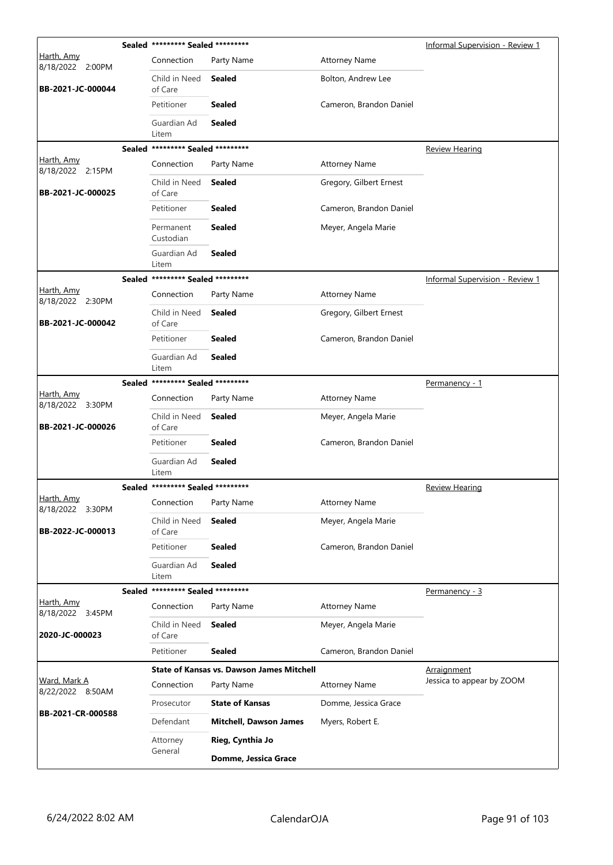|                                  | Sealed ********* Sealed ********* |                                                  |                         | <b>Informal Supervision - Review 1</b> |
|----------------------------------|-----------------------------------|--------------------------------------------------|-------------------------|----------------------------------------|
| Harth, Amy<br>8/18/2022 2:00PM   | Connection                        | Party Name                                       | <b>Attorney Name</b>    |                                        |
| BB-2021-JC-000044                | Child in Need<br>of Care          | Sealed                                           | Bolton, Andrew Lee      |                                        |
|                                  | Petitioner                        | <b>Sealed</b>                                    | Cameron, Brandon Daniel |                                        |
|                                  | Guardian Ad<br>Litem              | <b>Sealed</b>                                    |                         |                                        |
|                                  | Sealed ********* Sealed ********* |                                                  |                         | <b>Review Hearing</b>                  |
| Harth, Amy<br>8/18/2022 2:15PM   | Connection                        | Party Name                                       | <b>Attorney Name</b>    |                                        |
| BB-2021-JC-000025                | Child in Need<br>of Care          | <b>Sealed</b>                                    | Gregory, Gilbert Ernest |                                        |
|                                  | Petitioner                        | <b>Sealed</b>                                    | Cameron, Brandon Daniel |                                        |
|                                  | Permanent<br>Custodian            | <b>Sealed</b>                                    | Meyer, Angela Marie     |                                        |
|                                  | Guardian Ad<br>Litem              | <b>Sealed</b>                                    |                         |                                        |
|                                  | Sealed ********* Sealed ********* |                                                  |                         | <b>Informal Supervision - Review 1</b> |
| Harth, Amy<br>8/18/2022 2:30PM   | Connection                        | Party Name                                       | <b>Attorney Name</b>    |                                        |
| BB-2021-JC-000042                | Child in Need<br>of Care          | <b>Sealed</b>                                    | Gregory, Gilbert Ernest |                                        |
|                                  | Petitioner                        | <b>Sealed</b>                                    | Cameron, Brandon Daniel |                                        |
|                                  | Guardian Ad<br>Litem              | <b>Sealed</b>                                    |                         |                                        |
|                                  | Sealed ********* Sealed ********* |                                                  |                         | Permanency - 1                         |
| Harth, Amy<br>8/18/2022 3:30PM   | Connection                        | Party Name                                       | <b>Attorney Name</b>    |                                        |
| BB-2021-JC-000026                | Child in Need<br>of Care          | <b>Sealed</b>                                    | Meyer, Angela Marie     |                                        |
|                                  | Petitioner                        | <b>Sealed</b>                                    | Cameron, Brandon Daniel |                                        |
|                                  | Guardian Ad<br>Litem              | <b>Sealed</b>                                    |                         |                                        |
|                                  | Sealed ********* Sealed ********* |                                                  |                         | <b>Review Hearing</b>                  |
| Harth, Amy<br>8/18/2022 3:30PM   | Connection                        | Party Name                                       | <b>Attorney Name</b>    |                                        |
| BB-2022-JC-000013                | Child in Need<br>of Care          | <b>Sealed</b>                                    | Meyer, Angela Marie     |                                        |
|                                  | Petitioner                        | <b>Sealed</b>                                    | Cameron, Brandon Daniel |                                        |
|                                  | Guardian Ad<br>Litem              | <b>Sealed</b>                                    |                         |                                        |
|                                  | Sealed ********* Sealed ********* |                                                  |                         | Permanency - 3                         |
| Harth, Amy<br>8/18/2022 3:45PM   | Connection                        | Party Name                                       | <b>Attorney Name</b>    |                                        |
| 2020-JC-000023                   | Child in Need<br>of Care          | <b>Sealed</b>                                    | Meyer, Angela Marie     |                                        |
|                                  | Petitioner                        | <b>Sealed</b>                                    | Cameron, Brandon Daniel |                                        |
|                                  |                                   | <b>State of Kansas vs. Dawson James Mitchell</b> |                         | <u>Arraignment</u>                     |
| Ward, Mark A<br>8/22/2022 8:50AM | Connection                        | Party Name                                       | <b>Attorney Name</b>    | Jessica to appear by ZOOM              |
|                                  | Prosecutor                        | <b>State of Kansas</b>                           | Domme, Jessica Grace    |                                        |
| BB-2021-CR-000588                | Defendant                         | <b>Mitchell, Dawson James</b>                    | Myers, Robert E.        |                                        |
|                                  | Attorney                          | Rieg, Cynthia Jo                                 |                         |                                        |
|                                  | General                           | Domme, Jessica Grace                             |                         |                                        |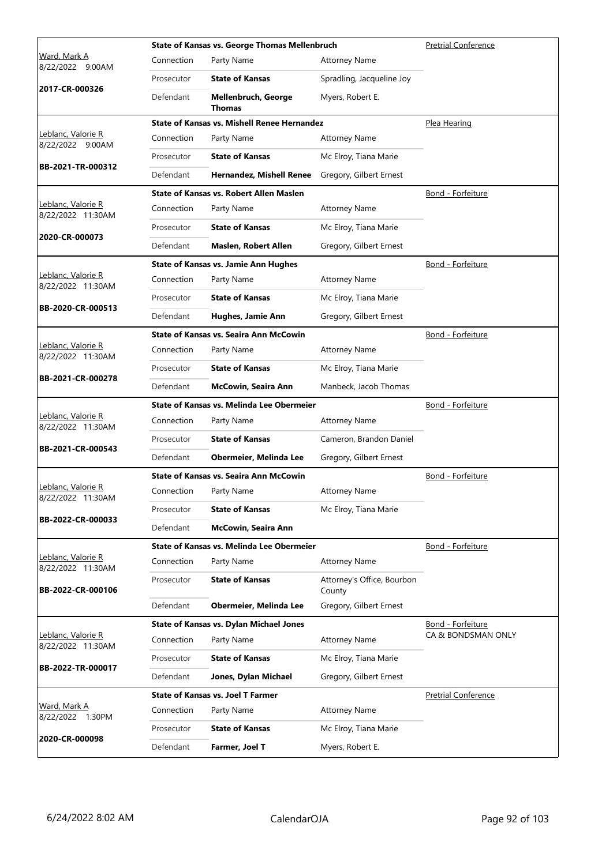|                                         |            | <b>State of Kansas vs. George Thomas Mellenbruch</b> | <b>Pretrial Conference</b>           |                            |
|-----------------------------------------|------------|------------------------------------------------------|--------------------------------------|----------------------------|
| Ward, Mark A<br>8/22/2022 9:00AM        | Connection | Party Name                                           | <b>Attorney Name</b>                 |                            |
|                                         | Prosecutor | <b>State of Kansas</b>                               | Spradling, Jacqueline Joy            |                            |
| 2017-CR-000326                          | Defendant  | Mellenbruch, George<br><b>Thomas</b>                 | Myers, Robert E.                     |                            |
|                                         |            | <b>State of Kansas vs. Mishell Renee Hernandez</b>   |                                      | Plea Hearing               |
| Leblanc, Valorie R<br>8/22/2022 9:00AM  | Connection | Party Name                                           | <b>Attorney Name</b>                 |                            |
|                                         | Prosecutor | <b>State of Kansas</b>                               | Mc Elroy, Tiana Marie                |                            |
| BB-2021-TR-000312                       | Defendant  | <b>Hernandez, Mishell Renee</b>                      | Gregory, Gilbert Ernest              |                            |
|                                         |            | <b>State of Kansas vs. Robert Allen Maslen</b>       |                                      | Bond - Forfeiture          |
| Leblanc, Valorie R<br>8/22/2022 11:30AM | Connection | Party Name                                           | <b>Attorney Name</b>                 |                            |
|                                         | Prosecutor | <b>State of Kansas</b>                               | Mc Elroy, Tiana Marie                |                            |
| 2020-CR-000073                          | Defendant  | Maslen, Robert Allen                                 | Gregory, Gilbert Ernest              |                            |
|                                         |            | <b>State of Kansas vs. Jamie Ann Hughes</b>          |                                      | Bond - Forfeiture          |
| Leblanc, Valorie R<br>8/22/2022 11:30AM | Connection | Party Name                                           | <b>Attorney Name</b>                 |                            |
|                                         | Prosecutor | <b>State of Kansas</b>                               | Mc Elroy, Tiana Marie                |                            |
| BB-2020-CR-000513                       | Defendant  | Hughes, Jamie Ann                                    | Gregory, Gilbert Ernest              |                            |
|                                         |            | <b>State of Kansas vs. Seaira Ann McCowin</b>        |                                      | Bond - Forfeiture          |
| Leblanc, Valorie R<br>8/22/2022 11:30AM | Connection | Party Name                                           | <b>Attorney Name</b>                 |                            |
|                                         | Prosecutor | <b>State of Kansas</b>                               | Mc Elroy, Tiana Marie                |                            |
| BB-2021-CR-000278                       | Defendant  | McCowin, Seaira Ann                                  | Manbeck, Jacob Thomas                |                            |
|                                         |            | State of Kansas vs. Melinda Lee Obermeier            |                                      | Bond - Forfeiture          |
| Leblanc, Valorie R<br>8/22/2022 11:30AM | Connection | Party Name                                           | <b>Attorney Name</b>                 |                            |
|                                         | Prosecutor | <b>State of Kansas</b>                               | Cameron, Brandon Daniel              |                            |
| BB-2021-CR-000543                       | Defendant  | Obermeier, Melinda Lee                               | Gregory, Gilbert Ernest              |                            |
|                                         |            | State of Kansas vs. Seaira Ann McCowin               | Bond - Forfeiture                    |                            |
| Leblanc, Valorie R<br>8/22/2022 11:30AM | Connection | Party Name                                           | <b>Attorney Name</b>                 |                            |
|                                         | Prosecutor | <b>State of Kansas</b>                               | Mc Elroy, Tiana Marie                |                            |
| BB-2022-CR-000033                       | Defendant  | <b>McCowin, Seaira Ann</b>                           |                                      |                            |
|                                         |            | State of Kansas vs. Melinda Lee Obermeier            |                                      | Bond - Forfeiture          |
| Leblanc, Valorie R<br>8/22/2022 11:30AM | Connection | Party Name                                           | <b>Attorney Name</b>                 |                            |
| BB-2022-CR-000106                       | Prosecutor | <b>State of Kansas</b>                               | Attorney's Office, Bourbon<br>County |                            |
|                                         | Defendant  | Obermeier, Melinda Lee                               | Gregory, Gilbert Ernest              |                            |
|                                         |            | <b>State of Kansas vs. Dylan Michael Jones</b>       |                                      | Bond - Forfeiture          |
| Leblanc, Valorie R<br>8/22/2022 11:30AM | Connection | Party Name                                           | <b>Attorney Name</b>                 | CA & BONDSMAN ONLY         |
|                                         | Prosecutor | <b>State of Kansas</b>                               | Mc Elroy, Tiana Marie                |                            |
| BB-2022-TR-000017                       | Defendant  | Jones, Dylan Michael                                 | Gregory, Gilbert Ernest              |                            |
|                                         |            | <b>State of Kansas vs. Joel T Farmer</b>             |                                      | <b>Pretrial Conference</b> |
| Ward, Mark A<br>8/22/2022 1:30PM        | Connection | Party Name                                           | <b>Attorney Name</b>                 |                            |
|                                         | Prosecutor | <b>State of Kansas</b>                               | Mc Elroy, Tiana Marie                |                            |
| 2020-CR-000098                          | Defendant  | Farmer, Joel T                                       | Myers, Robert E.                     |                            |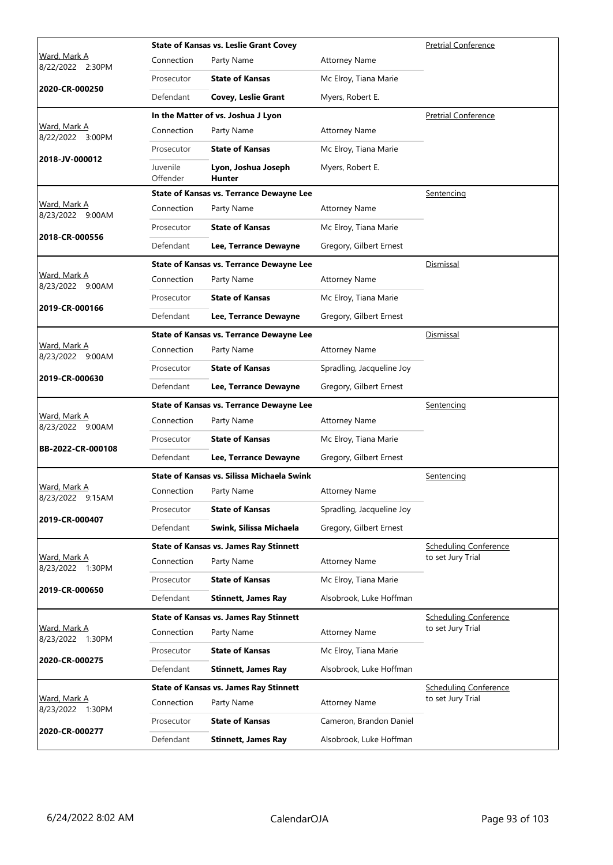|                                         |                      | <b>State of Kansas vs. Leslie Grant Covey</b>   | <b>Pretrial Conference</b> |                              |
|-----------------------------------------|----------------------|-------------------------------------------------|----------------------------|------------------------------|
| Ward, Mark A<br>8/22/2022 2:30PM        | Connection           | Party Name                                      | <b>Attorney Name</b>       |                              |
|                                         | Prosecutor           | <b>State of Kansas</b>                          | Mc Elroy, Tiana Marie      |                              |
| 2020-CR-000250                          | Defendant            | Covey, Leslie Grant                             | Myers, Robert E.           |                              |
|                                         |                      | In the Matter of vs. Joshua J Lyon              |                            | <b>Pretrial Conference</b>   |
| <u>Ward, Mark A</u><br>8/22/2022 3:00PM | Connection           | Party Name                                      | <b>Attorney Name</b>       |                              |
|                                         | Prosecutor           | <b>State of Kansas</b>                          | Mc Elroy, Tiana Marie      |                              |
| 2018-JV-000012                          | Juvenile<br>Offender | Lyon, Joshua Joseph<br>Hunter                   | Myers, Robert E.           |                              |
|                                         |                      | State of Kansas vs. Terrance Dewayne Lee        |                            | <u>Sentencing</u>            |
| Ward, Mark A<br>8/23/2022 9:00AM        | Connection           | Party Name                                      | <b>Attorney Name</b>       |                              |
|                                         | Prosecutor           | <b>State of Kansas</b>                          | Mc Elroy, Tiana Marie      |                              |
| 2018-CR-000556                          | Defendant            | Lee, Terrance Dewayne                           | Gregory, Gilbert Ernest    |                              |
|                                         |                      | <b>State of Kansas vs. Terrance Dewayne Lee</b> |                            | Dismissal                    |
| Ward, Mark A<br>8/23/2022 9:00AM        | Connection           | Party Name                                      | <b>Attorney Name</b>       |                              |
|                                         | Prosecutor           | <b>State of Kansas</b>                          | Mc Elroy, Tiana Marie      |                              |
| 2019-CR-000166                          | Defendant            | Lee, Terrance Dewayne                           | Gregory, Gilbert Ernest    |                              |
|                                         |                      | <b>State of Kansas vs. Terrance Dewayne Lee</b> |                            | Dismissal                    |
| Ward, Mark A<br>8/23/2022 9:00AM        | Connection           | Party Name                                      | <b>Attorney Name</b>       |                              |
|                                         | Prosecutor           | <b>State of Kansas</b>                          | Spradling, Jacqueline Joy  |                              |
| 2019-CR-000630                          | Defendant            | Lee, Terrance Dewayne                           | Gregory, Gilbert Ernest    |                              |
|                                         |                      | <b>State of Kansas vs. Terrance Dewayne Lee</b> |                            | <b>Sentencing</b>            |
| Ward, Mark A<br>8/23/2022 9:00AM        | Connection           | Party Name                                      | <b>Attorney Name</b>       |                              |
| BB-2022-CR-000108                       | Prosecutor           | <b>State of Kansas</b>                          | Mc Elroy, Tiana Marie      |                              |
|                                         | Defendant            | Lee, Terrance Dewayne                           | Gregory, Gilbert Ernest    |                              |
|                                         |                      | State of Kansas vs. Silissa Michaela Swink      |                            | <u>Sentencing</u>            |
| <u>Ward, Mark A</u><br>8/23/2022 9:15AM | Connection           | Party Name                                      | <b>Attorney Name</b>       |                              |
| 2019-CR-000407                          | Prosecutor           | <b>State of Kansas</b>                          | Spradling, Jacqueline Joy  |                              |
|                                         | Defendant            | Swink, Silissa Michaela                         | Gregory, Gilbert Ernest    |                              |
|                                         |                      | <b>State of Kansas vs. James Ray Stinnett</b>   |                            | <b>Scheduling Conference</b> |
| Ward, Mark A<br>8/23/2022 1:30PM        | Connection           | Party Name                                      | <b>Attorney Name</b>       | to set Jury Trial            |
| 2019-CR-000650                          | Prosecutor           | <b>State of Kansas</b>                          | Mc Elroy, Tiana Marie      |                              |
|                                         | Defendant            | <b>Stinnett, James Ray</b>                      | Alsobrook, Luke Hoffman    |                              |
|                                         |                      | <b>State of Kansas vs. James Ray Stinnett</b>   |                            | <b>Scheduling Conference</b> |
| Ward, Mark A<br>8/23/2022 1:30PM        | Connection           | Party Name                                      | <b>Attorney Name</b>       | to set Jury Trial            |
| 2020-CR-000275                          | Prosecutor           | <b>State of Kansas</b>                          | Mc Elroy, Tiana Marie      |                              |
|                                         | Defendant            | <b>Stinnett, James Ray</b>                      | Alsobrook, Luke Hoffman    |                              |
|                                         |                      | <b>State of Kansas vs. James Ray Stinnett</b>   |                            | <b>Scheduling Conference</b> |
| Ward, Mark A<br>8/23/2022 1:30PM        | Connection           | Party Name                                      | <b>Attorney Name</b>       | to set Jury Trial            |
| 2020-CR-000277                          | Prosecutor           | <b>State of Kansas</b>                          | Cameron, Brandon Daniel    |                              |
|                                         | Defendant            | <b>Stinnett, James Ray</b>                      | Alsobrook, Luke Hoffman    |                              |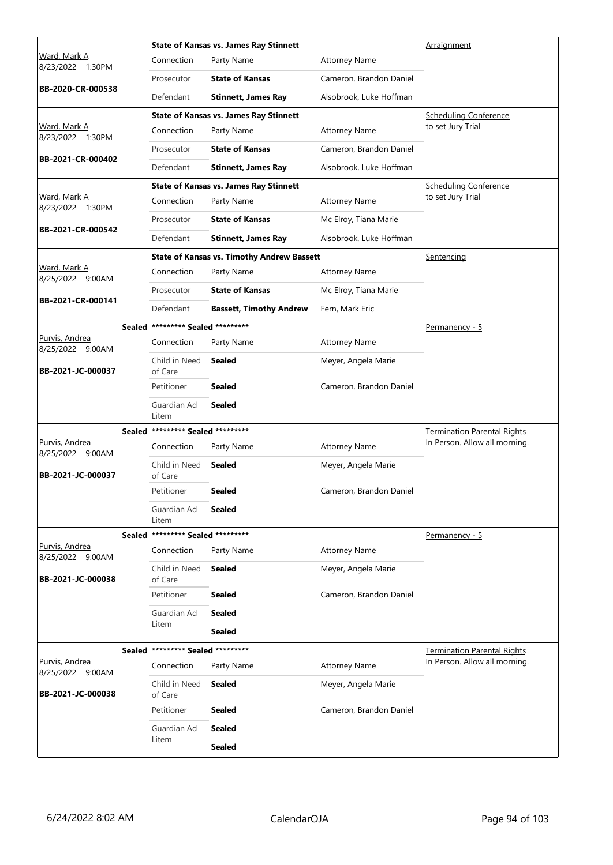|                                           |                                   | <b>State of Kansas vs. James Ray Stinnett</b>     |                         | Arraignment                        |
|-------------------------------------------|-----------------------------------|---------------------------------------------------|-------------------------|------------------------------------|
| Ward, Mark A<br>8/23/2022 1:30PM          | Connection                        | Party Name                                        | <b>Attorney Name</b>    |                                    |
|                                           | Prosecutor                        | <b>State of Kansas</b>                            | Cameron, Brandon Daniel |                                    |
| BB-2020-CR-000538                         | Defendant                         | <b>Stinnett, James Ray</b>                        | Alsobrook, Luke Hoffman |                                    |
|                                           |                                   | <b>State of Kansas vs. James Ray Stinnett</b>     |                         | <b>Scheduling Conference</b>       |
| Ward, Mark A<br>8/23/2022 1:30PM          | Connection                        | Party Name                                        | <b>Attorney Name</b>    | to set Jury Trial                  |
|                                           | Prosecutor                        | <b>State of Kansas</b>                            | Cameron, Brandon Daniel |                                    |
| BB-2021-CR-000402                         | Defendant                         | <b>Stinnett, James Ray</b>                        | Alsobrook, Luke Hoffman |                                    |
|                                           |                                   | <b>State of Kansas vs. James Ray Stinnett</b>     |                         | <b>Scheduling Conference</b>       |
| Ward, Mark A<br>8/23/2022 1:30PM          | Connection                        | Party Name                                        | <b>Attorney Name</b>    | to set Jury Trial                  |
|                                           | Prosecutor                        | <b>State of Kansas</b>                            | Mc Elroy, Tiana Marie   |                                    |
| BB-2021-CR-000542                         | Defendant                         | <b>Stinnett, James Ray</b>                        | Alsobrook, Luke Hoffman |                                    |
|                                           |                                   | <b>State of Kansas vs. Timothy Andrew Bassett</b> |                         | Sentencing                         |
| Ward, Mark A<br>8/25/2022 9:00AM          | Connection                        | Party Name                                        | <b>Attorney Name</b>    |                                    |
|                                           | Prosecutor                        | <b>State of Kansas</b>                            | Mc Elroy, Tiana Marie   |                                    |
| BB-2021-CR-000141                         | Defendant                         | <b>Bassett, Timothy Andrew</b>                    | Fern, Mark Eric         |                                    |
|                                           | Sealed ********* Sealed ********* |                                                   |                         | Permanency - 5                     |
| Purvis, Andrea<br>8/25/2022 9:00AM        | Connection                        | Party Name                                        | <b>Attorney Name</b>    |                                    |
| BB-2021-JC-000037                         | Child in Need<br>of Care          | Sealed                                            | Meyer, Angela Marie     |                                    |
|                                           | Petitioner                        | <b>Sealed</b>                                     | Cameron, Brandon Daniel |                                    |
|                                           | Guardian Ad<br>Litem              | <b>Sealed</b>                                     |                         |                                    |
|                                           | Sealed ********* Sealed ********* |                                                   |                         | <b>Termination Parental Rights</b> |
| <u>Purvis, Andrea</u><br>8/25/2022 9:00AM | Connection                        | Party Name                                        | <b>Attorney Name</b>    | In Person. Allow all morning.      |
| BB-2021-JC-000037                         | Child in Need<br>of Care          | <b>Sealed</b>                                     | Meyer, Angela Marie     |                                    |
|                                           | Petitioner                        | <b>Sealed</b>                                     | Cameron, Brandon Daniel |                                    |
|                                           | Guardian Ad<br>Litem              | Sealed                                            |                         |                                    |
|                                           | Sealed ********* Sealed ********* |                                                   |                         | <u>Permanency - 5</u>              |
| Purvis, Andrea<br>8/25/2022 9:00AM        | Connection                        | Party Name                                        | <b>Attorney Name</b>    |                                    |
| BB-2021-JC-000038                         | Child in Need<br>of Care          | <b>Sealed</b>                                     | Meyer, Angela Marie     |                                    |
|                                           | Petitioner                        | <b>Sealed</b>                                     | Cameron, Brandon Daniel |                                    |
|                                           | Guardian Ad                       | <b>Sealed</b>                                     |                         |                                    |
|                                           | Litem                             | <b>Sealed</b>                                     |                         |                                    |
|                                           | Sealed ********* Sealed ********* |                                                   |                         | <b>Termination Parental Rights</b> |
| Purvis, Andrea<br>8/25/2022 9:00AM        | Connection                        | Party Name                                        | <b>Attorney Name</b>    | In Person. Allow all morning.      |
| BB-2021-JC-000038                         | Child in Need<br>of Care          | <b>Sealed</b>                                     | Meyer, Angela Marie     |                                    |
|                                           | Petitioner                        | <b>Sealed</b>                                     | Cameron, Brandon Daniel |                                    |
|                                           |                                   |                                                   |                         |                                    |
|                                           | Guardian Ad<br>Litem              | <b>Sealed</b>                                     |                         |                                    |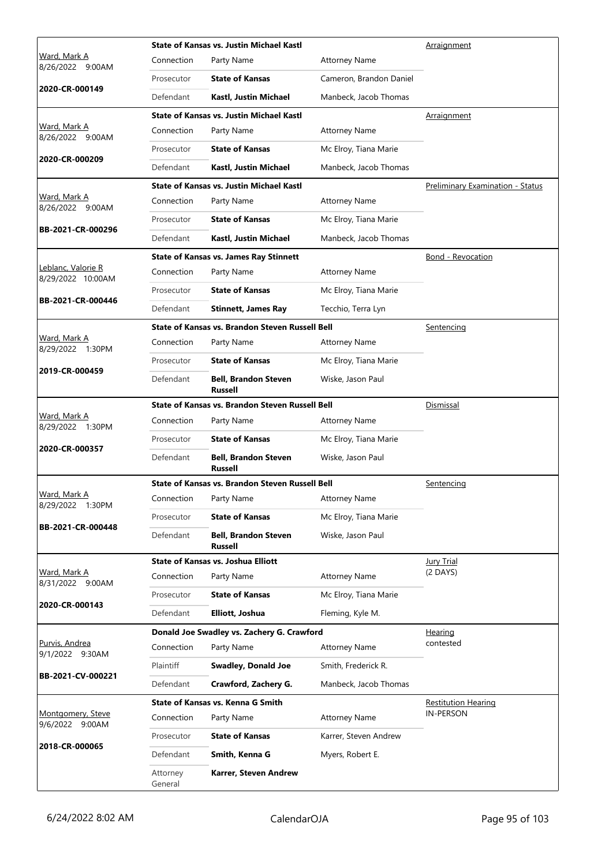|                                         |                       | <b>State of Kansas vs. Justin Michael Kastl</b> | Arraignment             |                                         |
|-----------------------------------------|-----------------------|-------------------------------------------------|-------------------------|-----------------------------------------|
| <u>Ward, Mark A</u><br>8/26/2022 9:00AM | Connection            | Party Name                                      | <b>Attorney Name</b>    |                                         |
|                                         | Prosecutor            | <b>State of Kansas</b>                          | Cameron, Brandon Daniel |                                         |
| 2020-CR-000149                          | Defendant             | Kastl, Justin Michael                           | Manbeck, Jacob Thomas   |                                         |
|                                         |                       | <b>State of Kansas vs. Justin Michael Kastl</b> |                         | Arraignment                             |
| <u>Ward, Mark A</u><br>8/26/2022 9:00AM | Connection            | Party Name                                      | <b>Attorney Name</b>    |                                         |
| 2020-CR-000209                          | Prosecutor            | <b>State of Kansas</b>                          | Mc Elroy, Tiana Marie   |                                         |
|                                         | Defendant             | Kastl, Justin Michael                           | Manbeck, Jacob Thomas   |                                         |
|                                         |                       | State of Kansas vs. Justin Michael Kastl        |                         | <b>Preliminary Examination - Status</b> |
| Ward, Mark A<br>8/26/2022 9:00AM        | Connection            | Party Name                                      | <b>Attorney Name</b>    |                                         |
| BB-2021-CR-000296                       | Prosecutor            | <b>State of Kansas</b>                          | Mc Elroy, Tiana Marie   |                                         |
|                                         | Defendant             | Kastl, Justin Michael                           | Manbeck, Jacob Thomas   |                                         |
|                                         |                       | <b>State of Kansas vs. James Ray Stinnett</b>   |                         | <b>Bond - Revocation</b>                |
| Leblanc, Valorie R<br>8/29/2022 10:00AM | Connection            | Party Name                                      | <b>Attorney Name</b>    |                                         |
| BB-2021-CR-000446                       | Prosecutor            | <b>State of Kansas</b>                          | Mc Elroy, Tiana Marie   |                                         |
|                                         | Defendant             | <b>Stinnett, James Ray</b>                      | Tecchio, Terra Lyn      |                                         |
|                                         |                       | State of Kansas vs. Brandon Steven Russell Bell |                         | Sentencing                              |
| Ward, Mark A<br>8/29/2022 1:30PM        | Connection            | Party Name                                      | <b>Attorney Name</b>    |                                         |
| 2019-CR-000459                          | Prosecutor            | <b>State of Kansas</b>                          | Mc Elroy, Tiana Marie   |                                         |
|                                         | Defendant             | <b>Bell, Brandon Steven</b><br><b>Russell</b>   | Wiske, Jason Paul       |                                         |
|                                         |                       | State of Kansas vs. Brandon Steven Russell Bell |                         | <b>Dismissal</b>                        |
| Ward, Mark A<br>8/29/2022 1:30PM        | Connection            | Party Name                                      | <b>Attorney Name</b>    |                                         |
| 2020-CR-000357                          | Prosecutor            | <b>State of Kansas</b>                          | Mc Elroy, Tiana Marie   |                                         |
|                                         | Defendant             | <b>Bell, Brandon Steven</b><br><b>Russell</b>   | Wiske, Jason Paul       |                                         |
|                                         |                       | State of Kansas vs. Brandon Steven Russell Bell |                         | Sentencing                              |
| Ward, Mark A<br>8/29/2022 1:30PM        | Connection Party Name |                                                 | <b>Attorney Name</b>    |                                         |
| BB-2021-CR-000448                       | Prosecutor            | <b>State of Kansas</b>                          | Mc Elroy, Tiana Marie   |                                         |
|                                         | Defendant             | <b>Bell, Brandon Steven</b><br><b>Russell</b>   | Wiske, Jason Paul       |                                         |
|                                         |                       | <b>State of Kansas vs. Joshua Elliott</b>       |                         | <b>Jury Trial</b>                       |
| Ward, Mark A<br>8/31/2022 9:00AM        | Connection            | Party Name                                      | <b>Attorney Name</b>    | $(2$ DAYS)                              |
| 2020-CR-000143                          | Prosecutor            | <b>State of Kansas</b>                          | Mc Elroy, Tiana Marie   |                                         |
|                                         | Defendant             | Elliott, Joshua                                 | Fleming, Kyle M.        |                                         |
|                                         |                       | Donald Joe Swadley vs. Zachery G. Crawford      |                         | <u>Hearing</u>                          |
| Purvis, Andrea<br>9/1/2022 9:30AM       | Connection            | Party Name                                      | <b>Attorney Name</b>    | contested                               |
| BB-2021-CV-000221                       | Plaintiff             | <b>Swadley, Donald Joe</b>                      | Smith, Frederick R.     |                                         |
|                                         | Defendant             | Crawford, Zachery G.                            | Manbeck, Jacob Thomas   |                                         |
|                                         |                       | State of Kansas vs. Kenna G Smith               |                         | <b>Restitution Hearing</b>              |
| Montgomery, Steve<br>9/6/2022 9:00AM    | Connection            | Party Name                                      | <b>Attorney Name</b>    | <b>IN-PERSON</b>                        |
| 2018-CR-000065                          | Prosecutor            | <b>State of Kansas</b>                          | Karrer, Steven Andrew   |                                         |
|                                         | Defendant             | Smith, Kenna G                                  | Myers, Robert E.        |                                         |
|                                         | Attorney<br>General   | Karrer, Steven Andrew                           |                         |                                         |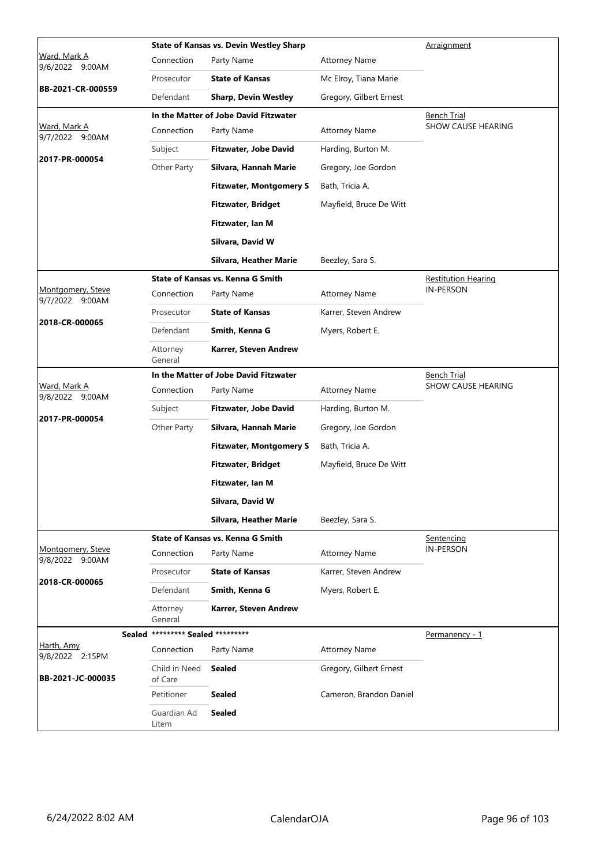|                                        |                                   | <b>State of Kansas vs. Devin Westley Sharp</b> | Arraignment             |                            |
|----------------------------------------|-----------------------------------|------------------------------------------------|-------------------------|----------------------------|
| <u>Ward, Mark A</u><br>9/6/2022 9:00AM | Connection                        | Party Name                                     | <b>Attorney Name</b>    |                            |
|                                        | Prosecutor                        | <b>State of Kansas</b>                         | Mc Elroy, Tiana Marie   |                            |
| BB-2021-CR-000559                      | Defendant                         | <b>Sharp, Devin Westley</b>                    | Gregory, Gilbert Ernest |                            |
|                                        |                                   | In the Matter of Jobe David Fitzwater          |                         | <b>Bench Trial</b>         |
| Ward, Mark A<br>9/7/2022 9:00AM        | Connection                        | Party Name                                     | <b>Attorney Name</b>    | SHOW CAUSE HEARING         |
|                                        | Subject                           | <b>Fitzwater, Jobe David</b>                   | Harding, Burton M.      |                            |
| 2017-PR-000054                         | Other Party                       | Silvara, Hannah Marie                          | Gregory, Joe Gordon     |                            |
|                                        |                                   | <b>Fitzwater, Montgomery S</b>                 | Bath, Tricia A.         |                            |
|                                        |                                   | <b>Fitzwater, Bridget</b>                      | Mayfield, Bruce De Witt |                            |
|                                        |                                   | Fitzwater, Ian M                               |                         |                            |
|                                        |                                   | Silvara, David W                               |                         |                            |
|                                        |                                   | Silvara, Heather Marie                         | Beezley, Sara S.        |                            |
|                                        |                                   | State of Kansas vs. Kenna G Smith              |                         | <b>Restitution Hearing</b> |
| Montgomery, Steve<br>9/7/2022 9:00AM   | Connection                        | Party Name                                     | <b>Attorney Name</b>    | <b>IN-PERSON</b>           |
|                                        | Prosecutor                        | <b>State of Kansas</b>                         | Karrer, Steven Andrew   |                            |
| 2018-CR-000065                         | Defendant                         | Smith, Kenna G                                 | Myers, Robert E.        |                            |
|                                        | Attorney<br>General               | Karrer, Steven Andrew                          |                         |                            |
|                                        |                                   | In the Matter of Jobe David Fitzwater          |                         | Bench Trial                |
| Ward, Mark A<br>9/8/2022 9:00AM        | Connection                        | Party Name                                     | <b>Attorney Name</b>    | SHOW CAUSE HEARING         |
| 2017-PR-000054                         | Subject                           | <b>Fitzwater, Jobe David</b>                   | Harding, Burton M.      |                            |
|                                        | Other Party                       | Silvara, Hannah Marie                          | Gregory, Joe Gordon     |                            |
|                                        |                                   | <b>Fitzwater, Montgomery S</b>                 | Bath, Tricia A.         |                            |
|                                        |                                   | <b>Fitzwater, Bridget</b>                      | Mayfield, Bruce De Witt |                            |
|                                        |                                   | Fitzwater, Ian M                               |                         |                            |
|                                        |                                   | Silvara, David W                               |                         |                            |
|                                        |                                   | Silvara, Heather Marie                         | Beezley, Sara S.        |                            |
|                                        |                                   | State of Kansas vs. Kenna G Smith              |                         | Sentencing                 |
| Montgomery, Steve<br>9/8/2022 9:00AM   | Connection                        | Party Name                                     | <b>Attorney Name</b>    | <b>IN-PERSON</b>           |
|                                        | Prosecutor                        | <b>State of Kansas</b>                         | Karrer, Steven Andrew   |                            |
| 2018-CR-000065                         | Defendant                         | Smith, Kenna G                                 | Myers, Robert E.        |                            |
|                                        | Attorney<br>General               | Karrer, Steven Andrew                          |                         |                            |
|                                        | Sealed ********* Sealed ********* |                                                |                         | Permanency - 1             |
| Harth, Amy<br>9/8/2022 2:15PM          | Connection                        | Party Name                                     | <b>Attorney Name</b>    |                            |
| BB-2021-JC-000035                      | Child in Need<br>of Care          | <b>Sealed</b>                                  | Gregory, Gilbert Ernest |                            |
|                                        | Petitioner                        | <b>Sealed</b>                                  | Cameron, Brandon Daniel |                            |
|                                        | Guardian Ad<br>Litem              | <b>Sealed</b>                                  |                         |                            |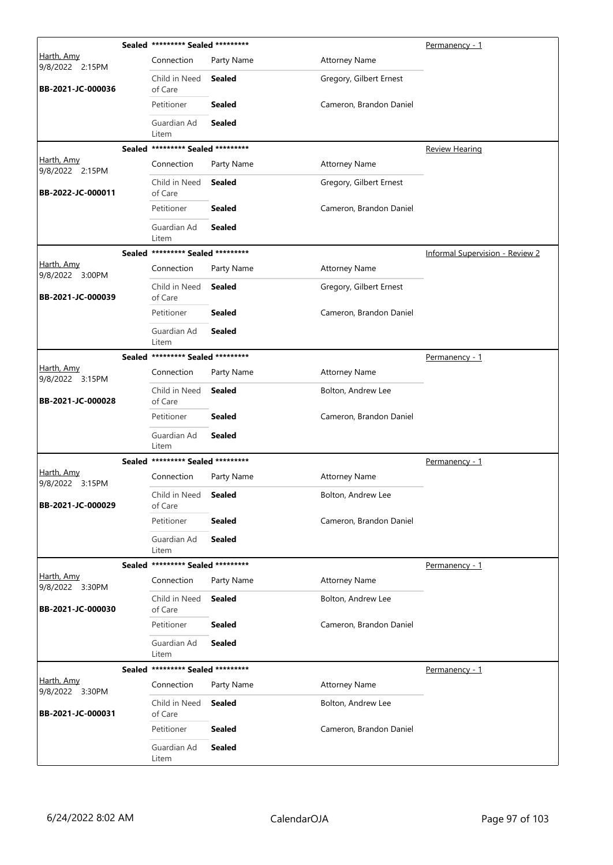|                               |               | Sealed ********* Sealed ********* |               | <u>Permanency - 1</u>   |                                        |
|-------------------------------|---------------|-----------------------------------|---------------|-------------------------|----------------------------------------|
| Harth, Amy<br>9/8/2022 2:15PM |               | Connection                        | Party Name    | <b>Attorney Name</b>    |                                        |
| BB-2021-JC-000036             |               | Child in Need<br>of Care          | <b>Sealed</b> | Gregory, Gilbert Ernest |                                        |
|                               |               | Petitioner                        | <b>Sealed</b> | Cameron, Brandon Daniel |                                        |
|                               |               | Guardian Ad<br>Litem              | <b>Sealed</b> |                         |                                        |
|                               |               | Sealed ********* Sealed ********* |               |                         | Review Hearing                         |
| Harth, Amy<br>9/8/2022 2:15PM |               | Connection                        | Party Name    | <b>Attorney Name</b>    |                                        |
| BB-2022-JC-000011             |               | Child in Need<br>of Care          | <b>Sealed</b> | Gregory, Gilbert Ernest |                                        |
|                               |               | Petitioner                        | <b>Sealed</b> | Cameron, Brandon Daniel |                                        |
|                               |               | Guardian Ad<br>Litem              | <b>Sealed</b> |                         |                                        |
|                               |               | Sealed ********* Sealed ********* |               |                         | <b>Informal Supervision - Review 2</b> |
| Harth, Amy<br>9/8/2022 3:00PM |               | Connection                        | Party Name    | <b>Attorney Name</b>    |                                        |
| BB-2021-JC-000039             |               | Child in Need<br>of Care          | <b>Sealed</b> | Gregory, Gilbert Ernest |                                        |
|                               |               | Petitioner                        | <b>Sealed</b> | Cameron, Brandon Daniel |                                        |
|                               |               | Guardian Ad<br>Litem              | <b>Sealed</b> |                         |                                        |
|                               |               | Sealed ********* Sealed ********* |               |                         | Permanency - 1                         |
| Harth, Amy<br>9/8/2022 3:15PM |               | Connection                        | Party Name    | <b>Attorney Name</b>    |                                        |
| BB-2021-JC-000028             |               | Child in Need<br>of Care          | <b>Sealed</b> | Bolton, Andrew Lee      |                                        |
|                               |               | Petitioner                        | <b>Sealed</b> | Cameron, Brandon Daniel |                                        |
|                               |               | Guardian Ad<br>Litem              | <b>Sealed</b> |                         |                                        |
|                               |               | Sealed ********* Sealed ********* |               |                         | <u>Permanency - 1</u>                  |
| Harth, Amy<br>9/8/2022 3:15PM |               | Connection                        | Party Name    | <b>Attorney Name</b>    |                                        |
| BB-2021-JC-000029             |               | Child in Need<br>of Care          | <b>Sealed</b> | Bolton, Andrew Lee      |                                        |
|                               |               | Petitioner                        | <b>Sealed</b> | Cameron, Brandon Daniel |                                        |
|                               |               | Guardian Ad<br>Litem              | <b>Sealed</b> |                         |                                        |
|                               |               | Sealed ********* Sealed ********* |               |                         | Permanency - 1                         |
| Harth, Amy<br>9/8/2022 3:30PM |               | Connection                        | Party Name    | <b>Attorney Name</b>    |                                        |
| BB-2021-JC-000030             |               | Child in Need<br>of Care          | <b>Sealed</b> | Bolton, Andrew Lee      |                                        |
|                               |               | Petitioner                        | <b>Sealed</b> | Cameron, Brandon Daniel |                                        |
|                               |               | Guardian Ad<br>Litem              | <b>Sealed</b> |                         |                                        |
|                               | <b>Sealed</b> | ********* Sealed *********        |               |                         | Permanency - 1                         |
| Harth, Amy<br>9/8/2022 3:30PM |               | Connection                        | Party Name    | <b>Attorney Name</b>    |                                        |
| BB-2021-JC-000031             |               | Child in Need<br>of Care          | <b>Sealed</b> | Bolton, Andrew Lee      |                                        |
|                               |               | Petitioner                        | <b>Sealed</b> | Cameron, Brandon Daniel |                                        |
|                               |               | Guardian Ad<br>Litem              | <b>Sealed</b> |                         |                                        |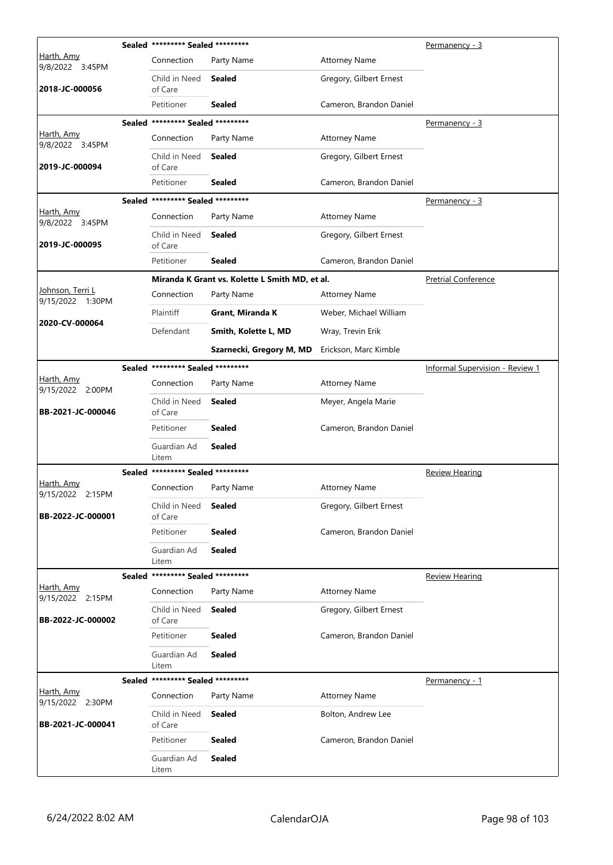|                                              | Sealed ********* Sealed ********* |                                                | Permanency - 3          |                                        |
|----------------------------------------------|-----------------------------------|------------------------------------------------|-------------------------|----------------------------------------|
| Harth, Amy<br>9/8/2022 3:45PM                | Connection                        | Party Name                                     | <b>Attorney Name</b>    |                                        |
| 2018-JC-000056                               | Child in Need<br>of Care          | Sealed                                         | Gregory, Gilbert Ernest |                                        |
|                                              | Petitioner                        | <b>Sealed</b>                                  | Cameron, Brandon Daniel |                                        |
|                                              | Sealed ********* Sealed ********* |                                                | Permanency - 3          |                                        |
| Harth, Amy<br>9/8/2022 3:45PM                | Connection                        | Party Name                                     | <b>Attorney Name</b>    |                                        |
| 2019-JC-000094                               | Child in Need<br>of Care          | <b>Sealed</b>                                  | Gregory, Gilbert Ernest |                                        |
|                                              | Petitioner                        | <b>Sealed</b>                                  | Cameron, Brandon Daniel |                                        |
|                                              | Sealed ********* Sealed ********* |                                                |                         | <u>Permanency - 3</u>                  |
| Harth, Amy<br>9/8/2022 3:45PM                | Connection                        | Party Name                                     | <b>Attorney Name</b>    |                                        |
| 2019-JC-000095                               | Child in Need<br>of Care          | <b>Sealed</b>                                  | Gregory, Gilbert Ernest |                                        |
|                                              | Petitioner                        | <b>Sealed</b>                                  | Cameron, Brandon Daniel |                                        |
|                                              |                                   | Miranda K Grant vs. Kolette L Smith MD, et al. |                         | <b>Pretrial Conference</b>             |
| <u> Johnson, Terri L</u><br>9/15/2022 1:30PM | Connection                        | Party Name                                     | <b>Attorney Name</b>    |                                        |
|                                              | Plaintiff                         | Grant, Miranda K                               | Weber, Michael William  |                                        |
| 2020-CV-000064                               | Defendant                         | Smith, Kolette L, MD                           | Wray, Trevin Erik       |                                        |
|                                              |                                   | Szarnecki, Gregory M, MD                       | Erickson, Marc Kimble   |                                        |
|                                              | Sealed ********* Sealed ********* |                                                |                         | <b>Informal Supervision - Review 1</b> |
| Harth, Amy<br>9/15/2022 2:00PM               | Connection                        | Party Name                                     | <b>Attorney Name</b>    |                                        |
| BB-2021-JC-000046                            | Child in Need<br>of Care          | <b>Sealed</b>                                  | Meyer, Angela Marie     |                                        |
|                                              | Petitioner                        | <b>Sealed</b>                                  | Cameron, Brandon Daniel |                                        |
|                                              | Guardian Ad<br>Litem              | <b>Sealed</b>                                  |                         |                                        |
|                                              | Sealed ********* Sealed ********* |                                                |                         | <b>Review Hearing</b>                  |
| Harth, Amy<br>9/15/2022 2:15PM               | Connection                        | Party Name                                     | <b>Attorney Name</b>    |                                        |
| BB-2022-JC-000001                            | Child in Need<br>of Care          | <b>Sealed</b>                                  | Gregory, Gilbert Ernest |                                        |
|                                              | Petitioner                        | <b>Sealed</b>                                  | Cameron, Brandon Daniel |                                        |
|                                              | Guardian Ad<br>Litem              | <b>Sealed</b>                                  |                         |                                        |
|                                              | Sealed ********* Sealed ********* |                                                |                         | <b>Review Hearing</b>                  |
| Harth, Amy<br>9/15/2022 2:15PM               | Connection                        | Party Name                                     | <b>Attorney Name</b>    |                                        |
| BB-2022-JC-000002                            | Child in Need<br>of Care          | <b>Sealed</b>                                  | Gregory, Gilbert Ernest |                                        |
|                                              | Petitioner                        | <b>Sealed</b>                                  | Cameron, Brandon Daniel |                                        |
|                                              | Guardian Ad<br>Litem              | Sealed                                         |                         |                                        |
|                                              | Sealed ********* Sealed ********* |                                                |                         | <u>Permanency - 1</u>                  |
| Harth, Amy<br>9/15/2022 2:30PM               | Connection                        | Party Name                                     | <b>Attorney Name</b>    |                                        |
| BB-2021-JC-000041                            | Child in Need<br>of Care          | <b>Sealed</b>                                  | Bolton, Andrew Lee      |                                        |
|                                              | Petitioner                        | <b>Sealed</b>                                  | Cameron, Brandon Daniel |                                        |
|                                              | Guardian Ad<br>Litem              | <b>Sealed</b>                                  |                         |                                        |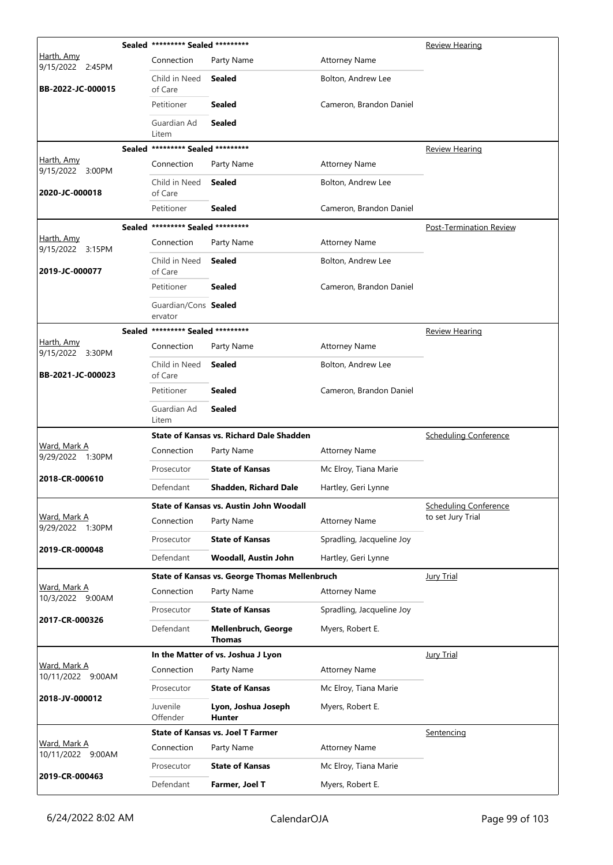|                                       |  | Sealed ********* Sealed *********               |                                                      | <b>Review Hearing</b>        |                                |
|---------------------------------------|--|-------------------------------------------------|------------------------------------------------------|------------------------------|--------------------------------|
| <u>Harth, Amy</u><br>9/15/2022 2:45PM |  | Connection                                      | Party Name                                           | <b>Attorney Name</b>         |                                |
| BB-2022-JC-000015                     |  | Child in Need<br>of Care                        | <b>Sealed</b>                                        | Bolton, Andrew Lee           |                                |
|                                       |  | Petitioner                                      | <b>Sealed</b>                                        | Cameron, Brandon Daniel      |                                |
|                                       |  | Guardian Ad<br>Litem                            | <b>Sealed</b>                                        |                              |                                |
|                                       |  | Sealed ********* Sealed *********               |                                                      |                              | <b>Review Hearing</b>          |
| Harth, Amy<br>9/15/2022 3:00PM        |  | Connection                                      | Party Name                                           | <b>Attorney Name</b>         |                                |
| 2020-JC-000018                        |  | Child in Need<br>of Care                        | Sealed                                               | Bolton, Andrew Lee           |                                |
|                                       |  | Petitioner                                      | Sealed                                               | Cameron, Brandon Daniel      |                                |
|                                       |  | Sealed ********* Sealed *********               |                                                      |                              | <b>Post-Termination Review</b> |
| Harth, Amy<br>9/15/2022 3:15PM        |  | Connection                                      | Party Name                                           | <b>Attorney Name</b>         |                                |
| 2019-JC-000077                        |  | Child in Need<br>of Care                        | <b>Sealed</b>                                        | Bolton, Andrew Lee           |                                |
|                                       |  | Petitioner                                      | Sealed                                               | Cameron, Brandon Daniel      |                                |
|                                       |  | Guardian/Cons Sealed<br>ervator                 |                                                      |                              |                                |
|                                       |  | Sealed ********* Sealed *********               |                                                      |                              | <b>Review Hearing</b>          |
| Harth, Amy<br>9/15/2022 3:30PM        |  | Connection                                      | Party Name                                           | <b>Attorney Name</b>         |                                |
| BB-2021-JC-000023                     |  | Child in Need<br>of Care                        | <b>Sealed</b>                                        | Bolton, Andrew Lee           |                                |
|                                       |  | Petitioner                                      | <b>Sealed</b>                                        | Cameron, Brandon Daniel      |                                |
|                                       |  | Guardian Ad<br>Litem                            | Sealed                                               |                              |                                |
|                                       |  | <b>State of Kansas vs. Richard Dale Shadden</b> |                                                      | <b>Scheduling Conference</b> |                                |
| Ward, Mark A<br>9/29/2022 1:30PM      |  | Connection                                      | Party Name                                           | <b>Attorney Name</b>         |                                |
| 2018-CR-000610                        |  | Prosecutor                                      | <b>State of Kansas</b>                               | Mc Elroy, Tiana Marie        |                                |
|                                       |  | Defendant                                       | Shadden, Richard Dale                                | Hartley, Geri Lynne          |                                |
|                                       |  |                                                 | State of Kansas vs. Austin John Woodall              |                              | <b>Scheduling Conference</b>   |
| Ward, Mark A<br>9/29/2022 1:30PM      |  | Connection                                      | Party Name                                           | <b>Attorney Name</b>         | to set Jury Trial              |
| 2019-CR-000048                        |  | Prosecutor                                      | <b>State of Kansas</b>                               | Spradling, Jacqueline Joy    |                                |
|                                       |  | Defendant                                       | Woodall, Austin John                                 | Hartley, Geri Lynne          |                                |
|                                       |  |                                                 | <b>State of Kansas vs. George Thomas Mellenbruch</b> |                              | <b>Jury Trial</b>              |
| Ward, Mark A<br>10/3/2022 9:00AM      |  | Connection                                      | Party Name                                           | <b>Attorney Name</b>         |                                |
| 2017-CR-000326                        |  | Prosecutor                                      | <b>State of Kansas</b>                               | Spradling, Jacqueline Joy    |                                |
|                                       |  | Defendant                                       | <b>Mellenbruch, George</b><br>Thomas                 | Myers, Robert E.             |                                |
|                                       |  | In the Matter of vs. Joshua J Lyon              |                                                      | <b>Jury Trial</b>            |                                |
| Ward, Mark A<br>10/11/2022 9:00AM     |  | Connection                                      | Party Name                                           | <b>Attorney Name</b>         |                                |
| 2018-JV-000012                        |  | Prosecutor                                      | <b>State of Kansas</b>                               | Mc Elroy, Tiana Marie        |                                |
|                                       |  |                                                 |                                                      |                              |                                |
|                                       |  | Juvenile<br>Offender                            | Lyon, Joshua Joseph<br><b>Hunter</b>                 | Myers, Robert E.             |                                |
|                                       |  |                                                 | <b>State of Kansas vs. Joel T Farmer</b>             |                              | Sentencing                     |
| <u>Ward, Mark A</u>                   |  | Connection                                      | Party Name                                           | <b>Attorney Name</b>         |                                |
| 10/11/2022 9:00AM<br>2019-CR-000463   |  | Prosecutor                                      | <b>State of Kansas</b>                               | Mc Elroy, Tiana Marie        |                                |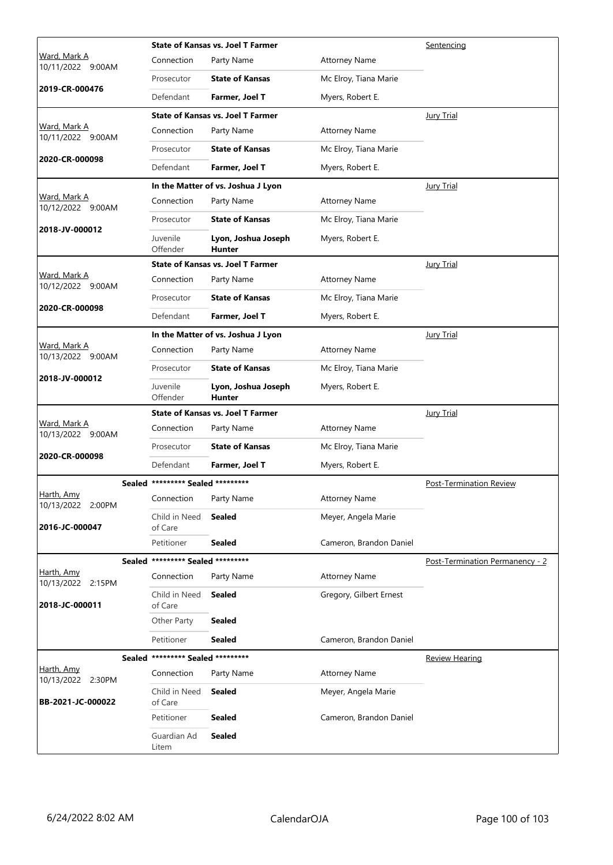|                                          | <b>State of Kansas vs. Joel T Farmer</b> |                                          |                         | Sentencing                      |
|------------------------------------------|------------------------------------------|------------------------------------------|-------------------------|---------------------------------|
| Ward, Mark A<br>10/11/2022 9:00AM        | Connection                               | Party Name                               | <b>Attorney Name</b>    |                                 |
|                                          | Prosecutor                               | <b>State of Kansas</b>                   | Mc Elroy, Tiana Marie   |                                 |
| 2019-CR-000476                           | Defendant                                | Farmer, Joel T                           | Myers, Robert E.        |                                 |
|                                          |                                          | <b>State of Kansas vs. Joel T Farmer</b> |                         | Jury Trial                      |
| <u>Ward, Mark A</u><br>10/11/2022 9:00AM | Connection                               | Party Name                               | <b>Attorney Name</b>    |                                 |
|                                          | Prosecutor                               | <b>State of Kansas</b>                   | Mc Elroy, Tiana Marie   |                                 |
| 2020-CR-000098                           | Defendant                                | Farmer, Joel T                           | Myers, Robert E.        |                                 |
|                                          |                                          | In the Matter of vs. Joshua J Lyon       |                         | <b>Jury Trial</b>               |
| Ward, Mark A<br>10/12/2022 9:00AM        | Connection                               | Party Name                               | <b>Attorney Name</b>    |                                 |
|                                          | Prosecutor                               | <b>State of Kansas</b>                   | Mc Elroy, Tiana Marie   |                                 |
| 2018-JV-000012                           | Juvenile<br>Offender                     | Lyon, Joshua Joseph<br><b>Hunter</b>     | Myers, Robert E.        |                                 |
|                                          |                                          | <b>State of Kansas vs. Joel T Farmer</b> |                         | <b>Jury Trial</b>               |
| Ward, Mark A<br>10/12/2022 9:00AM        | Connection                               | Party Name                               | <b>Attorney Name</b>    |                                 |
|                                          | Prosecutor                               | <b>State of Kansas</b>                   | Mc Elroy, Tiana Marie   |                                 |
| 2020-CR-000098                           | Defendant                                | Farmer, Joel T                           | Myers, Robert E.        |                                 |
|                                          |                                          | In the Matter of vs. Joshua J Lyon       |                         | Jury Trial                      |
| Ward, Mark A<br>10/13/2022 9:00AM        | Connection                               | Party Name                               | <b>Attorney Name</b>    |                                 |
|                                          | Prosecutor                               | <b>State of Kansas</b>                   | Mc Elroy, Tiana Marie   |                                 |
| 2018-JV-000012                           | Juvenile<br>Offender                     | Lyon, Joshua Joseph<br><b>Hunter</b>     | Myers, Robert E.        |                                 |
|                                          |                                          | State of Kansas vs. Joel T Farmer        |                         | <b>Jury Trial</b>               |
| <u>Ward, Mark A</u><br>10/13/2022 9:00AM | Connection                               | Party Name                               | <b>Attorney Name</b>    |                                 |
|                                          | Prosecutor                               | <b>State of Kansas</b>                   | Mc Elroy, Tiana Marie   |                                 |
| 2020-CR-000098                           | Defendant                                | Farmer, Joel T                           | Myers, Robert E.        |                                 |
|                                          | Sealed ********* Sealed *********        |                                          |                         | Post-Termination Review         |
| <u>Harth, Amy</u><br>10/13/2022 2:00PM   | Connection                               | Party Name                               | <b>Attorney Name</b>    |                                 |
| 2016-JC-000047                           | Child in Need<br>of Care                 | <b>Sealed</b>                            | Meyer, Angela Marie     |                                 |
|                                          | Petitioner                               | <b>Sealed</b>                            | Cameron, Brandon Daniel |                                 |
|                                          | Sealed ********* Sealed *********        |                                          |                         | Post-Termination Permanency - 2 |
| Harth, Amy<br>10/13/2022 2:15PM          | Connection                               | Party Name                               | <b>Attorney Name</b>    |                                 |
| 2018-JC-000011                           | Child in Need<br>of Care                 | Sealed                                   | Gregory, Gilbert Ernest |                                 |
|                                          | Other Party                              | <b>Sealed</b>                            |                         |                                 |
|                                          | Petitioner                               | <b>Sealed</b>                            | Cameron, Brandon Daniel |                                 |
|                                          | Sealed ********* Sealed *********        |                                          |                         | <b>Review Hearing</b>           |
| Harth, Amy<br>10/13/2022 2:30PM          | Connection                               | Party Name                               | <b>Attorney Name</b>    |                                 |
| BB-2021-JC-000022                        | Child in Need<br>of Care                 | <b>Sealed</b>                            | Meyer, Angela Marie     |                                 |
|                                          | Petitioner                               | <b>Sealed</b>                            | Cameron, Brandon Daniel |                                 |
|                                          | Guardian Ad<br>Litem                     | <b>Sealed</b>                            |                         |                                 |
|                                          |                                          |                                          |                         |                                 |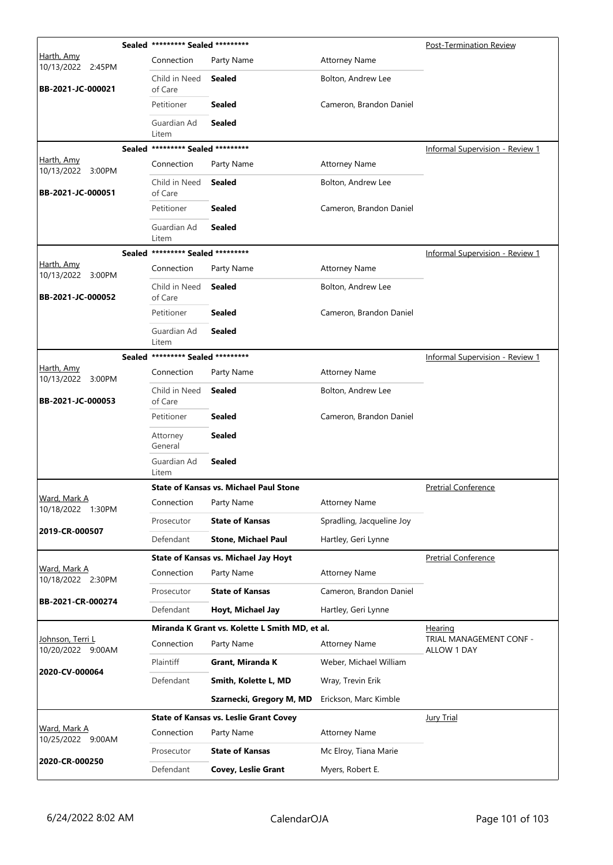|                                               |           | Sealed ********* Sealed ********* |                                                | Post-Termination Review   |                                        |
|-----------------------------------------------|-----------|-----------------------------------|------------------------------------------------|---------------------------|----------------------------------------|
| <u>Harth, Amy</u><br>10/13/2022 2:45PM        |           | Connection                        | Party Name                                     | <b>Attorney Name</b>      |                                        |
| BB-2021-JC-000021                             |           | Child in Need<br>of Care          | Sealed                                         | Bolton, Andrew Lee        |                                        |
|                                               |           | Petitioner                        | Sealed                                         | Cameron, Brandon Daniel   |                                        |
|                                               |           | Guardian Ad<br>Litem              | <b>Sealed</b>                                  |                           |                                        |
|                                               |           | Sealed ********* Sealed ********* |                                                |                           | <b>Informal Supervision - Review 1</b> |
| Harth, Amy<br>10/13/2022                      | 3:00PM    | Connection                        | Party Name                                     | <b>Attorney Name</b>      |                                        |
| BB-2021-JC-000051                             |           | Child in Need<br>of Care          | <b>Sealed</b>                                  | Bolton, Andrew Lee        |                                        |
|                                               |           | Petitioner                        | <b>Sealed</b>                                  | Cameron, Brandon Daniel   |                                        |
|                                               |           | Guardian Ad<br>Litem              | <b>Sealed</b>                                  |                           |                                        |
|                                               |           | Sealed ********* Sealed ********* |                                                |                           | <b>Informal Supervision - Review 1</b> |
| Harth, Amy<br>10/13/2022 3:00PM               |           | Connection                        | Party Name                                     | <b>Attorney Name</b>      |                                        |
| BB-2021-JC-000052                             |           | Child in Need<br>of Care          | Sealed                                         | Bolton, Andrew Lee        |                                        |
|                                               |           | Petitioner                        | Sealed                                         | Cameron, Brandon Daniel   |                                        |
|                                               |           | Guardian Ad<br>Litem              | <b>Sealed</b>                                  |                           |                                        |
|                                               |           | Sealed ********* Sealed ********* |                                                |                           | <b>Informal Supervision - Review 1</b> |
| Harth, Amy<br>10/13/2022 3:00PM               |           | Connection                        | Party Name                                     | <b>Attorney Name</b>      |                                        |
| BB-2021-JC-000053                             |           | Child in Need<br>of Care          | <b>Sealed</b>                                  | Bolton, Andrew Lee        |                                        |
|                                               |           | Petitioner                        | Sealed                                         | Cameron, Brandon Daniel   |                                        |
|                                               |           | Attorney<br>General               | <b>Sealed</b>                                  |                           |                                        |
|                                               |           | Guardian Ad<br>Litem              | <b>Sealed</b>                                  |                           |                                        |
|                                               |           |                                   | <b>State of Kansas vs. Michael Paul Stone</b>  |                           | <b>Pretrial Conference</b>             |
| Ward, Mark A<br>10/18/2022 1:30PM             |           | Connection                        | Party Name                                     | <b>Attorney Name</b>      |                                        |
| 2019-CR-000507                                |           | Prosecutor                        | <b>State of Kansas</b>                         | Spradling, Jacqueline Joy |                                        |
|                                               |           | Defendant                         | <b>Stone, Michael Paul</b>                     | Hartley, Geri Lynne       |                                        |
|                                               |           |                                   | <b>State of Kansas vs. Michael Jay Hoyt</b>    |                           | <b>Pretrial Conference</b>             |
| Ward, Mark A<br>10/18/2022 2:30PM             |           | Connection                        | Party Name                                     | <b>Attorney Name</b>      |                                        |
| BB-2021-CR-000274                             |           | Prosecutor                        | <b>State of Kansas</b>                         | Cameron, Brandon Daniel   |                                        |
|                                               |           | Defendant                         | Hoyt, Michael Jay                              | Hartley, Geri Lynne       |                                        |
|                                               |           |                                   | Miranda K Grant vs. Kolette L Smith MD, et al. | <b>Hearing</b>            |                                        |
| <u> Johnson, Terri L</u><br>10/20/2022 9:00AM |           | Connection                        | Party Name                                     | <b>Attorney Name</b>      | TRIAL MANAGEMENT CONF -<br>ALLOW 1 DAY |
| 2020-CV-000064                                | Plaintiff | Grant, Miranda K                  | Weber, Michael William                         |                           |                                        |
|                                               |           | Defendant                         | Smith, Kolette L, MD                           | Wray, Trevin Erik         |                                        |
|                                               |           |                                   | Szarnecki, Gregory M, MD                       | Erickson, Marc Kimble     |                                        |
|                                               |           |                                   | <b>State of Kansas vs. Leslie Grant Covey</b>  |                           | <b>Jury Trial</b>                      |
| Ward, Mark A<br>10/25/2022 9:00AM             |           | Connection                        | Party Name                                     | <b>Attorney Name</b>      |                                        |
|                                               |           | Prosecutor                        | <b>State of Kansas</b>                         | Mc Elroy, Tiana Marie     |                                        |
| 2020-CR-000250                                |           | Defendant                         | <b>Covey, Leslie Grant</b>                     | Myers, Robert E.          |                                        |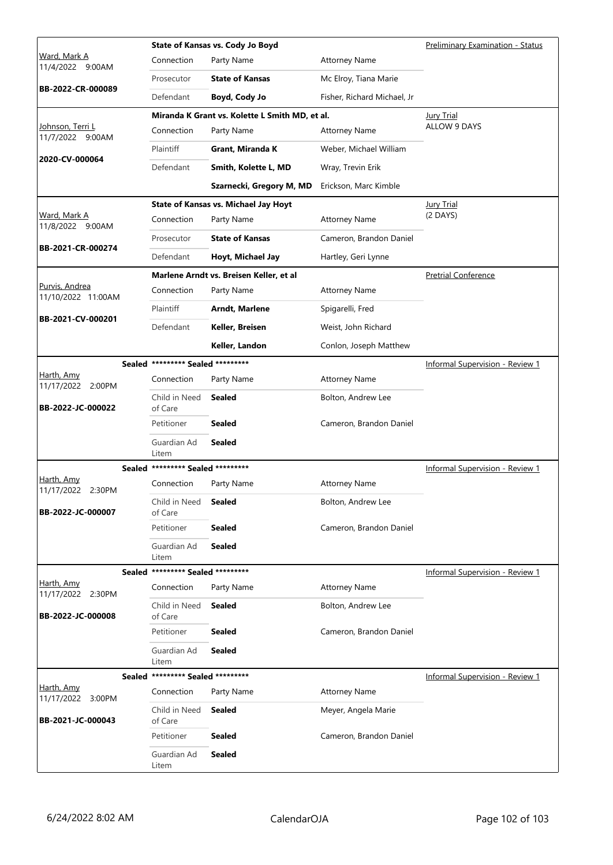|                                           |                                   | State of Kansas vs. Cody Jo Boyd               | <b>Preliminary Examination - Status</b> |                                        |
|-------------------------------------------|-----------------------------------|------------------------------------------------|-----------------------------------------|----------------------------------------|
| Ward, Mark A<br>11/4/2022<br>9:00AM       | Connection                        | Party Name                                     | <b>Attorney Name</b>                    |                                        |
| BB-2022-CR-000089                         | Prosecutor                        | <b>State of Kansas</b>                         | Mc Elroy, Tiana Marie                   |                                        |
|                                           | Defendant                         | Boyd, Cody Jo                                  | Fisher, Richard Michael, Jr             |                                        |
|                                           |                                   | Miranda K Grant vs. Kolette L Smith MD, et al. |                                         | <b>Jury Trial</b>                      |
| Johnson, Terri L<br>11/7/2022 9:00AM      | Connection                        | Party Name                                     | <b>Attorney Name</b>                    | <b>ALLOW 9 DAYS</b>                    |
| 2020-CV-000064                            | Plaintiff                         | Grant, Miranda K                               | Weber, Michael William                  |                                        |
|                                           | Defendant                         | Smith, Kolette L, MD                           | Wray, Trevin Erik                       |                                        |
|                                           |                                   | Szarnecki, Gregory M, MD                       | Erickson, Marc Kimble                   |                                        |
|                                           |                                   | <b>State of Kansas vs. Michael Jay Hoyt</b>    |                                         | <b>Jury Trial</b>                      |
| Ward, Mark A<br>11/8/2022 9:00AM          | Connection                        | Party Name                                     | <b>Attorney Name</b>                    | (2 DAYS)                               |
| BB-2021-CR-000274                         | Prosecutor                        | <b>State of Kansas</b>                         | Cameron, Brandon Daniel                 |                                        |
|                                           | Defendant                         | Hoyt, Michael Jay                              | Hartley, Geri Lynne                     |                                        |
|                                           |                                   | Marlene Arndt vs. Breisen Keller, et al        |                                         | <b>Pretrial Conference</b>             |
| Purvis, Andrea<br>11/10/2022 11:00AM      | Connection                        | Party Name                                     | <b>Attorney Name</b>                    |                                        |
| BB-2021-CV-000201                         | Plaintiff                         | Arndt, Marlene                                 | Spigarelli, Fred                        |                                        |
|                                           | Defendant                         | Keller, Breisen                                | Weist, John Richard                     |                                        |
|                                           |                                   | Keller, Landon                                 | Conlon, Joseph Matthew                  |                                        |
|                                           | Sealed ********* Sealed ********* |                                                |                                         | <b>Informal Supervision - Review 1</b> |
| Harth, Amy<br>11/17/2022 2:00PM           | Connection                        | Party Name                                     | <b>Attorney Name</b>                    |                                        |
| BB-2022-JC-000022                         | Child in Need<br>of Care          | <b>Sealed</b>                                  | Bolton, Andrew Lee                      |                                        |
|                                           | Petitioner                        | <b>Sealed</b>                                  | Cameron, Brandon Daniel                 |                                        |
|                                           | Guardian Ad<br>Litem              | <b>Sealed</b>                                  |                                         |                                        |
|                                           | Sealed ********* Sealed ********* |                                                |                                         | <b>Informal Supervision - Review 1</b> |
| Harth, Amy<br>11/17/2022 2:30PM           | Connection                        | Party Name                                     | <b>Attorney Name</b>                    |                                        |
| BB-2022-JC-000007                         | Child in Need<br>of Care          | Sealed                                         | Bolton, Andrew Lee                      |                                        |
|                                           | Petitioner                        | <b>Sealed</b>                                  | Cameron, Brandon Daniel                 |                                        |
|                                           | Guardian Ad<br>Litem              | <b>Sealed</b>                                  |                                         |                                        |
|                                           | Sealed ********* Sealed ********* |                                                |                                         | Informal Supervision - Review 1        |
| Harth, Amy<br>11/17/2022 2:30PM           | Connection                        | Party Name                                     | <b>Attorney Name</b>                    |                                        |
| BB-2022-JC-000008                         | Child in Need<br>of Care          | <b>Sealed</b>                                  | Bolton, Andrew Lee                      |                                        |
|                                           | Petitioner                        | <b>Sealed</b>                                  | Cameron, Brandon Daniel                 |                                        |
|                                           | Guardian Ad<br>Litem              | <b>Sealed</b>                                  |                                         |                                        |
|                                           | Sealed ********* Sealed ********* |                                                |                                         | Informal Supervision - Review 1        |
| <u>Harth, Amy</u><br>11/17/2022<br>3:00PM | Connection                        | Party Name                                     | <b>Attorney Name</b>                    |                                        |
| BB-2021-JC-000043                         | Child in Need<br>of Care          | <b>Sealed</b>                                  | Meyer, Angela Marie                     |                                        |
|                                           | Petitioner                        | <b>Sealed</b>                                  | Cameron, Brandon Daniel                 |                                        |
|                                           | Guardian Ad<br>Litem              | <b>Sealed</b>                                  |                                         |                                        |